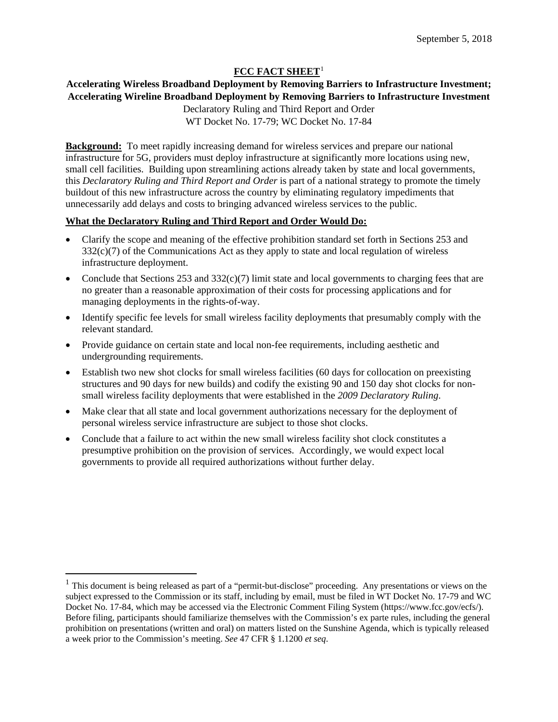# **FCC FACT SHEET**[1](#page-0-0)

### **Accelerating Wireless Broadband Deployment by Removing Barriers to Infrastructure Investment; Accelerating Wireline Broadband Deployment by Removing Barriers to Infrastructure Investment**

Declaratory Ruling and Third Report and Order WT Docket No. 17-79; WC Docket No. 17-84

**Background:** To meet rapidly increasing demand for wireless services and prepare our national infrastructure for 5G, providers must deploy infrastructure at significantly more locations using new, small cell facilities. Building upon streamlining actions already taken by state and local governments, this *Declaratory Ruling and Third Report and Order* is part of a national strategy to promote the timely buildout of this new infrastructure across the country by eliminating regulatory impediments that unnecessarily add delays and costs to bringing advanced wireless services to the public.

# **What the Declaratory Ruling and Third Report and Order Would Do:**

- Clarify the scope and meaning of the effective prohibition standard set forth in Sections 253 and 332(c)(7) of the Communications Act as they apply to state and local regulation of wireless infrastructure deployment.
- Conclude that Sections 253 and  $332(c)(7)$  limit state and local governments to charging fees that are no greater than a reasonable approximation of their costs for processing applications and for managing deployments in the rights-of-way.
- Identify specific fee levels for small wireless facility deployments that presumably comply with the relevant standard.
- Provide guidance on certain state and local non-fee requirements, including aesthetic and undergrounding requirements.
- Establish two new shot clocks for small wireless facilities (60 days for collocation on preexisting structures and 90 days for new builds) and codify the existing 90 and 150 day shot clocks for nonsmall wireless facility deployments that were established in the *2009 Declaratory Ruling*.
- Make clear that all state and local government authorizations necessary for the deployment of personal wireless service infrastructure are subject to those shot clocks.
- Conclude that a failure to act within the new small wireless facility shot clock constitutes a presumptive prohibition on the provision of services. Accordingly, we would expect local governments to provide all required authorizations without further delay.

 $\overline{\phantom{a}}$ 

<span id="page-0-0"></span><sup>&</sup>lt;sup>1</sup> This document is being released as part of a "permit-but-disclose" proceeding. Any presentations or views on the subject expressed to the Commission or its staff, including by email, must be filed in WT Docket No. 17-79 and WC Docket No. 17-84, which may be accessed via the Electronic Comment Filing System (https://www.fcc.gov/ecfs/). Before filing, participants should familiarize themselves with the Commission's ex parte rules, including the general prohibition on presentations (written and oral) on matters listed on the Sunshine Agenda, which is typically released a week prior to the Commission's meeting. *See* 47 CFR § 1.1200 *et seq*.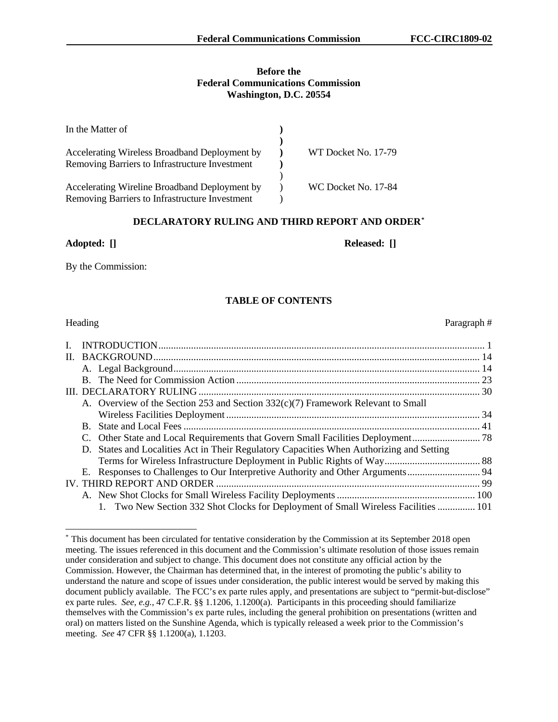### **Before the Federal Communications Commission Washington, D.C. 20554**

| In the Matter of                               |                     |
|------------------------------------------------|---------------------|
| Accelerating Wireless Broadband Deployment by  | WT Docket No. 17-79 |
| Removing Barriers to Infrastructure Investment |                     |
| Accelerating Wireline Broadband Deployment by  | WC Docket No. 17-84 |
| Removing Barriers to Infrastructure Investment |                     |

### **DECLARATORY RULING AND THIRD REPORT AND ORDER[\\*](#page-1-0)**

### **Adopted: [] Released: []**

By the Commission:

# **TABLE OF CONTENTS**

| Heading |
|---------|
|         |

| $\mathbf{L}$ |                                                                                          |  |
|--------------|------------------------------------------------------------------------------------------|--|
|              |                                                                                          |  |
|              |                                                                                          |  |
|              |                                                                                          |  |
|              |                                                                                          |  |
|              | A. Overview of the Section 253 and Section 332(c)(7) Framework Relevant to Small         |  |
|              |                                                                                          |  |
|              |                                                                                          |  |
|              |                                                                                          |  |
|              | D. States and Localities Act in Their Regulatory Capacities When Authorizing and Setting |  |
|              |                                                                                          |  |
|              |                                                                                          |  |
|              |                                                                                          |  |
|              |                                                                                          |  |
|              | 1. Two New Section 332 Shot Clocks for Deployment of Small Wireless Facilities  101      |  |

Heading Paragraph  $#$ 

<span id="page-1-0"></span> <sup>\*</sup> This document has been circulated for tentative consideration by the Commission at its September 2018 open meeting. The issues referenced in this document and the Commission's ultimate resolution of those issues remain under consideration and subject to change. This document does not constitute any official action by the Commission. However, the Chairman has determined that, in the interest of promoting the public's ability to understand the nature and scope of issues under consideration, the public interest would be served by making this document publicly available. The FCC's ex parte rules apply, and presentations are subject to "permit-but-disclose" ex parte rules. *See, e.g.*, 47 C.F.R. §§ 1.1206, 1.1200(a). Participants in this proceeding should familiarize themselves with the Commission's ex parte rules, including the general prohibition on presentations (written and oral) on matters listed on the Sunshine Agenda, which is typically released a week prior to the Commission's meeting. *See* 47 CFR §§ 1.1200(a), 1.1203.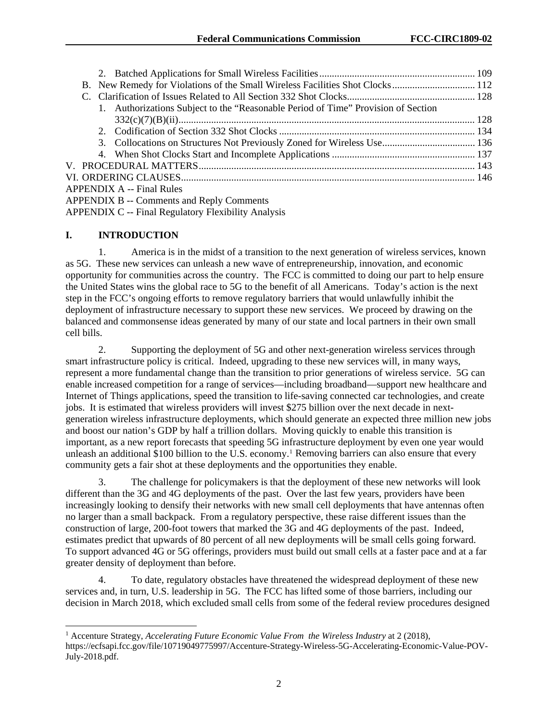| 1. Authorizations Subject to the "Reasonable Period of Time" Provision of Section |  |
|-----------------------------------------------------------------------------------|--|
|                                                                                   |  |
|                                                                                   |  |
|                                                                                   |  |
|                                                                                   |  |
|                                                                                   |  |
|                                                                                   |  |
| <b>APPENDIX A -- Final Rules</b>                                                  |  |
| <b>APPENDIX B -- Comments and Reply Comments</b>                                  |  |
| <b>APPENDIX C -- Final Regulatory Flexibility Analysis</b>                        |  |

### **I. INTRODUCTION**

1. America is in the midst of a transition to the next generation of wireless services, known as 5G. These new services can unleash a new wave of entrepreneurship, innovation, and economic opportunity for communities across the country. The FCC is committed to doing our part to help ensure the United States wins the global race to 5G to the benefit of all Americans. Today's action is the next step in the FCC's ongoing efforts to remove regulatory barriers that would unlawfully inhibit the deployment of infrastructure necessary to support these new services. We proceed by drawing on the balanced and commonsense ideas generated by many of our state and local partners in their own small cell bills.

2. Supporting the deployment of 5G and other next-generation wireless services through smart infrastructure policy is critical. Indeed, upgrading to these new services will, in many ways, represent a more fundamental change than the transition to prior generations of wireless service. 5G can enable increased competition for a range of services—including broadband—support new healthcare and Internet of Things applications, speed the transition to life-saving connected car technologies, and create jobs. It is estimated that wireless providers will invest \$275 billion over the next decade in nextgeneration wireless infrastructure deployments, which should generate an expected three million new jobs and boost our nation's GDP by half a trillion dollars. Moving quickly to enable this transition is important, as a new report forecasts that speeding 5G infrastructure deployment by even one year would unleash an additional \$[1](#page-2-0)00 billion to the U.S. economy.<sup>1</sup> Removing barriers can also ensure that every community gets a fair shot at these deployments and the opportunities they enable.

3. The challenge for policymakers is that the deployment of these new networks will look different than the 3G and 4G deployments of the past. Over the last few years, providers have been increasingly looking to densify their networks with new small cell deployments that have antennas often no larger than a small backpack. From a regulatory perspective, these raise different issues than the construction of large, 200-foot towers that marked the 3G and 4G deployments of the past. Indeed, estimates predict that upwards of 80 percent of all new deployments will be small cells going forward. To support advanced 4G or 5G offerings, providers must build out small cells at a faster pace and at a far greater density of deployment than before.

4. To date, regulatory obstacles have threatened the widespread deployment of these new services and, in turn, U.S. leadership in 5G. The FCC has lifted some of those barriers, including our decision in March 2018, which excluded small cells from some of the federal review procedures designed

<span id="page-2-0"></span> <sup>1</sup> Accenture Strategy, *Accelerating Future Economic Value From the Wireless Industry* at 2 (2018), https://ecfsapi.fcc.gov/file/10719049775997/Accenture-Strategy-Wireless-5G-Accelerating-Economic-Value-POV-July-2018.pdf.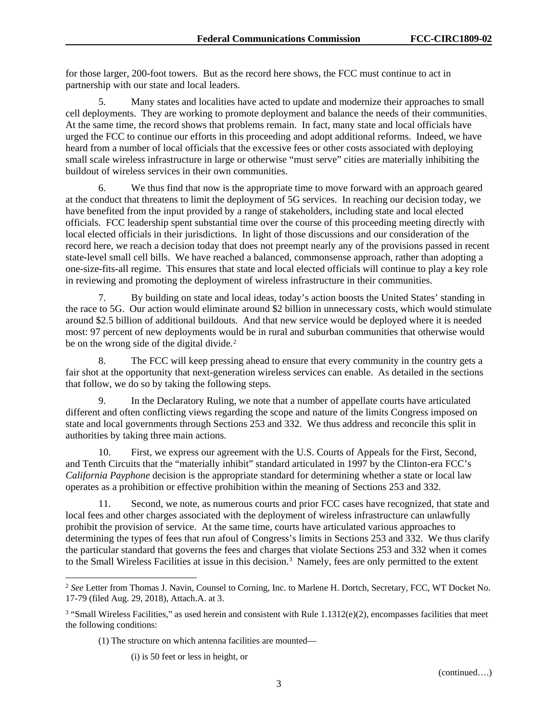for those larger, 200-foot towers. But as the record here shows, the FCC must continue to act in partnership with our state and local leaders.

5. Many states and localities have acted to update and modernize their approaches to small cell deployments. They are working to promote deployment and balance the needs of their communities. At the same time, the record shows that problems remain. In fact, many state and local officials have urged the FCC to continue our efforts in this proceeding and adopt additional reforms. Indeed, we have heard from a number of local officials that the excessive fees or other costs associated with deploying small scale wireless infrastructure in large or otherwise "must serve" cities are materially inhibiting the buildout of wireless services in their own communities.

We thus find that now is the appropriate time to move forward with an approach geared at the conduct that threatens to limit the deployment of 5G services. In reaching our decision today, we have benefited from the input provided by a range of stakeholders, including state and local elected officials. FCC leadership spent substantial time over the course of this proceeding meeting directly with local elected officials in their jurisdictions. In light of those discussions and our consideration of the record here, we reach a decision today that does not preempt nearly any of the provisions passed in recent state-level small cell bills. We have reached a balanced, commonsense approach, rather than adopting a one-size-fits-all regime. This ensures that state and local elected officials will continue to play a key role in reviewing and promoting the deployment of wireless infrastructure in their communities.

7. By building on state and local ideas, today's action boosts the United States' standing in the race to 5G. Our action would eliminate around \$2 billion in unnecessary costs, which would stimulate around \$2.5 billion of additional buildouts. And that new service would be deployed where it is needed most: 97 percent of new deployments would be in rural and suburban communities that otherwise would be on the wrong side of the digital divide.<sup>[2](#page-3-0)</sup>

8. The FCC will keep pressing ahead to ensure that every community in the country gets a fair shot at the opportunity that next-generation wireless services can enable. As detailed in the sections that follow, we do so by taking the following steps.

9. In the Declaratory Ruling, we note that a number of appellate courts have articulated different and often conflicting views regarding the scope and nature of the limits Congress imposed on state and local governments through Sections 253 and 332. We thus address and reconcile this split in authorities by taking three main actions.

10. First, we express our agreement with the U.S. Courts of Appeals for the First, Second, and Tenth Circuits that the "materially inhibit" standard articulated in 1997 by the Clinton-era FCC's *California Payphone* decision is the appropriate standard for determining whether a state or local law operates as a prohibition or effective prohibition within the meaning of Sections 253 and 332.

11. Second, we note, as numerous courts and prior FCC cases have recognized, that state and local fees and other charges associated with the deployment of wireless infrastructure can unlawfully prohibit the provision of service. At the same time, courts have articulated various approaches to determining the types of fees that run afoul of Congress's limits in Sections 253 and 332. We thus clarify the particular standard that governs the fees and charges that violate Sections 253 and 332 when it comes to the Small Wireless Facilities at issue in this decision.<sup>[3](#page-3-1)</sup> Namely, fees are only permitted to the extent

(1) The structure on which antenna facilities are mounted—

(i) is 50 feet or less in height, or

<span id="page-3-0"></span> <sup>2</sup> *See* Letter from Thomas J. Navin, Counsel to Corning, Inc. to Marlene H. Dortch, Secretary, FCC, WT Docket No. 17-79 (filed Aug. 29, 2018), Attach.A. at 3.

<span id="page-3-1"></span><sup>&</sup>lt;sup>3</sup> "Small Wireless Facilities," as used herein and consistent with Rule 1.1312(e)(2), encompasses facilities that meet the following conditions: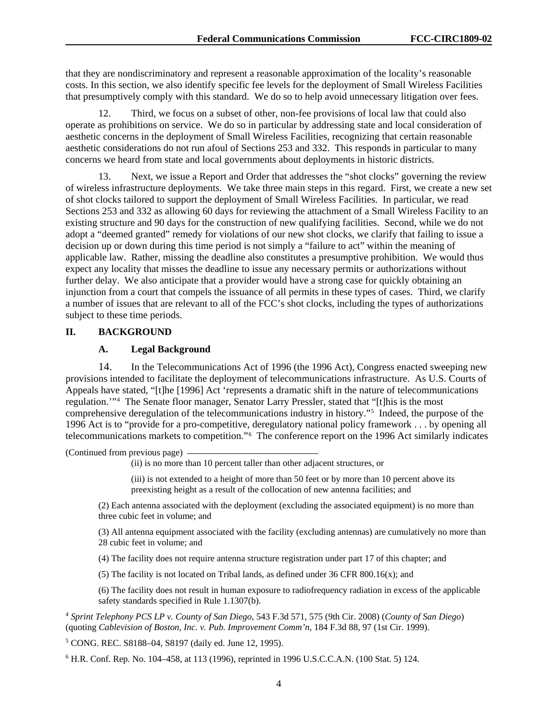that they are nondiscriminatory and represent a reasonable approximation of the locality's reasonable costs. In this section, we also identify specific fee levels for the deployment of Small Wireless Facilities that presumptively comply with this standard. We do so to help avoid unnecessary litigation over fees.

Third, we focus on a subset of other, non-fee provisions of local law that could also operate as prohibitions on service. We do so in particular by addressing state and local consideration of aesthetic concerns in the deployment of Small Wireless Facilities, recognizing that certain reasonable aesthetic considerations do not run afoul of Sections 253 and 332. This responds in particular to many concerns we heard from state and local governments about deployments in historic districts.

13. Next, we issue a Report and Order that addresses the "shot clocks" governing the review of wireless infrastructure deployments. We take three main steps in this regard. First, we create a new set of shot clocks tailored to support the deployment of Small Wireless Facilities. In particular, we read Sections 253 and 332 as allowing 60 days for reviewing the attachment of a Small Wireless Facility to an existing structure and 90 days for the construction of new qualifying facilities. Second, while we do not adopt a "deemed granted" remedy for violations of our new shot clocks, we clarify that failing to issue a decision up or down during this time period is not simply a "failure to act" within the meaning of applicable law. Rather, missing the deadline also constitutes a presumptive prohibition. We would thus expect any locality that misses the deadline to issue any necessary permits or authorizations without further delay. We also anticipate that a provider would have a strong case for quickly obtaining an injunction from a court that compels the issuance of all permits in these types of cases. Third, we clarify a number of issues that are relevant to all of the FCC's shot clocks, including the types of authorizations subject to these time periods.

### **II. BACKGROUND**

# **A. Legal Background**

14. In the Telecommunications Act of 1996 (the 1996 Act), Congress enacted sweeping new provisions intended to facilitate the deployment of telecommunications infrastructure. As U.S. Courts of Appeals have stated, "[t]he [1996] Act 'represents a dramatic shift in the nature of telecommunications regulation.'"[4](#page-4-0) The Senate floor manager, Senator Larry Pressler, stated that "[t]his is the most comprehensive deregulation of the telecommunications industry in history."[5](#page-4-1) Indeed, the purpose of the 1996 Act is to "provide for a pro-competitive, deregulatory national policy framework . . . by opening all telecommunications markets to competition."[6](#page-4-2) The conference report on the 1996 Act similarly indicates

(Continued from previous page)

(ii) is no more than 10 percent taller than other adjacent structures, or

(iii) is not extended to a height of more than 50 feet or by more than 10 percent above its preexisting height as a result of the collocation of new antenna facilities; and

(2) Each antenna associated with the deployment (excluding the associated equipment) is no more than three cubic feet in volume; and

(3) All antenna equipment associated with the facility (excluding antennas) are cumulatively no more than 28 cubic feet in volume; and

(4) The facility does not require antenna structure registration under part 17 of this chapter; and

(5) The facility is not located on Tribal lands, as defined under 36 CFR 800.16(x); and

(6) The facility does not result in human exposure to radiofrequency radiation in excess of the applicable safety standards specified in Rule 1.1307(b).

<span id="page-4-0"></span><sup>4</sup> *Sprint Telephony PCS LP v. County of San Diego*, 543 F.3d 571, 575 (9th Cir. 2008) (*County of San Diego*) (quoting *Cablevision of Boston, Inc. v. Pub. Improvement Comm'n*, 184 F.3d 88, 97 (1st Cir. 1999).

<span id="page-4-1"></span><sup>5</sup> CONG. REC. S8188–04, S8197 (daily ed. June 12, 1995).

<span id="page-4-2"></span><sup>6</sup> H.R. Conf. Rep. No. 104–458, at 113 (1996), reprinted in 1996 U.S.C.C.A.N. (100 Stat. 5) 124.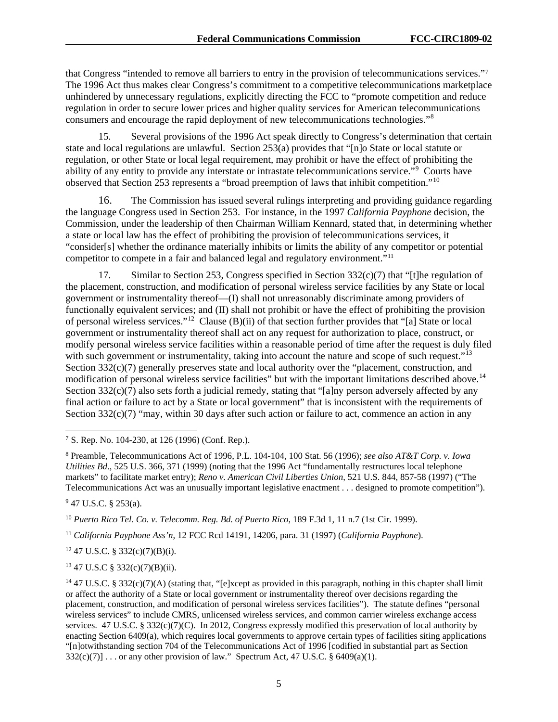that Congress "intended to remove all barriers to entry in the provision of telecommunications services."[7](#page-5-0) The 1996 Act thus makes clear Congress's commitment to a competitive telecommunications marketplace unhindered by unnecessary regulations, explicitly directing the FCC to "promote competition and reduce regulation in order to secure lower prices and higher quality services for American telecommunications consumers and encourage the rapid deployment of new telecommunications technologies."<sup>[8](#page-5-1)</sup>

15. Several provisions of the 1996 Act speak directly to Congress's determination that certain state and local regulations are unlawful. Section 253(a) provides that "[n]o State or local statute or regulation, or other State or local legal requirement, may prohibit or have the effect of prohibiting the ability of any entity to provide any interstate or intrastate telecommunications service."[9](#page-5-2) Courts have observed that Section 253 represents a "broad preemption of laws that inhibit competition."[10](#page-5-3)

16. The Commission has issued several rulings interpreting and providing guidance regarding the language Congress used in Section 253. For instance, in the 1997 *California Payphone* decision, the Commission, under the leadership of then Chairman William Kennard, stated that, in determining whether a state or local law has the effect of prohibiting the provision of telecommunications services, it "consider[s] whether the ordinance materially inhibits or limits the ability of any competitor or potential competitor to compete in a fair and balanced legal and regulatory environment."<sup>[11](#page-5-4)</sup>

17. Similar to Section 253, Congress specified in Section  $332(c)(7)$  that "[t]he regulation of the placement, construction, and modification of personal wireless service facilities by any State or local government or instrumentality thereof—(I) shall not unreasonably discriminate among providers of functionally equivalent services; and (II) shall not prohibit or have the effect of prohibiting the provision of personal wireless services."[12](#page-5-5) Clause (B)(ii) of that section further provides that "[a] State or local government or instrumentality thereof shall act on any request for authorization to place, construct, or modify personal wireless service facilities within a reasonable period of time after the request is duly filed with such government or instrumentality, taking into account the nature and scope of such request."<sup>[13](#page-5-6)</sup> Section  $332(c)(7)$  generally preserves state and local authority over the "placement, construction, and modification of personal wireless service facilities" but with the important limitations described above.<sup>[14](#page-5-7)</sup> Section 332(c)(7) also sets forth a judicial remedy, stating that "[a]ny person adversely affected by any final action or failure to act by a State or local government" that is inconsistent with the requirements of Section  $332(c)(7)$  "may, within 30 days after such action or failure to act, commence an action in any

<span id="page-5-2"></span><sup>9</sup> 47 U.S.C. § 253(a).

<span id="page-5-3"></span><sup>10</sup> *Puerto Rico Tel. Co. v. Telecomm. Reg. Bd. of Puerto Rico*, 189 F.3d 1, 11 n.7 (1st Cir. 1999).

<span id="page-5-4"></span><sup>11</sup> *California Payphone Ass'n*, 12 FCC Rcd 14191, 14206, para. 31 (1997) (*California Payphone*).

<span id="page-5-5"></span><sup>12</sup> 47 U.S.C. § 332(c)(7)(B)(i).

<span id="page-5-6"></span><sup>13</sup> 47 U.S.C § 332(c)(7)(B)(ii).

<span id="page-5-0"></span> <sup>7</sup> S. Rep. No. 104-230, at 126 (1996) (Conf. Rep.).

<span id="page-5-1"></span><sup>8</sup> Preamble, Telecommunications Act of 1996, P.L. 104-104, 100 Stat. 56 (1996); *see also AT&T Corp. v. Iowa Utilities Bd*., 525 U.S. 366, 371 (1999) (noting that the 1996 Act "fundamentally restructures local telephone markets" to facilitate market entry); *Reno v. American Civil Liberties Union*, 521 U.S. 844, 857-58 (1997) ("The Telecommunications Act was an unusually important legislative enactment . . . designed to promote competition").

<span id="page-5-7"></span><sup>&</sup>lt;sup>14</sup> [47 U.S.C. § 332\(c\)\(7\)\(A\)](http://www.westlaw.com/Link/Document/FullText?findType=L&pubNum=1000546&cite=47USCAS332&originatingDoc=I2fe7a5605ae811e4b86bd602cb8781fa&refType=RB&originationContext=document&vr=3.0&rs=cblt1.0&transitionType=DocumentItem&contextData=(sc.UserEnteredCitation)#co_pp_d6d1000098562) (stating that, "[e]xcept as provided in this paragraph, nothing in this chapter shall limit or affect the authority of a State or local government or instrumentality thereof over decisions regarding the placement, construction, and modification of personal wireless services facilities"). The statute defines "personal wireless services" to include CMRS, unlicensed wireless services, and common carrier wireless exchange access services. 47 U.S.C. § 332(c)(7)(C). In 2012, Congress expressly modified this preservation of local authority by enacting Section 6409(a), which requires local governments to approve certain types of facilities siting applications "[n]otwithstanding section 704 of the Telecommunications Act of 1996 [codified in substantial part a[s Section](http://www.westlaw.com/Link/Document/FullText?findType=L&pubNum=1000546&cite=47USCAS332&originatingDoc=I2fe7a5605ae811e4b86bd602cb8781fa&refType=RB&originationContext=document&vr=3.0&rs=cblt1.0&transitionType=DocumentItem&contextData=(sc.UserEnteredCitation)#co_pp_2cf2000076010)   $332(c)(7)$ ] ... or any other provision of law." Spectrum Act, 47 U.S.C. § 6409(a)(1).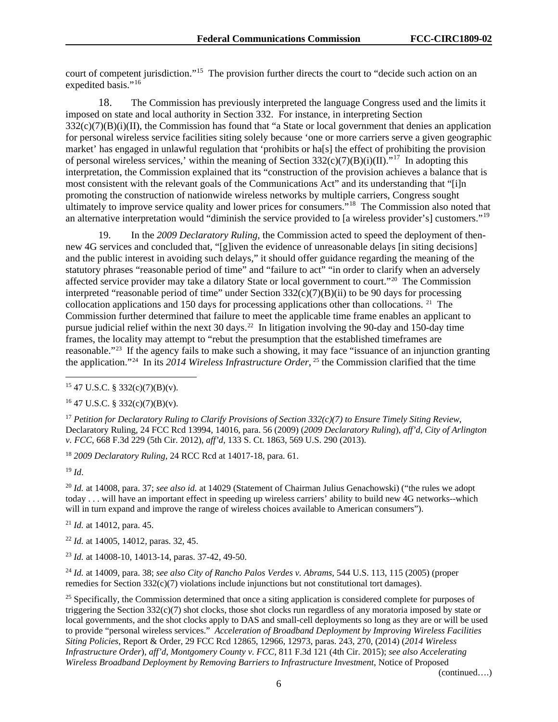court of competent jurisdiction."<sup>[15](#page-6-0)</sup> The provision further directs the court to "decide such action on an expedited basis."<sup>[16](#page-6-1)</sup>

18. The Commission has previously interpreted the language Congress used and the limits it imposed on state and local authority in Section 332. For instance, in interpreting Section  $332(c)(7)(B)(i)(II)$ , the Commission has found that "a State or local government that denies an application for personal wireless service facilities siting solely because 'one or more carriers serve a given geographic market' has engaged in unlawful regulation that 'prohibits or ha[s] the effect of prohibiting the provision of personal wireless services,' within the meaning of Section  $332(c)(7)(B)(i)(II).$ "<sup>[17](#page-6-2)</sup> In adopting this interpretation, the Commission explained that its "construction of the provision achieves a balance that is most consistent with the relevant goals of the Communications Act" and its understanding that "[i]n promoting the construction of nationwide wireless networks by multiple carriers, Congress sought ultimately to improve service quality and lower prices for consumers.<sup>"18</sup> The Commission also noted that an alternative interpretation would "diminish the service provided to [a wireless provider's] customers."[19](#page-6-4)

19. In the *2009 Declaratory Ruling*, the Commission acted to speed the deployment of thennew 4G services and concluded that, "[g]iven the evidence of unreasonable delays [in siting decisions] and the public interest in avoiding such delays," it should offer guidance regarding the meaning of the statutory phrases "reasonable period of time" and "failure to act" "in order to clarify when an adversely affected service provider may take a dilatory State or local government to court."[20](#page-6-5) The Commission interpreted "reasonable period of time" under Section  $332(c)(7)(B)(ii)$  to be 90 days for processing collocation applications and 150 days for processing applications other than collocations. [21](#page-6-6) The Commission further determined that failure to meet the applicable time frame enables an applicant to pursue judicial relief within the next 30 days.<sup>[22](#page-6-7)</sup> In litigation involving the 90-day and 150-day time frames, the locality may attempt to "rebut the presumption that the established timeframes are reasonable."[23](#page-6-8) If the agency fails to make such a showing, it may face "issuance of an injunction granting the application."[24](#page-6-9) In its *2014 Wireless Infrastructure Order*, [25](#page-6-10) the Commission clarified that the time

<span id="page-6-2"></span><sup>17</sup> *Petition for Declaratory Ruling to Clarify Provisions of Section 332(c)(7) to Ensure Timely Siting Review*, Declaratory Ruling, 24 FCC Rcd 13994, 14016, para. 56 (2009) (*2009 Declaratory Ruling*), *aff'd*, *City of Arlington v. FCC*, 668 F.3d 229 (5th Cir. 2012), *aff'd*, 133 S. Ct. 1863, 569 U.S. 290 (2013).

<span id="page-6-3"></span><sup>18</sup> *2009 Declaratory Ruling*, 24 RCC Rcd at 14017-18, para. 61.

<span id="page-6-4"></span><sup>19</sup> *Id*.

<span id="page-6-5"></span><sup>20</sup> *Id.* at 14008, para. 37; *see also id.* at 14029 (Statement of Chairman Julius Genachowski) ("the rules we adopt today . . . will have an important effect in speeding up wireless carriers' ability to build new 4G networks--which will in turn expand and improve the range of wireless choices available to American consumers").

<span id="page-6-6"></span><sup>21</sup> *Id.* at 14012, para. 45.

<span id="page-6-7"></span><sup>22</sup> *Id.* at 14005, 14012, paras. 32, 45.

<span id="page-6-8"></span><sup>23</sup> *Id.* at 14008-10, 14013-14, paras. 37-42, 49-50.

<span id="page-6-9"></span><sup>24</sup> *Id.* at 14009, para. 38; *see also City of Rancho Palos Verdes v. Abrams*, 544 U.S. 113, 115 (2005) (proper remedies for Section 332(c)(7) violations include injunctions but not constitutional tort damages).

<span id="page-6-10"></span><sup>25</sup> Specifically, the Commission determined that once a siting application is considered complete for purposes of triggering the Section  $332(c)(7)$  shot clocks, those shot clocks run regardless of any moratoria imposed by state or local governments, and the shot clocks apply to DAS and small-cell deployments so long as they are or will be used to provide "personal wireless services." *Acceleration of Broadband Deployment by Improving Wireless Facilities Siting Policies*, Report & Order, 29 FCC Rcd 12865, 12966, 12973, paras. 243, 270, (2014) (*2014 Wireless Infrastructure Order*), *aff'd*, *Montgomery County v. FCC*, 811 F.3d 121 (4th Cir. 2015); *see also Accelerating Wireless Broadband Deployment by Removing Barriers to Infrastructure Investment*, Notice of Proposed

(continued….)

<span id="page-6-0"></span> $15$  47 U.S.C. § 332(c)(7)(B)(v).

<span id="page-6-1"></span> $16$  47 U.S.C. § 332(c)(7)(B)(y).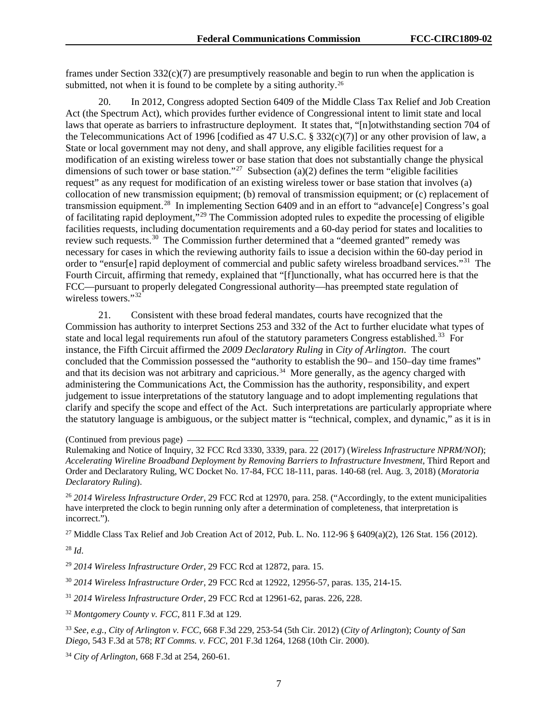frames under Section  $332(c)(7)$  are presumptively reasonable and begin to run when the application is submitted, not when it is found to be complete by a siting authority.<sup>[26](#page-7-0)</sup>

20. In 2012, Congress adopted Section 6409 of the Middle Class Tax Relief and Job Creation Act (the Spectrum Act), which provides further evidence of Congressional intent to limit state and local laws that operate as barriers to infrastructure deployment. It states that, "[n]otwithstanding section 704 of the Telecommunications Act of 1996 [codified as 47 U.S.C. § 332(c)(7)] or any other provision of law, a State or local government may not deny, and shall approve, any eligible facilities request for a modification of an existing wireless tower or base station that does not substantially change the physical dimensions of such tower or base station."<sup>[27](#page-7-1)</sup> Subsection (a)(2) defines the term "eligible facilities" request" as any request for modification of an existing wireless tower or base station that involves (a) collocation of new transmission equipment; (b) removal of transmission equipment; or (c) replacement of transmission equipment.[28](#page-7-2) In implementing Section 6409 and in an effort to "advance[e] Congress's goal of facilitating rapid deployment,"[29](#page-7-3) The Commission adopted rules to expedite the processing of eligible facilities requests, including documentation requirements and a 60-day period for states and localities to review such requests.<sup>[30](#page-7-4)</sup> The Commission further determined that a "deemed granted" remedy was necessary for cases in which the reviewing authority fails to issue a decision within the 60-day period in order to "ensur[e] rapid deployment of commercial and public safety wireless broadband services."[31](#page-7-5) The Fourth Circuit, affirming that remedy, explained that "[f]unctionally, what has occurred here is that the FCC—pursuant to properly delegated Congressional authority—has preempted state regulation of wireless towers."<sup>[32](#page-7-6)</sup>

21. Consistent with these broad federal mandates, courts have recognized that the Commission has authority to interpret Sections 253 and 332 of the Act to further elucidate what types of state and local legal requirements run afoul of the statutory parameters Congress established.<sup>[33](#page-7-7)</sup> For instance, the Fifth Circuit affirmed the *2009 Declaratory Ruling* in *City of Arlington*. The court concluded that the Commission possessed the "authority to establish the 90– and 150–day time frames" and that its decision was not arbitrary and capricious.<sup>[34](#page-7-8)</sup> More generally, as the agency charged with administering the Communications Act, the Commission has the authority, responsibility, and expert judgement to issue interpretations of the statutory language and to adopt implementing regulations that clarify and specify the scope and effect of the Act. Such interpretations are particularly appropriate where the statutory language is ambiguous, or the subject matter is "technical, complex, and dynamic," as it is in

(Continued from previous page)

<span id="page-7-0"></span><sup>26</sup> *2014 Wireless Infrastructure Order*, 29 FCC Rcd at 12970, para. 258. ("Accordingly, to the extent municipalities have interpreted the clock to begin running only after a determination of completeness, that interpretation is incorrect.").

<span id="page-7-1"></span><sup>27</sup> Middle Class Tax Relief and Job Creation Act of 2012, Pub. L. No. 112-96 § 6409(a)(2), 126 Stat. 156 (2012).

<span id="page-7-2"></span><sup>28</sup> *Id*.

<span id="page-7-3"></span><sup>29</sup> *2014 Wireless Infrastructure Order*, 29 FCC Rcd at 12872, para. 15.

<span id="page-7-4"></span><sup>30</sup> *2014 Wireless Infrastructure Order*, 29 FCC Rcd at 12922, 12956-57, paras. 135, 214-15.

<span id="page-7-5"></span><sup>31</sup> *2014 Wireless Infrastructure Order*, 29 FCC Rcd at 12961-62, paras. 226, 228.

<span id="page-7-6"></span><sup>32</sup> *Montgomery County v. FCC*, 811 F.3d at 129.

<span id="page-7-7"></span><sup>33</sup> *See, e.g.*, *City of Arlington v. FCC*, 668 F.3d 229, 253-54 (5th Cir. 2012) (*City of Arlington*); *County of San Diego*, 543 F.3d at 578; *RT Comms. v. FCC*, 201 F.3d 1264, 1268 (10th Cir. 2000).

<span id="page-7-8"></span><sup>34</sup> *City of Arlington*, 668 F.3d at 254, 260-61.

Rulemaking and Notice of Inquiry, 32 FCC Rcd 3330, 3339, para. 22 (2017) (*Wireless Infrastructure NPRM/NOI*); *Accelerating Wireline Broadband Deployment by Removing Barriers to Infrastructure Investment*, Third Report and Order and Declaratory Ruling, WC Docket No. 17-84, FCC 18-111, paras. 140-68 (rel. Aug. 3, 2018) (*Moratoria Declaratory Ruling*).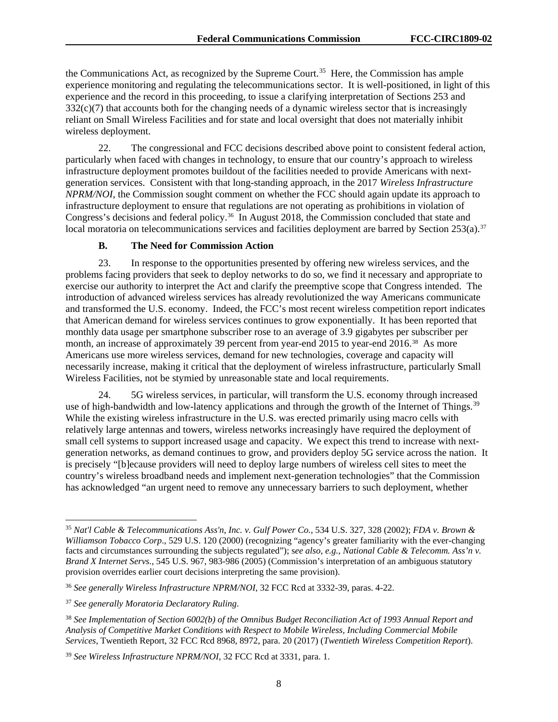the Communications Act, as recognized by the Supreme Court.<sup>35</sup> Here, the Commission has ample experience monitoring and regulating the telecommunications sector. It is well-positioned, in light of this experience and the record in this proceeding, to issue a clarifying interpretation of Sections 253 and 332(c)(7) that accounts both for the changing needs of a dynamic wireless sector that is increasingly reliant on Small Wireless Facilities and for state and local oversight that does not materially inhibit wireless deployment.

22. The congressional and FCC decisions described above point to consistent federal action, particularly when faced with changes in technology, to ensure that our country's approach to wireless infrastructure deployment promotes buildout of the facilities needed to provide Americans with nextgeneration services. Consistent with that long-standing approach, in the 2017 *Wireless Infrastructure NPRM/NOI*, the Commission sought comment on whether the FCC should again update its approach to infrastructure deployment to ensure that regulations are not operating as prohibitions in violation of Congress's decisions and federal policy.<sup>[36](#page-8-1)</sup> In August 2018, the Commission concluded that state and local moratoria on telecommunications services and facilities deployment are barred by Section 253(a).<sup>[37](#page-8-2)</sup>

### **B. The Need for Commission Action**

23. In response to the opportunities presented by offering new wireless services, and the problems facing providers that seek to deploy networks to do so, we find it necessary and appropriate to exercise our authority to interpret the Act and clarify the preemptive scope that Congress intended. The introduction of advanced wireless services has already revolutionized the way Americans communicate and transformed the U.S. economy. Indeed, the FCC's most recent wireless competition report indicates that American demand for wireless services continues to grow exponentially. It has been reported that monthly data usage per smartphone subscriber rose to an average of 3.9 gigabytes per subscriber per month, an increase of approximately 39 percent from year-end 2015 to year-end 2016.<sup>38</sup> As more Americans use more wireless services, demand for new technologies, coverage and capacity will necessarily increase, making it critical that the deployment of wireless infrastructure, particularly Small Wireless Facilities, not be stymied by unreasonable state and local requirements.

24. 5G wireless services, in particular, will transform the U.S. economy through increased use of high-bandwidth and low-latency applications and through the growth of the Internet of Things.<sup>[39](#page-8-4)</sup> While the existing wireless infrastructure in the U.S. was erected primarily using macro cells with relatively large antennas and towers, wireless networks increasingly have required the deployment of small cell systems to support increased usage and capacity. We expect this trend to increase with nextgeneration networks, as demand continues to grow, and providers deploy 5G service across the nation. It is precisely "[b]ecause providers will need to deploy large numbers of wireless cell sites to meet the country's wireless broadband needs and implement next-generation technologies" that the Commission has acknowledged "an urgent need to remove any unnecessary barriers to such deployment, whether

<span id="page-8-0"></span> <sup>35</sup> *Nat'l Cable & Telecommunications Ass'n, Inc. v. Gulf Power Co.*, 534 U.S. 327, 328 (2002); *FDA v. Brown & Williamson Tobacco Corp*., 529 U.S. 120 (2000) (recognizing "agency's greater familiarity with the ever-changing facts and circumstances surrounding the subjects regulated"); s*ee also*, *e.g.*, *National Cable & Telecomm. Ass'n v. Brand X Internet Servs.*, 545 U.S. 967, 983-986 (2005) (Commission's interpretation of an ambiguous statutory provision overrides earlier court decisions interpreting the same provision).

<span id="page-8-1"></span><sup>36</sup> *See generally Wireless Infrastructure NPRM/NOI*, 32 FCC Rcd at 3332-39, paras. 4-22.

<span id="page-8-2"></span><sup>37</sup> *See generally Moratoria Declaratory Ruling*.

<span id="page-8-3"></span><sup>38</sup> *See Implementation of Section 6002(b) of the Omnibus Budget Reconciliation Act of 1993 Annual Report and Analysis of Competitive Market Conditions with Respect to Mobile Wireless, Including Commercial Mobile Services*, Twentieth Report, 32 FCC Rcd 8968, 8972, para. 20 (2017) (*Twentieth Wireless Competition Report*).

<span id="page-8-4"></span><sup>39</sup> *See Wireless Infrastructure NPRM/NOI*, 32 FCC Rcd at 3331, para. 1.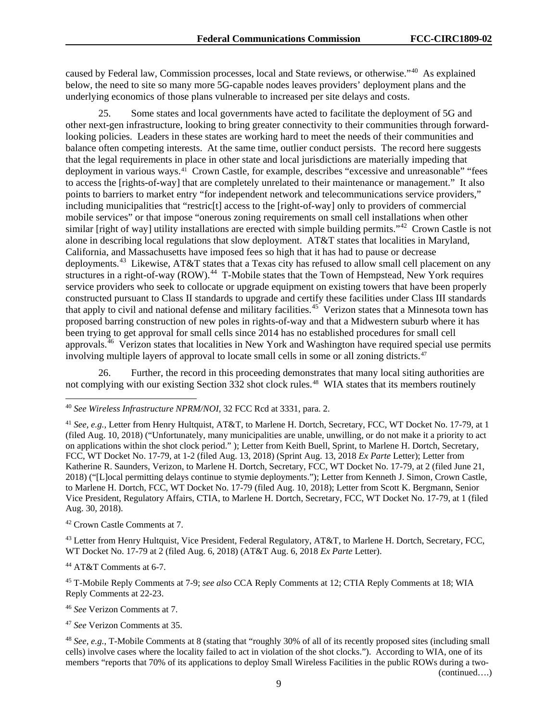caused by Federal law, Commission processes, local and State reviews, or otherwise."[40](#page-9-0) As explained below, the need to site so many more 5G-capable nodes leaves providers' deployment plans and the underlying economics of those plans vulnerable to increased per site delays and costs.

25. Some states and local governments have acted to facilitate the deployment of 5G and other next-gen infrastructure, looking to bring greater connectivity to their communities through forwardlooking policies. Leaders in these states are working hard to meet the needs of their communities and balance often competing interests. At the same time, outlier conduct persists. The record here suggests that the legal requirements in place in other state and local jurisdictions are materially impeding that deployment in various ways.[41](#page-9-1) Crown Castle, for example, describes "excessive and unreasonable" "fees to access the [rights-of-way] that are completely unrelated to their maintenance or management." It also points to barriers to market entry "for independent network and telecommunications service providers," including municipalities that "restric[t] access to the [right-of-way] only to providers of commercial mobile services" or that impose "onerous zoning requirements on small cell installations when other similar [right of way] utility installations are erected with simple building permits."<sup>42</sup> Crown Castle is not alone in describing local regulations that slow deployment. AT&T states that localities in Maryland, California, and Massachusetts have imposed fees so high that it has had to pause or decrease deployments.<sup>43</sup> Likewise, AT&T states that a Texas city has refused to allow small cell placement on any structures in a right-of-way (ROW).<sup>[44](#page-9-4)</sup> T-Mobile states that the Town of Hempstead, New York requires service providers who seek to collocate or upgrade equipment on existing towers that have been properly constructed pursuant to Class II standards to upgrade and certify these facilities under Class III standards that apply to civil and national defense and military facilities.<sup>[45](#page-9-5)</sup> Verizon states that a Minnesota town has proposed barring construction of new poles in rights-of-way and that a Midwestern suburb where it has been trying to get approval for small cells since 2014 has no established procedures for small cell approvals.[46](#page-9-6) Verizon states that localities in New York and Washington have required special use permits involving multiple layers of approval to locate small cells in some or all zoning districts.<sup>[47](#page-9-7)</sup>

26. Further, the record in this proceeding demonstrates that many local siting authorities are not complying with our existing Section 332 shot clock rules.<sup>48</sup> WIA states that its members routinely

<span id="page-9-2"></span><sup>42</sup> Crown Castle Comments at 7.

<span id="page-9-3"></span><sup>43</sup> Letter from Henry Hultquist, Vice President, Federal Regulatory, AT&T, to Marlene H. Dortch, Secretary, FCC, WT Docket No. 17-79 at 2 (filed Aug. 6, 2018) (AT&T Aug. 6, 2018 *Ex Parte* Letter).

<span id="page-9-4"></span><sup>44</sup> AT&T Comments at 6-7.

<span id="page-9-5"></span><sup>45</sup> T-Mobile Reply Comments at 7-9; *see also* CCA Reply Comments at 12; CTIA Reply Comments at 18; WIA Reply Comments at 22-23.

<span id="page-9-6"></span><sup>46</sup> *See* Verizon Comments at 7.

<span id="page-9-7"></span><sup>47</sup> *See* Verizon Comments at 35.

<span id="page-9-8"></span><sup>48</sup> *See, e.g.*, T-Mobile Comments at 8 (stating that "roughly 30% of all of its recently proposed sites (including small cells) involve cases where the locality failed to act in violation of the shot clocks."). According to WIA, one of its members "reports that 70% of its applications to deploy Small Wireless Facilities in the public ROWs during a two- (continued….)

<span id="page-9-0"></span> <sup>40</sup> *See Wireless Infrastructure NPRM/NOI*, 32 FCC Rcd at 3331, para. 2.

<span id="page-9-1"></span><sup>41</sup> *See, e.g.,* Letter from Henry Hultquist, AT&T, to Marlene H. Dortch, Secretary, FCC, WT Docket No. 17-79, at 1 (filed Aug. 10, 2018) ("Unfortunately, many municipalities are unable, unwilling, or do not make it a priority to act on applications within the shot clock period." ); Letter from Keith Buell, Sprint, to Marlene H. Dortch, Secretary, FCC, WT Docket No. 17-79, at 1-2 (filed Aug. 13, 2018) (Sprint Aug. 13, 2018 *Ex Parte* Letter); Letter from Katherine R. Saunders, Verizon, to Marlene H. Dortch, Secretary, FCC, WT Docket No. 17-79, at 2 (filed June 21, 2018) ("[L]ocal permitting delays continue to stymie deployments."); Letter from Kenneth J. Simon, Crown Castle, to Marlene H. Dortch, FCC, WT Docket No. 17-79 (filed Aug. 10, 2018); Letter from Scott K. Bergmann, Senior Vice President, Regulatory Affairs, CTIA, to Marlene H. Dortch, Secretary, FCC, WT Docket No. 17-79, at 1 (filed Aug. 30, 2018).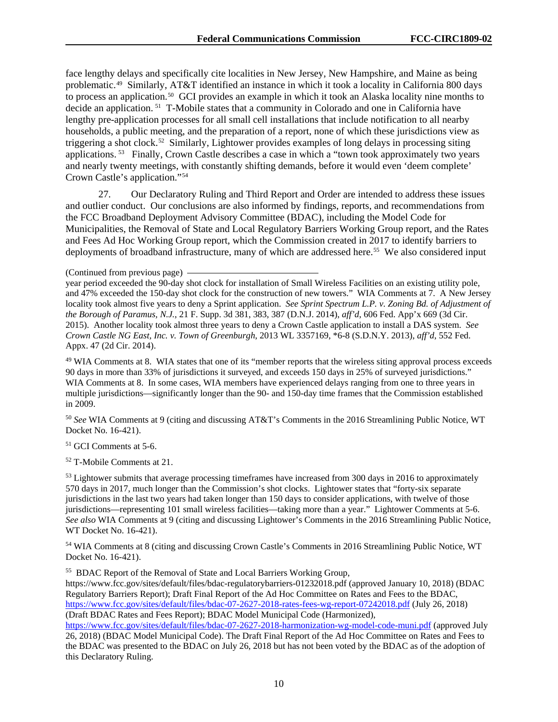face lengthy delays and specifically cite localities in New Jersey, New Hampshire, and Maine as being problematic.[49](#page-10-0) Similarly, AT&T identified an instance in which it took a locality in California 800 days to process an application.[50](#page-10-1) GCI provides an example in which it took an Alaska locality nine months to decide an application. [51](#page-10-2) T-Mobile states that a community in Colorado and one in California have lengthy pre-application processes for all small cell installations that include notification to all nearby households, a public meeting, and the preparation of a report, none of which these jurisdictions view as triggering a shot clock.[52](#page-10-3) Similarly, Lightower provides examples of long delays in processing siting applications. [53](#page-10-4) Finally, Crown Castle describes a case in which a "town took approximately two years and nearly twenty meetings, with constantly shifting demands, before it would even 'deem complete' Crown Castle's application."[54](#page-10-5)

27. Our Declaratory Ruling and Third Report and Order are intended to address these issues and outlier conduct. Our conclusions are also informed by findings, reports, and recommendations from the FCC Broadband Deployment Advisory Committee (BDAC), including the Model Code for Municipalities, the Removal of State and Local Regulatory Barriers Working Group report, and the Rates and Fees Ad Hoc Working Group report, which the Commission created in 2017 to identify barriers to deployments of broadband infrastructure, many of which are addressed here.<sup>[55](#page-10-6)</sup> We also considered input

<span id="page-10-0"></span><sup>49</sup> WIA Comments at 8. WIA states that one of its "member reports that the wireless siting approval process exceeds 90 days in more than 33% of jurisdictions it surveyed, and exceeds 150 days in 25% of surveyed jurisdictions." WIA Comments at 8. In some cases, WIA members have experienced delays ranging from one to three years in multiple jurisdictions—significantly longer than the 90- and 150-day time frames that the Commission established in 2009.

<span id="page-10-1"></span><sup>50</sup> *See* WIA Comments at 9 (citing and discussing AT&T's Comments in the 2016 Streamlining Public Notice, WT Docket No. 16-421).

<span id="page-10-2"></span><sup>51</sup> GCI Comments at 5-6.

<span id="page-10-3"></span><sup>52</sup> T-Mobile Comments at 21.

<span id="page-10-4"></span><sup>53</sup> Lightower submits that average processing timeframes have increased from 300 days in 2016 to approximately 570 days in 2017, much longer than the Commission's shot clocks. Lightower states that "forty-six separate jurisdictions in the last two years had taken longer than 150 days to consider applications, with twelve of those jurisdictions—representing 101 small wireless facilities—taking more than a year." Lightower Comments at 5-6. *See also* WIA Comments at 9 (citing and discussing Lightower's Comments in the 2016 Streamlining Public Notice, WT Docket No. 16-421).

<span id="page-10-5"></span><sup>54</sup> WIA Comments at 8 (citing and discussing Crown Castle's Comments in 2016 Streamlining Public Notice, WT Docket No. 16-421).

<span id="page-10-6"></span><sup>55</sup> BDAC Report of the Removal of State and Local Barriers Working Group, https://www.fcc.gov/sites/default/files/bdac-regulatorybarriers-01232018.pdf (approved January 10, 2018) (BDAC Regulatory Barriers Report); Draft Final Report of the Ad Hoc Committee on Rates and Fees to the BDAC, <https://www.fcc.gov/sites/default/files/bdac-07-2627-2018-rates-fees-wg-report-07242018.pdf> (July 26, 2018) (Draft BDAC Rates and Fees Report); BDAC Model Municipal Code (Harmonized),

<https://www.fcc.gov/sites/default/files/bdac-07-2627-2018-harmonization-wg-model-code-muni.pdf> (approved July 26, 2018) (BDAC Model Municipal Code). The Draft Final Report of the Ad Hoc Committee on Rates and Fees to the BDAC was presented to the BDAC on July 26, 2018 but has not been voted by the BDAC as of the adoption of this Declaratory Ruling.

<sup>(</sup>Continued from previous page)

year period exceeded the 90-day shot clock for installation of Small Wireless Facilities on an existing utility pole, and 47% exceeded the 150-day shot clock for the construction of new towers." WIA Comments at 7. A New Jersey locality took almost five years to deny a Sprint application. *See Sprint Spectrum L.P. v. Zoning Bd. of Adjustment of the Borough of Paramus, N.J.*, 21 F. Supp. 3d 381, 383, 387 (D.N.J. 2014), *aff'd*, 606 Fed. App'x 669 (3d Cir. 2015). Another locality took almost three years to deny a Crown Castle application to install a DAS system. *See Crown Castle NG East, Inc. v. Town of Greenburgh*, 2013 WL 3357169, \*6-8 (S.D.N.Y. 2013), *aff'd*, 552 Fed. Appx. 47 (2d Cir. 2014).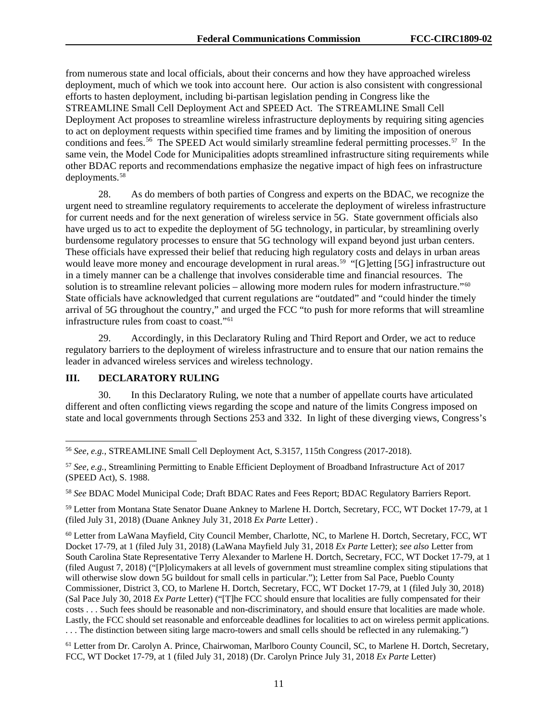from numerous state and local officials, about their concerns and how they have approached wireless deployment, much of which we took into account here. Our action is also consistent with congressional efforts to hasten deployment, including bi-partisan legislation pending in Congress like the STREAMLINE Small Cell Deployment Act and SPEED Act. The STREAMLINE Small Cell Deployment Act proposes to streamline wireless infrastructure deployments by requiring siting agencies to act on deployment requests within specified time frames and by limiting the imposition of onerous conditions and fees.<sup>[56](#page-11-0)</sup> The SPEED Act would similarly streamline federal permitting processes.<sup>[57](#page-11-1)</sup> In the same vein, the Model Code for Municipalities adopts streamlined infrastructure siting requirements while other BDAC reports and recommendations emphasize the negative impact of high fees on infrastructure deployments.[58](#page-11-2)

28. As do members of both parties of Congress and experts on the BDAC, we recognize the urgent need to streamline regulatory requirements to accelerate the deployment of wireless infrastructure for current needs and for the next generation of wireless service in 5G. State government officials also have urged us to act to expedite the deployment of 5G technology, in particular, by streamlining overly burdensome regulatory processes to ensure that 5G technology will expand beyond just urban centers. These officials have expressed their belief that reducing high regulatory costs and delays in urban areas would leave more money and encourage development in rural areas.<sup>59</sup> "[G]etting [5G] infrastructure out in a timely manner can be a challenge that involves considerable time and financial resources. The solution is to streamline relevant policies – allowing more modern rules for modern infrastructure."<sup>[60](#page-11-4)</sup> State officials have acknowledged that current regulations are "outdated" and "could hinder the timely arrival of 5G throughout the country," and urged the FCC "to push for more reforms that will streamline infrastructure rules from coast to coast."[61](#page-11-5)

29. Accordingly, in this Declaratory Ruling and Third Report and Order, we act to reduce regulatory barriers to the deployment of wireless infrastructure and to ensure that our nation remains the leader in advanced wireless services and wireless technology.

# **III. DECLARATORY RULING**

30. In this Declaratory Ruling, we note that a number of appellate courts have articulated different and often conflicting views regarding the scope and nature of the limits Congress imposed on state and local governments through Sections 253 and 332. In light of these diverging views, Congress's

<span id="page-11-2"></span><sup>58</sup> *See* BDAC Model Municipal Code; Draft BDAC Rates and Fees Report; BDAC Regulatory Barriers Report.

<span id="page-11-3"></span><sup>59</sup> Letter from Montana State Senator Duane Ankney to Marlene H. Dortch, Secretary, FCC, WT Docket 17-79, at 1 (filed July 31, 2018) (Duane Ankney July 31, 2018 *Ex Parte* Letter) .

<span id="page-11-4"></span><sup>60</sup> Letter from LaWana Mayfield, City Council Member, Charlotte, NC, to Marlene H. Dortch, Secretary, FCC, WT Docket 17-79, at 1 (filed July 31, 2018) (LaWana Mayfield July 31, 2018 *Ex Parte* Letter); *see also* Letter from South Carolina State Representative Terry Alexander to Marlene H. Dortch, Secretary, FCC, WT Docket 17-79, at 1 (filed August 7, 2018) ("[P]olicymakers at all levels of government must streamline complex siting stipulations that will otherwise slow down 5G buildout for small cells in particular."); Letter from Sal Pace, Pueblo County Commissioner, District 3, CO, to Marlene H. Dortch, Secretary, FCC, WT Docket 17-79, at 1 (filed July 30, 2018) (Sal Pace July 30, 2018 *Ex Parte* Letter) ("[T]he FCC should ensure that localities are fully compensated for their costs . . . Such fees should be reasonable and non-discriminatory, and should ensure that localities are made whole. Lastly, the FCC should set reasonable and enforceable deadlines for localities to act on wireless permit applications. . . . The distinction between siting large macro-towers and small cells should be reflected in any rulemaking.")

<span id="page-11-5"></span><sup>61</sup> Letter from Dr. Carolyn A. Prince, Chairwoman, Marlboro County Council, SC, to Marlene H. Dortch, Secretary, FCC, WT Docket 17-79, at 1 (filed July 31, 2018) (Dr. Carolyn Prince July 31, 2018 *Ex Parte* Letter)

<span id="page-11-0"></span> <sup>56</sup> *See, e.g.*, STREAMLINE Small Cell Deployment Act, S.3157, 115th Congress (2017-2018).

<span id="page-11-1"></span><sup>57</sup> *See, e.g.*, Streamlining Permitting to Enable Efficient Deployment of Broadband Infrastructure Act of 2017 (SPEED Act), S. 1988.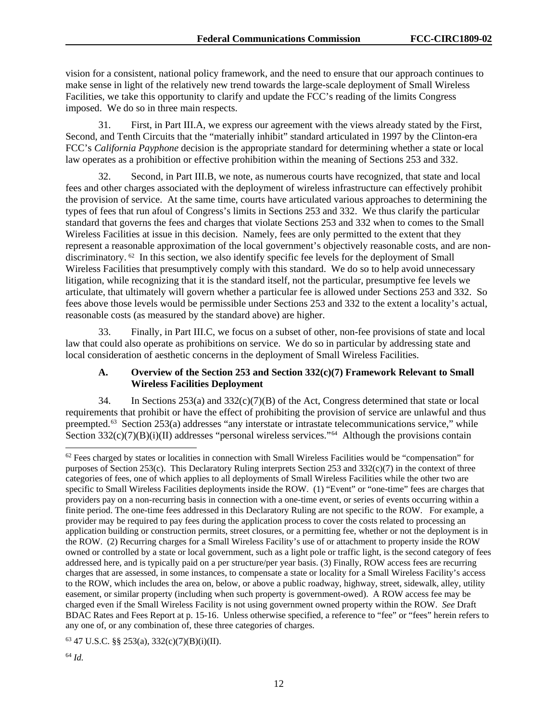vision for a consistent, national policy framework, and the need to ensure that our approach continues to make sense in light of the relatively new trend towards the large-scale deployment of Small Wireless Facilities, we take this opportunity to clarify and update the FCC's reading of the limits Congress imposed. We do so in three main respects.

31. First, in Part III.A, we express our agreement with the views already stated by the First, Second, and Tenth Circuits that the "materially inhibit" standard articulated in 1997 by the Clinton-era FCC's *California Payphone* decision is the appropriate standard for determining whether a state or local law operates as a prohibition or effective prohibition within the meaning of Sections 253 and 332.

32. Second, in Part III.B, we note, as numerous courts have recognized, that state and local fees and other charges associated with the deployment of wireless infrastructure can effectively prohibit the provision of service. At the same time, courts have articulated various approaches to determining the types of fees that run afoul of Congress's limits in Sections 253 and 332. We thus clarify the particular standard that governs the fees and charges that violate Sections 253 and 332 when to comes to the Small Wireless Facilities at issue in this decision. Namely, fees are only permitted to the extent that they represent a reasonable approximation of the local government's objectively reasonable costs, and are nondiscriminatory. <sup>62</sup> In this section, we also identify specific fee levels for the deployment of Small Wireless Facilities that presumptively comply with this standard. We do so to help avoid unnecessary litigation, while recognizing that it is the standard itself, not the particular, presumptive fee levels we articulate, that ultimately will govern whether a particular fee is allowed under Sections 253 and 332. So fees above those levels would be permissible under Sections 253 and 332 to the extent a locality's actual, reasonable costs (as measured by the standard above) are higher.

33. Finally, in Part III.C, we focus on a subset of other, non-fee provisions of state and local law that could also operate as prohibitions on service. We do so in particular by addressing state and local consideration of aesthetic concerns in the deployment of Small Wireless Facilities.

### **A. Overview of the Section 253 and Section 332(c)(7) Framework Relevant to Small Wireless Facilities Deployment**

34. In Sections 253(a) and 332(c)(7)(B) of the Act, Congress determined that state or local requirements that prohibit or have the effect of prohibiting the provision of service are unlawful and thus preempted.<sup>[63](#page-12-1)</sup> Section 253(a) addresses "any interstate or intrastate telecommunications service," while Section  $332(c)(7)(B)(i)(II)$  addresses "personal wireless services."<sup>[64](#page-12-2)</sup> Although the provisions contain

<span id="page-12-1"></span><sup>63</sup> 47 U.S.C. §§ 253(a), 332(c)(7)(B)(i)(II).

<span id="page-12-2"></span><sup>64</sup> *Id.*

<span id="page-12-0"></span> $62$  Fees charged by states or localities in connection with Small Wireless Facilities would be "compensation" for purposes of Section 253(c). This Declaratory Ruling interprets Section 253 and 332(c)(7) in the context of three categories of fees, one of which applies to all deployments of Small Wireless Facilities while the other two are specific to Small Wireless Facilities deployments inside the ROW. (1) "Event" or "one-time" fees are charges that providers pay on a non-recurring basis in connection with a one-time event, or series of events occurring within a finite period. The one-time fees addressed in this Declaratory Ruling are not specific to the ROW. For example, a provider may be required to pay fees during the application process to cover the costs related to processing an application building or construction permits, street closures, or a permitting fee, whether or not the deployment is in the ROW. (2) Recurring charges for a Small Wireless Facility's use of or attachment to property inside the ROW owned or controlled by a state or local government, such as a light pole or traffic light, is the second category of fees addressed here, and is typically paid on a per structure/per year basis. (3) Finally, ROW access fees are recurring charges that are assessed, in some instances, to compensate a state or locality for a Small Wireless Facility's access to the ROW, which includes the area on, below, or above a public roadway, highway, street, sidewalk, alley, utility easement, or similar property (including when such property is government-owed). A ROW access fee may be charged even if the Small Wireless Facility is not using government owned property within the ROW. *See* Draft BDAC Rates and Fees Report at p. 15-16. Unless otherwise specified, a reference to "fee" or "fees" herein refers to any one of, or any combination of, these three categories of charges.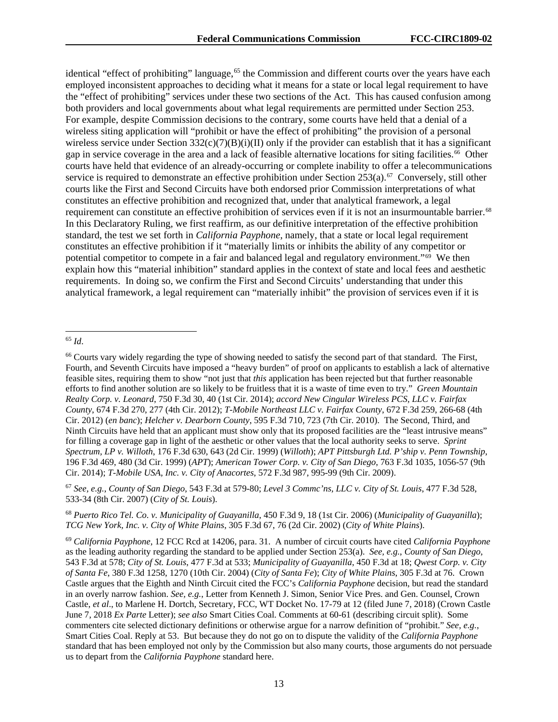identical "effect of prohibiting" language,<sup>[65](#page-13-0)</sup> the Commission and different courts over the years have each employed inconsistent approaches to deciding what it means for a state or local legal requirement to have the "effect of prohibiting" services under these two sections of the Act. This has caused confusion among both providers and local governments about what legal requirements are permitted under Section 253. For example, despite Commission decisions to the contrary, some courts have held that a denial of a wireless siting application will "prohibit or have the effect of prohibiting" the provision of a personal wireless service under Section  $332(c)(7)(B)(i)(II)$  only if the provider can establish that it has a significant gap in service coverage in the area and a lack of feasible alternative locations for siting facilities.<sup>[66](#page-13-1)</sup> Other courts have held that evidence of an already-occurring or complete inability to offer a telecommunications service is required to demonstrate an effective prohibition under Section 253(a).<sup>[67](#page-13-2)</sup> Conversely, still other courts like the First and Second Circuits have both endorsed prior Commission interpretations of what constitutes an effective prohibition and recognized that, under that analytical framework, a legal requirement can constitute an effective prohibition of services even if it is not an insurmountable barrier.<sup>68</sup> In this Declaratory Ruling, we first reaffirm, as our definitive interpretation of the effective prohibition standard, the test we set forth in *California Payphone*, namely, that a state or local legal requirement constitutes an effective prohibition if it "materially limits or inhibits the ability of any competitor or potential competitor to compete in a fair and balanced legal and regulatory environment." $69$  We then explain how this "material inhibition" standard applies in the context of state and local fees and aesthetic requirements. In doing so, we confirm the First and Second Circuits' understanding that under this analytical framework, a legal requirement can "materially inhibit" the provision of services even if it is

<span id="page-13-2"></span><sup>67</sup> *See, e.g.*, *County of San Diego*, 543 F.3d at 579-80; *Level 3 Commc'ns, LLC v. City of St. Louis*, 477 F.3d 528, 533-34 (8th Cir. 2007) (*City of St. Louis*).

<span id="page-13-3"></span><sup>68</sup> *Puerto Rico Tel. Co. v. Municipality of Guayanilla*, 450 F.3d 9, 18 (1st Cir. 2006) (*Municipality of Guayanilla*); *TCG New York, Inc. v. City of White Plains*, 305 F.3d 67, 76 (2d Cir. 2002) (*City of White Plains*).

<span id="page-13-0"></span> <sup>65</sup> *Id*.

<span id="page-13-1"></span><sup>66</sup> Courts vary widely regarding the type of showing needed to satisfy the second part of that standard. The First, Fourth, and Seventh Circuits have imposed a "heavy burden" of proof on applicants to establish a lack of alternative feasible sites, requiring them to show "not just that *this* application has been rejected but that further reasonable efforts to find another solution are so likely to be fruitless that it is a waste of time even to try." *Green Mountain Realty Corp. v. Leonard*, 750 F.3d 30, 40 (1st Cir. 2014); *accord New Cingular Wireless PCS, LLC v. Fairfax County*, 674 F.3d 270, 277 (4th Cir. 2012); *T-Mobile Northeast LLC v. Fairfax County*, 672 F.3d 259, 266-68 (4th Cir. 2012) (*en banc*); *Helcher v. Dearborn County*, 595 F.3d 710, 723 (7th Cir. 2010). The Second, Third, and Ninth Circuits have held that an applicant must show only that its proposed facilities are the "least intrusive means" for filling a coverage gap in light of the aesthetic or other values that the local authority seeks to serve. *Sprint Spectrum, LP v. Willoth*, 176 F.3d 630, 643 (2d Cir. 1999) (*Willoth*); *APT Pittsburgh Ltd. P'ship v. Penn Township*, 196 F.3d 469, 480 (3d Cir. 1999) (*APT*); *American Tower Corp. v. City of San Diego*, 763 F.3d 1035, 1056-57 (9th Cir. 2014); *T-Mobile USA, Inc. v. City of Anacortes*, 572 F.3d 987, 995-99 (9th Cir. 2009).

<span id="page-13-4"></span><sup>69</sup> *California Payphone*, 12 FCC Rcd at 14206, para. 31. A number of circuit courts have cited *California Payphone* as the leading authority regarding the standard to be applied under Section 253(a). *See, e.g.*, *County of San Diego*, 543 F.3d at 578; *City of St. Louis*, 477 F.3d at 533; *Municipality of Guayanilla*, 450 F.3d at 18; *Qwest Corp. v. City of Santa Fe*, 380 F.3d 1258, 1270 (10th Cir. 2004) (*City of Santa Fe*); *City of White Plains*, 305 F.3d at 76. Crown Castle argues that the Eighth and Ninth Circuit cited the FCC's *California Payphone* decision, but read the standard in an overly narrow fashion. *See, e.g.*, Letter from Kenneth J. Simon, Senior Vice Pres. and Gen. Counsel, Crown Castle, *et al*., to Marlene H. Dortch, Secretary, FCC, WT Docket No. 17-79 at 12 (filed June 7, 2018) (Crown Castle June 7, 2018 *Ex Parte* Letter); *see also* Smart Cities Coal. Comments at 60-61 (describing circuit split). Some commenters cite selected dictionary definitions or otherwise argue for a narrow definition of "prohibit." *See, e.g.*, Smart Cities Coal. Reply at 53. But because they do not go on to dispute the validity of the *California Payphone*  standard that has been employed not only by the Commission but also many courts, those arguments do not persuade us to depart from the *California Payphone* standard here.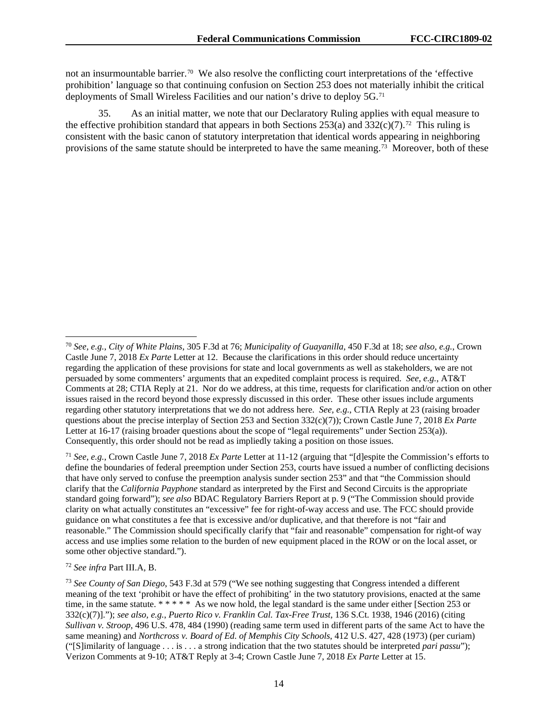not an insurmountable barrier.[70](#page-14-0) We also resolve the conflicting court interpretations of the 'effective prohibition' language so that continuing confusion on Section 253 does not materially inhibit the critical deployments of Small Wireless Facilities and our nation's drive to deploy 5G.[71](#page-14-1)

35. As an initial matter, we note that our Declaratory Ruling applies with equal measure to the effective prohibition standard that appears in both Sections 253(a) and  $332(c)(7)$ .<sup>72</sup> This ruling is consistent with the basic canon of statutory interpretation that identical words appearing in neighboring provisions of the same statute should be interpreted to have the same meaning.[73](#page-14-3) Moreover, both of these

<span id="page-14-2"></span><sup>72</sup> *See infra* Part III.A, B.

<span id="page-14-0"></span> <sup>70</sup> *See, e.g.*, *City of White Plains*, 305 F.3d at 76; *Municipality of Guayanilla*, 450 F.3d at 18; *see also, e.g.*, Crown Castle June 7, 2018 *Ex Parte* Letter at 12. Because the clarifications in this order should reduce uncertainty regarding the application of these provisions for state and local governments as well as stakeholders, we are not persuaded by some commenters' arguments that an expedited complaint process is required. *See, e.g.*, AT&T Comments at 28; CTIA Reply at 21. Nor do we address, at this time, requests for clarification and/or action on other issues raised in the record beyond those expressly discussed in this order. These other issues include arguments regarding other statutory interpretations that we do not address here. *See, e.g.*, CTIA Reply at 23 (raising broader questions about the precise interplay of Section 253 and Section 332(c)(7)); Crown Castle June 7, 2018 *Ex Parte*  Letter at 16-17 (raising broader questions about the scope of "legal requirements" under Section 253(a)). Consequently, this order should not be read as impliedly taking a position on those issues.

<span id="page-14-1"></span><sup>71</sup> *See, e.g.*, Crown Castle June 7, 2018 *Ex Parte* Letter at 11-12 (arguing that "[d]espite the Commission's efforts to define the boundaries of federal preemption under Section 253, courts have issued a number of conflicting decisions that have only served to confuse the preemption analysis sunder section 253" and that "the Commission should clarify that the *California Payphone* standard as interpreted by the First and Second Circuits is the appropriate standard going forward"); *see also* BDAC Regulatory Barriers Report at p. 9 ("The Commission should provide clarity on what actually constitutes an "excessive" fee for right-of-way access and use. The FCC should provide guidance on what constitutes a fee that is excessive and/or duplicative, and that therefore is not "fair and reasonable." The Commission should specifically clarify that "fair and reasonable" compensation for right-of way access and use implies some relation to the burden of new equipment placed in the ROW or on the local asset, or some other objective standard.").

<span id="page-14-3"></span><sup>73</sup> *See County of San Diego*, 543 F.3d at 579 ("We see nothing suggesting that Congress intended a different meaning of the text 'prohibit or have the effect of prohibiting' in the two statutory provisions, enacted at the same time, in the same statute. \*\*\*\*\* As we now hold, the legal standard is the same under either [Section 253 or 332(c)(7)]."); *see also, e.g.*, *Puerto Rico v. Franklin Cal. Tax-Free Trust*, 136 S.Ct. 1938, 1946 (2016) (citing *Sullivan v. Stroop*, 496 U.S. 478, 484 (1990) (reading same term used in different parts of the same Act to have the same meaning) and *Northcross v. Board of Ed. of Memphis City Schools*, 412 U.S. 427, 428 (1973) (per curiam) ("[S]imilarity of language . . . is . . . a strong indication that the two statutes should be interpreted *pari passu*"); Verizon Comments at 9-10; AT&T Reply at 3-4; Crown Castle June 7, 2018 *Ex Parte* Letter at 15.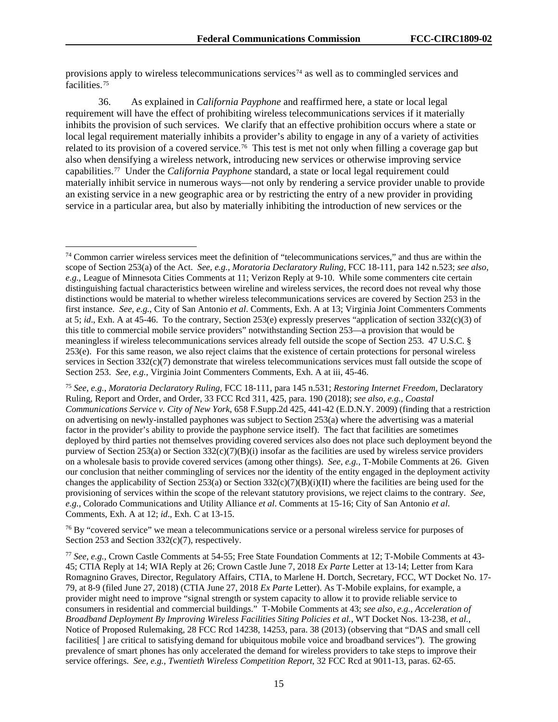provisions apply to wireless telecommunications services<sup>[74](#page-15-0)</sup> as well as to commingled services and facilities<sup>[75](#page-15-1)</sup>

36. As explained in *California Payphone* and reaffirmed here, a state or local legal requirement will have the effect of prohibiting wireless telecommunications services if it materially inhibits the provision of such services. We clarify that an effective prohibition occurs where a state or local legal requirement materially inhibits a provider's ability to engage in any of a variety of activities related to its provision of a covered service.<sup>[76](#page-15-2)</sup> This test is met not only when filling a coverage gap but also when densifying a wireless network, introducing new services or otherwise improving service capabilities.[77](#page-15-3) Under the *California Payphone* standard, a state or local legal requirement could materially inhibit service in numerous ways—not only by rendering a service provider unable to provide an existing service in a new geographic area or by restricting the entry of a new provider in providing service in a particular area, but also by materially inhibiting the introduction of new services or the

<span id="page-15-2"></span><sup>76</sup> By "covered service" we mean a telecommunications service or a personal wireless service for purposes of Section 253 and Section 332(c)(7), respectively.

<span id="page-15-0"></span> <sup>74</sup> Common carrier wireless services meet the definition of "telecommunications services," and thus are within the scope of Section 253(a) of the Act. *See, e.g.*, *Moratoria Declaratory Ruling*, FCC 18-111, para 142 n.523; *see also, e.g.*, League of Minnesota Cities Comments at 11; Verizon Reply at 9-10. While some commenters cite certain distinguishing factual characteristics between wireline and wireless services, the record does not reveal why those distinctions would be material to whether wireless telecommunications services are covered by Section 253 in the first instance. *See, e.g.*, City of San Antonio *et al*. Comments, Exh. A at 13; Virginia Joint Commenters Comments at 5; *id*., Exh. A at 45-46. To the contrary, Section 253(e) expressly preserves "application of section 332(c)(3) of this title to commercial mobile service providers" notwithstanding Section 253—a provision that would be meaningless if wireless telecommunications services already fell outside the scope of Section 253. 47 U.S.C. § 253(e). For this same reason, we also reject claims that the existence of certain protections for personal wireless services in Section 332(c)(7) demonstrate that wireless telecommunications services must fall outside the scope of Section 253. *See, e.g.*, Virginia Joint Commenters Comments, Exh. A at iii, 45-46.

<span id="page-15-1"></span><sup>75</sup> *See, e.g.*, *Moratoria Declaratory Ruling*, FCC 18-111, para 145 n.531; *Restoring Internet Freedom*, Declaratory Ruling, Report and Order, and Order, 33 FCC Rcd 311, 425, para. 190 (2018); *see also, e.g.*, *Coastal Communications Service v. City of New York*, 658 F.Supp.2d 425, 441-42 (E.D.N.Y. 2009) (finding that a restriction on advertising on newly-installed payphones was subject to Section 253(a) where the advertising was a material factor in the provider's ability to provide the payphone service itself). The fact that facilities are sometimes deployed by third parties not themselves providing covered services also does not place such deployment beyond the purview of Section 253(a) or Section  $332(c)(7)(B)(i)$  insofar as the facilities are used by wireless service providers on a wholesale basis to provide covered services (among other things). *See, e.g.*, T-Mobile Comments at 26. Given our conclusion that neither commingling of services nor the identity of the entity engaged in the deployment activity changes the applicability of Section 253(a) or Section 332(c)(7)(B)(i)(II) where the facilities are being used for the provisioning of services within the scope of the relevant statutory provisions, we reject claims to the contrary. *See, e.g.*, Colorado Communications and Utility Alliance *et al*. Comments at 15-16; City of San Antonio *et al*. Comments, Exh. A at 12; *id*., Exh. C at 13-15.

<span id="page-15-3"></span><sup>77</sup> *See, e.g.*, Crown Castle Comments at 54-55; Free State Foundation Comments at 12; T-Mobile Comments at 43- 45; CTIA Reply at 14; WIA Reply at 26; Crown Castle June 7, 2018 *Ex Parte* Letter at 13-14; Letter from Kara Romagnino Graves, Director, Regulatory Affairs, CTIA, to Marlene H. Dortch, Secretary, FCC, WT Docket No. 17- 79, at 8-9 (filed June 27, 2018) (CTIA June 27, 2018 *Ex Parte* Letter). As T-Mobile explains, for example, a provider might need to improve "signal strength or system capacity to allow it to provide reliable service to consumers in residential and commercial buildings." T-Mobile Comments at 43; *see also, e.g.*, *Acceleration of Broadband Deployment By Improving Wireless Facilities Siting Policies et al.*, WT Docket Nos. 13-238, *et al.*, Notice of Proposed Rulemaking, 28 FCC Rcd 14238, 14253, para. 38 (2013) (observing that "DAS and small cell facilities[ ] are critical to satisfying demand for ubiquitous mobile voice and broadband services"). The growing prevalence of smart phones has only accelerated the demand for wireless providers to take steps to improve their service offerings. *See, e.g.*, *Twentieth Wireless Competition Report*, 32 FCC Rcd at 9011-13, paras. 62-65.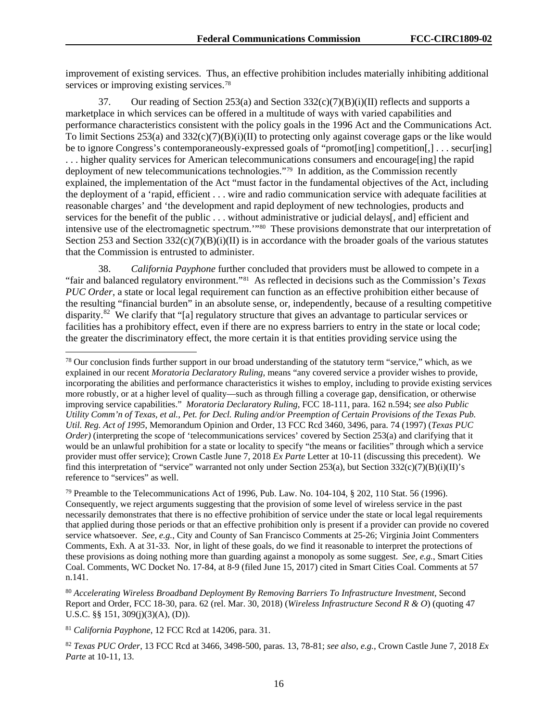improvement of existing services. Thus, an effective prohibition includes materially inhibiting additional services or improving existing services.<sup>[78](#page-16-0)</sup>

37. Our reading of Section 253(a) and Section  $332(c)(7)(B)(i)(II)$  reflects and supports a marketplace in which services can be offered in a multitude of ways with varied capabilities and performance characteristics consistent with the policy goals in the 1996 Act and the Communications Act. To limit Sections 253(a) and 332(c)(7)(B)(i)(II) to protecting only against coverage gaps or the like would be to ignore Congress's contemporaneously-expressed goals of "promot[ing] competition[,] . . . secur[ing] . . . higher quality services for American telecommunications consumers and encourage[ing] the rapid deployment of new telecommunications technologies."[79](#page-16-1) In addition, as the Commission recently explained, the implementation of the Act "must factor in the fundamental objectives of the Act, including the deployment of a 'rapid, efficient . . . wire and radio communication service with adequate facilities at reasonable charges' and 'the development and rapid deployment of new technologies, products and services for the benefit of the public . . . without administrative or judicial delays[, and] efficient and intensive use of the electromagnetic spectrum.'"[80](#page-16-2) These provisions demonstrate that our interpretation of Section 253 and Section  $332(c)(7)(B)(i)(II)$  is in accordance with the broader goals of the various statutes that the Commission is entrusted to administer.

38. *California Payphone* further concluded that providers must be allowed to compete in a "fair and balanced regulatory environment."[81](#page-16-3) As reflected in decisions such as the Commission's *Texas PUC Order*, a state or local legal requirement can function as an effective prohibition either because of the resulting "financial burden" in an absolute sense, or, independently, because of a resulting competitive disparity.[82](#page-16-4) We clarify that "[a] regulatory structure that gives an advantage to particular services or facilities has a prohibitory effect, even if there are no express barriers to entry in the state or local code; the greater the discriminatory effect, the more certain it is that entities providing service using the

<span id="page-16-0"></span> $78$  Our conclusion finds further support in our broad understanding of the statutory term "service," which, as we explained in our recent *Moratoria Declaratory Ruling*, means "any covered service a provider wishes to provide, incorporating the abilities and performance characteristics it wishes to employ, including to provide existing services more robustly, or at a higher level of quality—such as through filling a coverage gap, densification, or otherwise improving service capabilities." *Moratoria Declaratory Ruling*, FCC 18-111, para. 162 n.594; *see also Public Utility Comm'n of Texas, et al., Pet. for Decl. Ruling and/or Preemption of Certain Provisions of the Texas Pub. Util. Reg. Act of 1995*, Memorandum Opinion and Order, 13 FCC Rcd 3460, 3496, para. 74 (1997) (*Texas PUC Order*) (interpreting the scope of 'telecommunications services' covered by Section 253(a) and clarifying that it would be an unlawful prohibition for a state or locality to specify "the means or facilities" through which a service provider must offer service); Crown Castle June 7, 2018 *Ex Parte* Letter at 10-11 (discussing this precedent).We find this interpretation of "service" warranted not only under Section 253(a), but Section 332(c)(7)(B)(i)(II)'s reference to "services" as well.

<span id="page-16-1"></span><sup>&</sup>lt;sup>79</sup> Preamble to the Telecommunications Act of 1996, Pub. Law. No.  $104-104$ , § 202, 110 Stat. 56 (1996). Consequently, we reject arguments suggesting that the provision of some level of wireless service in the past necessarily demonstrates that there is no effective prohibition of service under the state or local legal requirements that applied during those periods or that an effective prohibition only is present if a provider can provide no covered service whatsoever. *See, e.g.*, City and County of San Francisco Comments at 25-26; Virginia Joint Commenters Comments, Exh. A at 31-33. Nor, in light of these goals, do we find it reasonable to interpret the protections of these provisions as doing nothing more than guarding against a monopoly as some suggest. *See, e.g.*, Smart Cities Coal. Comments, WC Docket No. 17-84, at 8-9 (filed June 15, 2017) cited in Smart Cities Coal. Comments at 57 n.141.

<span id="page-16-2"></span><sup>80</sup> *Accelerating Wireless Broadband Deployment By Removing Barriers To Infrastructure Investment*, Second Report and Order, FCC 18-30, para. 62 (rel. Mar. 30, 2018) (*Wireless Infrastructure Second R & O*) (quoting 47 U.S.C. §§ 151, 309(j)(3)(A), (D)).

<span id="page-16-3"></span><sup>81</sup> *California Payphone*, 12 FCC Rcd at 14206, para. 31.

<span id="page-16-4"></span><sup>82</sup> *Texas PUC Order*, 13 FCC Rcd at 3466, 3498-500, paras. 13, 78-81; *see also, e.g.*, Crown Castle June 7, 2018 *Ex Parte* at 10-11, 13.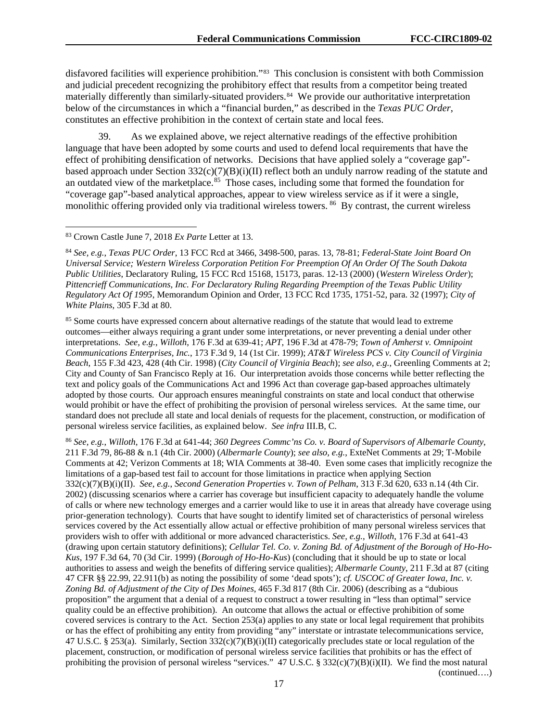disfavored facilities will experience prohibition."[83](#page-17-0) This conclusion is consistent with both Commission and judicial precedent recognizing the prohibitory effect that results from a competitor being treated materially differently than similarly-situated providers.<sup>[84](#page-17-1)</sup> We provide our authoritative interpretation below of the circumstances in which a "financial burden," as described in the *Texas PUC Order*, constitutes an effective prohibition in the context of certain state and local fees.

39. As we explained above, we reject alternative readings of the effective prohibition language that have been adopted by some courts and used to defend local requirements that have the effect of prohibiting densification of networks. Decisions that have applied solely a "coverage gap" based approach under Section  $332(c)(7)(B)(i)(II)$  reflect both an unduly narrow reading of the statute and an outdated view of the marketplace.<sup>[85](#page-17-2)</sup> Those cases, including some that formed the foundation for "coverage gap"-based analytical approaches, appear to view wireless service as if it were a single, monolithic offering provided only via traditional wireless towers. [86](#page-17-3) By contrast, the current wireless

<span id="page-17-2"></span><sup>85</sup> Some courts have expressed concern about alternative readings of the statute that would lead to extreme outcomes—either always requiring a grant under some interpretations, or never preventing a denial under other interpretations. *See, e.g.*, *Willoth*, 176 F.3d at 639-41; *APT*, 196 F.3d at 478-79; *Town of Amherst v. Omnipoint Communications Enterprises, Inc.*, 173 F.3d 9, 14 (1st Cir. 1999); *AT&T Wireless PCS v. City Council of Virginia Beach*, 155 F.3d 423, 428 (4th Cir. 1998) (*City Council of Virginia Beach*); *see also, e.g.*, Greenling Comments at 2; City and County of San Francisco Reply at 16. Our interpretation avoids those concerns while better reflecting the text and policy goals of the Communications Act and 1996 Act than coverage gap-based approaches ultimately adopted by those courts. Our approach ensures meaningful constraints on state and local conduct that otherwise would prohibit or have the effect of prohibiting the provision of personal wireless services. At the same time, our standard does not preclude all state and local denials of requests for the placement, construction, or modification of personal wireless service facilities, as explained below. *See infra* III.B, C.

<span id="page-17-3"></span><sup>86</sup> *See, e.g.*, *Willoth*, 176 F.3d at 641-44; *360 Degrees Commc'ns Co. v. Board of Supervisors of Albemarle County*, 211 F.3d 79, 86-88 & n.1 (4th Cir. 2000) (*Albermarle County*); *see also, e.g.*, ExteNet Comments at 29; T-Mobile Comments at 42; Verizon Comments at 18; WIA Comments at 38-40. Even some cases that implicitly recognize the limitations of a gap-based test fail to account for those limitations in practice when applying Section 332(c)(7)(B)(i)(II). *See, e.g.*, *Second Generation Properties v. Town of Pelham*, 313 F.3d 620, 633 n.14 (4th Cir. 2002) (discussing scenarios where a carrier has coverage but insufficient capacity to adequately handle the volume of calls or where new technology emerges and a carrier would like to use it in areas that already have coverage using prior-generation technology). Courts that have sought to identify limited set of characteristics of personal wireless services covered by the Act essentially allow actual or effective prohibition of many personal wireless services that providers wish to offer with additional or more advanced characteristics. *See, e.g.*, *Willoth*, 176 F.3d at 641-43 (drawing upon certain statutory definitions); *Cellular Tel. Co. v. Zoning Bd. of Adjustment of the Borough of Ho-Ho-Kus*, 197 F.3d 64, 70 (3d Cir. 1999) (*Borough of Ho-Ho-Kus*) (concluding that it should be up to state or local authorities to assess and weigh the benefits of differing service qualities); *Albermarle County*, 211 F.3d at 87 (citing 47 CFR §§ 22.99, 22.911(b) as noting the possibility of some 'dead spots'); *cf. USCOC of Greater Iowa, Inc. v. Zoning Bd. of Adjustment of the City of Des Moines*, 465 F.3d 817 (8th Cir. 2006) (describing as a "dubious proposition" the argument that a denial of a request to construct a tower resulting in "less than optimal" service quality could be an effective prohibition). An outcome that allows the actual or effective prohibition of some covered services is contrary to the Act. Section 253(a) applies to any state or local legal requirement that prohibits or has the effect of prohibiting any entity from providing "any" interstate or intrastate telecommunications service, 47 U.S.C. § 253(a). Similarly, Section  $332(c)(7)(B)(i)(II)$  categorically precludes state or local regulation of the placement, construction, or modification of personal wireless service facilities that prohibits or has the effect of prohibiting the provision of personal wireless "services." 47 U.S.C. § 332(c)(7)(B)(i)(II). We find the most natural (continued….)

<span id="page-17-0"></span> <sup>83</sup> Crown Castle June 7, 2018 *Ex Parte* Letter at 13.

<span id="page-17-1"></span><sup>84</sup> *See, e.g.*, *Texas PUC Order*, 13 FCC Rcd at 3466, 3498-500, paras. 13, 78-81; *Federal-State Joint Board On Universal Service; Western Wireless Corporation Petition For Preemption Of An Order Of The South Dakota Public Utilities*, Declaratory Ruling, 15 FCC Rcd 15168, 15173, paras. 12-13 (2000) (*Western Wireless Order*); *Pittencrieff Communications, Inc. For Declaratory Ruling Regarding Preemption of the Texas Public Utility Regulatory Act Of 1995*, Memorandum Opinion and Order, 13 FCC Rcd 1735, 1751-52, para. 32 (1997); *City of White Plains*, 305 F.3d at 80.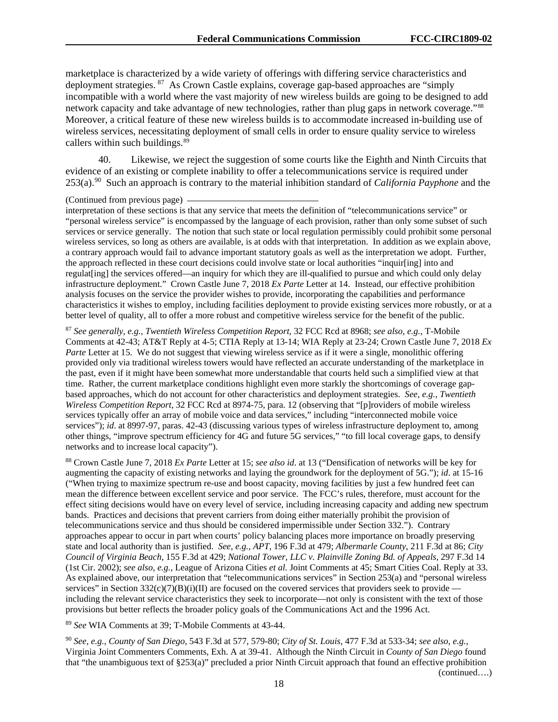marketplace is characterized by a wide variety of offerings with differing service characteristics and deployment strategies. [87](#page-18-0) As Crown Castle explains, coverage gap-based approaches are "simply incompatible with a world where the vast majority of new wireless builds are going to be designed to add network capacity and take advantage of new technologies, rather than plug gaps in network coverage."[88](#page-18-1)  Moreover, a critical feature of these new wireless builds is to accommodate increased in-building use of wireless services, necessitating deployment of small cells in order to ensure quality service to wireless callers within such buildings.<sup>[89](#page-18-2)</sup>

40. Likewise, we reject the suggestion of some courts like the Eighth and Ninth Circuits that evidence of an existing or complete inability to offer a telecommunications service is required under 253(a).[90](#page-18-3) Such an approach is contrary to the material inhibition standard of *California Payphone* and the

interpretation of these sections is that any service that meets the definition of "telecommunications service" or "personal wireless service" is encompassed by the language of each provision, rather than only some subset of such services or service generally. The notion that such state or local regulation permissibly could prohibit some personal wireless services, so long as others are available, is at odds with that interpretation. In addition as we explain above, a contrary approach would fail to advance important statutory goals as well as the interpretation we adopt. Further, the approach reflected in these court decisions could involve state or local authorities "inquir[ing] into and regulat[ing] the services offered—an inquiry for which they are ill-qualified to pursue and which could only delay infrastructure deployment." Crown Castle June 7, 2018 *Ex Parte* Letter at 14. Instead, our effective prohibition analysis focuses on the service the provider wishes to provide, incorporating the capabilities and performance characteristics it wishes to employ, including facilities deployment to provide existing services more robustly, or at a better level of quality, all to offer a more robust and competitive wireless service for the benefit of the public.

<span id="page-18-0"></span><sup>87</sup> *See generally, e.g.*, *Twentieth Wireless Competition Report*, 32 FCC Rcd at 8968; *see also, e.g.*, T-Mobile Comments at 42-43; AT&T Reply at 4-5; CTIA Reply at 13-14; WIA Reply at 23-24; Crown Castle June 7, 2018 *Ex Parte* Letter at 15. We do not suggest that viewing wireless service as if it were a single, monolithic offering provided only via traditional wireless towers would have reflected an accurate understanding of the marketplace in the past, even if it might have been somewhat more understandable that courts held such a simplified view at that time. Rather, the current marketplace conditions highlight even more starkly the shortcomings of coverage gapbased approaches, which do not account for other characteristics and deployment strategies. *See, e.g.*, *Twentieth Wireless Competition Report*, 32 FCC Rcd at 8974-75, para. 12 (observing that "[p]roviders of mobile wireless services typically offer an array of mobile voice and data services," including "interconnected mobile voice services"); *id*. at 8997-97, paras. 42-43 (discussing various types of wireless infrastructure deployment to, among other things, "improve spectrum efficiency for 4G and future 5G services," "to fill local coverage gaps, to densify networks and to increase local capacity").

<span id="page-18-1"></span><sup>88</sup> Crown Castle June 7, 2018 *Ex Parte* Letter at 15; *see also id*. at 13 ("Densification of networks will be key for augmenting the capacity of existing networks and laying the groundwork for the deployment of 5G."); *id*. at 15-16 ("When trying to maximize spectrum re-use and boost capacity, moving facilities by just a few hundred feet can mean the difference between excellent service and poor service. The FCC's rules, therefore, must account for the effect siting decisions would have on every level of service, including increasing capacity and adding new spectrum bands. Practices and decisions that prevent carriers from doing either materially prohibit the provision of telecommunications service and thus should be considered impermissible under Section 332."). Contrary approaches appear to occur in part when courts' policy balancing places more importance on broadly preserving state and local authority than is justified. *See, e.g.*, *APT*, 196 F.3d at 479; *Albermarle County*, 211 F.3d at 86; *City Council of Virginia Beach*, 155 F.3d at 429; *National Tower, LLC v. Plainville Zoning Bd. of Appeals*, 297 F.3d 14 (1st Cir. 2002); *see also, e.g.*, League of Arizona Cities *et al.* Joint Comments at 45; Smart Cities Coal. Reply at 33. As explained above, our interpretation that "telecommunications services" in Section 253(a) and "personal wireless services" in Section 332(c)(7)(B)(i)(II) are focused on the covered services that providers seek to provide including the relevant service characteristics they seek to incorporate—not only is consistent with the text of those provisions but better reflects the broader policy goals of the Communications Act and the 1996 Act.

<span id="page-18-2"></span><sup>89</sup> *See* WIA Comments at 39; T-Mobile Comments at 43-44.

<span id="page-18-3"></span><sup>90</sup> *See, e.g.*, *County of San Diego*, 543 F.3d at 577, 579-80; *City of St. Louis*, 477 F.3d at 533-34; *see also, e.g.*, Virginia Joint Commenters Comments, Exh. A at 39-41. Although the Ninth Circuit in *County of San Diego* found that "the unambiguous text of §253(a)" precluded a prior Ninth Circuit approach that found an effective prohibition (continued….)

<sup>(</sup>Continued from previous page)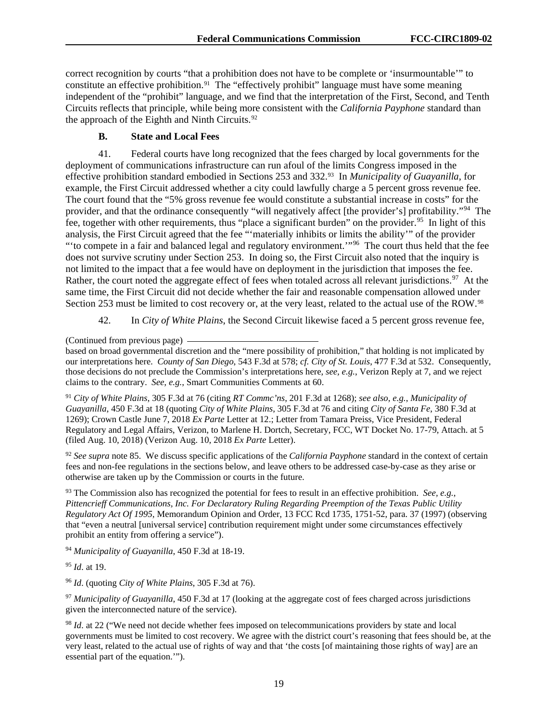correct recognition by courts "that a prohibition does not have to be complete or 'insurmountable'" to constitute an effective prohibition.<sup>91</sup> The "effectively prohibit" language must have some meaning independent of the "prohibit" language, and we find that the interpretation of the First, Second, and Tenth Circuits reflects that principle, while being more consistent with the *California Payphone* standard than the approach of the Eighth and Ninth Circuits. $92$ 

# **B. State and Local Fees**

41. Federal courts have long recognized that the fees charged by local governments for the deployment of communications infrastructure can run afoul of the limits Congress imposed in the effective prohibition standard embodied in Sections 253 and 332.[93](#page-19-2) In *Municipality of Guayanilla*, for example, the First Circuit addressed whether a city could lawfully charge a 5 percent gross revenue fee. The court found that the "5% gross revenue fee would constitute a substantial increase in costs" for the provider, and that the ordinance consequently "will negatively affect [the provider's] profitability."<sup>[94](#page-19-3)</sup> The fee, together with other requirements, thus "place a significant burden" on the provider.<sup>95</sup> In light of this analysis, the First Circuit agreed that the fee "'materially inhibits or limits the ability'" of the provider "to compete in a fair and balanced legal and regulatory environment."<sup>[96](#page-19-5)</sup> The court thus held that the fee does not survive scrutiny under Section 253. In doing so, the First Circuit also noted that the inquiry is not limited to the impact that a fee would have on deployment in the jurisdiction that imposes the fee. Rather, the court noted the aggregate effect of fees when totaled across all relevant jurisdictions.<sup>[97](#page-19-6)</sup> At the same time, the First Circuit did not decide whether the fair and reasonable compensation allowed under Section 253 must be limited to cost recovery or, at the very least, related to the actual use of the ROW.<sup>[98](#page-19-7)</sup>

42. In *City of White Plains*, the Second Circuit likewise faced a 5 percent gross revenue fee,

(Continued from previous page)

based on broad governmental discretion and the "mere possibility of prohibition," that holding is not implicated by our interpretations here. *County of San Diego*, 543 F.3d at 578; *cf. City of St. Louis*, 477 F.3d at 532. Consequently, those decisions do not preclude the Commission's interpretations here, *see, e.g.*, Verizon Reply at 7, and we reject claims to the contrary. *See, e.g.*, Smart Communities Comments at 60.

<span id="page-19-0"></span><sup>91</sup> *City of White Plains*, 305 F.3d at 76 (citing *RT Commc'ns*, 201 F.3d at 1268); *see also, e.g.*, *Municipality of Guayanilla*, 450 F.3d at 18 (quoting *City of White Plains*, 305 F.3d at 76 and citing *City of Santa Fe*, 380 F.3d at 1269); Crown Castle June 7, 2018 *Ex Parte* Letter at 12.; Letter from Tamara Preiss, Vice President, Federal Regulatory and Legal Affairs, Verizon, to Marlene H. Dortch, Secretary, FCC, WT Docket No. 17-79, Attach. at 5 (filed Aug. 10, 2018) (Verizon Aug. 10, 2018 *Ex Parte* Letter).

<span id="page-19-1"></span><sup>92</sup> *See supra* note 85. We discuss specific applications of the *California Payphone* standard in the context of certain fees and non-fee regulations in the sections below, and leave others to be addressed case-by-case as they arise or otherwise are taken up by the Commission or courts in the future.

<span id="page-19-2"></span><sup>93</sup> The Commission also has recognized the potential for fees to result in an effective prohibition. *See, e.g.*, *Pittencrieff Communications, Inc. For Declaratory Ruling Regarding Preemption of the Texas Public Utility Regulatory Act Of 1995*, Memorandum Opinion and Order, 13 FCC Rcd 1735, 1751-52, para. 37 (1997) (observing that "even a neutral [universal service] contribution requirement might under some circumstances effectively prohibit an entity from offering a service").

<span id="page-19-3"></span><sup>94</sup> *Municipality of Guayanilla*, 450 F.3d at 18-19.

<span id="page-19-4"></span><sup>95</sup> *Id*. at 19.

<span id="page-19-5"></span><sup>96</sup> *Id*. (quoting *City of White Plains*, 305 F.3d at 76).

<span id="page-19-6"></span><sup>97</sup> *Municipality of Guayanilla*, 450 F.3d at 17 (looking at the aggregate cost of fees charged across jurisdictions given the interconnected nature of the service).

<span id="page-19-7"></span><sup>98</sup> *Id.* at 22 ("We need not decide whether fees imposed on telecommunications providers by state and local governments must be limited to cost recovery. We agree with the district court's reasoning that fees should be, at the very least, related to the actual use of rights of way and that 'the costs [of maintaining those rights of way] are an essential part of the equation.'").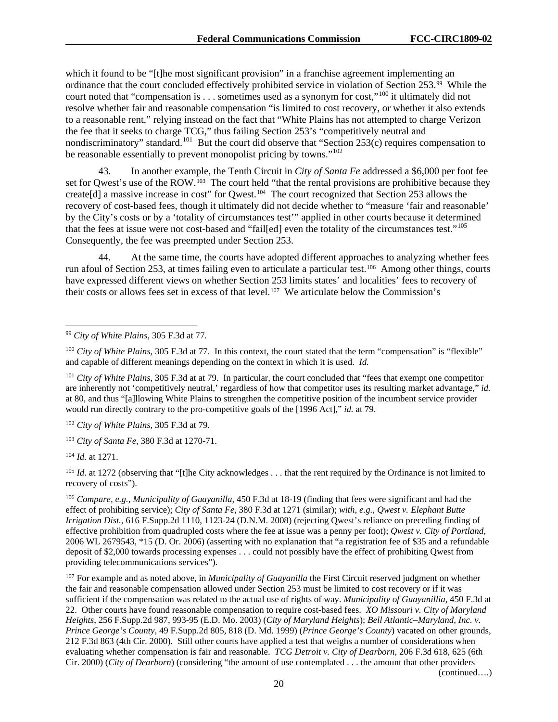which it found to be "[t]he most significant provision" in a franchise agreement implementing an ordinance that the court concluded effectively prohibited service in violation of Section 253.[99](#page-20-0) While the court noted that "compensation is . . . sometimes used as a synonym for cost,"[100](#page-20-1) it ultimately did not resolve whether fair and reasonable compensation "is limited to cost recovery, or whether it also extends to a reasonable rent," relying instead on the fact that "White Plains has not attempted to charge Verizon the fee that it seeks to charge TCG," thus failing Section 253's "competitively neutral and nondiscriminatory" standard.<sup>[101](#page-20-2)</sup> But the court did observe that "Section 253(c) requires compensation to be reasonable essentially to prevent monopolist pricing by towns."<sup>[102](#page-20-3)</sup>

43. In another example, the Tenth Circuit in *City of Santa Fe* addressed a \$6,000 per foot fee set for Qwest's use of the ROW.<sup>103</sup> The court held "that the rental provisions are prohibitive because they create[d] a massive increase in cost" for Qwest.[104](#page-20-5) The court recognized that Section 253 allows the recovery of cost-based fees, though it ultimately did not decide whether to "measure 'fair and reasonable' by the City's costs or by a 'totality of circumstances test'" applied in other courts because it determined that the fees at issue were not cost-based and "fail[ed] even the totality of the circumstances test."[105](#page-20-6)  Consequently, the fee was preempted under Section 253.

44. At the same time, the courts have adopted different approaches to analyzing whether fees run afoul of Section 253, at times failing even to articulate a particular test.[106](#page-20-7) Among other things, courts have expressed different views on whether Section 253 limits states' and localities' fees to recovery of their costs or allows fees set in excess of that level.[107](#page-20-8) We articulate below the Commission's

<span id="page-20-5"></span><sup>104</sup> *Id*. at 1271.

<span id="page-20-6"></span><sup>105</sup> *Id.* at 1272 (observing that "[t]he City acknowledges . . . that the rent required by the Ordinance is not limited to recovery of costs").

<span id="page-20-7"></span><sup>106</sup> *Compare, e.g., Municipality of Guayanilla*, 450 F.3d at 18-19 (finding that fees were significant and had the effect of prohibiting service); *City of Santa Fe*, 380 F.3d at 1271 (similar); *with, e.g.*, *Qwest v. Elephant Butte Irrigation Dist.*, 616 F.Supp.2d 1110, 1123-24 (D.N.M. 2008) (rejecting Qwest's reliance on preceding finding of effective prohibition from quadrupled costs where the fee at issue was a penny per foot); *Qwest v. City of Portland*, 2006 WL 2679543, \*15 (D. Or. 2006) (asserting with no explanation that "a registration fee of \$35 and a refundable deposit of \$2,000 towards processing expenses . . . could not possibly have the effect of prohibiting Qwest from providing telecommunications services").

<span id="page-20-8"></span><sup>107</sup> For example and as noted above, in *Municipality of Guayanilla* the First Circuit reserved judgment on whether the fair and reasonable compensation allowed under Section 253 must be limited to cost recovery or if it was sufficient if the compensation was related to the actual use of rights of way. *Municipality of Guayanillia*, 450 F.3d at 22. Other courts have found reasonable compensation to require cost-based fees. *XO Missouri v. City of Maryland Heights*, 256 F.Supp.2d 987, 993-95 (E.D. Mo. 2003) (*City of Maryland Heights*); *Bell Atlantic–Maryland, Inc. v. Prince George's County*, 49 F.Supp.2d 805, 818 (D. Md. 1999) (*Prince George's County*) vacated on other grounds, 212 F.3d 863 (4th Cir. 2000). Still other courts have applied a test that weighs a number of considerations when evaluating whether compensation is fair and reasonable. *TCG Detroit v. City of Dearborn*, 206 F.3d 618, 625 (6th Cir. 2000) (*City of Dearborn*) (considering "the amount of use contemplated . . . the amount that other providers

(continued….)

<span id="page-20-0"></span> <sup>99</sup> *City of White Plains*, 305 F.3d at 77.

<span id="page-20-1"></span><sup>&</sup>lt;sup>100</sup> *City of White Plains*, 305 F.3d at 77. In this context, the court stated that the term "compensation" is "flexible" and capable of different meanings depending on the context in which it is used. *Id.*

<span id="page-20-2"></span><sup>101</sup> *City of White Plains*, 305 F.3d at at 79. In particular, the court concluded that "fees that exempt one competitor are inherently not 'competitively neutral,' regardless of how that competitor uses its resulting market advantage," *id.* at 80, and thus "[a]llowing White Plains to strengthen the competitive position of the incumbent service provider would run directly contrary to the pro-competitive goals of the [1996 Act]," *id.* at 79.

<span id="page-20-3"></span><sup>102</sup> *City of White Plains*, 305 F.3d at 79.

<span id="page-20-4"></span><sup>103</sup> *City of Santa Fe*, 380 F.3d at 1270-71.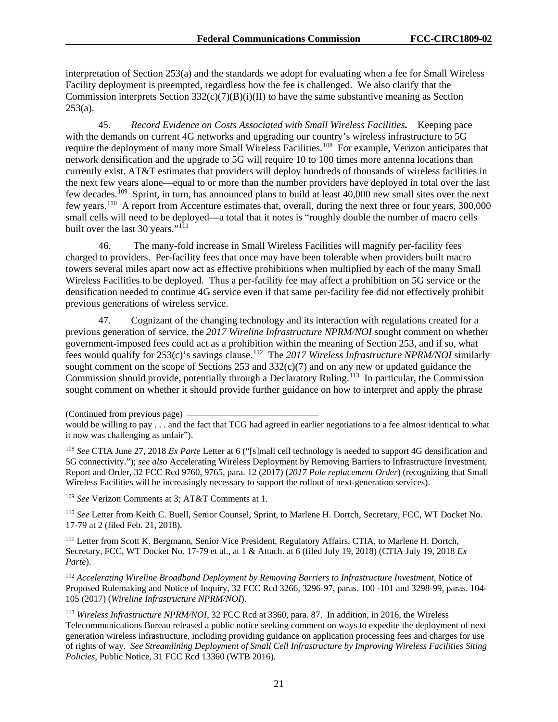interpretation of Section 253(a) and the standards we adopt for evaluating when a fee for Small Wireless Facility deployment is preempted, regardless how the fee is challenged. We also clarify that the Commission interprets Section  $332(c)(7)(B)(i)(II)$  to have the same substantive meaning as Section  $253(a)$ .

45. *Record Evidence on Costs Associated with Small Wireless Facilities.* Keeping pace with the demands on current 4G networks and upgrading our country's wireless infrastructure to 5G require the deployment of many more Small Wireless Facilities.<sup>[108](#page-21-0)</sup> For example, Verizon anticipates that network densification and the upgrade to 5G will require 10 to 100 times more antenna locations than currently exist. AT&T estimates that providers will deploy hundreds of thousands of wireless facilities in the next few years alone—equal to or more than the number providers have deployed in total over the last few decades.<sup>109</sup> Sprint, in turn, has announced plans to build at least 40,000 new small sites over the next few years.[110](#page-21-2) A report from Accenture estimates that, overall, during the next three or four years, 300,000 small cells will need to be deployed—a total that it notes is "roughly double the number of macro cells built over the last 30 years." $111$ 

46. The many-fold increase in Small Wireless Facilities will magnify per-facility fees charged to providers. Per-facility fees that once may have been tolerable when providers built macro towers several miles apart now act as effective prohibitions when multiplied by each of the many Small Wireless Facilities to be deployed. Thus a per-facility fee may affect a prohibition on 5G service or the densification needed to continue 4G service even if that same per-facility fee did not effectively prohibit previous generations of wireless service.

47. Cognizant of the changing technology and its interaction with regulations created for a previous generation of service, the *2017 Wireline Infrastructure NPRM/NOI* sought comment on whether government-imposed fees could act as a prohibition within the meaning of Section 253, and if so, what fees would qualify for 253(c)'s savings clause. [112](#page-21-4) The *2017 Wireless Infrastructure NPRM/NOI* similarly sought comment on the scope of Sections 253 and  $332(c)(7)$  and on any new or updated guidance the Commission should provide, potentially through a Declaratory Ruling.<sup>[113](#page-21-5)</sup> In particular, the Commission sought comment on whether it should provide further guidance on how to interpret and apply the phrase

<span id="page-21-0"></span><sup>108</sup> *See* CTIA June 27, 2018 *Ex Parte* Letter at 6 ("[s]mall cell technology is needed to support 4G densification and 5G connectivity."); *see also* Accelerating Wireless Deployment by Removing Barriers to Infrastructure Investment, Report and Order, 32 FCC Rcd 9760, 9765, para. 12 (2017) (*2017 Pole replacement Order*) (recognizing that Small Wireless Facilities will be increasingly necessary to support the rollout of next-generation services).

<span id="page-21-1"></span><sup>109</sup> *See* Verizon Comments at 3; AT&T Comments at 1.

<span id="page-21-2"></span><sup>110</sup> *See* Letter from Keith C. Buell, Senior Counsel, Sprint, to Marlene H. Dortch, Secretary, FCC, WT Docket No. 17-79 at 2 (filed Feb. 21, 2018).

<span id="page-21-3"></span><sup>111</sup> Letter from Scott K. Bergmann, Senior Vice President, Regulatory Affairs, CTIA, to Marlene H. Dortch, Secretary, FCC, WT Docket No. 17-79 et al., at 1 & Attach. at 6 (filed July 19, 2018) (CTIA July 19, 2018 *Ex Parte*).

<span id="page-21-4"></span><sup>112</sup> *Accelerating Wireline Broadband Deployment by Removing Barriers to Infrastructure Investment*, Notice of Proposed Rulemaking and Notice of Inquiry, 32 FCC Rcd 3266, 3296-97, paras. 100 -101 and 3298-99, paras. 104- 105 (2017) (*Wireline Infrastructure NPRM/NOI*).

<span id="page-21-5"></span><sup>113</sup> *Wireless Infrastructure NPRM/NOI*, 32 FCC Rcd at 3360, para. 87. In addition, in 2016, the Wireless Telecommunications Bureau released a public notice seeking comment on ways to expedite the deployment of next generation wireless infrastructure, including providing guidance on application processing fees and charges for use of rights of way. *See Streamlining Deployment of Small Cell Infrastructure by Improving Wireless Facilities Siting Policies*, Public Notice, 31 FCC Rcd 13360 (WTB 2016).

<sup>(</sup>Continued from previous page)

would be willing to pay . . . and the fact that TCG had agreed in earlier negotiations to a fee almost identical to what it now was challenging as unfair").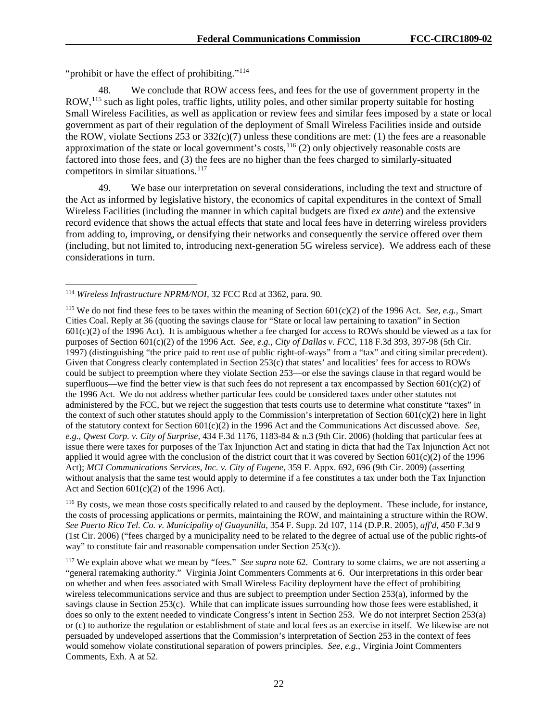"prohibit or have the effect of prohibiting."<sup>[114](#page-22-0)</sup>

We conclude that ROW access fees, and fees for the use of government property in the ROW,<sup>[115](#page-22-1)</sup> such as light poles, traffic lights, utility poles, and other similar property suitable for hosting Small Wireless Facilities, as well as application or review fees and similar fees imposed by a state or local government as part of their regulation of the deployment of Small Wireless Facilities inside and outside the ROW, violate Sections 253 or 332(c)(7) unless these conditions are met: (1) the fees are a reasonable approximation of the state or local government's costs,  $^{116}$  $^{116}$  $^{116}$  (2) only objectively reasonable costs are factored into those fees, and (3) the fees are no higher than the fees charged to similarly-situated competitors in similar situations.<sup>[117](#page-22-3)</sup>

49. We base our interpretation on several considerations, including the text and structure of the Act as informed by legislative history, the economics of capital expenditures in the context of Small Wireless Facilities (including the manner in which capital budgets are fixed *ex ante*) and the extensive record evidence that shows the actual effects that state and local fees have in deterring wireless providers from adding to, improving, or densifying their networks and consequently the service offered over them (including, but not limited to, introducing next-generation 5G wireless service). We address each of these considerations in turn.

<span id="page-22-2"></span><sup>116</sup> By costs, we mean those costs specifically related to and caused by the deployment. These include, for instance, the costs of processing applications or permits, maintaining the ROW, and maintaining a structure within the ROW. *See Puerto Rico Tel. Co. v. Municipality of Guayanilla*, 354 F. Supp. 2d 107, 114 (D.P.R. 2005), *aff'd*, 450 F.3d 9 (1st Cir. 2006) ("fees charged by a municipality need to be related to the degree of actual use of the public rights-of way" to constitute fair and reasonable compensation under Section 253(c)).

<span id="page-22-3"></span><sup>117</sup> We explain above what we mean by "fees." *See supra* note 62. Contrary to some claims, we are not asserting a "general ratemaking authority." Virginia Joint Commenters Comments at 6. Our interpretations in this order bear on whether and when fees associated with Small Wireless Facility deployment have the effect of prohibiting wireless telecommunications service and thus are subject to preemption under Section 253(a), informed by the savings clause in Section 253(c). While that can implicate issues surrounding how those fees were established, it does so only to the extent needed to vindicate Congress's intent in Section 253. We do not interpret Section 253(a) or (c) to authorize the regulation or establishment of state and local fees as an exercise in itself. We likewise are not persuaded by undeveloped assertions that the Commission's interpretation of Section 253 in the context of fees would somehow violate constitutional separation of powers principles. *See, e.g.*, Virginia Joint Commenters Comments, Exh. A at 52.

<span id="page-22-0"></span> <sup>114</sup> *Wireless Infrastructure NPRM/NOI,* 32 FCC Rcd at 3362*,* para*.* 90*.*

<span id="page-22-1"></span><sup>&</sup>lt;sup>115</sup> We do not find these fees to be taxes within the meaning of Section  $601(c)(2)$  of the 1996 Act. *See, e.g.*, Smart Cities Coal. Reply at 36 (quoting the savings clause for "State or local law pertaining to taxation" in Section 601(c)(2) of the 1996 Act). It is ambiguous whether a fee charged for access to ROWs should be viewed as a tax for purposes of Section 601(c)(2) of the 1996 Act. *See, e.g.*, *City of Dallas v. FCC*, 118 F.3d 393, 397-98 (5th Cir. 1997) (distinguishing "the price paid to rent use of public right-of-ways" from a "tax" and citing similar precedent). Given that Congress clearly contemplated in Section 253(c) that states' and localities' fees for access to ROWs could be subject to preemption where they violate Section 253—or else the savings clause in that regard would be superfluous—we find the better view is that such fees do not represent a tax encompassed by Section  $601(c)(2)$  of the 1996 Act. We do not address whether particular fees could be considered taxes under other statutes not administered by the FCC, but we reject the suggestion that tests courts use to determine what constitute "taxes" in the context of such other statutes should apply to the Commission's interpretation of Section  $601(c)(2)$  here in light of the statutory context for Section 601(c)(2) in the 1996 Act and the Communications Act discussed above. *See, e.g.*, *Qwest Corp. v. City of Surprise*, 434 F.3d 1176, 1183-84 & n.3 (9th Cir. 2006) (holding that particular fees at issue there were taxes for purposes of the Tax Injunction Act and stating in dicta that had the Tax Injunction Act not applied it would agree with the conclusion of the district court that it was covered by Section  $601(c)(2)$  of the 1996 Act); *MCI Communications Services, Inc. v. City of Eugene*, 359 F. Appx. 692, 696 (9th Cir. 2009) (asserting without analysis that the same test would apply to determine if a fee constitutes a tax under both the Tax Injunction Act and Section 601(c)(2) of the 1996 Act).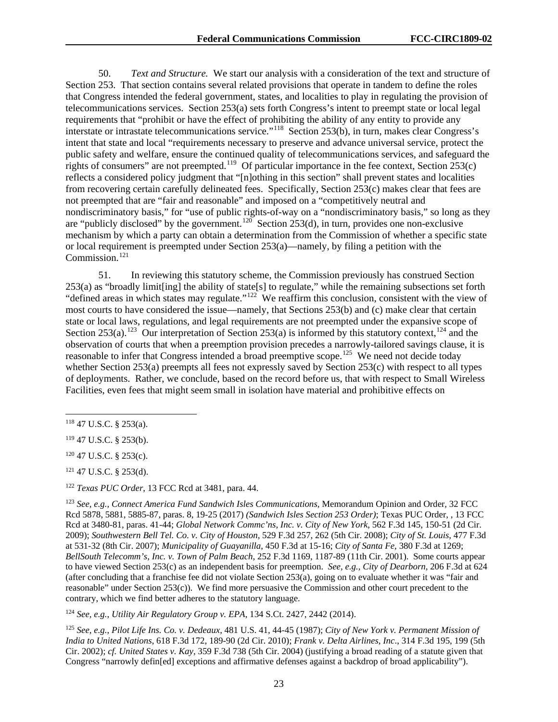50. *Text and Structure.* We start our analysis with a consideration of the text and structure of Section 253. That section contains several related provisions that operate in tandem to define the roles that Congress intended the federal government, states, and localities to play in regulating the provision of telecommunications services. Section 253(a) sets forth Congress's intent to preempt state or local legal requirements that "prohibit or have the effect of prohibiting the ability of any entity to provide any interstate or intrastate telecommunications service."[118](#page-23-0) Section 253(b), in turn, makes clear Congress's intent that state and local "requirements necessary to preserve and advance universal service, protect the public safety and welfare, ensure the continued quality of telecommunications services, and safeguard the rights of consumers" are not preempted.<sup>119</sup> Of particular importance in the fee context, Section  $253(c)$ reflects a considered policy judgment that "[n]othing in this section" shall prevent states and localities from recovering certain carefully delineated fees. Specifically, Section 253(c) makes clear that fees are not preempted that are "fair and reasonable" and imposed on a "competitively neutral and nondiscriminatory basis," for "use of public rights-of-way on a "nondiscriminatory basis," so long as they are "publicly disclosed" by the government.<sup>120</sup> Section 253(d), in turn, provides one non-exclusive mechanism by which a party can obtain a determination from the Commission of whether a specific state or local requirement is preempted under Section 253(a)—namely, by filing a petition with the Commission.<sup>[121](#page-23-3)</sup>

51. In reviewing this statutory scheme, the Commission previously has construed Section 253(a) as "broadly limit[ing] the ability of state[s] to regulate," while the remaining subsections set forth "defined areas in which states may regulate."<sup>122</sup> We reaffirm this conclusion, consistent with the view of most courts to have considered the issue—namely, that Sections 253(b) and (c) make clear that certain state or local laws, regulations, and legal requirements are not preempted under the expansive scope of Section 253(a).<sup>[123](#page-23-5)</sup> Our interpretation of Section 253(a) is informed by this statutory context,<sup>[124](#page-23-6)</sup> and the observation of courts that when a preemption provision precedes a narrowly-tailored savings clause, it is reasonable to infer that Congress intended a broad preemptive scope.<sup>125</sup> We need not decide today whether Section 253(a) preempts all fees not expressly saved by Section 253(c) with respect to all types of deployments. Rather, we conclude, based on the record before us, that with respect to Small Wireless Facilities, even fees that might seem small in isolation have material and prohibitive effects on

<span id="page-23-3"></span><sup>121</sup> 47 U.S.C. § 253(d).

<span id="page-23-4"></span><sup>122</sup> *Texas PUC Order*, 13 FCC Rcd at 3481, para. 44.

<span id="page-23-5"></span><sup>123</sup> *See, e.g., Connect America Fund Sandwich Isles Communications,* Memorandum Opinion and Order*,* 32 FCC Rcd 5878, 5881, 5885-87, paras. 8, 19-25 (2017) *(Sandwich Isles Section 253 Order)*; Texas PUC Order, , 13 FCC Rcd at 3480-81, paras. 41-44; *Global Network Commc'ns, Inc. v. City of New York*, 562 F.3d 145, 150-51 (2d Cir. 2009); *Southwestern Bell Tel. Co. v. City of Houston*, 529 F.3d 257, 262 (5th Cir. 2008); *City of St. Louis*, 477 F.3d at 531-32 (8th Cir. 2007); *Municipality of Guayanilla*, 450 F.3d at 15-16; *City of Santa Fe*, 380 F.3d at 1269; *BellSouth Telecomm's, Inc. v. Town of Palm Beach*, 252 F.3d 1169, 1187-89 (11th Cir. 2001). Some courts appear to have viewed Section 253(c) as an independent basis for preemption. *See, e.g., City of Dearborn*, 206 F.3d at 624 (after concluding that a franchise fee did not violate Section 253(a), going on to evaluate whether it was "fair and reasonable" under Section 253(c)). We find more persuasive the Commission and other court precedent to the contrary, which we find better adheres to the statutory language.

<span id="page-23-6"></span><sup>124</sup> *See, e.g.*, *Utility Air Regulatory Group v. EPA*, 134 S.Ct. 2427, 2442 (2014).

<span id="page-23-7"></span><sup>125</sup> *See, e.g.*, *Pilot Life Ins. Co. v. Dedeaux*, 481 U.S. 41, 44-45 (1987); *City of New York v. Permanent Mission of India to United Nations*, 618 F.3d 172, 189-90 (2d Cir. 2010); *Frank v. Delta Airlines, Inc*., 314 F.3d 195, 199 (5th Cir. 2002); *cf. United States v. Kay*, 359 F.3d 738 (5th Cir. 2004) (justifying a broad reading of a statute given that Congress "narrowly defin[ed] exceptions and affirmative defenses against a backdrop of broad applicability").

<span id="page-23-0"></span> $118$  47 U.S.C. § 253(a).

<span id="page-23-1"></span><sup>119</sup> 47 U.S.C. § 253(b).

<span id="page-23-2"></span><sup>120</sup> 47 U.S.C. § 253(c).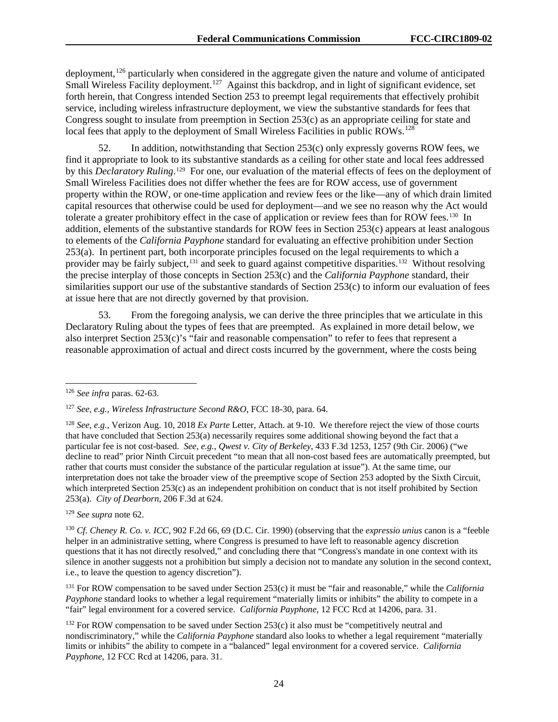deployment,<sup>[126](#page-24-0)</sup> particularly when considered in the aggregate given the nature and volume of anticipated Small Wireless Facility deployment.<sup>127</sup> Against this backdrop, and in light of significant evidence, set forth herein, that Congress intended Section 253 to preempt legal requirements that effectively prohibit service, including wireless infrastructure deployment, we view the substantive standards for fees that Congress sought to insulate from preemption in Section 253(c) as an appropriate ceiling for state and local fees that apply to the deployment of Small Wireless Facilities in public ROWs.<sup>[128](#page-24-2)</sup>

52. In addition, notwithstanding that Section 253(c) only expressly governs ROW fees, we find it appropriate to look to its substantive standards as a ceiling for other state and local fees addressed by this *Declaratory Ruling*.<sup>[129](#page-24-3)</sup> For one, our evaluation of the material effects of fees on the deployment of Small Wireless Facilities does not differ whether the fees are for ROW access, use of government property within the ROW, or one-time application and review fees or the like—any of which drain limited capital resources that otherwise could be used for deployment—and we see no reason why the Act would tolerate a greater prohibitory effect in the case of application or review fees than for ROW fees.<sup>130</sup> In addition, elements of the substantive standards for ROW fees in Section 253(c) appears at least analogous to elements of the *California Payphone* standard for evaluating an effective prohibition under Section 253(a). In pertinent part, both incorporate principles focused on the legal requirements to which a provider may be fairly subject,[131](#page-24-5) and seek to guard against competitive disparities.[132](#page-24-6) Without resolving the precise interplay of those concepts in Section 253(c) and the *California Payphone* standard, their similarities support our use of the substantive standards of Section 253(c) to inform our evaluation of fees at issue here that are not directly governed by that provision.

53. From the foregoing analysis, we can derive the three principles that we articulate in this Declaratory Ruling about the types of fees that are preempted. As explained in more detail below, we also interpret Section  $253(c)$ 's "fair and reasonable compensation" to refer to fees that represent a reasonable approximation of actual and direct costs incurred by the government, where the costs being

<span id="page-24-3"></span><sup>129</sup> *See supra* note 62.

<span id="page-24-4"></span><sup>130</sup> *Cf. Cheney R. Co. v. ICC*, 902 F.2d 66, 69 (D.C. Cir. 1990) (observing that the *expressio unius* canon is a "feeble helper in an administrative setting, where Congress is presumed to have left to reasonable agency discretion questions that it has not directly resolved," and concluding there that "Congress's mandate in one context with its silence in another suggests not a prohibition but simply a decision not to mandate any solution in the second context, i.e., to leave the question to agency discretion").

<span id="page-24-5"></span><sup>131</sup> For ROW compensation to be saved under Section 253(c) it must be "fair and reasonable," while the *California Payphone* standard looks to whether a legal requirement "materially limits or inhibits" the ability to compete in a "fair" legal environment for a covered service. *California Payphone*, 12 FCC Rcd at 14206, para. 31.

<span id="page-24-6"></span> $132$  For ROW compensation to be saved under Section 253(c) it also must be "competitively neutral and nondiscriminatory," while the *California Payphone* standard also looks to whether a legal requirement "materially limits or inhibits" the ability to compete in a "balanced" legal environment for a covered service. *California Payphone*, 12 FCC Rcd at 14206, para. 31.

<span id="page-24-0"></span> <sup>126</sup> *See infra* paras. 62-63.

<span id="page-24-1"></span><sup>127</sup> *See, e.g.*, *Wireless Infrastructure Second R&O*, FCC 18-30, para. 64.

<span id="page-24-2"></span><sup>128</sup> *See, e.g.*, Verizon Aug. 10, 2018 *Ex Parte* Letter, Attach. at 9-10. We therefore reject the view of those courts that have concluded that Section 253(a) necessarily requires some additional showing beyond the fact that a particular fee is not cost-based. *See, e.g.*, *Qwest v. City of Berkeley*, 433 F.3d 1253, 1257 (9th Cir. 2006) ("we decline to read" prior Ninth Circuit precedent "to mean that all non-cost based fees are automatically preempted, but rather that courts must consider the substance of the particular regulation at issue"). At the same time, our interpretation does not take the broader view of the preemptive scope of Section 253 adopted by the Sixth Circuit, which interpreted Section 253(c) as an independent prohibition on conduct that is not itself prohibited by Section 253(a). *City of Dearborn*, 206 F.3d at 624.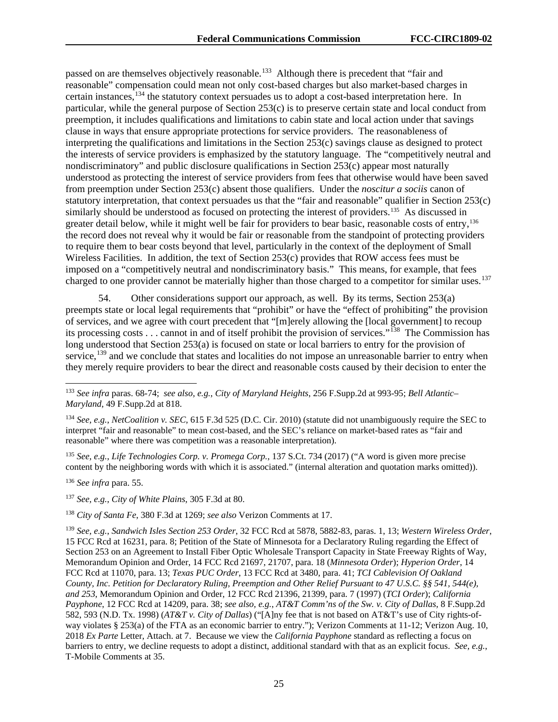passed on are themselves objectively reasonable.<sup>[133](#page-25-0)</sup> Although there is precedent that "fair and reasonable" compensation could mean not only cost-based charges but also market-based charges in certain instances,<sup>[134](#page-25-1)</sup> the statutory context persuades us to adopt a cost-based interpretation here. In particular, while the general purpose of Section 253(c) is to preserve certain state and local conduct from preemption, it includes qualifications and limitations to cabin state and local action under that savings clause in ways that ensure appropriate protections for service providers. The reasonableness of interpreting the qualifications and limitations in the Section 253(c) savings clause as designed to protect the interests of service providers is emphasized by the statutory language. The "competitively neutral and nondiscriminatory" and public disclosure qualifications in Section 253(c) appear most naturally understood as protecting the interest of service providers from fees that otherwise would have been saved from preemption under Section 253(c) absent those qualifiers. Under the *noscitur a sociis* canon of statutory interpretation, that context persuades us that the "fair and reasonable" qualifier in Section 253(c) similarly should be understood as focused on protecting the interest of providers.<sup>[135](#page-25-2)</sup> As discussed in greater detail below, while it might well be fair for providers to bear basic, reasonable costs of entry,<sup>136</sup> the record does not reveal why it would be fair or reasonable from the standpoint of protecting providers to require them to bear costs beyond that level, particularly in the context of the deployment of Small Wireless Facilities. In addition, the text of Section 253(c) provides that ROW access fees must be imposed on a "competitively neutral and nondiscriminatory basis." This means, for example, that fees charged to one provider cannot be materially higher than those charged to a competitor for similar uses.<sup>[137](#page-25-4)</sup>

54. Other considerations support our approach, as well. By its terms, Section 253(a) preempts state or local legal requirements that "prohibit" or have the "effect of prohibiting" the provision of services, and we agree with court precedent that "[m]erely allowing the [local government] to recoup its processing costs . . . cannot in and of itself prohibit the provision of services."[138](#page-25-5) The Commission has long understood that Section 253(a) is focused on state or local barriers to entry for the provision of service, $139$  and we conclude that states and localities do not impose an unreasonable barrier to entry when they merely require providers to bear the direct and reasonable costs caused by their decision to enter the

<span id="page-25-2"></span><sup>135</sup> *See, e.g.*, *Life Technologies Corp. v. Promega Corp.*, 137 S.Ct. 734 (2017) ("A word is given more precise content by the neighboring words with which it is associated." (internal alteration and quotation marks omitted)).

<span id="page-25-3"></span><sup>136</sup> *See infra* para. 55.

<span id="page-25-4"></span><sup>137</sup> *See, e.g.*, *City of White Plains*, 305 F.3d at 80.

<span id="page-25-5"></span><sup>138</sup> *City of Santa Fe*, 380 F.3d at 1269; *see also* Verizon Comments at 17.

<span id="page-25-0"></span> <sup>133</sup> *See infra* paras. 68-74; *see also, e.g.*, *City of Maryland Heights*, 256 F.Supp.2d at 993-95; *Bell Atlantic– Maryland*, 49 F.Supp.2d at 818.

<span id="page-25-1"></span><sup>134</sup> *See, e.g.*, *NetCoalition v. SEC*, 615 F.3d 525 (D.C. Cir. 2010) (statute did not unambiguously require the SEC to interpret "fair and reasonable" to mean cost-based, and the SEC's reliance on market-based rates as "fair and reasonable" where there was competition was a reasonable interpretation).

<span id="page-25-6"></span><sup>139</sup> *See, e.g.*, *Sandwich Isles Section 253 Order*, 32 FCC Rcd at 5878, 5882-83, paras. 1, 13; *Western Wireless Order*, 15 FCC Rcd at 16231, para. 8; Petition of the State of Minnesota for a Declaratory Ruling regarding the Effect of Section 253 on an Agreement to Install Fiber Optic Wholesale Transport Capacity in State Freeway Rights of Way, Memorandum Opinion and Order, 14 FCC Rcd 21697, 21707, para. 18 (*Minnesota Order*); *Hyperion Order*, 14 FCC Rcd at 11070, para. 13; *Texas PUC Order*, 13 FCC Rcd at 3480, para. 41; *TCI Cablevision Of Oakland County, Inc. Petition for Declaratory Ruling, Preemption and Other Relief Pursuant to 47 U.S.C. §§ 541, 544(e), and 253*, Memorandum Opinion and Order, 12 FCC Rcd 21396, 21399, para. 7 (1997) (*TCI Order*); *California Payphone*, 12 FCC Rcd at 14209, para. 38; *see also, e.g.*, *AT&T Comm'ns of the Sw. v. City of Dallas*, 8 F.Supp.2d 582, 593 (N.D. Tx. 1998) (*AT&T v. City of Dallas*) ("[A]ny fee that is not based on AT&T's use of City rights-ofway violates § 253(a) of the FTA as an economic barrier to entry."); Verizon Comments at 11-12; Verizon Aug. 10, 2018 *Ex Parte* Letter, Attach. at 7. Because we view the *California Payphone* standard as reflecting a focus on barriers to entry, we decline requests to adopt a distinct, additional standard with that as an explicit focus. *See, e.g.*, T-Mobile Comments at 35.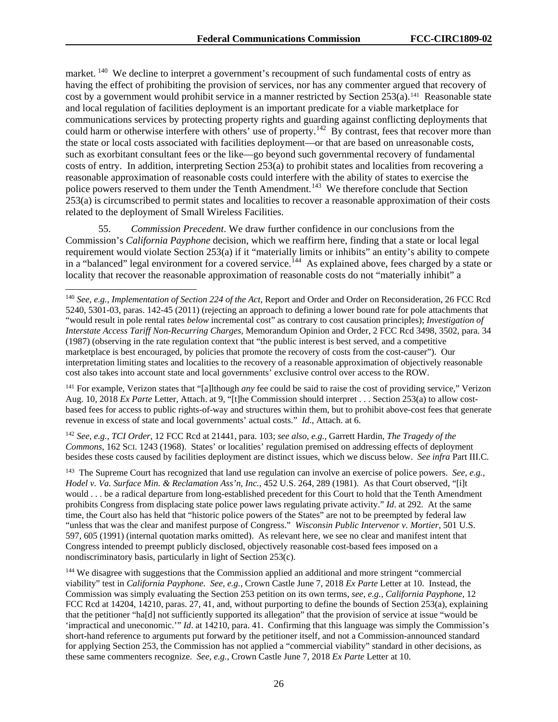market. <sup>[140](#page-26-0)</sup> We decline to interpret a government's recoupment of such fundamental costs of entry as having the effect of prohibiting the provision of services, nor has any commenter argued that recovery of cost by a government would prohibit service in a manner restricted by Section 253(a).[141](#page-26-1) Reasonable state and local regulation of facilities deployment is an important predicate for a viable marketplace for communications services by protecting property rights and guarding against conflicting deployments that could harm or otherwise interfere with others' use of property.<sup>142</sup> By contrast, fees that recover more than the state or local costs associated with facilities deployment—or that are based on unreasonable costs, such as exorbitant consultant fees or the like—go beyond such governmental recovery of fundamental costs of entry. In addition, interpreting Section 253(a) to prohibit states and localities from recovering a reasonable approximation of reasonable costs could interfere with the ability of states to exercise the police powers reserved to them under the Tenth Amendment.<sup>143</sup> We therefore conclude that Section 253(a) is circumscribed to permit states and localities to recover a reasonable approximation of their costs related to the deployment of Small Wireless Facilities.

55. *Commission Precedent*. We draw further confidence in our conclusions from the Commission's *California Payphone* decision, which we reaffirm here, finding that a state or local legal requirement would violate Section 253(a) if it "materially limits or inhibits" an entity's ability to compete in a "balanced" legal environment for a covered service.<sup>144</sup> As explained above, fees charged by a state or locality that recover the reasonable approximation of reasonable costs do not "materially inhibit" a

<span id="page-26-1"></span><sup>141</sup> For example, Verizon states that "[a]lthough *any* fee could be said to raise the cost of providing service," Verizon Aug. 10, 2018 *Ex Parte* Letter, Attach. at 9, "[t]he Commission should interpret . . . Section 253(a) to allow costbased fees for access to public rights-of-way and structures within them, but to prohibit above-cost fees that generate revenue in excess of state and local governments' actual costs." *Id*., Attach. at 6.

<span id="page-26-2"></span><sup>142</sup> *See, e.g.*, *TCI Order*, 12 FCC Rcd at 21441, para. 103; *see also, e.g.*, Garrett Hardin, *The Tragedy of the Commons*, 162 SCI. 1243 (1968). States' or localities' regulation premised on addressing effects of deployment besides these costs caused by facilities deployment are distinct issues, which we discuss below. *See infra* Part III.C*.*

<span id="page-26-3"></span>143 The Supreme Court has recognized that land use regulation can involve an exercise of police powers. *See, e.g.*, *Hodel v. Va. Surface Min. & Reclamation Ass'n, Inc.*, 452 U.S. 264, 289 (1981). As that Court observed, "[i]t would . . . be a radical departure from long-established precedent for this Court to hold that the Tenth Amendment prohibits Congress from displacing state police power laws regulating private activity." *Id*. at 292. At the same time, the Court also has held that "historic police powers of the States" are not to be preempted by federal law "unless that was the clear and manifest purpose of Congress." *Wisconsin Public Intervenor v. Mortier*, 501 U.S. 597, 605 (1991) (internal quotation marks omitted). As relevant here, we see no clear and manifest intent that Congress intended to preempt publicly disclosed, objectively reasonable cost-based fees imposed on a nondiscriminatory basis, particularly in light of Section 253(c).

<span id="page-26-4"></span><sup>144</sup> We disagree with suggestions that the Commission applied an additional and more stringent "commercial" viability" test in *California Payphone*. *See, e.g.*, Crown Castle June 7, 2018 *Ex Parte* Letter at 10. Instead, the Commission was simply evaluating the Section 253 petition on its own terms, *see, e.g.*, *California Payphone*, 12 FCC Rcd at 14204, 14210, paras. 27, 41, and, without purporting to define the bounds of Section 253(a), explaining that the petitioner "ha[d] not sufficiently supported its allegation" that the provision of service at issue "would be 'impractical and uneconomic.'" *Id*. at 14210, para. 41. Confirming that this language was simply the Commission's short-hand reference to arguments put forward by the petitioner itself, and not a Commission-announced standard for applying Section 253, the Commission has not applied a "commercial viability" standard in other decisions, as these same commenters recognize. *See, e.g.*, Crown Castle June 7, 2018 *Ex Parte* Letter at 10.

<span id="page-26-0"></span> <sup>140</sup> *See, e.g.*, *Implementation of Section 224 of the Act*, Report and Order and Order on Reconsideration, 26 FCC Rcd 5240, 5301-03, paras. 142-45 (2011) (rejecting an approach to defining a lower bound rate for pole attachments that "would result in pole rental rates *below* incremental cost" as contrary to cost causation principles); *Investigation of Interstate Access Tariff Non-Recurring Charges*, Memorandum Opinion and Order, 2 FCC Rcd 3498, 3502, para. 34 (1987) (observing in the rate regulation context that "the public interest is best served, and a competitive marketplace is best encouraged, by policies that promote the recovery of costs from the cost-causer"). Our interpretation limiting states and localities to the recovery of a reasonable approximation of objectively reasonable cost also takes into account state and local governments' exclusive control over access to the ROW.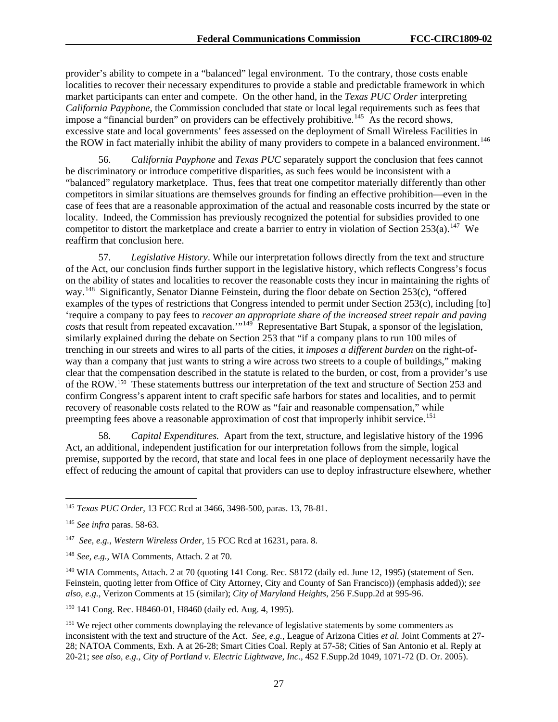provider's ability to compete in a "balanced" legal environment. To the contrary, those costs enable localities to recover their necessary expenditures to provide a stable and predictable framework in which market participants can enter and compete. On the other hand, in the *Texas PUC Order* interpreting *California Payphone*, the Commission concluded that state or local legal requirements such as fees that impose a "financial burden" on providers can be effectively prohibitive.<sup>145</sup> As the record shows, excessive state and local governments' fees assessed on the deployment of Small Wireless Facilities in the ROW in fact materially inhibit the ability of many providers to compete in a balanced environment.<sup>146</sup>

56. *California Payphone* and *Texas PUC* separately support the conclusion that fees cannot be discriminatory or introduce competitive disparities, as such fees would be inconsistent with a "balanced" regulatory marketplace. Thus, fees that treat one competitor materially differently than other competitors in similar situations are themselves grounds for finding an effective prohibition—even in the case of fees that are a reasonable approximation of the actual and reasonable costs incurred by the state or locality. Indeed, the Commission has previously recognized the potential for subsidies provided to one competitor to distort the marketplace and create a barrier to entry in violation of Section 253(a).<sup>147</sup> We reaffirm that conclusion here.

57. *Legislative History*. While our interpretation follows directly from the text and structure of the Act, our conclusion finds further support in the legislative history, which reflects Congress's focus on the ability of states and localities to recover the reasonable costs they incur in maintaining the rights of way.<sup>[148](#page-27-3)</sup> Significantly, Senator Dianne Feinstein, during the floor debate on Section 253(c), "offered examples of the types of restrictions that Congress intended to permit under Section 253(c), including [to] 'require a company to pay fees to *recover an appropriate share of the increased street repair and paving costs* that result from repeated excavation.'"[149](#page-27-4) Representative Bart Stupak, a sponsor of the legislation, similarly explained during the debate on Section 253 that "if a company plans to run 100 miles of trenching in our streets and wires to all parts of the cities, it *imposes a different burden* on the right-ofway than a company that just wants to string a wire across two streets to a couple of buildings," making clear that the compensation described in the statute is related to the burden, or cost, from a provider's use of the ROW.[150](#page-27-5) These statements buttress our interpretation of the text and structure of Section 253 and confirm Congress's apparent intent to craft specific safe harbors for states and localities, and to permit recovery of reasonable costs related to the ROW as "fair and reasonable compensation," while preempting fees above a reasonable approximation of cost that improperly inhibit service.<sup>[151](#page-27-6)</sup>

58. *Capital Expenditures.* Apart from the text, structure, and legislative history of the 1996 Act, an additional, independent justification for our interpretation follows from the simple, logical premise, supported by the record, that state and local fees in one place of deployment necessarily have the effect of reducing the amount of capital that providers can use to deploy infrastructure elsewhere, whether

<span id="page-27-0"></span> <sup>145</sup> *Texas PUC Order*, 13 FCC Rcd at 3466, 3498-500, paras. 13, 78-81.

<span id="page-27-1"></span><sup>146</sup> *See infra* paras. 58-63.

<span id="page-27-2"></span><sup>147</sup> *See, e.g.*, *Western Wireless Order*, 15 FCC Rcd at 16231, para. 8.

<span id="page-27-3"></span><sup>148</sup> *See, e.g.*, WIA Comments, Attach. 2 at 70.

<span id="page-27-4"></span><sup>&</sup>lt;sup>149</sup> WIA Comments, Attach. 2 at 70 (quoting 141 Cong. Rec. S8172 (daily ed. June 12, 1995) (statement of Sen. Feinstein, quoting letter from Office of City Attorney, City and County of San Francisco)) (emphasis added)); *see also, e.g.*, Verizon Comments at 15 (similar); *City of Maryland Heights*, 256 F.Supp.2d at 995-96.

<span id="page-27-5"></span><sup>150</sup> 141 Cong. Rec. H8460-01, H8460 (daily ed. Aug. 4, 1995).

<span id="page-27-6"></span><sup>&</sup>lt;sup>151</sup> We reject other comments downplaying the relevance of legislative statements by some commenters as inconsistent with the text and structure of the Act. *See, e.g.*, League of Arizona Cities *et al.* Joint Comments at 27- 28; NATOA Comments, Exh. A at 26-28; Smart Cities Coal. Reply at 57-58; Cities of San Antonio et al. Reply at 20-21; *see also, e.g.*, *City of Portland v. Electric Lightwave, Inc.*, 452 F.Supp.2d 1049, 1071-72 (D. Or. 2005).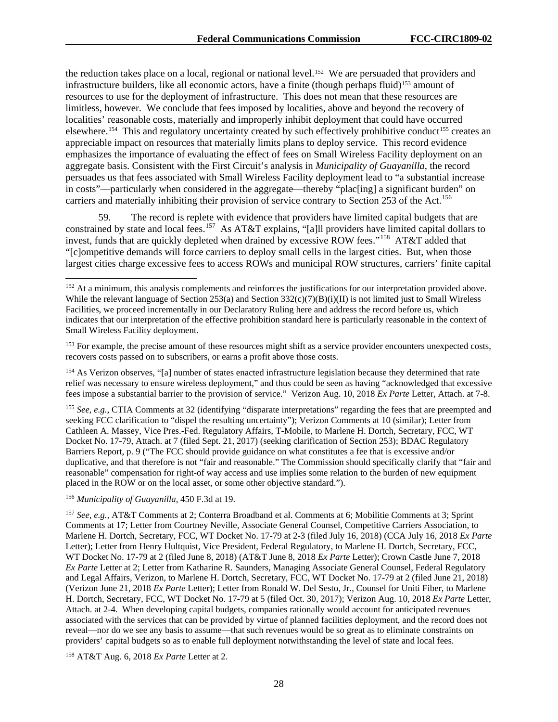the reduction takes place on a local, regional or national level.[152](#page-28-0) We are persuaded that providers and infrastructure builders, like all economic actors, have a finite (though perhaps fluid)<sup>[153](#page-28-1)</sup> amount of resources to use for the deployment of infrastructure. This does not mean that these resources are limitless, however. We conclude that fees imposed by localities, above and beyond the recovery of localities' reasonable costs, materially and improperly inhibit deployment that could have occurred elsewhere.<sup>154</sup> This and regulatory uncertainty created by such effectively prohibitive conduct<sup>[155](#page-28-3)</sup> creates an appreciable impact on resources that materially limits plans to deploy service. This record evidence emphasizes the importance of evaluating the effect of fees on Small Wireless Facility deployment on an aggregate basis. Consistent with the First Circuit's analysis in *Municipality of Guayanilla*, the record persuades us that fees associated with Small Wireless Facility deployment lead to "a substantial increase in costs"—particularly when considered in the aggregate—thereby "plac[ing] a significant burden" on carriers and materially inhibiting their provision of service contrary to Section 253 of the Act.<sup>[156](#page-28-4)</sup>

59. The record is replete with evidence that providers have limited capital budgets that are constrained by state and local fees.<sup>[157](#page-28-5)</sup> As AT&T explains, "[a]ll providers have limited capital dollars to invest, funds that are quickly depleted when drained by excessive ROW fees."<sup>[158](#page-28-6)</sup> AT&T added that "[c]ompetitive demands will force carriers to deploy small cells in the largest cities. But, when those largest cities charge excessive fees to access ROWs and municipal ROW structures, carriers' finite capital

<span id="page-28-2"></span><sup>154</sup> As Verizon observes, "[a] number of states enacted infrastructure legislation because they determined that rate relief was necessary to ensure wireless deployment," and thus could be seen as having "acknowledged that excessive fees impose a substantial barrier to the provision of service." Verizon Aug. 10, 2018 *Ex Parte* Letter, Attach. at 7-8.

<span id="page-28-3"></span><sup>155</sup> See, e.g., CTIA Comments at 32 (identifying "disparate interpretations" regarding the fees that are preempted and seeking FCC clarification to "dispel the resulting uncertainty"); Verizon Comments at 10 (similar); Letter from Cathleen A. Massey, Vice Pres.-Fed. Regulatory Affairs, T-Mobile, to Marlene H. Dortch, Secretary, FCC, WT Docket No. 17-79, Attach. at 7 (filed Sept. 21, 2017) (seeking clarification of Section 253); BDAC Regulatory Barriers Report, p. 9 ("The FCC should provide guidance on what constitutes a fee that is excessive and/or duplicative, and that therefore is not "fair and reasonable." The Commission should specifically clarify that "fair and reasonable" compensation for right-of way access and use implies some relation to the burden of new equipment placed in the ROW or on the local asset, or some other objective standard.").

#### <span id="page-28-4"></span><sup>156</sup> *Municipality of Guayanilla*, 450 F.3d at 19.

<span id="page-28-5"></span><sup>157</sup> *See, e.g.,* AT&T Comments at 2; Conterra Broadband et al. Comments at 6; Mobilitie Comments at 3; Sprint Comments at 17; Letter from Courtney Neville, Associate General Counsel, Competitive Carriers Association, to Marlene H. Dortch, Secretary, FCC, WT Docket No. 17-79 at 2-3 (filed July 16, 2018) (CCA July 16, 2018 *Ex Parte* Letter); Letter from Henry Hultquist, Vice President, Federal Regulatory, to Marlene H. Dortch, Secretary, FCC, WT Docket No. 17-79 at 2 (filed June 8, 2018) (AT&T June 8, 2018 *Ex Parte* Letter); Crown Castle June 7, 2018 *Ex Parte* Letter at 2; Letter from Katharine R. Saunders, Managing Associate General Counsel, Federal Regulatory and Legal Affairs, Verizon, to Marlene H. Dortch, Secretary, FCC, WT Docket No. 17-79 at 2 (filed June 21, 2018) (Verizon June 21, 2018 *Ex Parte* Letter); Letter from Ronald W. Del Sesto, Jr., Counsel for Uniti Fiber, to Marlene H. Dortch, Secretary, FCC, WT Docket No. 17-79 at 5 (filed Oct. 30, 2017); Verizon Aug. 10, 2018 *Ex Parte* Letter, Attach. at 2-4. When developing capital budgets, companies rationally would account for anticipated revenues associated with the services that can be provided by virtue of planned facilities deployment, and the record does not reveal—nor do we see any basis to assume—that such revenues would be so great as to eliminate constraints on providers' capital budgets so as to enable full deployment notwithstanding the level of state and local fees.

<span id="page-28-6"></span><sup>158</sup> AT&T Aug. 6, 2018 *Ex Parte* Letter at 2.

<span id="page-28-0"></span><sup>&</sup>lt;sup>152</sup> At a minimum, this analysis complements and reinforces the justifications for our interpretation provided above. While the relevant language of Section 253(a) and Section  $332(c)(7)(B)(i)(II)$  is not limited just to Small Wireless Facilities, we proceed incrementally in our Declaratory Ruling here and address the record before us, which indicates that our interpretation of the effective prohibition standard here is particularly reasonable in the context of Small Wireless Facility deployment.

<span id="page-28-1"></span><sup>&</sup>lt;sup>153</sup> For example, the precise amount of these resources might shift as a service provider encounters unexpected costs, recovers costs passed on to subscribers, or earns a profit above those costs.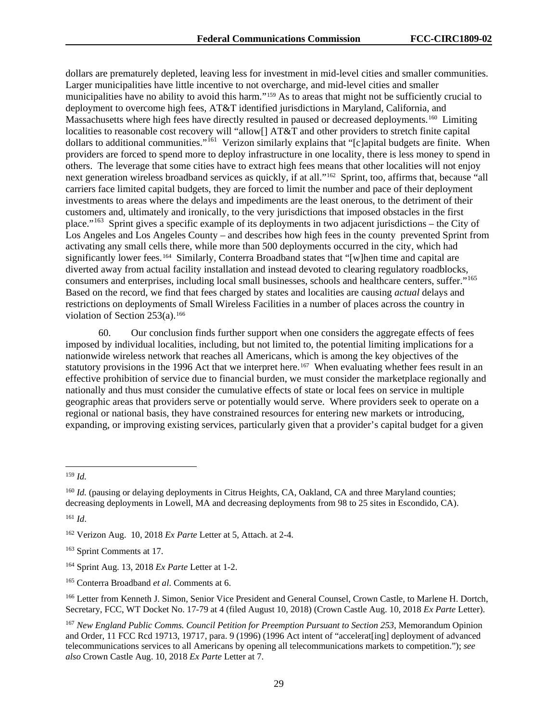dollars are prematurely depleted, leaving less for investment in mid-level cities and smaller communities. Larger municipalities have little incentive to not overcharge, and mid-level cities and smaller municipalities have no ability to avoid this harm."[159](#page-29-0) As to areas that might not be sufficiently crucial to deployment to overcome high fees, AT&T identified jurisdictions in Maryland, California, and Massachusetts where high fees have directly resulted in paused or decreased deployments.<sup>[160](#page-29-1)</sup> Limiting localities to reasonable cost recovery will "allow[] AT&T and other providers to stretch finite capital dollars to additional communities."[161](#page-29-2) Verizon similarly explains that "[c]apital budgets are finite. When providers are forced to spend more to deploy infrastructure in one locality, there is less money to spend in others. The leverage that some cities have to extract high fees means that other localities will not enjoy next generation wireless broadband services as quickly, if at all."[162](#page-29-3) Sprint, too, affirms that, because "all carriers face limited capital budgets, they are forced to limit the number and pace of their deployment investments to areas where the delays and impediments are the least onerous, to the detriment of their customers and, ultimately and ironically, to the very jurisdictions that imposed obstacles in the first place."[163](#page-29-4) Sprint gives a specific example of its deployments in two adjacent jurisdictions – the City of Los Angeles and Los Angeles County – and describes how high fees in the county prevented Sprint from activating any small cells there, while more than 500 deployments occurred in the city, which had significantly lower fees.<sup>[164](#page-29-5)</sup> Similarly, Conterra Broadband states that "[w]hen time and capital are diverted away from actual facility installation and instead devoted to clearing regulatory roadblocks, consumers and enterprises, including local small businesses, schools and healthcare centers, suffer."[165](#page-29-6)  Based on the record, we find that fees charged by states and localities are causing *actual* delays and restrictions on deployments of Small Wireless Facilities in a number of places across the country in violation of Section  $253(a)$ .<sup>[166](#page-29-7)</sup>

60. Our conclusion finds further support when one considers the aggregate effects of fees imposed by individual localities, including, but not limited to, the potential limiting implications for a nationwide wireless network that reaches all Americans, which is among the key objectives of the statutory provisions in the 1996 Act that we interpret here.<sup>[167](#page-29-8)</sup> When evaluating whether fees result in an effective prohibition of service due to financial burden, we must consider the marketplace regionally and nationally and thus must consider the cumulative effects of state or local fees on service in multiple geographic areas that providers serve or potentially would serve. Where providers seek to operate on a regional or national basis, they have constrained resources for entering new markets or introducing, expanding, or improving existing services, particularly given that a provider's capital budget for a given

<span id="page-29-2"></span><sup>161</sup> *Id*.

<span id="page-29-0"></span> <sup>159</sup> *Id.*

<span id="page-29-1"></span><sup>&</sup>lt;sup>160</sup> *Id.* (pausing or delaying deployments in Citrus Heights, CA, Oakland, CA and three Maryland counties; decreasing deployments in Lowell, MA and decreasing deployments from 98 to 25 sites in Escondido, CA).

<span id="page-29-3"></span><sup>162</sup> Verizon Aug. 10, 2018 *Ex Parte* Letter at 5, Attach. at 2-4.

<span id="page-29-4"></span><sup>163</sup> Sprint Comments at 17.

<span id="page-29-5"></span><sup>164</sup> Sprint Aug. 13, 2018 *Ex Parte* Letter at 1-2.

<span id="page-29-6"></span><sup>165</sup> Conterra Broadband *et al*. Comments at 6.

<span id="page-29-7"></span><sup>166</sup> Letter from Kenneth J. Simon, Senior Vice President and General Counsel, Crown Castle, to Marlene H. Dortch, Secretary, FCC, WT Docket No. 17-79 at 4 (filed August 10, 2018) (Crown Castle Aug. 10, 2018 *Ex Parte* Letter).

<span id="page-29-8"></span><sup>167</sup> *New England Public Comms. Council Petition for Preemption Pursuant to Section 253*, Memorandum Opinion and Order, 11 FCC Rcd 19713, 19717, para. 9 (1996) (1996 Act intent of "accelerat[ing] deployment of advanced telecommunications services to all Americans by opening all telecommunications markets to competition."); *see also* Crown Castle Aug. 10, 2018 *Ex Parte* Letter at 7.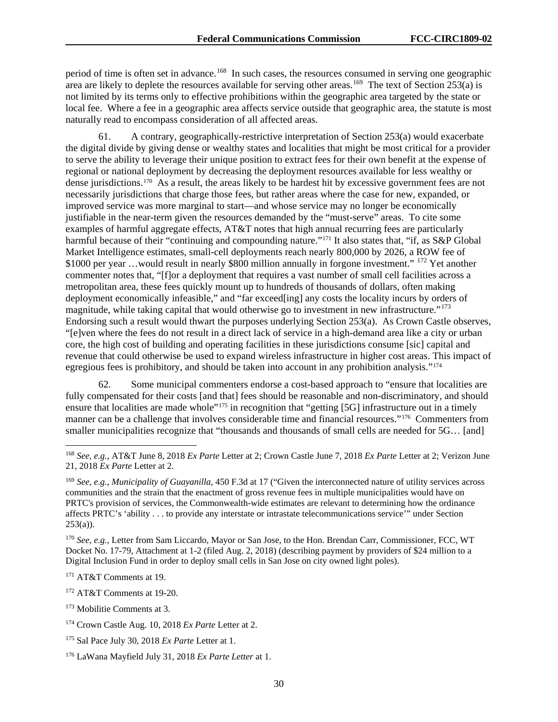period of time is often set in advance.<sup>168</sup> In such cases, the resources consumed in serving one geographic area are likely to deplete the resources available for serving other areas.<sup>[169](#page-30-1)</sup> The text of Section 253(a) is not limited by its terms only to effective prohibitions within the geographic area targeted by the state or local fee. Where a fee in a geographic area affects service outside that geographic area, the statute is most naturally read to encompass consideration of all affected areas.

61. A contrary, geographically-restrictive interpretation of Section 253(a) would exacerbate the digital divide by giving dense or wealthy states and localities that might be most critical for a provider to serve the ability to leverage their unique position to extract fees for their own benefit at the expense of regional or national deployment by decreasing the deployment resources available for less wealthy or dense jurisdictions.[170](#page-30-2) As a result, the areas likely to be hardest hit by excessive government fees are not necessarily jurisdictions that charge those fees, but rather areas where the case for new, expanded, or improved service was more marginal to start—and whose service may no longer be economically justifiable in the near-term given the resources demanded by the "must-serve" areas. To cite some examples of harmful aggregate effects, AT&T notes that high annual recurring fees are particularly harmful because of their "continuing and compounding nature."[171](#page-30-3) It also states that, "if, as S&P Global Market Intelligence estimates, small-cell deployments reach nearly 800,000 by 2026, a ROW fee of \$1000 per year …would result in nearly \$800 million annually in forgone investment." [172](#page-30-4) Yet another commenter notes that, "[f]or a deployment that requires a vast number of small cell facilities across a metropolitan area, these fees quickly mount up to hundreds of thousands of dollars, often making deployment economically infeasible," and "far exceed[ing] any costs the locality incurs by orders of magnitude, while taking capital that would otherwise go to investment in new infrastructure."[173](#page-30-5) Endorsing such a result would thwart the purposes underlying Section 253(a). As Crown Castle observes, "[e]ven where the fees do not result in a direct lack of service in a high-demand area like a city or urban core, the high cost of building and operating facilities in these jurisdictions consume [sic] capital and revenue that could otherwise be used to expand wireless infrastructure in higher cost areas. This impact of egregious fees is prohibitory, and should be taken into account in any prohibition analysis."[174](#page-30-6)

62. Some municipal commenters endorse a cost-based approach to "ensure that localities are fully compensated for their costs [and that] fees should be reasonable and non-discriminatory, and should ensure that localities are made whole"<sup>[175](#page-30-7)</sup> in recognition that "getting [5G] infrastructure out in a timely manner can be a challenge that involves considerable time and financial resources."[176](#page-30-8) Commenters from smaller municipalities recognize that "thousands and thousands of small cells are needed for 5G… [and]

<span id="page-30-2"></span><sup>170</sup> *See, e.g.,* Letter from Sam Liccardo, Mayor or San Jose, to the Hon. Brendan Carr, Commissioner, FCC, WT Docket No. 17-79, Attachment at 1-2 (filed Aug. 2, 2018) (describing payment by providers of \$24 million to a Digital Inclusion Fund in order to deploy small cells in San Jose on city owned light poles).

<span id="page-30-3"></span><sup>171</sup> AT&T Comments at 19.

<span id="page-30-4"></span><sup>172</sup> AT&T Comments at 19-20.

<span id="page-30-5"></span><sup>173</sup> Mobilitie Comments at 3.

<span id="page-30-0"></span> <sup>168</sup> *See, e.g.*, AT&T June 8, 2018 *Ex Parte* Letter at 2; Crown Castle June 7, 2018 *Ex Parte* Letter at 2; Verizon June 21, 2018 *Ex Parte* Letter at 2.

<span id="page-30-1"></span><sup>169</sup> *See, e.g.*, *Municipality of Guayanilla*, 450 F.3d at 17 ("Given the interconnected nature of utility services across communities and the strain that the enactment of gross revenue fees in multiple municipalities would have on PRTC's provision of services, the Commonwealth-wide estimates are relevant to determining how the ordinance affects PRTC's 'ability . . . to provide any interstate or intrastate telecommunications service'" under Section  $253(a)$ ).

<span id="page-30-6"></span><sup>174</sup> Crown Castle Aug. 10, 2018 *Ex Parte* Letter at 2.

<span id="page-30-7"></span><sup>175</sup> Sal Pace July 30, 2018 *Ex Parte* Letter at 1.

<span id="page-30-8"></span><sup>176</sup> LaWana Mayfield July 31, 2018 *Ex Parte Letter* at 1.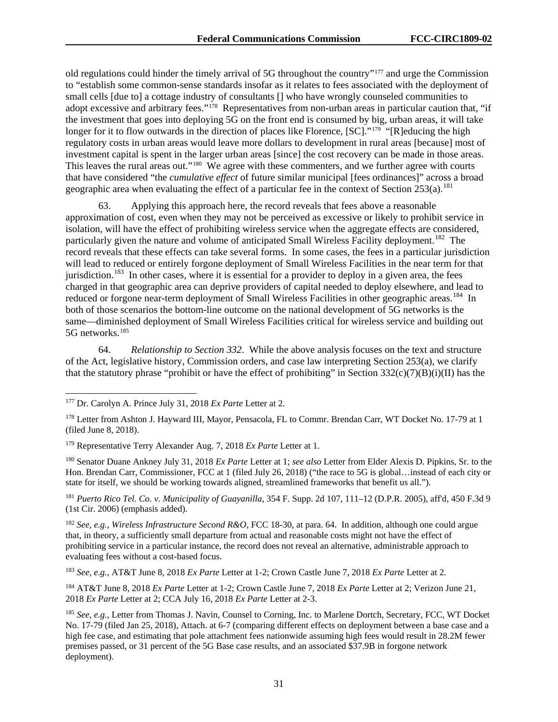old regulations could hinder the timely arrival of 5G throughout the country"[177](#page-31-0) and urge the Commission to "establish some common-sense standards insofar as it relates to fees associated with the deployment of small cells [due to] a cottage industry of consultants [] who have wrongly counseled communities to adopt excessive and arbitrary fees."<sup>178</sup> Representatives from non-urban areas in particular caution that, "if the investment that goes into deploying 5G on the front end is consumed by big, urban areas, it will take longer for it to flow outwards in the direction of places like Florence, [SC]."<sup>179</sup> "[R]educing the high regulatory costs in urban areas would leave more dollars to development in rural areas [because] most of investment capital is spent in the larger urban areas [since] the cost recovery can be made in those areas. This leaves the rural areas out."<sup>[180](#page-31-3)</sup> We agree with these commenters, and we further agree with courts that have considered "the *cumulative effect* of future similar municipal [fees ordinances]" across a broad geographic area when evaluating the effect of a particular fee in the context of Section  $253(a)$ .<sup>[181](#page-31-4)</sup>

63. Applying this approach here, the record reveals that fees above a reasonable approximation of cost, even when they may not be perceived as excessive or likely to prohibit service in isolation, will have the effect of prohibiting wireless service when the aggregate effects are considered, particularly given the nature and volume of anticipated Small Wireless Facility deployment.<sup>[182](#page-31-5)</sup> The record reveals that these effects can take several forms. In some cases, the fees in a particular jurisdiction will lead to reduced or entirely forgone deployment of Small Wireless Facilities in the near term for that jurisdiction.<sup>183</sup> In other cases, where it is essential for a provider to deploy in a given area, the fees charged in that geographic area can deprive providers of capital needed to deploy elsewhere, and lead to reduced or forgone near-term deployment of Small Wireless Facilities in other geographic areas.<sup>184</sup> In both of those scenarios the bottom-line outcome on the national development of 5G networks is the same—diminished deployment of Small Wireless Facilities critical for wireless service and building out 5G networks.[185](#page-31-8)

64. *Relationship to Section 332*. While the above analysis focuses on the text and structure of the Act, legislative history, Commission orders, and case law interpreting Section 253(a), we clarify that the statutory phrase "prohibit or have the effect of prohibiting" in Section  $332(c)(7)(B)(i)(II)$  has the

<span id="page-31-3"></span><sup>180</sup> Senator Duane Ankney July 31, 2018 *Ex Parte* Letter at 1; *see also* Letter from Elder Alexis D. Pipkins, Sr. to the Hon. Brendan Carr, Commissioner, FCC at 1 (filed July 26, 2018) ("the race to 5G is global…instead of each city or state for itself, we should be working towards aligned, streamlined frameworks that benefit us all.").

<span id="page-31-4"></span><sup>181</sup> *Puerto Rico Tel. Co. v. Municipality of Guayanilla*, 354 F. Supp. 2d 107, 111–12 (D.P.R. 2005), aff'd, 450 F.3d 9 (1st Cir. 2006) (emphasis added).

<span id="page-31-5"></span><sup>182</sup> *See, e.g.*, *Wireless Infrastructure Second R&O*, FCC 18-30, at para. 64. In addition, although one could argue that, in theory, a sufficiently small departure from actual and reasonable costs might not have the effect of prohibiting service in a particular instance, the record does not reveal an alternative, administrable approach to evaluating fees without a cost-based focus.

<span id="page-31-6"></span><sup>183</sup> *See, e.g.*, AT&T June 8, 2018 *Ex Parte* Letter at 1-2; Crown Castle June 7, 2018 *Ex Parte* Letter at 2.

<span id="page-31-7"></span><sup>184</sup> AT&T June 8, 2018 *Ex Parte* Letter at 1-2; Crown Castle June 7, 2018 *Ex Parte* Letter at 2; Verizon June 21, 2018 *Ex Parte* Letter at 2; CCA July 16, 2018 *Ex Parte* Letter at 2-3.

<span id="page-31-0"></span> <sup>177</sup> Dr. Carolyn A. Prince July 31, 2018 *Ex Parte* Letter at 2.

<span id="page-31-1"></span><sup>178</sup> Letter from Ashton J. Hayward III, Mayor, Pensacola, FL to Commr. Brendan Carr, WT Docket No. 17-79 at 1 (filed June 8, 2018).

<span id="page-31-2"></span><sup>179</sup> Representative Terry Alexander Aug. 7, 2018 *Ex Parte* Letter at 1.

<span id="page-31-8"></span><sup>185</sup> *See, e.g.,* Letter from Thomas J. Navin, Counsel to Corning, Inc. to Marlene Dortch, Secretary, FCC, WT Docket No. 17-79 (filed Jan 25, 2018), Attach. at 6-7 (comparing different effects on deployment between a base case and a high fee case, and estimating that pole attachment fees nationwide assuming high fees would result in 28.2M fewer premises passed, or 31 percent of the 5G Base case results, and an associated \$37.9B in forgone network deployment).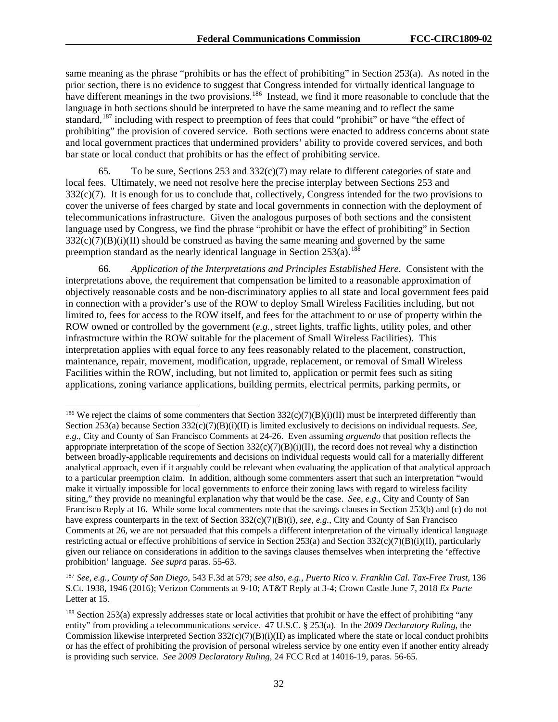same meaning as the phrase "prohibits or has the effect of prohibiting" in Section 253(a). As noted in the prior section, there is no evidence to suggest that Congress intended for virtually identical language to have different meanings in the two provisions.<sup>186</sup> Instead, we find it more reasonable to conclude that the language in both sections should be interpreted to have the same meaning and to reflect the same standard,<sup>[187](#page-32-1)</sup> including with respect to preemption of fees that could "prohibit" or have "the effect of prohibiting" the provision of covered service. Both sections were enacted to address concerns about state and local government practices that undermined providers' ability to provide covered services, and both bar state or local conduct that prohibits or has the effect of prohibiting service.

65. To be sure, Sections 253 and  $332(c)(7)$  may relate to different categories of state and local fees. Ultimately, we need not resolve here the precise interplay between Sections 253 and  $332(c)(7)$ . It is enough for us to conclude that, collectively, Congress intended for the two provisions to cover the universe of fees charged by state and local governments in connection with the deployment of telecommunications infrastructure. Given the analogous purposes of both sections and the consistent language used by Congress, we find the phrase "prohibit or have the effect of prohibiting" in Section  $332(c)(7)(B)(i)(II)$  should be construed as having the same meaning and governed by the same preemption standard as the nearly identical language in Section  $253(a)$ .<sup>[188](#page-32-2)</sup>

66. *Application of the Interpretations and Principles Established Here*. Consistent with the interpretations above, the requirement that compensation be limited to a reasonable approximation of objectively reasonable costs and be non-discriminatory applies to all state and local government fees paid in connection with a provider's use of the ROW to deploy Small Wireless Facilities including, but not limited to, fees for access to the ROW itself, and fees for the attachment to or use of property within the ROW owned or controlled by the government (*e.g.*, street lights, traffic lights, utility poles, and other infrastructure within the ROW suitable for the placement of Small Wireless Facilities). This interpretation applies with equal force to any fees reasonably related to the placement, construction, maintenance, repair, movement, modification, upgrade, replacement, or removal of Small Wireless Facilities within the ROW, including, but not limited to, application or permit fees such as siting applications, zoning variance applications, building permits, electrical permits, parking permits, or

<span id="page-32-0"></span><sup>&</sup>lt;sup>186</sup> We reject the claims of some commenters that Section  $332(c)(7)(B)(i)(II)$  must be interpreted differently than Section 253(a) because Section 332(c)(7)(B)(i)(II) is limited exclusively to decisions on individual requests. *See*, *e.g.*, City and County of San Francisco Comments at 24-26. Even assuming *arguendo* that position reflects the appropriate interpretation of the scope of Section  $332(c)(7)(B)(i)(II)$ , the record does not reveal why a distinction between broadly-applicable requirements and decisions on individual requests would call for a materially different analytical approach, even if it arguably could be relevant when evaluating the application of that analytical approach to a particular preemption claim. In addition, although some commenters assert that such an interpretation "would make it virtually impossible for local governments to enforce their zoning laws with regard to wireless facility siting," they provide no meaningful explanation why that would be the case. *See, e.g.*, City and County of San Francisco Reply at 16. While some local commenters note that the savings clauses in Section 253(b) and (c) do not have express counterparts in the text of Section 332(c)(7)(B)(i), *see, e.g.*, City and County of San Francisco Comments at 26, we are not persuaded that this compels a different interpretation of the virtually identical language restricting actual or effective prohibitions of service in Section 253(a) and Section 332(c)(7)(B)(i)(II), particularly given our reliance on considerations in addition to the savings clauses themselves when interpreting the 'effective prohibition' language. *See supra* paras. 55-63.

<span id="page-32-1"></span><sup>187</sup> *See, e.g.*, *County of San Diego*, 543 F.3d at 579; *see also, e.g.*, *Puerto Rico v. Franklin Cal. Tax-Free Trust*, 136 S.Ct. 1938, 1946 (2016); Verizon Comments at 9-10; AT&T Reply at 3-4; Crown Castle June 7, 2018 *Ex Parte*  Letter at 15.

<span id="page-32-2"></span><sup>188</sup> Section 253(a) expressly addresses state or local activities that prohibit or have the effect of prohibiting "any entity" from providing a telecommunications service. 47 U.S.C. § 253(a). In the *2009 Declaratory Ruling*, the Commission likewise interpreted Section 332(c)(7)(B)(i)(II) as implicated where the state or local conduct prohibits or has the effect of prohibiting the provision of personal wireless service by one entity even if another entity already is providing such service. *See 2009 Declaratory Ruling*, 24 FCC Rcd at 14016-19, paras. 56-65.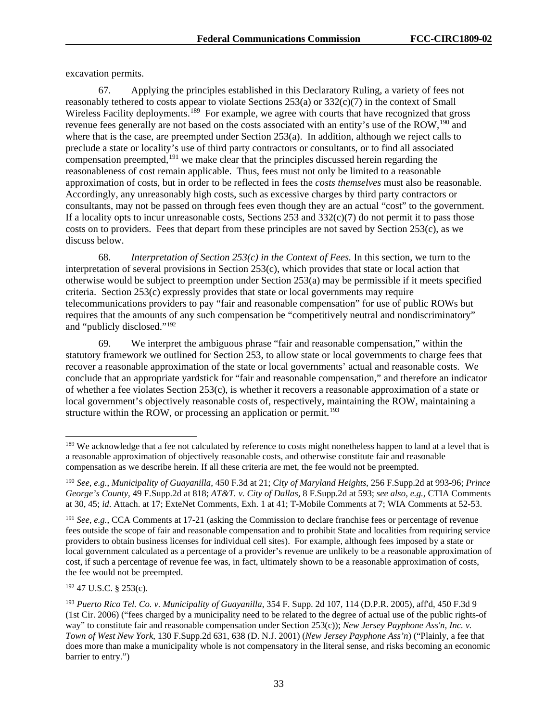excavation permits.

67. Applying the principles established in this Declaratory Ruling, a variety of fees not reasonably tethered to costs appear to violate Sections 253(a) or 332(c)(7) in the context of Small Wireless Facility deployments.<sup>189</sup> For example, we agree with courts that have recognized that gross revenue fees generally are not based on the costs associated with an entity's use of the ROW,<sup>[190](#page-33-1)</sup> and where that is the case, are preempted under Section 253(a). In addition, although we reject calls to preclude a state or locality's use of third party contractors or consultants, or to find all associated compensation preempted,<sup>[191](#page-33-2)</sup> we make clear that the principles discussed herein regarding the reasonableness of cost remain applicable. Thus, fees must not only be limited to a reasonable approximation of costs, but in order to be reflected in fees the *costs themselves* must also be reasonable. Accordingly, any unreasonably high costs, such as excessive charges by third party contractors or consultants, may not be passed on through fees even though they are an actual "cost" to the government. If a locality opts to incur unreasonable costs, Sections 253 and  $332(c)(7)$  do not permit it to pass those costs on to providers. Fees that depart from these principles are not saved by Section 253(c), as we discuss below.

68. *Interpretation of Section 253(c) in the Context of Fees.* In this section, we turn to the interpretation of several provisions in Section 253(c), which provides that state or local action that otherwise would be subject to preemption under Section 253(a) may be permissible if it meets specified criteria. Section 253(c) expressly provides that state or local governments may require telecommunications providers to pay "fair and reasonable compensation" for use of public ROWs but requires that the amounts of any such compensation be "competitively neutral and nondiscriminatory" and "publicly disclosed."[192](#page-33-3)

69. We interpret the ambiguous phrase "fair and reasonable compensation," within the statutory framework we outlined for Section 253, to allow state or local governments to charge fees that recover a reasonable approximation of the state or local governments' actual and reasonable costs. We conclude that an appropriate yardstick for "fair and reasonable compensation," and therefore an indicator of whether a fee violates Section 253(c), is whether it recovers a reasonable approximation of a state or local government's objectively reasonable costs of, respectively, maintaining the ROW, maintaining a structure within the ROW, or processing an application or permit.<sup>[193](#page-33-4)</sup>

<span id="page-33-3"></span><sup>192</sup> 47 U.S.C. § 253(c).

<span id="page-33-0"></span><sup>&</sup>lt;sup>189</sup> We acknowledge that a fee not calculated by reference to costs might nonetheless happen to land at a level that is a reasonable approximation of objectively reasonable costs, and otherwise constitute fair and reasonable compensation as we describe herein. If all these criteria are met, the fee would not be preempted.

<span id="page-33-1"></span><sup>190</sup> *See, e.g.*, *Municipality of Guayanilla*, 450 F.3d at 21; *City of Maryland Heights*, 256 F.Supp.2d at 993-96; *Prince George's County*, 49 F.Supp.2d at 818; *AT&T. v. City of Dallas*, 8 F.Supp.2d at 593; *see also, e.g.*, CTIA Comments at 30, 45; *id*. Attach. at 17; ExteNet Comments, Exh. 1 at 41; T-Mobile Comments at 7; WIA Comments at 52-53.

<span id="page-33-2"></span><sup>191</sup> *See, e.g.*, CCA Comments at 17-21 (asking the Commission to declare franchise fees or percentage of revenue fees outside the scope of fair and reasonable compensation and to prohibit State and localities from requiring service providers to obtain business licenses for individual cell sites). For example, although fees imposed by a state or local government calculated as a percentage of a provider's revenue are unlikely to be a reasonable approximation of cost, if such a percentage of revenue fee was, in fact, ultimately shown to be a reasonable approximation of costs, the fee would not be preempted.

<span id="page-33-4"></span><sup>193</sup> *Puerto Rico Tel. Co. v. Municipality of Guayanilla*, 354 F. Supp. 2d 107, 114 (D.P.R. 2005), aff'd, 450 F.3d 9 (1st Cir. 2006) ("fees charged by a municipality need to be related to the degree of actual use of the public rights-of way" to constitute fair and reasonable compensation under Section 253(c)); *New Jersey Payphone Ass'n, Inc. v. Town of West New York*, 130 F.Supp.2d 631, 638 (D. N.J. 2001) (*New Jersey Payphone Ass'n*) ("Plainly, a fee that does more than make a municipality whole is not compensatory in the literal sense, and risks becoming an economic barrier to entry.")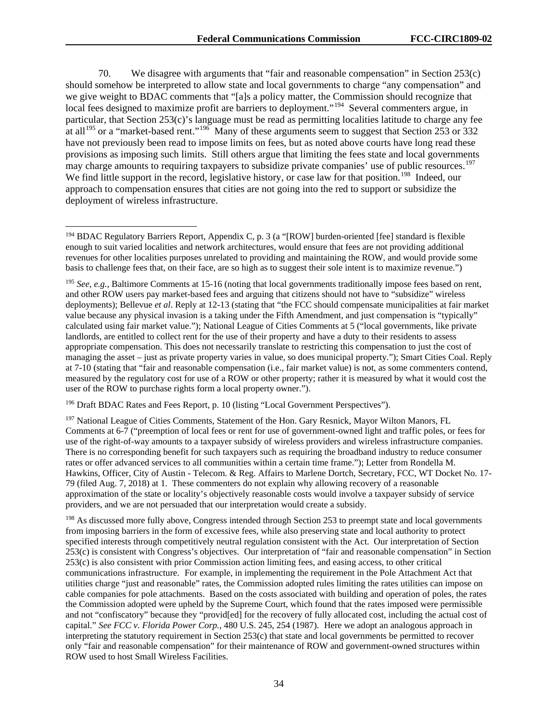70. We disagree with arguments that "fair and reasonable compensation" in Section 253(c) should somehow be interpreted to allow state and local governments to charge "any compensation" and we give weight to BDAC comments that "[a]s a policy matter, the Commission should recognize that local fees designed to maximize profit are barriers to deployment."<sup>194</sup> Several commenters argue, in particular, that Section 253(c)'s language must be read as permitting localities latitude to charge any fee at all<sup>[195](#page-34-1)</sup> or a "market-based rent."<sup>196</sup> Many of these arguments seem to suggest that Section 253 or 332 have not previously been read to impose limits on fees, but as noted above courts have long read these provisions as imposing such limits. Still others argue that limiting the fees state and local governments may charge amounts to requiring taxpayers to subsidize private companies' use of public resources.<sup>197</sup> We find little support in the record, legislative history, or case law for that position.<sup>198</sup> Indeed, our approach to compensation ensures that cities are not going into the red to support or subsidize the deployment of wireless infrastructure.

<span id="page-34-2"></span><sup>196</sup> Draft BDAC Rates and Fees Report, p. 10 (listing "Local Government Perspectives").

<span id="page-34-3"></span><sup>197</sup> National League of Cities Comments, Statement of the Hon. Gary Resnick, Mayor Wilton Manors, FL Comments at 6-7 ("preemption of local fees or rent for use of government-owned light and traffic poles, or fees for use of the right-of-way amounts to a taxpayer subsidy of wireless providers and wireless infrastructure companies. There is no corresponding benefit for such taxpayers such as requiring the broadband industry to reduce consumer rates or offer advanced services to all communities within a certain time frame."); Letter from Rondella M. Hawkins, Officer, City of Austin - Telecom. & Reg. Affairs to Marlene Dortch, Secretary, FCC, WT Docket No. 17- 79 (filed Aug. 7, 2018) at 1. These commenters do not explain why allowing recovery of a reasonable approximation of the state or locality's objectively reasonable costs would involve a taxpayer subsidy of service providers, and we are not persuaded that our interpretation would create a subsidy.

<span id="page-34-4"></span><sup>198</sup> As discussed more fully above, Congress intended through Section 253 to preempt state and local governments from imposing barriers in the form of excessive fees, while also preserving state and local authority to protect specified interests through competitively neutral regulation consistent with the Act. Our interpretation of Section 253(c) is consistent with Congress's objectives. Our interpretation of "fair and reasonable compensation" in Section 253(c) is also consistent with prior Commission action limiting fees, and easing access, to other critical communications infrastructure. For example, in implementing the requirement in the Pole Attachment Act that utilities charge "just and reasonable" rates, the Commission adopted rules limiting the rates utilities can impose on cable companies for pole attachments. Based on the costs associated with building and operation of poles, the rates the Commission adopted were upheld by the Supreme Court, which found that the rates imposed were permissible and not "confiscatory" because they "provid[ed] for the recovery of fully allocated cost, including the actual cost of capital." *See FCC v. Florida Power Corp.*, 480 U.S. 245, 254 (1987). Here we adopt an analogous approach in interpreting the statutory requirement in Section 253(c) that state and local governments be permitted to recover only "fair and reasonable compensation" for their maintenance of ROW and government-owned structures within ROW used to host Small Wireless Facilities.

<span id="page-34-0"></span><sup>&</sup>lt;sup>194</sup> BDAC Regulatory Barriers Report, Appendix C, p. 3 (a "[ROW] burden-oriented [fee] standard is flexible enough to suit varied localities and network architectures, would ensure that fees are not providing additional revenues for other localities purposes unrelated to providing and maintaining the ROW, and would provide some basis to challenge fees that, on their face, are so high as to suggest their sole intent is to maximize revenue.")

<span id="page-34-1"></span><sup>195</sup> *See, e.g.*, Baltimore Comments at 15-16 (noting that local governments traditionally impose fees based on rent, and other ROW users pay market-based fees and arguing that citizens should not have to "subsidize" wireless deployments); Bellevue *et al*. Reply at 12-13 (stating that "the FCC should compensate municipalities at fair market value because any physical invasion is a taking under the Fifth Amendment, and just compensation is "typically" calculated using fair market value."); National League of Cities Comments at 5 ("local governments, like private landlords, are entitled to collect rent for the use of their property and have a duty to their residents to assess appropriate compensation. This does not necessarily translate to restricting this compensation to just the cost of managing the asset – just as private property varies in value, so does municipal property."); Smart Cities Coal. Reply at 7-10 (stating that "fair and reasonable compensation (i.e., fair market value) is not, as some commenters contend, measured by the regulatory cost for use of a ROW or other property; rather it is measured by what it would cost the user of the ROW to purchase rights form a local property owner.").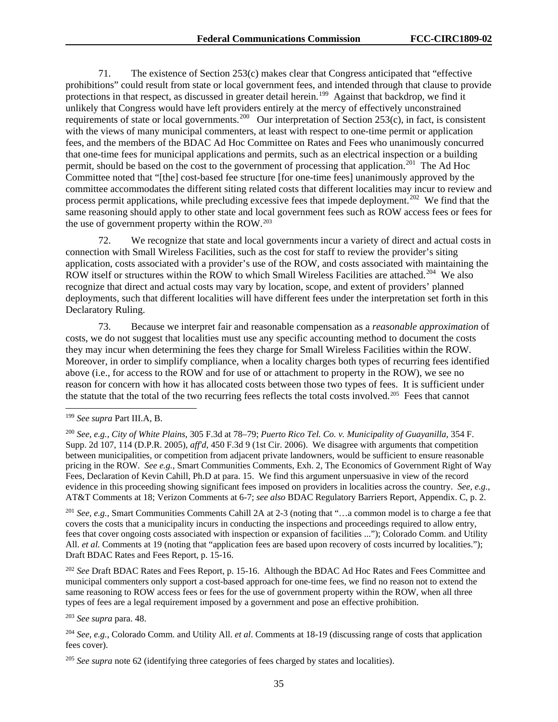71. The existence of Section 253(c) makes clear that Congress anticipated that "effective prohibitions" could result from state or local government fees, and intended through that clause to provide protections in that respect, as discussed in greater detail herein.<sup>199</sup> Against that backdrop, we find it unlikely that Congress would have left providers entirely at the mercy of effectively unconstrained requirements of state or local governments.<sup>[200](#page-35-1)</sup> Our interpretation of Section 253(c), in fact, is consistent with the views of many municipal commenters, at least with respect to one-time permit or application fees, and the members of the BDAC Ad Hoc Committee on Rates and Fees who unanimously concurred that one-time fees for municipal applications and permits, such as an electrical inspection or a building permit, should be based on the cost to the government of processing that application.<sup>[201](#page-35-2)</sup> The Ad Hoc Committee noted that "[the] cost-based fee structure [for one-time fees] unanimously approved by the committee accommodates the different siting related costs that different localities may incur to review and process permit applications, while precluding excessive fees that impede deployment.<sup>[202](#page-35-3)</sup> We find that the same reasoning should apply to other state and local government fees such as ROW access fees or fees for the use of government property within the ROW.[203](#page-35-4)

72. We recognize that state and local governments incur a variety of direct and actual costs in connection with Small Wireless Facilities, such as the cost for staff to review the provider's siting application, costs associated with a provider's use of the ROW, and costs associated with maintaining the ROW itself or structures within the ROW to which Small Wireless Facilities are attached.<sup>[204](#page-35-5)</sup> We also recognize that direct and actual costs may vary by location, scope, and extent of providers' planned deployments, such that different localities will have different fees under the interpretation set forth in this Declaratory Ruling.

73. Because we interpret fair and reasonable compensation as a *reasonable approximation* of costs, we do not suggest that localities must use any specific accounting method to document the costs they may incur when determining the fees they charge for Small Wireless Facilities within the ROW. Moreover, in order to simplify compliance, when a locality charges both types of recurring fees identified above (i.e., for access to the ROW and for use of or attachment to property in the ROW), we see no reason for concern with how it has allocated costs between those two types of fees. It is sufficient under the statute that the total of the two recurring fees reflects the total costs involved.[205](#page-35-6) Fees that cannot

<span id="page-35-1"></span><sup>200</sup> *See, e.g., City of White Plains*, 305 F.3d at 78–79; *Puerto Rico Tel. Co. v. Municipality of Guayanilla*, 354 F. Supp. 2d 107, 114 (D.P.R. 2005), *aff'd*, 450 F.3d 9 (1st Cir. 2006). We disagree with arguments that competition between municipalities, or competition from adjacent private landowners, would be sufficient to ensure reasonable pricing in the ROW. *See e.g.*, Smart Communities Comments, Exh. 2, The Economics of Government Right of Way Fees, Declaration of Kevin Cahill, Ph.D at para. 15. We find this argument unpersuasive in view of the record evidence in this proceeding showing significant fees imposed on providers in localities across the country. *See, e.g.*, AT&T Comments at 18; Verizon Comments at 6-7; *see also* BDAC Regulatory Barriers Report, Appendix. C, p. 2.

<span id="page-35-2"></span><sup>201</sup> *See, e.g.,* Smart Communities Comments Cahill 2A at 2-3 (noting that "…a common model is to charge a fee that covers the costs that a municipality incurs in conducting the inspections and proceedings required to allow entry, fees that cover ongoing costs associated with inspection or expansion of facilities ..."); Colorado Comm. and Utility All. *et al.* Comments at 19 (noting that "application fees are based upon recovery of costs incurred by localities."); Draft BDAC Rates and Fees Report, p. 15-16.

<span id="page-35-3"></span><sup>202</sup> *See* Draft BDAC Rates and Fees Report, p. 15-16. Although the BDAC Ad Hoc Rates and Fees Committee and municipal commenters only support a cost-based approach for one-time fees, we find no reason not to extend the same reasoning to ROW access fees or fees for the use of government property within the ROW, when all three types of fees are a legal requirement imposed by a government and pose an effective prohibition.

<span id="page-35-4"></span><sup>203</sup> *See supra* para. 48.

<span id="page-35-5"></span><sup>204</sup> *See*, *e.g.*, Colorado Comm. and Utility All. *et al*. Comments at 18-19 (discussing range of costs that application fees cover).

<span id="page-35-6"></span><sup>205</sup> *See supra* note 62 (identifying three categories of fees charged by states and localities).

<span id="page-35-0"></span> <sup>199</sup> *See supra* Part III.A, B.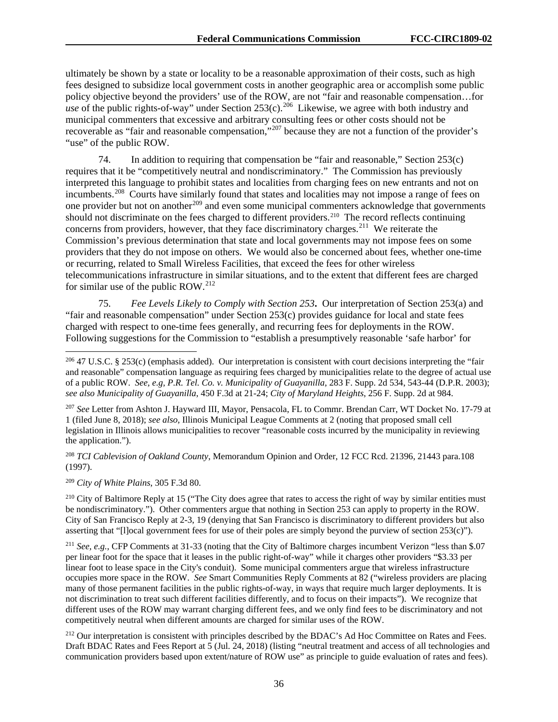ultimately be shown by a state or locality to be a reasonable approximation of their costs, such as high fees designed to subsidize local government costs in another geographic area or accomplish some public policy objective beyond the providers' use of the ROW, are not "fair and reasonable compensation…for *use* of the public rights-of-way" under Section  $253(c)$ .<sup>[206](#page-36-0)</sup> Likewise, we agree with both industry and municipal commenters that excessive and arbitrary consulting fees or other costs should not be recoverable as "fair and reasonable compensation,"[207](#page-36-1) because they are not a function of the provider's "use" of the public ROW.

74. In addition to requiring that compensation be "fair and reasonable," Section 253(c) requires that it be "competitively neutral and nondiscriminatory." The Commission has previously interpreted this language to prohibit states and localities from charging fees on new entrants and not on incumbents.<sup>208</sup> Courts have similarly found that states and localities may not impose a range of fees on one provider but not on another<sup>[209](#page-36-3)</sup> and even some municipal commenters acknowledge that governments should not discriminate on the fees charged to different providers.<sup>[210](#page-36-4)</sup> The record reflects continuing concerns from providers, however, that they face discriminatory charges.<sup>211</sup> We reiterate the Commission's previous determination that state and local governments may not impose fees on some providers that they do not impose on others. We would also be concerned about fees, whether one-time or recurring, related to Small Wireless Facilities, that exceed the fees for other wireless telecommunications infrastructure in similar situations, and to the extent that different fees are charged for similar use of the public ROW.<sup>[212](#page-36-6)</sup>

75. *Fee Levels Likely to Comply with Section 253***.** Our interpretation of Section 253(a) and "fair and reasonable compensation" under Section 253(c) provides guidance for local and state fees charged with respect to one-time fees generally, and recurring fees for deployments in the ROW. Following suggestions for the Commission to "establish a presumptively reasonable 'safe harbor' for

<span id="page-36-3"></span><sup>209</sup> *City of White Plains*, 305 F.3d 80.

<span id="page-36-0"></span> <sup>206</sup> 47 U.S.C. § 253(c) (emphasis added). Our interpretation is consistent with court decisions interpreting the "fair and reasonable" compensation language as requiring fees charged by municipalities relate to the degree of actual use of a public ROW. *See, e.g, P.R. Tel. Co. v. Municipality of Guayanilla*, 283 F. Supp. 2d 534, 543-44 (D.P.R. 2003); *see also Municipality of Guayanilla*, 450 F.3d at 21-24; *City of Maryland Heights*, 256 F. Supp. 2d at 984.

<span id="page-36-1"></span><sup>207</sup> *See* Letter from Ashton J. Hayward III, Mayor, Pensacola, FL to Commr. Brendan Carr, WT Docket No. 17-79 at 1 (filed June 8, 2018); *see also*, Illinois Municipal League Comments at 2 (noting that proposed small cell legislation in Illinois allows municipalities to recover "reasonable costs incurred by the municipality in reviewing the application.").

<span id="page-36-2"></span><sup>208</sup> *TCI Cablevision of Oakland County*, Memorandum Opinion and Order, 12 FCC Rcd. 21396, 21443 para.108 (1997).

<span id="page-36-4"></span><sup>&</sup>lt;sup>210</sup> City of Baltimore Reply at 15 ("The City does agree that rates to access the right of way by similar entities must be nondiscriminatory."). Other commenters argue that nothing in Section 253 can apply to property in the ROW. City of San Francisco Reply at 2-3, 19 (denying that San Francisco is discriminatory to different providers but also asserting that "[l]ocal government fees for use of their poles are simply beyond the purview of section 253(c)").

<span id="page-36-5"></span><sup>211</sup> *See, e.g.*, CFP Comments at 31-33 (noting that the City of Baltimore charges incumbent Verizon "less than \$.07 per linear foot for the space that it leases in the public right-of-way" while it charges other providers "\$3.33 per linear foot to lease space in the City's conduit). Some municipal commenters argue that wireless infrastructure occupies more space in the ROW. *See* Smart Communities Reply Comments at 82 ("wireless providers are placing many of those permanent facilities in the public rights-of-way, in ways that require much larger deployments. It is not discrimination to treat such different facilities differently, and to focus on their impacts"). We recognize that different uses of the ROW may warrant charging different fees, and we only find fees to be discriminatory and not competitively neutral when different amounts are charged for similar uses of the ROW.

<span id="page-36-6"></span><sup>&</sup>lt;sup>212</sup> Our interpretation is consistent with principles described by the BDAC's Ad Hoc Committee on Rates and Fees. Draft BDAC Rates and Fees Report at 5 (Jul. 24, 2018) (listing "neutral treatment and access of all technologies and communication providers based upon extent/nature of ROW use" as principle to guide evaluation of rates and fees).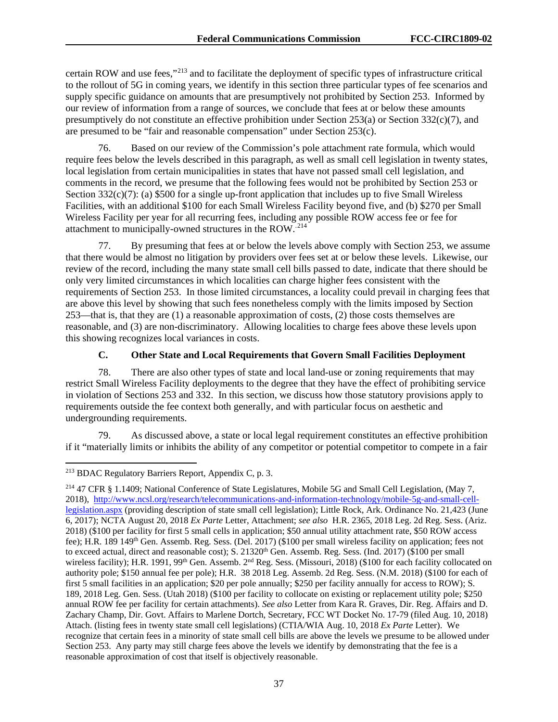certain ROW and use fees,"[213](#page-37-0) and to facilitate the deployment of specific types of infrastructure critical to the rollout of 5G in coming years, we identify in this section three particular types of fee scenarios and supply specific guidance on amounts that are presumptively not prohibited by Section 253. Informed by our review of information from a range of sources, we conclude that fees at or below these amounts presumptively do not constitute an effective prohibition under Section 253(a) or Section 332(c)(7), and are presumed to be "fair and reasonable compensation" under Section 253(c).

76. Based on our review of the Commission's pole attachment rate formula, which would require fees below the levels described in this paragraph, as well as small cell legislation in twenty states, local legislation from certain municipalities in states that have not passed small cell legislation, and comments in the record, we presume that the following fees would not be prohibited by Section 253 or Section  $332(c)(7)$ : (a) \$500 for a single up-front application that includes up to five Small Wireless Facilities, with an additional \$100 for each Small Wireless Facility beyond five, and (b) \$270 per Small Wireless Facility per year for all recurring fees, including any possible ROW access fee or fee for attachment to municipally-owned structures in the ROW..[214](#page-37-1) 

77. By presuming that fees at or below the levels above comply with Section 253, we assume that there would be almost no litigation by providers over fees set at or below these levels. Likewise, our review of the record, including the many state small cell bills passed to date, indicate that there should be only very limited circumstances in which localities can charge higher fees consistent with the requirements of Section 253. In those limited circumstances, a locality could prevail in charging fees that are above this level by showing that such fees nonetheless comply with the limits imposed by Section 253—that is, that they are (1) a reasonable approximation of costs, (2) those costs themselves are reasonable, and (3) are non-discriminatory. Allowing localities to charge fees above these levels upon this showing recognizes local variances in costs.

#### **C. Other State and Local Requirements that Govern Small Facilities Deployment**

78. There are also other types of state and local land-use or zoning requirements that may restrict Small Wireless Facility deployments to the degree that they have the effect of prohibiting service in violation of Sections 253 and 332. In this section, we discuss how those statutory provisions apply to requirements outside the fee context both generally, and with particular focus on aesthetic and undergrounding requirements.

79. As discussed above, a state or local legal requirement constitutes an effective prohibition if it "materially limits or inhibits the ability of any competitor or potential competitor to compete in a fair

<span id="page-37-0"></span> <sup>213</sup> BDAC Regulatory Barriers Report, Appendix C, p. 3.

<span id="page-37-1"></span><sup>214</sup> 47 CFR § 1.1409; National Conference of State Legislatures, Mobile 5G and Small Cell Legislation, (May 7, 2018), [http://www.ncsl.org/research/telecommunications-and-information-technology/mobile-5g-and-small-cell](http://www.ncsl.org/research/telecommunications-and-information-technology/mobile-5g-and-small-cell-legislation.aspx)[legislation.aspx](http://www.ncsl.org/research/telecommunications-and-information-technology/mobile-5g-and-small-cell-legislation.aspx) (providing description of state small cell legislation); Little Rock, Ark. Ordinance No. 21,423 (June 6, 2017); NCTA August 20, 2018 *Ex Parte* Letter, Attachment; *see also* H.R. 2365, 2018 Leg. 2d Reg. Sess. (Ariz. 2018) (\$100 per facility for first 5 small cells in application; \$50 annual utility attachment rate, \$50 ROW access fee); H.R. 189 149th Gen. Assemb. Reg. Sess. (Del. 2017) (\$100 per small wireless facility on application; fees not to exceed actual, direct and reasonable cost); S. 21320<sup>th</sup> Gen. Assemb. Reg. Sess. (Ind. 2017) (\$100 per small wireless facility); H.R. 1991, 99<sup>th</sup> Gen. Assemb. 2<sup>nd</sup> Reg. Sess. (Missouri, 2018) (\$100 for each facility collocated on authority pole; \$150 annual fee per pole); H.R. 38 2018 Leg. Assemb. 2d Reg. Sess. (N.M. 2018) (\$100 for each of first 5 small facilities in an application; \$20 per pole annually; \$250 per facility annually for access to ROW); S. 189, 2018 Leg. Gen. Sess. (Utah 2018) (\$100 per facility to collocate on existing or replacement utility pole; \$250 annual ROW fee per facility for certain attachments). *See also* Letter from Kara R. Graves, Dir. Reg. Affairs and D. Zachary Champ, Dir. Govt. Affairs to Marlene Dortch, Secretary, FCC WT Docket No. 17-79 (filed Aug. 10, 2018) Attach. (listing fees in twenty state small cell legislations) (CTIA/WIA Aug. 10, 2018 *Ex Parte* Letter). We recognize that certain fees in a minority of state small cell bills are above the levels we presume to be allowed under Section 253. Any party may still charge fees above the levels we identify by demonstrating that the fee is a reasonable approximation of cost that itself is objectively reasonable.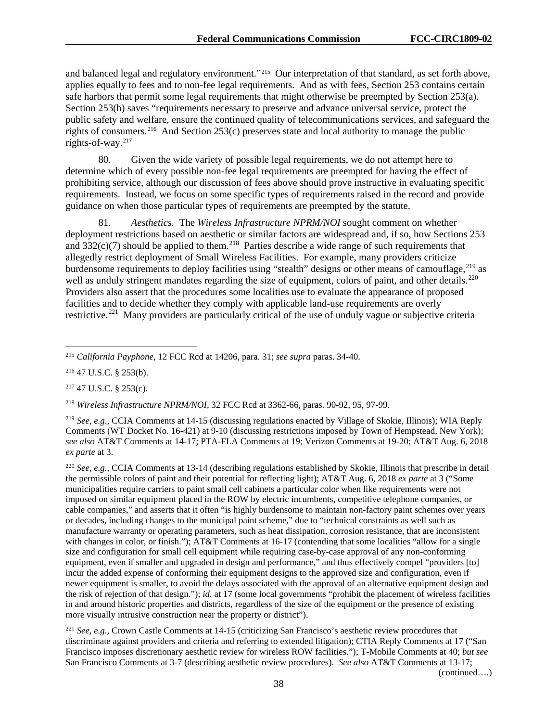and balanced legal and regulatory environment."[215](#page-38-0) Our interpretation of that standard, as set forth above, applies equally to fees and to non-fee legal requirements. And as with fees, Section 253 contains certain safe harbors that permit some legal requirements that might otherwise be preempted by Section 253(a). Section 253(b) saves "requirements necessary to preserve and advance universal service, protect the public safety and welfare, ensure the continued quality of telecommunications services, and safeguard the rights of consumers.[216](#page-38-1) And Section 253(c) preserves state and local authority to manage the public rights-of-way.[217](#page-38-2)

80. Given the wide variety of possible legal requirements, we do not attempt here to determine which of every possible non-fee legal requirements are preempted for having the effect of prohibiting service, although our discussion of fees above should prove instructive in evaluating specific requirements. Instead, we focus on some specific types of requirements raised in the record and provide guidance on when those particular types of requirements are preempted by the statute.

81. *Aesthetics.* The *Wireless Infrastructure NPRM/NOI* sought comment on whether deployment restrictions based on aesthetic or similar factors are widespread and, if so, how Sections 253 and  $332(c)(7)$  should be applied to them.<sup>[218](#page-38-3)</sup> Parties describe a wide range of such requirements that allegedly restrict deployment of Small Wireless Facilities. For example, many providers criticize burdensome requirements to deploy facilities using "stealth" designs or other means of camouflage, <sup>[219](#page-38-4)</sup> as well as unduly stringent mandates regarding the size of equipment, colors of paint, and other details.<sup>220</sup> Providers also assert that the procedures some localities use to evaluate the appearance of proposed facilities and to decide whether they comply with applicable land-use requirements are overly restrictive.<sup>221</sup> Many providers are particularly critical of the use of unduly vague or subjective criteria

<span id="page-38-1"></span><sup>216</sup> 47 U.S.C. § 253(b).

<span id="page-38-2"></span><sup>217</sup> 47 U.S.C. § 253(c).

<span id="page-38-3"></span><sup>218</sup> *Wireless Infrastructure NPRM/NOI*, 32 FCC Rcd at 3362-66, paras. 90-92, 95, 97-99.

<span id="page-38-4"></span><sup>219</sup> *See, e.g.,* CCIA Comments at 14-15 (discussing regulations enacted by Village of Skokie, Illinois); WIA Reply Comments (WT Docket No. 16-421) at 9-10 (discussing restrictions imposed by Town of Hempstead, New York); *see also* AT&T Comments at 14-17; PTA-FLA Comments at 19; Verizon Comments at 19-20; AT&T Aug. 6, 2018 *ex parte* at 3.

<span id="page-38-5"></span><sup>220</sup> *See, e.g.,* CCIA Comments at 13-14 (describing regulations established by Skokie, Illinois that prescribe in detail the permissible colors of paint and their potential for reflecting light); AT&T Aug. 6, 2018 *ex parte* at 3 ("Some municipalities require carriers to paint small cell cabinets a particular color when like requirements were not imposed on similar equipment placed in the ROW by electric incumbents, competitive telephone companies, or cable companies," and asserts that it often "is highly burdensome to maintain non-factory paint schemes over years or decades, including changes to the municipal paint scheme," due to "technical constraints as well such as manufacture warranty or operating parameters, such as heat dissipation, corrosion resistance, that are inconsistent with changes in color, or finish."); AT&T Comments at 16-17 (contending that some localities "allow for a single size and configuration for small cell equipment while requiring case-by-case approval of any non-conforming equipment, even if smaller and upgraded in design and performance," and thus effectively compel "providers [to] incur the added expense of conforming their equipment designs to the approved size and configuration, even if newer equipment is smaller, to avoid the delays associated with the approval of an alternative equipment design and the risk of rejection of that design."); *id.* at 17 (some local governments "prohibit the placement of wireless facilities in and around historic properties and districts, regardless of the size of the equipment or the presence of existing more visually intrusive construction near the property or district").

<span id="page-38-6"></span><sup>221</sup> *See, e.g.,* Crown Castle Comments at 14-15 (criticizing San Francisco's aesthetic review procedures that discriminate against providers and criteria and referring to extended litigation); CTIA Reply Comments at 17 ("San Francisco imposes discretionary aesthetic review for wireless ROW facilities."); T-Mobile Comments at 40; *but see* San Francisco Comments at 3-7 (describing aesthetic review procedures). *See also* AT&T Comments at 13-17;

<span id="page-38-0"></span> <sup>215</sup> *California Payphone*, 12 FCC Rcd at 14206, para. 31; *see supra* paras. 34-40.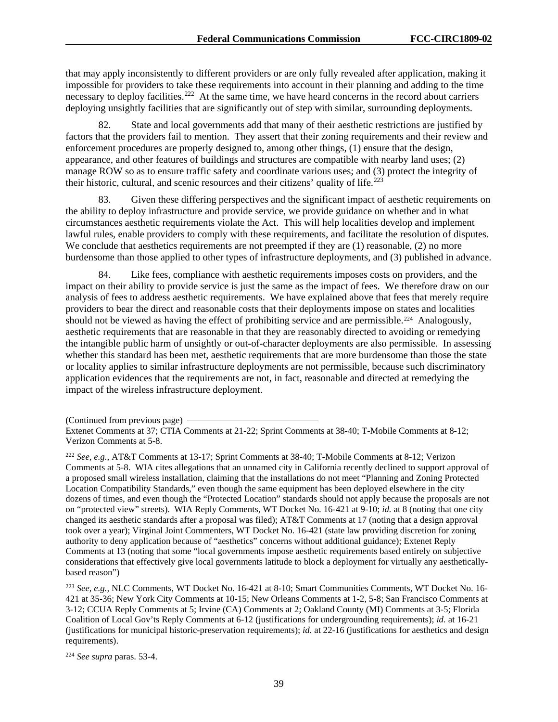that may apply inconsistently to different providers or are only fully revealed after application, making it impossible for providers to take these requirements into account in their planning and adding to the time necessary to deploy facilities.<sup>[222](#page-39-0)</sup> At the same time, we have heard concerns in the record about carriers deploying unsightly facilities that are significantly out of step with similar, surrounding deployments.

82. State and local governments add that many of their aesthetic restrictions are justified by factors that the providers fail to mention. They assert that their zoning requirements and their review and enforcement procedures are properly designed to, among other things, (1) ensure that the design, appearance, and other features of buildings and structures are compatible with nearby land uses; (2) manage ROW so as to ensure traffic safety and coordinate various uses; and (3) protect the integrity of their historic, cultural, and scenic resources and their citizens' quality of life.<sup> $223$ </sup>

83. Given these differing perspectives and the significant impact of aesthetic requirements on the ability to deploy infrastructure and provide service, we provide guidance on whether and in what circumstances aesthetic requirements violate the Act. This will help localities develop and implement lawful rules, enable providers to comply with these requirements, and facilitate the resolution of disputes. We conclude that aesthetics requirements are not preempted if they are  $(1)$  reasonable,  $(2)$  no more burdensome than those applied to other types of infrastructure deployments, and (3) published in advance.

84. Like fees, compliance with aesthetic requirements imposes costs on providers, and the impact on their ability to provide service is just the same as the impact of fees. We therefore draw on our analysis of fees to address aesthetic requirements. We have explained above that fees that merely require providers to bear the direct and reasonable costs that their deployments impose on states and localities should not be viewed as having the effect of prohibiting service and are permissible.<sup>[224](#page-39-2)</sup> Analogously, aesthetic requirements that are reasonable in that they are reasonably directed to avoiding or remedying the intangible public harm of unsightly or out-of-character deployments are also permissible. In assessing whether this standard has been met, aesthetic requirements that are more burdensome than those the state or locality applies to similar infrastructure deployments are not permissible, because such discriminatory application evidences that the requirements are not, in fact, reasonable and directed at remedying the impact of the wireless infrastructure deployment.

<span id="page-39-0"></span><sup>222</sup> *See, e.g.,* AT&T Comments at 13-17; Sprint Comments at 38-40; T-Mobile Comments at 8-12; Verizon Comments at 5-8. WIA cites allegations that an unnamed city in California recently declined to support approval of a proposed small wireless installation, claiming that the installations do not meet "Planning and Zoning Protected Location Compatibility Standards," even though the same equipment has been deployed elsewhere in the city dozens of times, and even though the "Protected Location" standards should not apply because the proposals are not on "protected view" streets). WIA Reply Comments, WT Docket No. 16-421 at 9-10; *id.* at 8 (noting that one city changed its aesthetic standards after a proposal was filed); AT&T Comments at 17 (noting that a design approval took over a year); Virginal Joint Commenters, WT Docket No. 16-421 (state law providing discretion for zoning authority to deny application because of "aesthetics" concerns without additional guidance); Extenet Reply Comments at 13 (noting that some "local governments impose aesthetic requirements based entirely on subjective considerations that effectively give local governments latitude to block a deployment for virtually any aestheticallybased reason")

<span id="page-39-1"></span><sup>223</sup> *See, e.g.,* NLC Comments, WT Docket No. 16-421 at 8-10; Smart Communities Comments, WT Docket No. 16- 421 at 35-36; New York City Comments at 10-15; New Orleans Comments at 1-2, 5-8; San Francisco Comments at 3-12; CCUA Reply Comments at 5; Irvine (CA) Comments at 2; Oakland County (MI) Comments at 3-5; Florida Coalition of Local Gov'ts Reply Comments at 6-12 (justifications for undergrounding requirements); *id.* at 16-21 (justifications for municipal historic-preservation requirements); *id.* at 22-16 (justifications for aesthetics and design requirements).

<span id="page-39-2"></span><sup>224</sup> *See supra* paras. 53-4.

<sup>(</sup>Continued from previous page)

Extenet Comments at 37; CTIA Comments at 21-22; Sprint Comments at 38-40; T-Mobile Comments at 8-12; Verizon Comments at 5-8.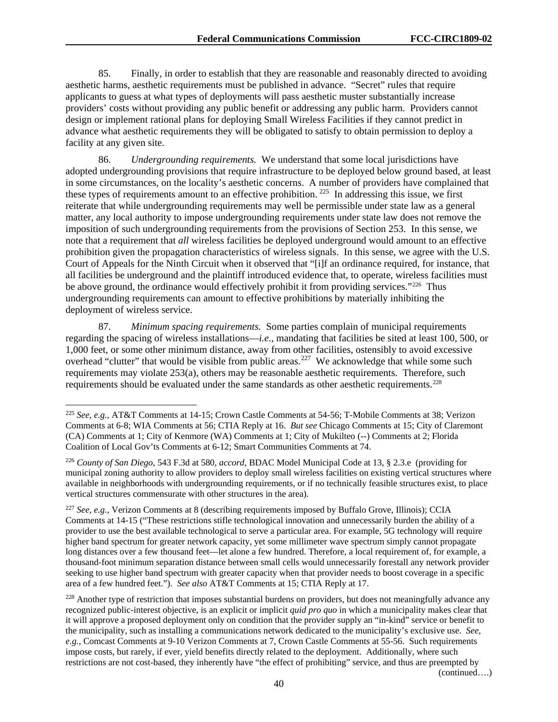85. Finally, in order to establish that they are reasonable and reasonably directed to avoiding aesthetic harms, aesthetic requirements must be published in advance. "Secret" rules that require applicants to guess at what types of deployments will pass aesthetic muster substantially increase providers' costs without providing any public benefit or addressing any public harm. Providers cannot design or implement rational plans for deploying Small Wireless Facilities if they cannot predict in advance what aesthetic requirements they will be obligated to satisfy to obtain permission to deploy a facility at any given site.

86. *Undergrounding requirements.* We understand that some local jurisdictions have adopted undergrounding provisions that require infrastructure to be deployed below ground based, at least in some circumstances, on the locality's aesthetic concerns. A number of providers have complained that these types of requirements amount to an effective prohibition.<sup>[225](#page-40-0)</sup> In addressing this issue, we first reiterate that while undergrounding requirements may well be permissible under state law as a general matter, any local authority to impose undergrounding requirements under state law does not remove the imposition of such undergrounding requirements from the provisions of Section 253. In this sense, we note that a requirement that *all* wireless facilities be deployed underground would amount to an effective prohibition given the propagation characteristics of wireless signals. In this sense, we agree with the U.S. Court of Appeals for the Ninth Circuit when it observed that "[i]f an ordinance required, for instance, that all facilities be underground and the plaintiff introduced evidence that, to operate, wireless facilities must be above ground, the ordinance would effectively prohibit it from providing services."<sup>[226](#page-40-1)</sup> Thus undergrounding requirements can amount to effective prohibitions by materially inhibiting the deployment of wireless service.

87. *Minimum spacing requirements.* Some parties complain of municipal requirements regarding the spacing of wireless installations—*i.e.*, mandating that facilities be sited at least 100, 500, or 1,000 feet, or some other minimum distance, away from other facilities, ostensibly to avoid excessive overhead "clutter" that would be visible from public areas.<sup>[227](#page-40-2)</sup> We acknowledge that while some such requirements may violate 253(a), others may be reasonable aesthetic requirements. Therefore, such requirements should be evaluated under the same standards as other aesthetic requirements.[228](#page-40-3) 

<span id="page-40-3"></span> $^{228}$  Another type of restriction that imposes substantial burdens on providers, but does not meaningfully advance any recognized public-interest objective, is an explicit or implicit *quid pro quo* in which a municipality makes clear that it will approve a proposed deployment only on condition that the provider supply an "in-kind" service or benefit to the municipality, such as installing a communications network dedicated to the municipality's exclusive use. *See*, *e.g.*, Comcast Comments at 9-10 Verizon Comments at 7, Crown Castle Comments at 55-56. Such requirements impose costs, but rarely, if ever, yield benefits directly related to the deployment. Additionally, where such restrictions are not cost-based, they inherently have "the effect of prohibiting" service, and thus are preempted by

<span id="page-40-0"></span> <sup>225</sup> *See, e.g.,* AT&T Comments at 14-15; Crown Castle Comments at 54-56; T-Mobile Comments at 38; Verizon Comments at 6-8; WIA Comments at 56; CTIA Reply at 16. *But see* Chicago Comments at 15; City of Claremont (CA) Comments at 1; City of Kenmore (WA) Comments at 1; City of Mukilteo (--) Comments at 2; Florida Coalition of Local Gov'ts Comments at 6-12; Smart Communities Comments at 74.

<span id="page-40-1"></span><sup>226</sup> *County of San Diego*, 543 F.3d at 580, *accord*, BDAC Model Municipal Code at 13, § 2.3.e (providing for municipal zoning authority to allow providers to deploy small wireless facilities on existing vertical structures where available in neighborhoods with undergrounding requirements, or if no technically feasible structures exist, to place vertical structures commensurate with other structures in the area).

<span id="page-40-2"></span><sup>227</sup> *See, e.g.,* Verizon Comments at 8 (describing requirements imposed by Buffalo Grove, Illinois); CCIA Comments at 14-15 ("These restrictions stifle technological innovation and unnecessarily burden the ability of a provider to use the best available technological to serve a particular area. For example, 5G technology will require higher band spectrum for greater network capacity, yet some millimeter wave spectrum simply cannot propagate long distances over a few thousand feet—let alone a few hundred. Therefore, a local requirement of, for example, a thousand-foot minimum separation distance between small cells would unnecessarily forestall any network provider seeking to use higher band spectrum with greater capacity when that provider needs to boost coverage in a specific area of a few hundred feet."). *See also* AT&T Comments at 15; CTIA Reply at 17.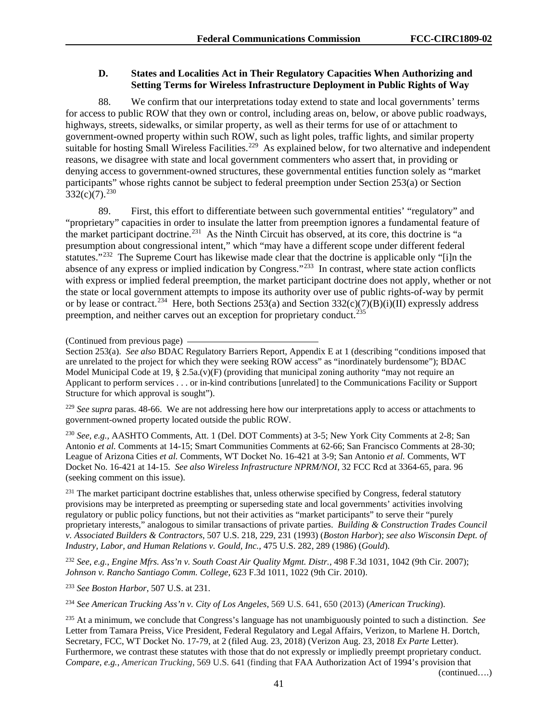## **D. States and Localities Act in Their Regulatory Capacities When Authorizing and Setting Terms for Wireless Infrastructure Deployment in Public Rights of Way**

88. We confirm that our interpretations today extend to state and local governments' terms for access to public ROW that they own or control, including areas on, below, or above public roadways, highways, streets, sidewalks, or similar property, as well as their terms for use of or attachment to government-owned property within such ROW, such as light poles, traffic lights, and similar property suitable for hosting Small Wireless Facilities.<sup>229</sup> As explained below, for two alternative and independent reasons, we disagree with state and local government commenters who assert that, in providing or denying access to government-owned structures, these governmental entities function solely as "market participants" whose rights cannot be subject to federal preemption under Section 253(a) or Section  $332(c)(7).^{230}$  $332(c)(7).^{230}$  $332(c)(7).^{230}$ 

89. First, this effort to differentiate between such governmental entities' "regulatory" and "proprietary" capacities in order to insulate the latter from preemption ignores a fundamental feature of the market participant doctrine.<sup>[231](#page-41-2)</sup> As the Ninth Circuit has observed, at its core, this doctrine is "a presumption about congressional intent," which "may have a different scope under different federal statutes."<sup>232</sup> The Supreme Court has likewise made clear that the doctrine is applicable only "[i]n the absence of any express or implied indication by Congress."[233](#page-41-4) In contrast, where state action conflicts with express or implied federal preemption, the market participant doctrine does not apply, whether or not the state or local government attempts to impose its authority over use of public rights-of-way by permit or by lease or contract.<sup>234</sup> Here, both Sections 253(a) and Section 332(c)(7)(B)(i)(II) expressly address preemption, and neither carves out an exception for proprietary conduct.<sup>[235](#page-41-6)</sup>

(Continued from previous page)

Section 253(a). *See also* BDAC Regulatory Barriers Report, Appendix E at 1 (describing "conditions imposed that are unrelated to the project for which they were seeking ROW access" as "inordinately burdensome"); BDAC Model Municipal Code at 19,  $\S$  2.5a.(v)(F) (providing that municipal zoning authority "may not require an Applicant to perform services . . . or in-kind contributions [unrelated] to the Communications Facility or Support Structure for which approval is sought").

<span id="page-41-0"></span><sup>229</sup> See supra paras. 48-66. We are not addressing here how our interpretations apply to access or attachments to government-owned property located outside the public ROW.

<span id="page-41-1"></span><sup>230</sup> *See, e.g.,* AASHTO Comments, Att. 1 (Del. DOT Comments) at 3-5; New York City Comments at 2-8; San Antonio *et al.* Comments at 14-15; Smart Communities Comments at 62-66; San Francisco Comments at 28-30; League of Arizona Cities *et al.* Comments, WT Docket No. 16-421 at 3-9; San Antonio *et al.* Comments, WT Docket No. 16-421 at 14-15. *See also Wireless Infrastructure NPRM/NOI*, 32 FCC Rcd at 3364-65, para. 96 (seeking comment on this issue).

<span id="page-41-2"></span> $^{231}$  The market participant doctrine establishes that, unless otherwise specified by Congress, federal statutory provisions may be interpreted as preempting or superseding state and local governments' activities involving regulatory or public policy functions, but not their activities as "market participants" to serve their "purely proprietary interests," analogous to similar transactions of private parties. *Building & Construction Trades Council v. Associated Builders & Contractors*, 507 U.S. 218, 229, 231 (1993) (*Boston Harbor*); *see also Wisconsin Dept. of Industry, Labor, and Human Relations v. Gould, Inc.*, 475 U.S. 282, 289 (1986) (*Gould*).

<span id="page-41-3"></span><sup>232</sup> *See*, *e.g.*, *Engine Mfrs. Ass'n v. South Coast Air Quality Mgmt. Distr.,* 498 F.3d 1031, 1042 (9th Cir. 2007); *Johnson v. Rancho Santiago Comm. College*, 623 F.3d 1011, 1022 (9th Cir. 2010).

<span id="page-41-4"></span><sup>233</sup> *See Boston Harbor*, 507 U.S. at 231.

<span id="page-41-5"></span><sup>234</sup> *See American Trucking Ass'n v. City of Los Angeles,* 569 U.S. 641, 650 (2013) (*American Trucking*).

<span id="page-41-6"></span><sup>235</sup> At a minimum, we conclude that Congress's language has not unambiguously pointed to such a distinction. *See*  Letter from Tamara Preiss, Vice President, Federal Regulatory and Legal Affairs, Verizon, to Marlene H. Dortch, Secretary, FCC, WT Docket No. 17-79, at 2 (filed Aug. 23, 2018) (Verizon Aug. 23, 2018 *Ex Parte* Letter). Furthermore, we contrast these statutes with those that do not expressly or impliedly preempt proprietary conduct. *Compare*, *e.g.*, *American Trucking*, 569 U.S. 641 (finding that FAA Authorization Act of 1994's provision that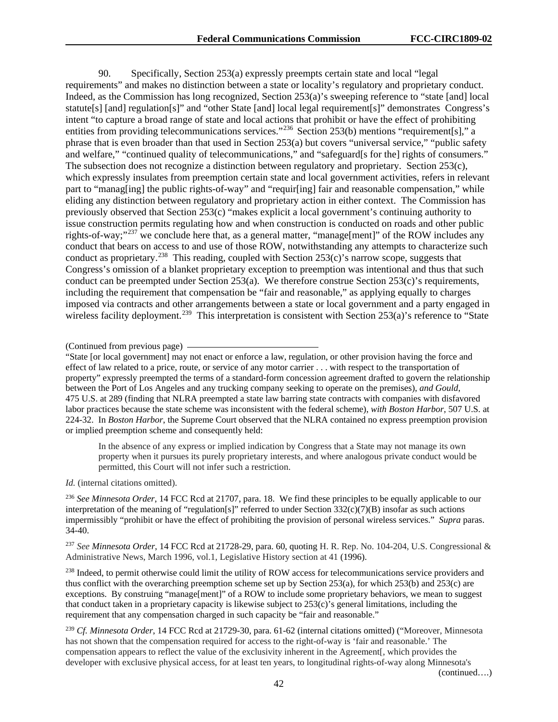90. Specifically, Section 253(a) expressly preempts certain state and local "legal requirements" and makes no distinction between a state or locality's regulatory and proprietary conduct. Indeed, as the Commission has long recognized, Section 253(a)'s sweeping reference to "state [and] local statute[s] [and] regulation[s]" and "other State [and] local legal requirement[s]" demonstrates Congress's intent "to capture a broad range of state and local actions that prohibit or have the effect of prohibiting entities from providing telecommunications services."<sup>[236](#page-42-0)</sup> Section 253(b) mentions "requirement[s]," a phrase that is even broader than that used in Section 253(a) but covers "universal service," "public safety and welfare," "continued quality of telecommunications," and "safeguard[s for the] rights of consumers." The subsection does not recognize a distinction between regulatory and proprietary. Section 253(c), which expressly insulates from preemption certain state and local government activities, refers in relevant part to "manag[ing] the public rights-of-way" and "requir[ing] fair and reasonable compensation," while eliding any distinction between regulatory and proprietary action in either context. The Commission has previously observed that Section 253(c) "makes explicit a local government's continuing authority to issue construction permits regulating how and when construction is conducted on roads and other public rights-of-way;"<sup>[237](#page-42-1)</sup> we conclude here that, as a general matter, "manage[ment]" of the ROW includes any conduct that bears on access to and use of those ROW, notwithstanding any attempts to characterize such conduct as proprietary.<sup>[238](#page-42-2)</sup> This reading, coupled with Section 253(c)'s narrow scope, suggests that Congress's omission of a blanket proprietary exception to preemption was intentional and thus that such conduct can be preempted under Section 253(a). We therefore construe Section 253(c)'s requirements, including the requirement that compensation be "fair and reasonable," as applying equally to charges imposed via contracts and other arrangements between a state or local government and a party engaged in wireless facility deployment.<sup>[239](#page-42-3)</sup> This interpretation is consistent with Section 253(a)'s reference to "State"

"State [or local government] may not enact or enforce a law, regulation, or other provision having the force and effect of law related to a price, route, or service of any motor carrier . . . with respect to the transportation of property" expressly preempted the terms of a standard-form concession agreement drafted to govern the relationship between the Port of Los Angeles and any trucking company seeking to operate on the premises), *and Gould*, 475 U.S. at 289 (finding that NLRA preempted a state law barring state contracts with companies with disfavored labor practices because the state scheme was inconsistent with the federal scheme), *with Boston Harbor*, 507 U.S. at 224-32. In *Boston Harbor*, the Supreme Court observed that the NLRA contained no express preemption provision or implied preemption scheme and consequently held:

In the absence of any express or implied indication by Congress that a State may not manage its own property when it pursues its purely proprietary interests, and where analogous private conduct would be permitted, this Court will not infer such a restriction.

*Id.* (internal citations omitted).

<span id="page-42-0"></span><sup>236</sup> *See Minnesota Order*, 14 FCC Rcd at 21707, para. 18. We find these principles to be equally applicable to our interpretation of the meaning of "regulation[s]" referred to under Section  $332(c)(7)(B)$  insofar as such actions impermissibly "prohibit or have the effect of prohibiting the provision of personal wireless services." *Supra* paras. 34-40.

<span id="page-42-1"></span><sup>237</sup> *See Minnesota Order*, 14 FCC Rcd at 21728-29, para. 60, quoting H. R. Rep. No. 104-204, U.S. Congressional & Administrative News, March 1996, vol.1, Legislative History section at 41 (1996).

<span id="page-42-2"></span><sup>238</sup> Indeed, to permit otherwise could limit the utility of ROW access for telecommunications service providers and thus conflict with the overarching preemption scheme set up by Section 253(a), for which 253(b) and 253(c) are exceptions. By construing "manage[ment]" of a ROW to include some proprietary behaviors, we mean to suggest that conduct taken in a proprietary capacity is likewise subject to 253(c)'s general limitations, including the requirement that any compensation charged in such capacity be "fair and reasonable."

<span id="page-42-3"></span><sup>239</sup> *Cf. Minnesota Order*, 14 FCC Rcd at 21729-30, para. 61-62 (internal citations omitted) ("Moreover, Minnesota has not shown that the compensation required for access to the right-of-way is 'fair and reasonable.' The compensation appears to reflect the value of the exclusivity inherent in the Agreement[, which provides the developer with exclusive physical access, for at least ten years, to longitudinal rights-of-way along Minnesota's

<sup>(</sup>Continued from previous page)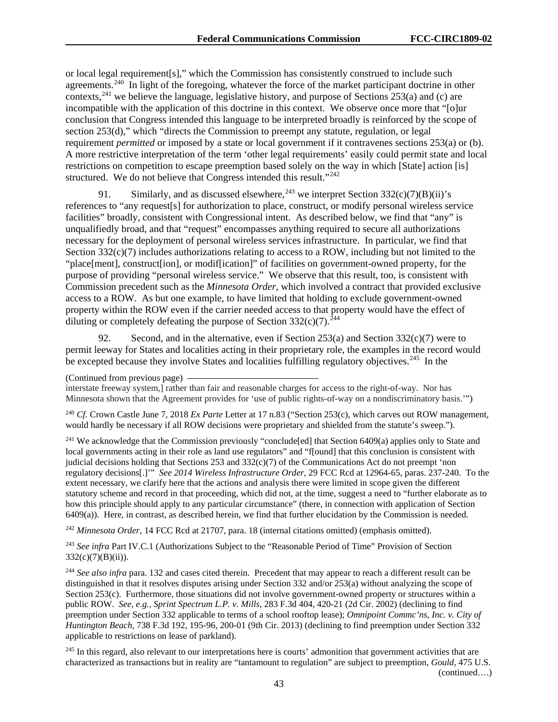or local legal requirement[s]," which the Commission has consistently construed to include such agreements.<sup>240</sup> In light of the foregoing, whatever the force of the market participant doctrine in other contexts, <sup>[241](#page-43-1)</sup> we believe the language, legislative history, and purpose of Sections 253(a) and (c) are incompatible with the application of this doctrine in this context. We observe once more that "[o]ur conclusion that Congress intended this language to be interpreted broadly is reinforced by the scope of section 253(d)," which "directs the Commission to preempt any statute, regulation, or legal requirement *permitted* or imposed by a state or local government if it contravenes sections 253(a) or (b). A more restrictive interpretation of the term 'other legal requirements' easily could permit state and local restrictions on competition to escape preemption based solely on the way in which [State] action [is] structured. We do not believe that Congress intended this result."<sup>242</sup>

91. Similarly, and as discussed elsewhere,  $^{243}$  $^{243}$  $^{243}$  we interpret Section 332(c)(7)(B)(ii)'s references to "any request[s] for authorization to place, construct, or modify personal wireless service facilities" broadly, consistent with Congressional intent. As described below, we find that "any" is unqualifiedly broad, and that "request" encompasses anything required to secure all authorizations necessary for the deployment of personal wireless services infrastructure. In particular, we find that Section  $332(c)(7)$  includes authorizations relating to access to a ROW, including but not limited to the "place[ment], construct[ion], or modif[ication]" of facilities on government-owned property, for the purpose of providing "personal wireless service." We observe that this result, too, is consistent with Commission precedent such as the *Minnesota Order*, which involved a contract that provided exclusive access to a ROW. As but one example, to have limited that holding to exclude government-owned property within the ROW even if the carrier needed access to that property would have the effect of diluting or completely defeating the purpose of Section  $332(c)(7)$ .<sup>[244](#page-43-4)</sup>

92. Second, and in the alternative, even if Section 253(a) and Section  $332(c)(7)$  were to permit leeway for States and localities acting in their proprietary role, the examples in the record would be excepted because they involve States and localities fulfilling regulatory objectives.<sup>[245](#page-43-5)</sup> In the

<span id="page-43-0"></span><sup>240</sup> *Cf.* Crown Castle June 7, 2018 *Ex Parte* Letter at 17 n.83 ("Section 253(c), which carves out ROW management, would hardly be necessary if all ROW decisions were proprietary and shielded from the statute's sweep.").

<span id="page-43-1"></span><sup>241</sup> We acknowledge that the Commission previously "conclude[ed] that Section 6409(a) applies only to State and local governments acting in their role as land use regulators" and "f[ound] that this conclusion is consistent with judicial decisions holding that Sections 253 and 332(c)(7) of the Communications Act do not preempt 'non regulatory decisions[.]'" *See 2014 Wireless Infrastructure Order*, 29 FCC Rcd at 12964-65, paras. 237-240. To the extent necessary, we clarify here that the actions and analysis there were limited in scope given the different statutory scheme and record in that proceeding, which did not, at the time, suggest a need to "further elaborate as to how this principle should apply to any particular circumstance" (there, in connection with application of Section  $6409(a)$ ). Here, in contrast, as described herein, we find that further elucidation by the Commission is needed.

<span id="page-43-2"></span><sup>242</sup> *Minnesota Order*, 14 FCC Rcd at 21707, para. 18 (internal citations omitted) (emphasis omitted).

<span id="page-43-3"></span><sup>243</sup> *See infra* Part IV.C.1 (Authorizations Subject to the "Reasonable Period of Time" Provision of Section 332(c)(7)(B)(ii)).

<span id="page-43-4"></span><sup>244</sup> *See also infra* para. 132 and cases cited therein. Precedent that may appear to reach a different result can be distinguished in that it resolves disputes arising under Section 332 and/or 253(a) without analyzing the scope of Section 253(c). Furthermore, those situations did not involve government-owned property or structures within a public ROW. *See*, *e.g.*, *Sprint Spectrum L.P. v. Mills*, 283 F.3d 404, 420-21 (2d Cir. 2002) (declining to find preemption under Section 332 applicable to terms of a school rooftop lease); *Omnipoint Commc'ns, Inc. v. City of Huntington Beach*, 738 F.3d 192, 195-96, 200-01 (9th Cir. 2013) (declining to find preemption under Section 332 applicable to restrictions on lease of parkland).

<span id="page-43-5"></span><sup>245</sup> In this regard, also relevant to our interpretations here is courts' admonition that government activities that are characterized as transactions but in reality are "tantamount to regulation" are subject to preemption, *Gould*, 475 U.S. (continued….)

<sup>(</sup>Continued from previous page)

interstate freeway system,] rather than fair and reasonable charges for access to the right-of-way. Nor has Minnesota shown that the Agreement provides for 'use of public rights-of-way on a nondiscriminatory basis.'")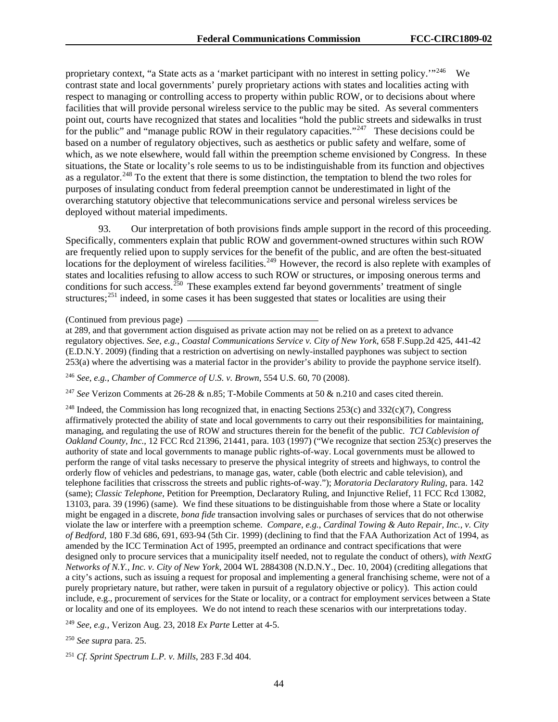proprietary context, "a State acts as a 'market participant with no interest in setting policy.'"[246](#page-44-0) We contrast state and local governments' purely proprietary actions with states and localities acting with respect to managing or controlling access to property within public ROW, or to decisions about where facilities that will provide personal wireless service to the public may be sited. As several commenters point out, courts have recognized that states and localities "hold the public streets and sidewalks in trust for the public" and "manage public ROW in their regulatory capacities."<sup>[247](#page-44-1)</sup> These decisions could be based on a number of regulatory objectives, such as aesthetics or public safety and welfare, some of which, as we note elsewhere, would fall within the preemption scheme envisioned by Congress. In these situations, the State or locality's role seems to us to be indistinguishable from its function and objectives as a regulator.<sup>[248](#page-44-2)</sup> To the extent that there is some distinction, the temptation to blend the two roles for purposes of insulating conduct from federal preemption cannot be underestimated in light of the overarching statutory objective that telecommunications service and personal wireless services be deployed without material impediments.

93. Our interpretation of both provisions finds ample support in the record of this proceeding. Specifically, commenters explain that public ROW and government-owned structures within such ROW are frequently relied upon to supply services for the benefit of the public, and are often the best-situated locations for the deployment of wireless facilities.<sup>[249](#page-44-3)</sup> However, the record is also replete with examples of states and localities refusing to allow access to such ROW or structures, or imposing onerous terms and conditions for such access.<sup>[250](#page-44-4)</sup> These examples extend far beyond governments' treatment of single structures;[251](#page-44-5) indeed, in some cases it has been suggested that states or localities are using their

<span id="page-44-0"></span><sup>246</sup> *See*, *e.g.*, *Chamber of Commerce of U.S. v. Brown*, 554 U.S. 60, 70 (2008).

<span id="page-44-1"></span><sup>247</sup> *See* Verizon Comments at 26-28 & n.85; T-Mobile Comments at 50 & n.210 and cases cited therein.

<span id="page-44-2"></span><sup>248</sup> Indeed, the Commission has long recognized that, in enacting Sections  $253(c)$  and  $332(c)(7)$ , Congress affirmatively protected the ability of state and local governments to carry out their responsibilities for maintaining, managing, and regulating the use of ROW and structures therein for the benefit of the public. *TCI Cablevision of Oakland County, Inc.*, 12 FCC Rcd 21396, 21441, para. 103 (1997) ("We recognize that section 253(c) preserves the authority of state and local governments to manage public rights-of-way. Local governments must be allowed to perform the range of vital tasks necessary to preserve the physical integrity of streets and highways, to control the orderly flow of vehicles and pedestrians, to manage gas, water, cable (both electric and cable television), and telephone facilities that crisscross the streets and public rights-of-way."); *Moratoria Declaratory Ruling*, para. 142 (same); *Classic Telephone*, Petition for Preemption, Declaratory Ruling, and Injunctive Relief, 11 FCC Rcd 13082, 13103, para. 39 (1996) (same). We find these situations to be distinguishable from those where a State or locality might be engaged in a discrete, *bona fide* transaction involving sales or purchases of services that do not otherwise violate the law or interfere with a preemption scheme. *Compare*, *e.g.*, *Cardinal Towing & Auto Repair, Inc., v. City of Bedford*, 180 F.3d 686, 691, 693-94 (5th Cir. 1999) (declining to find that the FAA Authorization Act of 1994, as amended by the ICC Termination Act of 1995, preempted an ordinance and contract specifications that were designed only to procure services that a municipality itself needed, not to regulate the conduct of others), *with NextG Networks of N.Y., Inc. v. City of New York*, 2004 WL 2884308 (N.D.N.Y., Dec. 10, 2004) (crediting allegations that a city's actions, such as issuing a request for proposal and implementing a general franchising scheme, were not of a purely proprietary nature, but rather, were taken in pursuit of a regulatory objective or policy). This action could include, e.g., procurement of services for the State or locality, or a contract for employment services between a State or locality and one of its employees. We do not intend to reach these scenarios with our interpretations today.

<span id="page-44-3"></span><sup>249</sup> *See, e.g.,* Verizon Aug. 23, 2018 *Ex Parte* Letter at 4-5.

<span id="page-44-4"></span><sup>250</sup> *See supra* para. 25.

<span id="page-44-5"></span><sup>251</sup> *Cf. Sprint Spectrum L.P. v. Mills*, 283 F.3d 404.

<sup>(</sup>Continued from previous page)

at 289, and that government action disguised as private action may not be relied on as a pretext to advance regulatory objectives. *See*, *e.g.*, *Coastal Communications Service v. City of New York*, 658 F.Supp.2d 425, 441-42 (E.D.N.Y. 2009) (finding that a restriction on advertising on newly-installed payphones was subject to section 253(a) where the advertising was a material factor in the provider's ability to provide the payphone service itself).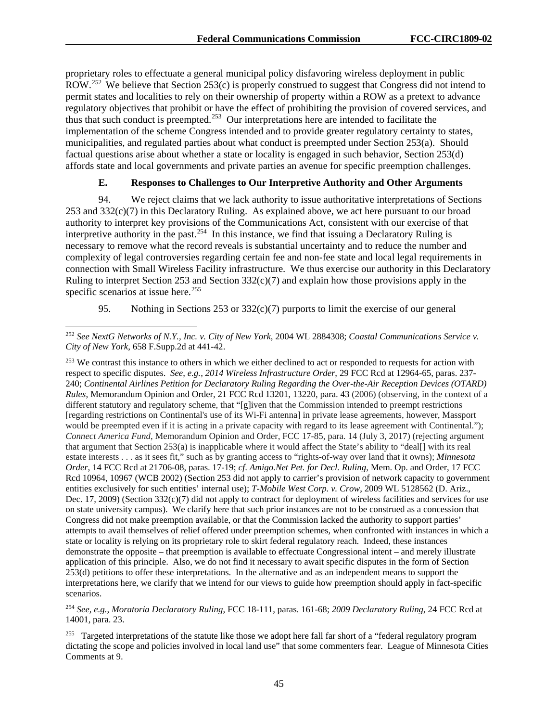proprietary roles to effectuate a general municipal policy disfavoring wireless deployment in public ROW.<sup>[252](#page-45-0)</sup> We believe that Section 253(c) is properly construed to suggest that Congress did not intend to permit states and localities to rely on their ownership of property within a ROW as a pretext to advance regulatory objectives that prohibit or have the effect of prohibiting the provision of covered services, and thus that such conduct is preempted.<sup>[253](#page-45-1)</sup> Our interpretations here are intended to facilitate the implementation of the scheme Congress intended and to provide greater regulatory certainty to states, municipalities, and regulated parties about what conduct is preempted under Section 253(a). Should factual questions arise about whether a state or locality is engaged in such behavior, Section 253(d) affords state and local governments and private parties an avenue for specific preemption challenges.

#### **E. Responses to Challenges to Our Interpretive Authority and Other Arguments**

94. We reject claims that we lack authority to issue authoritative interpretations of Sections 253 and 332(c)(7) in this Declaratory Ruling. As explained above, we act here pursuant to our broad authority to interpret key provisions of the Communications Act, consistent with our exercise of that interpretive authority in the past.<sup>254</sup> In this instance, we find that issuing a Declaratory Ruling is necessary to remove what the record reveals is substantial uncertainty and to reduce the number and complexity of legal controversies regarding certain fee and non-fee state and local legal requirements in connection with Small Wireless Facility infrastructure. We thus exercise our authority in this Declaratory Ruling to interpret Section 253 and Section  $332(c)(7)$  and explain how those provisions apply in the specific scenarios at issue here.<sup>[255](#page-45-3)</sup>

95. Nothing in Sections 253 or 332(c)(7) purports to limit the exercise of our general

<span id="page-45-0"></span> <sup>252</sup> *See NextG Networks of N.Y., Inc. v. City of New York*, 2004 WL 2884308; *Coastal Communications Service v. City of New York*, 658 F.Supp.2d at 441-42.

<span id="page-45-1"></span><sup>&</sup>lt;sup>253</sup> We contrast this instance to others in which we either declined to act or responded to requests for action with respect to specific disputes. *See*, *e.g.*, *2014 Wireless Infrastructure Order*, 29 FCC Rcd at 12964-65, paras. 237- 240; *Continental Airlines Petition for Declaratory Ruling Regarding the Over-the-Air Reception Devices (OTARD) Rules*, Memorandum Opinion and Order, 21 FCC Rcd 13201, 13220, para. 43 (2006) (observing, in the context of a different statutory and regulatory scheme, that "[g]iven that the Commission intended to preempt restrictions [regarding restrictions on Continental's use of its Wi-Fi antenna] in private lease agreements, however, Massport would be preempted even if it is acting in a private capacity with regard to its lease agreement with Continental."); *Connect America Fund*, Memorandum Opinion and Order, FCC 17-85, para. 14 (July 3, 2017) (rejecting argument that argument that Section 253(a) is inapplicable where it would affect the State's ability to "deal[] with its real estate interests . . . as it sees fit," such as by granting access to "rights-of-way over land that it owns); *Minnesota Order*, 14 FCC Rcd at 21706-08, paras. 17-19; *cf*. *Amigo.Net Pet. for Decl. Ruling*, Mem. Op. and Order, 17 FCC Rcd 10964, 10967 (WCB 2002) (Section 253 did not apply to carrier's provision of network capacity to government entities exclusively for such entities' internal use); *T-Mobile West Corp. v. Crow*, 2009 WL 5128562 (D. Ariz., Dec. 17, 2009) (Section  $332(c)(7)$  did not apply to contract for deployment of wireless facilities and services for use on state university campus). We clarify here that such prior instances are not to be construed as a concession that Congress did not make preemption available, or that the Commission lacked the authority to support parties' attempts to avail themselves of relief offered under preemption schemes, when confronted with instances in which a state or locality is relying on its proprietary role to skirt federal regulatory reach. Indeed, these instances demonstrate the opposite – that preemption is available to effectuate Congressional intent – and merely illustrate application of this principle. Also, we do not find it necessary to await specific disputes in the form of Section 253(d) petitions to offer these interpretations. In the alternative and as an independent means to support the interpretations here, we clarify that we intend for our views to guide how preemption should apply in fact-specific scenarios.

<span id="page-45-2"></span><sup>254</sup> *See, e.g.*, *Moratoria Declaratory Ruling*, FCC 18-111, paras. 161-68; *2009 Declaratory Ruling*, 24 FCC Rcd at 14001, para. 23.

<span id="page-45-3"></span><sup>&</sup>lt;sup>255</sup> Targeted interpretations of the statute like those we adopt here fall far short of a "federal regulatory program dictating the scope and policies involved in local land use" that some commenters fear. League of Minnesota Cities Comments at 9.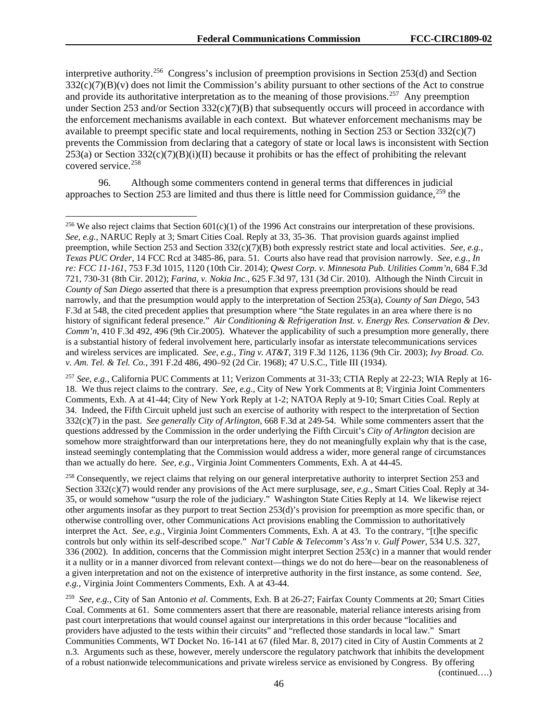interpretive authority.[256](#page-46-0) Congress's inclusion of preemption provisions in Section 253(d) and Section 332(c)(7)(B)(v) does not limit the Commission's ability pursuant to other sections of the Act to construe and provide its authoritative interpretation as to the meaning of those provisions.<sup>[257](#page-46-1)</sup> Any preemption under Section 253 and/or Section 332(c)(7)(B) that subsequently occurs will proceed in accordance with the enforcement mechanisms available in each context. But whatever enforcement mechanisms may be available to preempt specific state and local requirements, nothing in Section 253 or Section  $332(c)(7)$ prevents the Commission from declaring that a category of state or local laws is inconsistent with Section 253(a) or Section 332(c)(7)(B)(i)(II) because it prohibits or has the effect of prohibiting the relevant covered service.<sup>[258](#page-46-2)</sup>

96. Although some commenters contend in general terms that differences in judicial approaches to Section 253 are limited and thus there is little need for Commission guidance,  $259$  the

<span id="page-46-1"></span><sup>257</sup> *See, e.g.*, California PUC Comments at 11; Verizon Comments at 31-33; CTIA Reply at 22-23; WIA Reply at 16- 18. We thus reject claims to the contrary. *See, e.g.*, City of New York Comments at 8; Virginia Joint Commenters Comments, Exh. A at 41-44; City of New York Reply at 1-2; NATOA Reply at 9-10; Smart Cities Coal. Reply at 34. Indeed, the Fifth Circuit upheld just such an exercise of authority with respect to the interpretation of Section 332(c)(7) in the past. *See generally City of Arlington*, 668 F.3d at 249-54. While some commenters assert that the questions addressed by the Commission in the order underlying the Fifth Circuit's *City of Arlington* decision are somehow more straightforward than our interpretations here, they do not meaningfully explain why that is the case, instead seemingly contemplating that the Commission would address a wider, more general range of circumstances than we actually do here. *See, e.g.*, Virginia Joint Commenters Comments, Exh. A at 44-45.

<span id="page-46-2"></span><sup>258</sup> Consequently, we reject claims that relying on our general interpretative authority to interpret Section 253 and Section 332(c)(7) would render any provisions of the Act mere surplusage, *see, e.g.*, Smart Cities Coal. Reply at 34- 35, or would somehow "usurp the role of the judiciary." Washington State Cities Reply at 14. We likewise reject other arguments insofar as they purport to treat Section 253(d)'s provision for preemption as more specific than, or otherwise controlling over, other Communications Act provisions enabling the Commission to authoritatively interpret the Act. *See, e.g.*, Virginia Joint Commenters Comments, Exh. A at 43. To the contrary, "[t]he specific controls but only within its self-described scope." *Nat'l Cable & Telecomm's Ass'n v. Gulf Power*, 534 U.S. 327, 336 (2002). In addition, concerns that the Commission might interpret Section 253(c) in a manner that would render it a nullity or in a manner divorced from relevant context—things we do not do here—bear on the reasonableness of a given interpretation and not on the existence of interpretive authority in the first instance, as some contend. *See, e.g.*, Virginia Joint Commenters Comments, Exh. A at 43-44.

<span id="page-46-3"></span>259 *See, e.g.*, City of San Antonio *et al*. Comments, Exh. B at 26-27; Fairfax County Comments at 20; Smart Cities Coal. Comments at 61. Some commenters assert that there are reasonable, material reliance interests arising from past court interpretations that would counsel against our interpretations in this order because "localities and providers have adjusted to the tests within their circuits" and "reflected those standards in local law." Smart Communities Comments, WT Docket No. 16-141 at 67 (filed Mar. 8, 2017) cited in City of Austin Comments at 2 n.3. Arguments such as these, however, merely underscore the regulatory patchwork that inhibits the development of a robust nationwide telecommunications and private wireless service as envisioned by Congress. By offering

<span id="page-46-0"></span><sup>&</sup>lt;sup>256</sup> We also reject claims that Section  $601(c)(1)$  of the 1996 Act constrains our interpretation of these provisions. *See, e.g.*, NARUC Reply at 3; Smart Cities Coal. Reply at 33, 35-36. That provision guards against implied preemption, while Section 253 and Section 332(c)(7)(B) both expressly restrict state and local activities. *See, e.g.*, *Texas PUC Order*, 14 FCC Rcd at 3485-86, para. 51. Courts also have read that provision narrowly. *See, e.g.*, *In re: FCC 11-161*, 753 F.3d 1015, 1120 (10th Cir. 2014); *Qwest Corp. v. Minnesota Pub. Utilities Comm'n*, 684 F.3d 721, 730-31 (8th Cir. 2012); *Farina, v. Nokia Inc.*, 625 F.3d 97, 131 (3d Cir. 2010). Although the Ninth Circuit in *County of San Diego* asserted that there is a presumption that express preemption provisions should be read narrowly, and that the presumption would apply to the interpretation of Section 253(a), *County of San Diego*, 543 F.3d at 548, the cited precedent applies that presumption where "the State regulates in an area where there is no history of significant federal presence." *Air Conditioning & Refrigeration Inst. v. Energy Res. Conservation & Dev. Comm'n*, 410 F.3d 492, 496 (9th Cir.2005). Whatever the applicability of such a presumption more generally, there is a substantial history of federal involvement here, particularly insofar as interstate telecommunications services and wireless services are implicated. *See, e.g.*, *Ting v. AT&T*, 319 F.3d 1126, 1136 (9th Cir. 2003); *Ivy Broad. Co. v. Am. Tel. & Tel. Co.*, 391 F.2d 486, 490–92 (2d Cir. 1968); 47 U.S.C., Title III (1934).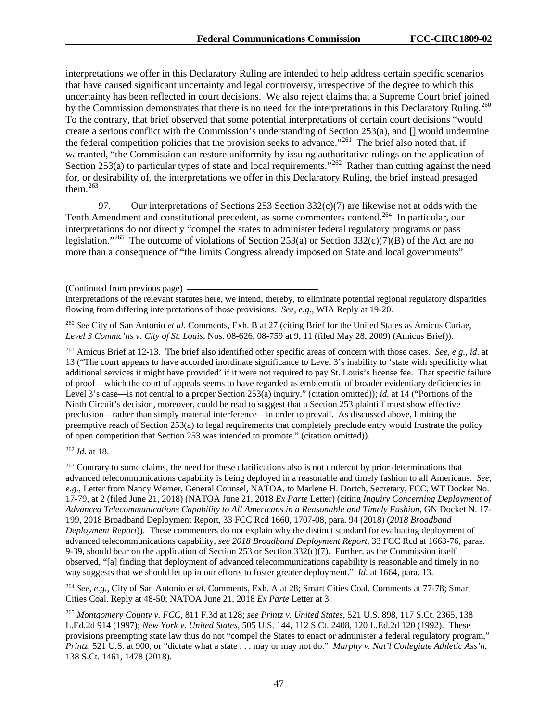interpretations we offer in this Declaratory Ruling are intended to help address certain specific scenarios that have caused significant uncertainty and legal controversy, irrespective of the degree to which this uncertainty has been reflected in court decisions. We also reject claims that a Supreme Court brief joined by the Commission demonstrates that there is no need for the interpretations in this Declaratory Ruling.<sup>260</sup> To the contrary, that brief observed that some potential interpretations of certain court decisions "would create a serious conflict with the Commission's understanding of Section 253(a), and [] would undermine the federal competition policies that the provision seeks to advance."[261](#page-47-1) The brief also noted that, if warranted, "the Commission can restore uniformity by issuing authoritative rulings on the application of Section 253(a) to particular types of state and local requirements."<sup>[262](#page-47-2)</sup> Rather than cutting against the need for, or desirability of, the interpretations we offer in this Declaratory Ruling, the brief instead presaged them. $263$ 

97. Our interpretations of Sections 253 Section 332(c)(7) are likewise not at odds with the Tenth Amendment and constitutional precedent, as some commenters contend.<sup>[264](#page-47-4)</sup> In particular, our interpretations do not directly "compel the states to administer federal regulatory programs or pass legislation."<sup>265</sup> The outcome of violations of Section 253(a) or Section 332(c)(7)(B) of the Act are no more than a consequence of "the limits Congress already imposed on State and local governments"

interpretations of the relevant statutes here, we intend, thereby, to eliminate potential regional regulatory disparities flowing from differing interpretations of those provisions. *See, e.g.*, WIA Reply at 19-20.

<span id="page-47-0"></span><sup>260</sup> *See* City of San Antonio *et al*. Comments, Exh. B at 27 (citing Brief for the United States as Amicus Curiae, *Level 3 Commc'ns v. City of St. Louis*, Nos. 08-626, 08-759 at 9, 11 (filed May 28, 2009) (Amicus Brief)).

<span id="page-47-1"></span><sup>261</sup> Amicus Brief at 12-13. The brief also identified other specific areas of concern with those cases. *See, e.g.*, *id*. at 13 ("The court appears to have accorded inordinate significance to Level 3's inability to 'state with specificity what additional services it might have provided' if it were not required to pay St. Louis's license fee. That specific failure of proof—which the court of appeals seems to have regarded as emblematic of broader evidentiary deficiencies in Level 3's case—is not central to a proper Section 253(a) inquiry." (citation omitted)); *id*. at 14 ("Portions of the Ninth Circuit's decision, moreover, could be read to suggest that a Section 253 plaintiff must show effective preclusion—rather than simply material interference—in order to prevail. As discussed above, limiting the preemptive reach of Section 253(a) to legal requirements that completely preclude entry would frustrate the policy of open competition that Section 253 was intended to promote." (citation omitted)).

<span id="page-47-2"></span><sup>262</sup> *Id*. at 18.

<span id="page-47-3"></span><sup>263</sup> Contrary to some claims, the need for these clarifications also is not undercut by prior determinations that advanced telecommunications capability is being deployed in a reasonable and timely fashion to all Americans. *See, e.g.*, Letter from Nancy Werner, General Counsel, NATOA, to Marlene H. Dortch, Secretary, FCC, WT Docket No. 17-79, at 2 (filed June 21, 2018) (NATOA June 21, 2018 *Ex Parte* Letter) (citing *Inquiry Concerning Deployment of Advanced Telecommunications Capability to All Americans in a Reasonable and Timely Fashion*, GN Docket N. 17- 199, 2018 Broadband Deployment Report, 33 FCC Rcd 1660, 1707-08, para. 94 (2018) (*2018 Broadband Deployment Report*)). These commenters do not explain why the distinct standard for evaluating deployment of advanced telecommunications capability, *see 2018 Broadband Deployment Report*, 33 FCC Rcd at 1663-76, paras. 9-39, should bear on the application of Section 253 or Section  $332(c)(7)$ . Further, as the Commission itself observed, "[a] finding that deployment of advanced telecommunications capability is reasonable and timely in no way suggests that we should let up in our efforts to foster greater deployment." *Id*. at 1664, para. 13.

<span id="page-47-4"></span><sup>264</sup> *See, e.g.*, City of San Antonio *et al*. Comments, Exh. A at 28; Smart Cities Coal. Comments at 77-78; Smart Cities Coal. Reply at 48-50; NATOA June 21, 2018 *Ex Parte* Letter at 3.

<span id="page-47-5"></span><sup>265</sup> *Montgomery County v. FCC*, 811 F.3d at 128; *see Printz v. United States*, 521 U.S. 898, 117 S.Ct. 2365, 138 L.Ed.2d 914 (1997); *New York v. United States*, 505 U.S. 144, 112 S.Ct. 2408, 120 L.Ed.2d 120 (1992). These provisions preempting state law thus do not "compel the States to enact or administer a federal regulatory program," *Printz*, 521 U.S. at 900, or "dictate what a state . . . may or may not do." *Murphy v. Nat'l Collegiate Athletic Ass'n*, 138 S.Ct. 1461, 1478 (2018).

<sup>(</sup>Continued from previous page)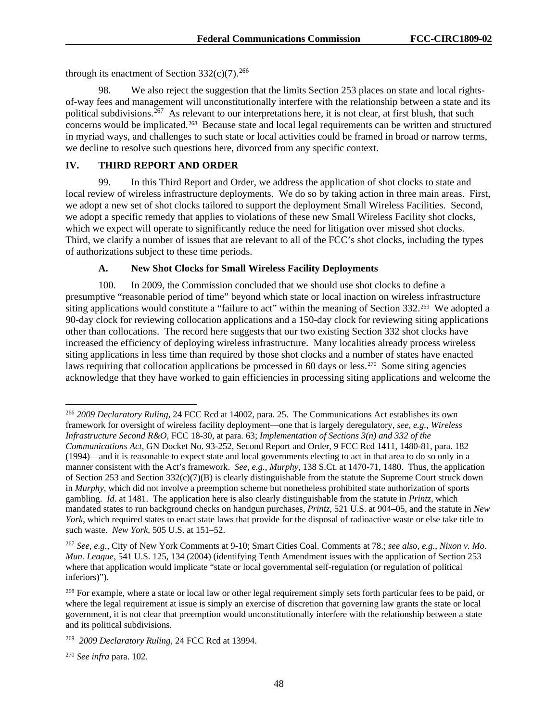through its enactment of Section  $332(c)(7)$ <sup>[266](#page-48-0)</sup>

98. We also reject the suggestion that the limits Section 253 places on state and local rightsof-way fees and management will unconstitutionally interfere with the relationship between a state and its political subdivisions.<sup>267</sup> As relevant to our interpretations here, it is not clear, at first blush, that such concerns would be implicated.<sup>268</sup> Because state and local legal requirements can be written and structured in myriad ways, and challenges to such state or local activities could be framed in broad or narrow terms, we decline to resolve such questions here, divorced from any specific context.

#### **IV. THIRD REPORT AND ORDER**

99. In this Third Report and Order, we address the application of shot clocks to state and local review of wireless infrastructure deployments. We do so by taking action in three main areas. First, we adopt a new set of shot clocks tailored to support the deployment Small Wireless Facilities. Second, we adopt a specific remedy that applies to violations of these new Small Wireless Facility shot clocks, which we expect will operate to significantly reduce the need for litigation over missed shot clocks. Third, we clarify a number of issues that are relevant to all of the FCC's shot clocks, including the types of authorizations subject to these time periods.

#### **A. New Shot Clocks for Small Wireless Facility Deployments**

100. In 2009, the Commission concluded that we should use shot clocks to define a presumptive "reasonable period of time" beyond which state or local inaction on wireless infrastructure siting applications would constitute a "failure to act" within the meaning of Section 332.<sup>[269](#page-48-3)</sup> We adopted a 90-day clock for reviewing collocation applications and a 150-day clock for reviewing siting applications other than collocations. The record here suggests that our two existing Section 332 shot clocks have increased the efficiency of deploying wireless infrastructure. Many localities already process wireless siting applications in less time than required by those shot clocks and a number of states have enacted laws requiring that collocation applications be processed in 60 days or less.<sup>[270](#page-48-4)</sup> Some siting agencies acknowledge that they have worked to gain efficiencies in processing siting applications and welcome the

<span id="page-48-0"></span> <sup>266</sup> *2009 Declaratory Ruling*, 24 FCC Rcd at 14002, para. 25. The Communications Act establishes its own framework for oversight of wireless facility deployment—one that is largely deregulatory, *see, e.g.*, *Wireless Infrastructure Second R&O*, FCC 18-30, at para. 63; *Implementation of Sections 3(n) and 332 of the Communications Act*, GN Docket No. 93-252, Second Report and Order, 9 FCC Rcd 1411, 1480-81, para. 182 (1994)—and it is reasonable to expect state and local governments electing to act in that area to do so only in a manner consistent with the Act's framework. *See, e.g.*, *Murphy*, 138 S.Ct. at 1470-71, 1480. Thus, the application of Section 253 and Section 332(c)(7)(B) is clearly distinguishable from the statute the Supreme Court struck down in *Murphy*, which did not involve a preemption scheme but nonetheless prohibited state authorization of sports gambling. *Id*. at 1481. The application here is also clearly distinguishable from the statute in *Printz*, which mandated states to run background checks on handgun purchases, *Printz*, 521 U.S. at 904–05, and the statute in *New York*, which required states to enact state laws that provide for the disposal of radioactive waste or else take title to such waste. *New York*, 505 U.S. at 151–52.

<span id="page-48-1"></span><sup>267</sup> *See, e.g.*, City of New York Comments at 9-10; Smart Cities Coal. Comments at 78.; *see also, e.g.*, *Nixon v. Mo. Mun. League*, 541 U.S. 125, 134 (2004) (identifying Tenth Amendment issues with the application of Section 253 where that application would implicate "state or local governmental self-regulation (or regulation of political inferiors)").

<span id="page-48-2"></span><sup>&</sup>lt;sup>268</sup> For example, where a state or local law or other legal requirement simply sets forth particular fees to be paid, or where the legal requirement at issue is simply an exercise of discretion that governing law grants the state or local government, it is not clear that preemption would unconstitutionally interfere with the relationship between a state and its political subdivisions.

<span id="page-48-3"></span><sup>269</sup> *2009 Declaratory Ruling*, 24 FCC Rcd at 13994.

<span id="page-48-4"></span><sup>270</sup> *See infra* para. 102.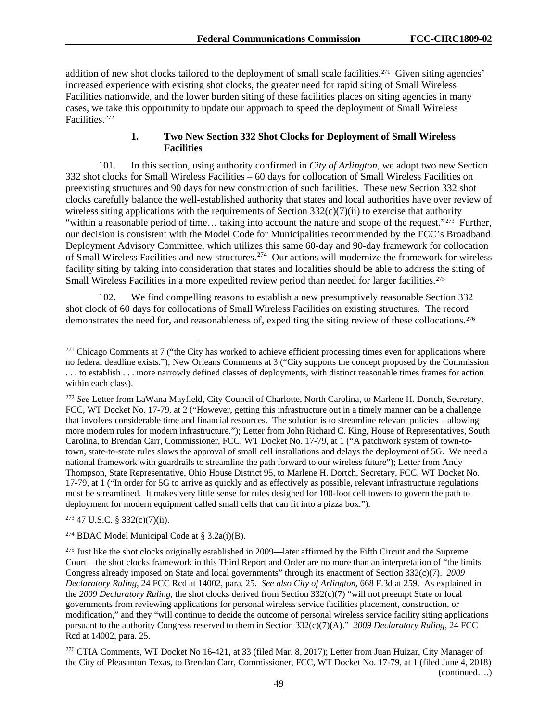addition of new shot clocks tailored to the deployment of small scale facilities.<sup>[271](#page-49-0)</sup> Given siting agencies' increased experience with existing shot clocks, the greater need for rapid siting of Small Wireless Facilities nationwide, and the lower burden siting of these facilities places on siting agencies in many cases, we take this opportunity to update our approach to speed the deployment of Small Wireless Facilities.[272](#page-49-1)

#### **1. Two New Section 332 Shot Clocks for Deployment of Small Wireless Facilities**

101. In this section, using authority confirmed in *City of Arlington*, we adopt two new Section 332 shot clocks for Small Wireless Facilities – 60 days for collocation of Small Wireless Facilities on preexisting structures and 90 days for new construction of such facilities. These new Section 332 shot clocks carefully balance the well-established authority that states and local authorities have over review of wireless siting applications with the requirements of Section  $332(c)(7)(ii)$  to exercise that authority "within a reasonable period of time... taking into account the nature and scope of the request."<sup>273</sup> Further, our decision is consistent with the Model Code for Municipalities recommended by the FCC's Broadband Deployment Advisory Committee, which utilizes this same 60-day and 90-day framework for collocation of Small Wireless Facilities and new structures.[274](#page-49-3) Our actions will modernize the framework for wireless facility siting by taking into consideration that states and localities should be able to address the siting of Small Wireless Facilities in a more expedited review period than needed for larger facilities.<sup>[275](#page-49-4)</sup>

102. We find compelling reasons to establish a new presumptively reasonable Section 332 shot clock of 60 days for collocations of Small Wireless Facilities on existing structures. The record demonstrates the need for, and reasonableness of, expediting the siting review of these collocations.[276](#page-49-5)

<span id="page-49-2"></span><sup>273</sup> 47 U.S.C. § 332(c)(7)(ii).

<span id="page-49-3"></span><sup>274</sup> BDAC Model Municipal Code at §  $3.2a(i)(B)$ .

<span id="page-49-0"></span><sup>&</sup>lt;sup>271</sup> Chicago Comments at 7 ("the City has worked to achieve efficient processing times even for applications where no federal deadline exists."); New Orleans Comments at 3 ("City supports the concept proposed by the Commission . . . to establish . . . more narrowly defined classes of deployments, with distinct reasonable times frames for action within each class).

<span id="page-49-1"></span><sup>272</sup> *See* Letter from LaWana Mayfield, City Council of Charlotte, North Carolina, to Marlene H. Dortch, Secretary, FCC, WT Docket No. 17-79, at 2 ("However, getting this infrastructure out in a timely manner can be a challenge that involves considerable time and financial resources. The solution is to streamline relevant policies – allowing more modern rules for modern infrastructure."); Letter from John Richard C. King, House of Representatives, South Carolina, to Brendan Carr, Commissioner, FCC, WT Docket No. 17-79, at 1 ("A patchwork system of town-totown, state-to-state rules slows the approval of small cell installations and delays the deployment of 5G. We need a national framework with guardrails to streamline the path forward to our wireless future"); Letter from Andy Thompson, State Representative, Ohio House District 95, to Marlene H. Dortch, Secretary, FCC, WT Docket No. 17-79, at 1 ("In order for 5G to arrive as quickly and as effectively as possible, relevant infrastructure regulations must be streamlined. It makes very little sense for rules designed for 100-foot cell towers to govern the path to deployment for modern equipment called small cells that can fit into a pizza box.").

<span id="page-49-4"></span><sup>&</sup>lt;sup>275</sup> Just like the shot clocks originally established in 2009—later affirmed by the Fifth Circuit and the Supreme Court—the shot clocks framework in this Third Report and Order are no more than an interpretation of "the limits Congress already imposed on State and local governments" through its enactment of Section 332(c)(7). *2009 Declaratory Ruling*, 24 FCC Rcd at 14002, para. 25. *See also City of Arlington*, 668 F.3d at 259. As explained in the *2009 Declaratory Ruling*, the shot clocks derived from Section 332(c)(7) "will not preempt State or local governments from reviewing applications for personal wireless service facilities placement, construction, or modification," and they "will continue to decide the outcome of personal wireless service facility siting applications pursuant to the authority Congress reserved to them in Section 332(c)(7)(A)." *2009 Declaratory Ruling*, 24 FCC Rcd at 14002, para. 25.

<span id="page-49-5"></span><sup>276</sup> CTIA Comments, WT Docket No 16-421, at 33 (filed Mar. 8, 2017); Letter from Juan Huizar, City Manager of the City of Pleasanton Texas, to Brendan Carr, Commissioner, FCC, WT Docket No. 17-79, at 1 (filed June 4, 2018) (continued….)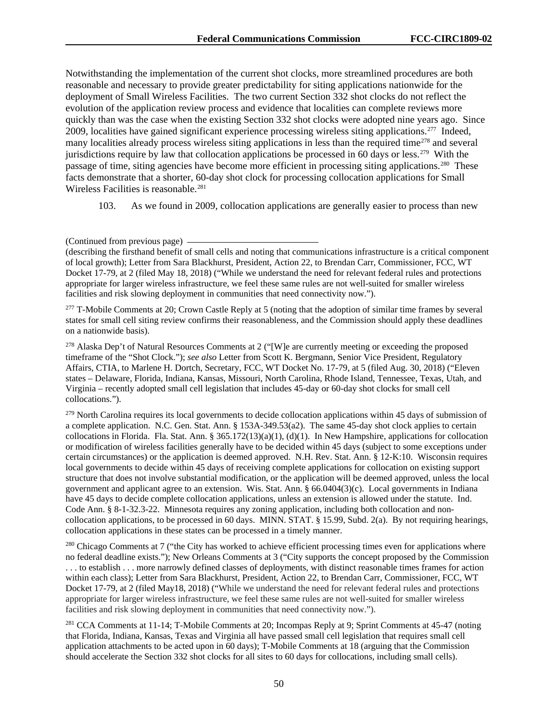Notwithstanding the implementation of the current shot clocks, more streamlined procedures are both reasonable and necessary to provide greater predictability for siting applications nationwide for the deployment of Small Wireless Facilities. The two current Section 332 shot clocks do not reflect the evolution of the application review process and evidence that localities can complete reviews more quickly than was the case when the existing Section 332 shot clocks were adopted nine years ago. Since 2009, localities have gained significant experience processing wireless siting applications.[277](#page-50-0) Indeed, many localities already process wireless siting applications in less than the required time<sup>[278](#page-50-1)</sup> and several jurisdictions require by law that collocation applications be processed in 60 days or less.[279](#page-50-2) With the passage of time, siting agencies have become more efficient in processing siting applications.<sup>[280](#page-50-3)</sup> These facts demonstrate that a shorter, 60-day shot clock for processing collocation applications for Small Wireless Facilities is reasonable.<sup>[281](#page-50-4)</sup>

103. As we found in 2009, collocation applications are generally easier to process than new

<span id="page-50-0"></span><sup>277</sup> T-Mobile Comments at 20; Crown Castle Reply at 5 (noting that the adoption of similar time frames by several states for small cell siting review confirms their reasonableness, and the Commission should apply these deadlines on a nationwide basis).

<span id="page-50-1"></span><sup>278</sup> Alaska Dep't of Natural Resources Comments at 2 ("[W]e are currently meeting or exceeding the proposed timeframe of the "Shot Clock."); *see also* Letter from Scott K. Bergmann, Senior Vice President, Regulatory Affairs, CTIA, to Marlene H. Dortch, Secretary, FCC, WT Docket No. 17-79, at 5 (filed Aug. 30, 2018) ("Eleven states – Delaware, Florida, Indiana, Kansas, Missouri, North Carolina, Rhode Island, Tennessee, Texas, Utah, and Virginia – recently adopted small cell legislation that includes 45-day or 60-day shot clocks for small cell collocations.").

<span id="page-50-2"></span><sup>279</sup> North Carolina requires its local governments to decide collocation applications within 45 days of submission of a complete application. N.C. Gen. Stat. Ann. § 153A-349.53(a2). The same 45-day shot clock applies to certain collocations in Florida. Fla. Stat. Ann. § 365.172(13)(a)(1), (d)(1). In New Hampshire, applications for collocation or modification of wireless facilities generally have to be decided within 45 days (subject to some exceptions under certain circumstances) or the application is deemed approved. N.H. Rev. Stat. Ann. § 12-K:10. Wisconsin requires local governments to decide within 45 days of receiving complete applications for collocation on existing support structure that does not involve substantial modification, or the application will be deemed approved, unless the local government and applicant agree to an extension. Wis. Stat. Ann. § 66.0404(3)(c). Local governments in Indiana have 45 days to decide complete collocation applications, unless an extension is allowed under the statute. Ind. Code Ann. § 8-1-32.3-22. Minnesota requires any zoning application, including both collocation and noncollocation applications, to be processed in 60 days. MINN. STAT. § 15.99, Subd. 2(a). By not requiring hearings, collocation applications in these states can be processed in a timely manner.

<span id="page-50-3"></span><sup>280</sup> Chicago Comments at 7 ("the City has worked to achieve efficient processing times even for applications where no federal deadline exists."); New Orleans Comments at 3 ("City supports the concept proposed by the Commission . . . to establish . . . more narrowly defined classes of deployments, with distinct reasonable times frames for action within each class); Letter from Sara Blackhurst, President, Action 22, to Brendan Carr, Commissioner, FCC, WT Docket 17-79, at 2 (filed May18, 2018) ("While we understand the need for relevant federal rules and protections appropriate for larger wireless infrastructure, we feel these same rules are not well-suited for smaller wireless facilities and risk slowing deployment in communities that need connectivity now.").

<span id="page-50-4"></span><sup>281</sup> CCA Comments at 11-14; T-Mobile Comments at 20; Incompas Reply at 9; Sprint Comments at 45-47 (noting that Florida, Indiana, Kansas, Texas and Virginia all have passed small cell legislation that requires small cell application attachments to be acted upon in 60 days); T-Mobile Comments at 18 (arguing that the Commission should accelerate the Section 332 shot clocks for all sites to 60 days for collocations, including small cells).

<sup>(</sup>Continued from previous page)

<sup>(</sup>describing the firsthand benefit of small cells and noting that communications infrastructure is a critical component of local growth); Letter from Sara Blackhurst, President, Action 22, to Brendan Carr, Commissioner, FCC, WT Docket 17-79, at 2 (filed May 18, 2018) ("While we understand the need for relevant federal rules and protections appropriate for larger wireless infrastructure, we feel these same rules are not well-suited for smaller wireless facilities and risk slowing deployment in communities that need connectivity now.").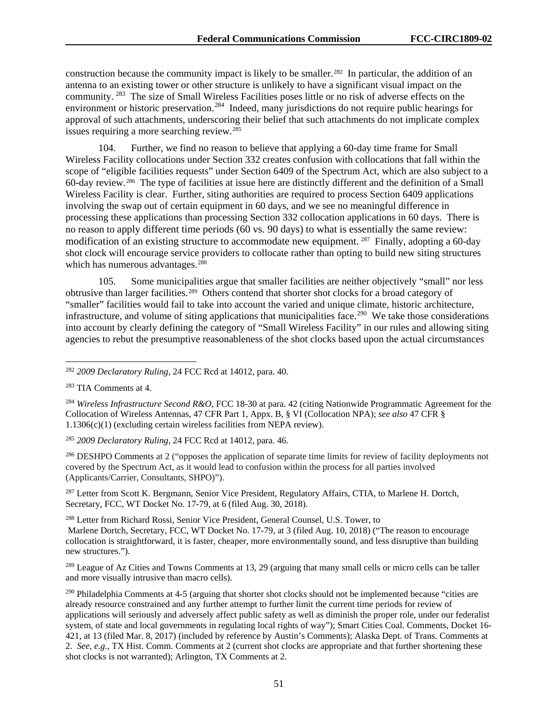construction because the community impact is likely to be smaller.<sup>[282](#page-51-0)</sup> In particular, the addition of an antenna to an existing tower or other structure is unlikely to have a significant visual impact on the community. [283](#page-51-1) The size of Small Wireless Facilities poses little or no risk of adverse effects on the environment or historic preservation.<sup>[284](#page-51-2)</sup> Indeed, many jurisdictions do not require public hearings for approval of such attachments, underscoring their belief that such attachments do not implicate complex issues requiring a more searching review.[285](#page-51-3)

104. Further, we find no reason to believe that applying a 60-day time frame for Small Wireless Facility collocations under Section 332 creates confusion with collocations that fall within the scope of "eligible facilities requests" under Section 6409 of the Spectrum Act, which are also subject to a 60-day review.[286](#page-51-4) The type of facilities at issue here are distinctly different and the definition of a Small Wireless Facility is clear. Further, siting authorities are required to process Section 6409 applications involving the swap out of certain equipment in 60 days, and we see no meaningful difference in processing these applications than processing Section 332 collocation applications in 60 days. There is no reason to apply different time periods (60 vs. 90 days) to what is essentially the same review: modification of an existing structure to accommodate new equipment. [287](#page-51-5) Finally, adopting a 60-day shot clock will encourage service providers to collocate rather than opting to build new siting structures which has numerous advantages.<sup>[288](#page-51-6)</sup>

105. Some municipalities argue that smaller facilities are neither objectively "small" nor less obtrusive than larger facilities.[289](#page-51-7) Others contend that shorter shot clocks for a broad category of "smaller" facilities would fail to take into account the varied and unique climate, historic architecture, infrastructure, and volume of siting applications that municipalities face.<sup>290</sup> We take those considerations into account by clearly defining the category of "Small Wireless Facility" in our rules and allowing siting agencies to rebut the presumptive reasonableness of the shot clocks based upon the actual circumstances

<span id="page-51-0"></span>282 *2009 Declaratory Ruling*, 24 FCC Rcd at 14012, para. 40.

<span id="page-51-2"></span><sup>284</sup> *Wireless Infrastructure Second R&O*, FCC 18-30 at para. 42 (citing Nationwide Programmatic Agreement for the Collocation of Wireless Antennas, 47 CFR Part 1, Appx. B, § VI (Collocation NPA); *see also* 47 CFR § 1.1306(c)(1) (excluding certain wireless facilities from NEPA review).

<span id="page-51-3"></span><sup>285</sup> *2009 Declaratory Ruling*, 24 FCC Rcd at 14012, para. 46.

<span id="page-51-4"></span><sup>286</sup> DESHPO Comments at 2 ("opposes the application of separate time limits for review of facility deployments not covered by the Spectrum Act, as it would lead to confusion within the process for all parties involved (Applicants/Carrier, Consultants, SHPO)").

<span id="page-51-5"></span><sup>287</sup> Letter from Scott K. Bergmann, Senior Vice President, Regulatory Affairs, CTIA, to Marlene H. Dortch, Secretary, FCC, WT Docket No. 17-79, at 6 (filed Aug. 30, 2018).

<span id="page-51-6"></span><sup>288</sup> Letter from Richard Rossi, Senior Vice President, General Counsel, U.S. Tower, to

Marlene Dortch, Secretary, FCC, WT Docket No. 17-79, at 3 (filed Aug. 10, 2018) ("The reason to encourage collocation is straightforward, it is faster, cheaper, more environmentally sound, and less disruptive than building new structures.").

<span id="page-51-7"></span><sup>289</sup> League of Az Cities and Towns Comments at 13, 29 (arguing that many small cells or micro cells can be taller and more visually intrusive than macro cells).

<span id="page-51-8"></span><sup>290</sup> Philadelphia Comments at 4-5 (arguing that shorter shot clocks should not be implemented because "cities are already resource constrained and any further attempt to further limit the current time periods for review of applications will seriously and adversely affect public safety as well as diminish the proper role, under our federalist system, of state and local governments in regulating local rights of way"); Smart Cities Coal. Comments, Docket 16- 421, at 13 (filed Mar. 8, 2017) (included by reference by Austin's Comments); Alaska Dept. of Trans. Comments at 2. *See, e.g.,* TX Hist. Comm. Comments at 2 (current shot clocks are appropriate and that further shortening these shot clocks is not warranted); Arlington, TX Comments at 2.

<span id="page-51-1"></span><sup>283</sup> TIA Comments at 4.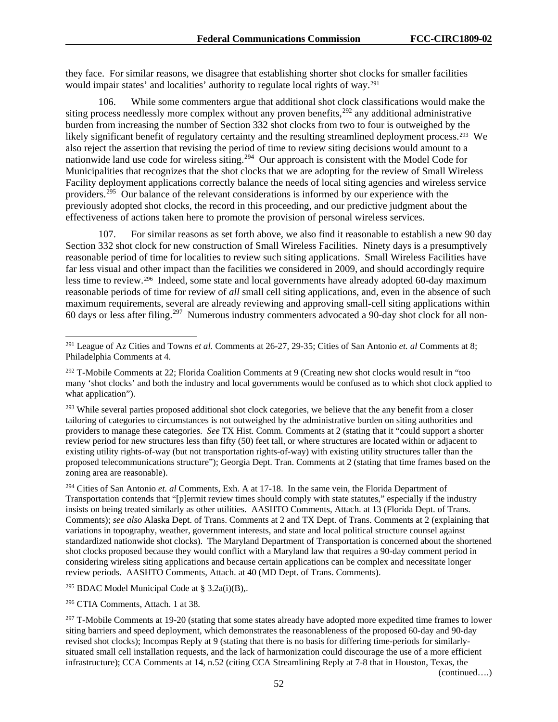they face. For similar reasons, we disagree that establishing shorter shot clocks for smaller facilities would impair states' and localities' authority to regulate local rights of way.<sup>[291](#page-52-0)</sup>

106. While some commenters argue that additional shot clock classifications would make the siting process needlessly more complex without any proven benefits,<sup>[292](#page-52-1)</sup> any additional administrative burden from increasing the number of Section 332 shot clocks from two to four is outweighed by the likely significant benefit of regulatory certainty and the resulting streamlined deployment process.<sup>[293](#page-52-2)</sup> We also reject the assertion that revising the period of time to review siting decisions would amount to a nationwide land use code for wireless siting.<sup>294</sup> Our approach is consistent with the Model Code for Municipalities that recognizes that the shot clocks that we are adopting for the review of Small Wireless Facility deployment applications correctly balance the needs of local siting agencies and wireless service providers.<sup>[295](#page-52-4)</sup> Our balance of the relevant considerations is informed by our experience with the previously adopted shot clocks, the record in this proceeding, and our predictive judgment about the effectiveness of actions taken here to promote the provision of personal wireless services.

107. For similar reasons as set forth above, we also find it reasonable to establish a new 90 day Section 332 shot clock for new construction of Small Wireless Facilities. Ninety days is a presumptively reasonable period of time for localities to review such siting applications. Small Wireless Facilities have far less visual and other impact than the facilities we considered in 2009, and should accordingly require less time to review.[296](#page-52-5) Indeed, some state and local governments have already adopted 60-day maximum reasonable periods of time for review of *all* small cell siting applications, and, even in the absence of such maximum requirements, several are already reviewing and approving small-cell siting applications within 60 days or less after filing.[297](#page-52-6) Numerous industry commenters advocated a 90-day shot clock for all non-

<span id="page-52-3"></span><sup>294</sup> Cities of San Antonio *et. al* Comments, Exh. A at 17-18. In the same vein, the Florida Department of Transportation contends that "[p]ermit review times should comply with state statutes," especially if the industry insists on being treated similarly as other utilities. AASHTO Comments, Attach. at 13 (Florida Dept. of Trans. Comments); *see also* Alaska Dept. of Trans. Comments at 2 and TX Dept. of Trans. Comments at 2 (explaining that variations in topography, weather, government interests, and state and local political structure counsel against standardized nationwide shot clocks). The Maryland Department of Transportation is concerned about the shortened shot clocks proposed because they would conflict with a Maryland law that requires a 90-day comment period in considering wireless siting applications and because certain applications can be complex and necessitate longer review periods. AASHTO Comments, Attach. at 40 (MD Dept. of Trans. Comments).

<span id="page-52-4"></span><sup>295</sup> BDAC Model Municipal Code at §  $3.2a(i)(B)$ ,.

<span id="page-52-5"></span><sup>296</sup> CTIA Comments, Attach. 1 at 38.

<span id="page-52-0"></span> <sup>291</sup> League of Az Cities and Towns *et al.* Comments at 26-27, 29-35; Cities of San Antonio *et. al* Comments at 8; Philadelphia Comments at 4.

<span id="page-52-1"></span> $292$  T-Mobile Comments at 22; Florida Coalition Comments at 9 (Creating new shot clocks would result in "too" many 'shot clocks' and both the industry and local governments would be confused as to which shot clock applied to what application").

<span id="page-52-2"></span><sup>&</sup>lt;sup>293</sup> While several parties proposed additional shot clock categories, we believe that the any benefit from a closer tailoring of categories to circumstances is not outweighed by the administrative burden on siting authorities and providers to manage these categories. *See* TX Hist. Comm. Comments at 2 (stating that it "could support a shorter review period for new structures less than fifty (50) feet tall, or where structures are located within or adjacent to existing utility rights-of-way (but not transportation rights-of-way) with existing utility structures taller than the proposed telecommunications structure"); Georgia Dept. Tran. Comments at 2 (stating that time frames based on the zoning area are reasonable).

<span id="page-52-6"></span> $297$  T-Mobile Comments at 19-20 (stating that some states already have adopted more expedited time frames to lower siting barriers and speed deployment, which demonstrates the reasonableness of the proposed 60-day and 90-day revised shot clocks); Incompas Reply at 9 (stating that there is no basis for differing time-periods for similarlysituated small cell installation requests, and the lack of harmonization could discourage the use of a more efficient infrastructure); CCA Comments at 14, n.52 (citing CCA Streamlining Reply at 7-8 that in Houston, Texas, the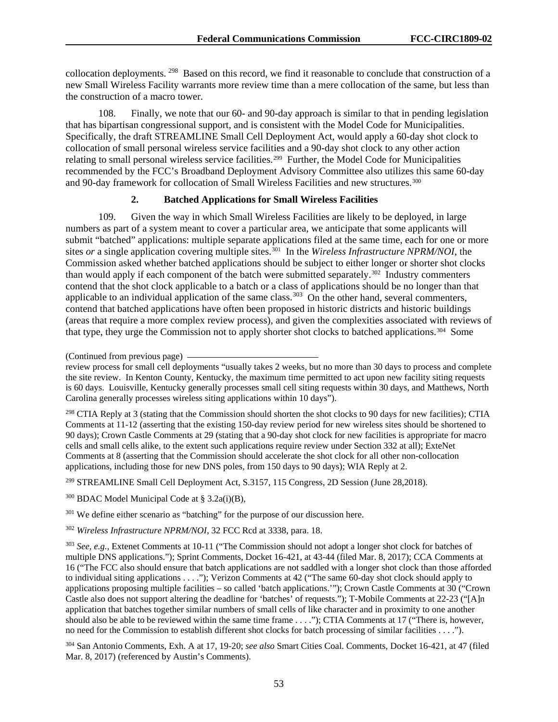collocation deployments. [298](#page-53-0) Based on this record, we find it reasonable to conclude that construction of a new Small Wireless Facility warrants more review time than a mere collocation of the same, but less than the construction of a macro tower.

108. Finally, we note that our 60- and 90-day approach is similar to that in pending legislation that has bipartisan congressional support, and is consistent with the Model Code for Municipalities. Specifically, the draft STREAMLINE Small Cell Deployment Act, would apply a 60-day shot clock to collocation of small personal wireless service facilities and a 90-day shot clock to any other action relating to small personal wireless service facilities.<sup>299</sup> Further, the Model Code for Municipalities recommended by the FCC's Broadband Deployment Advisory Committee also utilizes this same 60-day and 90-day framework for collocation of Small Wireless Facilities and new structures.[300](#page-53-2)

#### **2. Batched Applications for Small Wireless Facilities**

109. Given the way in which Small Wireless Facilities are likely to be deployed, in large numbers as part of a system meant to cover a particular area, we anticipate that some applicants will submit "batched" applications: multiple separate applications filed at the same time, each for one or more sites *or* a single application covering multiple sites.<sup>[301](#page-53-3)</sup> In the *Wireless Infrastructure NPRM/NOI*, the Commission asked whether batched applications should be subject to either longer or shorter shot clocks than would apply if each component of the batch were submitted separately.<sup>302</sup> Industry commenters contend that the shot clock applicable to a batch or a class of applications should be no longer than that applicable to an individual application of the same class.<sup>[303](#page-53-5)</sup> On the other hand, several commenters, contend that batched applications have often been proposed in historic districts and historic buildings (areas that require a more complex review process), and given the complexities associated with reviews of that type, they urge the Commission not to apply shorter shot clocks to batched applications.[304](#page-53-6) Some

<span id="page-53-0"></span><sup>298</sup> CTIA Reply at 3 (stating that the Commission should shorten the shot clocks to 90 days for new facilities); CTIA Comments at 11-12 (asserting that the existing 150-day review period for new wireless sites should be shortened to 90 days); Crown Castle Comments at 29 (stating that a 90-day shot clock for new facilities is appropriate for macro cells and small cells alike, to the extent such applications require review under Section 332 at all); ExteNet Comments at 8 (asserting that the Commission should accelerate the shot clock for all other non-collocation applications, including those for new DNS poles, from 150 days to 90 days); WIA Reply at 2.

<span id="page-53-1"></span><sup>299</sup> STREAMLINE Small Cell Deployment Act, S.3157, 115 Congress, 2D Session (June 28,2018).

<span id="page-53-2"></span> $300$  BDAC Model Municipal Code at § 3.2a(i)(B),

<span id="page-53-3"></span><sup>301</sup> We define either scenario as "batching" for the purpose of our discussion here.

<span id="page-53-4"></span><sup>302</sup> *Wireless Infrastructure NPRM/NOI*, 32 FCC Rcd at 3338, para. 18.

<span id="page-53-5"></span><sup>303</sup> *See, e.g.,* Extenet Comments at 10-11 ("The Commission should not adopt a longer shot clock for batches of multiple DNS applications."); Sprint Comments, Docket 16-421, at 43-44 (filed Mar. 8, 2017); CCA Comments at 16 ("The FCC also should ensure that batch applications are not saddled with a longer shot clock than those afforded to individual siting applications . . . ."); Verizon Comments at 42 ("The same 60-day shot clock should apply to applications proposing multiple facilities – so called 'batch applications.'"); Crown Castle Comments at 30 ("Crown Castle also does not support altering the deadline for 'batches' of requests."); T-Mobile Comments at 22-23 ("[A]n application that batches together similar numbers of small cells of like character and in proximity to one another should also be able to be reviewed within the same time frame . . . ."); CTIA Comments at 17 ("There is, however, no need for the Commission to establish different shot clocks for batch processing of similar facilities . . . .").

<span id="page-53-6"></span><sup>304</sup> San Antonio Comments, Exh. A at 17, 19-20; *see also* Smart Cities Coal. Comments, Docket 16-421, at 47 (filed Mar. 8, 2017) (referenced by Austin's Comments).

<sup>(</sup>Continued from previous page)

review process for small cell deployments "usually takes 2 weeks, but no more than 30 days to process and complete the site review. In Kenton County, Kentucky, the maximum time permitted to act upon new facility siting requests is 60 days. Louisville, Kentucky generally processes small cell siting requests within 30 days, and Matthews, North Carolina generally processes wireless siting applications within 10 days").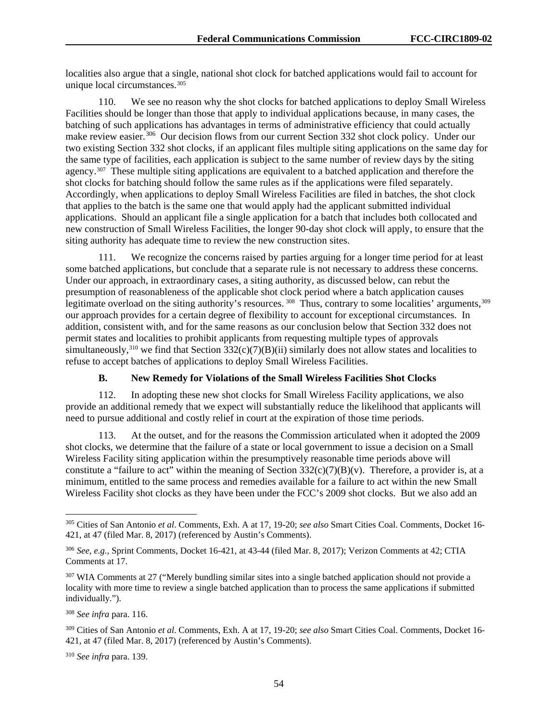localities also argue that a single, national shot clock for batched applications would fail to account for unique local circumstances.<sup>[305](#page-54-0)</sup>

110. We see no reason why the shot clocks for batched applications to deploy Small Wireless Facilities should be longer than those that apply to individual applications because, in many cases, the batching of such applications has advantages in terms of administrative efficiency that could actually make review easier.<sup>306</sup> Our decision flows from our current Section 332 shot clock policy. Under our two existing Section 332 shot clocks, if an applicant files multiple siting applications on the same day for the same type of facilities, each application is subject to the same number of review days by the siting agency.<sup>[307](#page-54-2)</sup> These multiple siting applications are equivalent to a batched application and therefore the shot clocks for batching should follow the same rules as if the applications were filed separately. Accordingly, when applications to deploy Small Wireless Facilities are filed in batches, the shot clock that applies to the batch is the same one that would apply had the applicant submitted individual applications. Should an applicant file a single application for a batch that includes both collocated and new construction of Small Wireless Facilities, the longer 90-day shot clock will apply, to ensure that the siting authority has adequate time to review the new construction sites.

111. We recognize the concerns raised by parties arguing for a longer time period for at least some batched applications, but conclude that a separate rule is not necessary to address these concerns. Under our approach, in extraordinary cases, a siting authority, as discussed below, can rebut the presumption of reasonableness of the applicable shot clock period where a batch application causes legitimate overload on the siting authority's resources. [308](#page-54-3) Thus, contrary to some localities' arguments, [309](#page-54-4) our approach provides for a certain degree of flexibility to account for exceptional circumstances. In addition, consistent with, and for the same reasons as our conclusion below that Section 332 does not permit states and localities to prohibit applicants from requesting multiple types of approvals simultaneously,<sup>[310](#page-54-5)</sup> we find that Section  $332(c)(7)(B)(ii)$  similarly does not allow states and localities to refuse to accept batches of applications to deploy Small Wireless Facilities.

#### **B. New Remedy for Violations of the Small Wireless Facilities Shot Clocks**

112. In adopting these new shot clocks for Small Wireless Facility applications, we also provide an additional remedy that we expect will substantially reduce the likelihood that applicants will need to pursue additional and costly relief in court at the expiration of those time periods.

113. At the outset, and for the reasons the Commission articulated when it adopted the 2009 shot clocks, we determine that the failure of a state or local government to issue a decision on a Small Wireless Facility siting application within the presumptively reasonable time periods above will constitute a "failure to act" within the meaning of Section  $332(c)(7)(B)(v)$ . Therefore, a provider is, at a minimum, entitled to the same process and remedies available for a failure to act within the new Small Wireless Facility shot clocks as they have been under the FCC's 2009 shot clocks. But we also add an

<span id="page-54-5"></span><sup>310</sup> *See infra* para. 139.

<span id="page-54-0"></span> <sup>305</sup> Cities of San Antonio *et al*. Comments, Exh. A at 17, 19-20; *see also* Smart Cities Coal. Comments, Docket 16- 421, at 47 (filed Mar. 8, 2017) (referenced by Austin's Comments).

<span id="page-54-1"></span><sup>306</sup> *See, e.g.,* Sprint Comments, Docket 16-421, at 43-44 (filed Mar. 8, 2017); Verizon Comments at 42; CTIA Comments at 17.

<span id="page-54-2"></span><sup>&</sup>lt;sup>307</sup> WIA Comments at 27 ("Merely bundling similar sites into a single batched application should not provide a locality with more time to review a single batched application than to process the same applications if submitted individually.").

<span id="page-54-3"></span><sup>308</sup> *See infra* para. 116.

<span id="page-54-4"></span><sup>309</sup> Cities of San Antonio *et al*. Comments, Exh. A at 17, 19-20; *see also* Smart Cities Coal. Comments, Docket 16- 421, at 47 (filed Mar. 8, 2017) (referenced by Austin's Comments).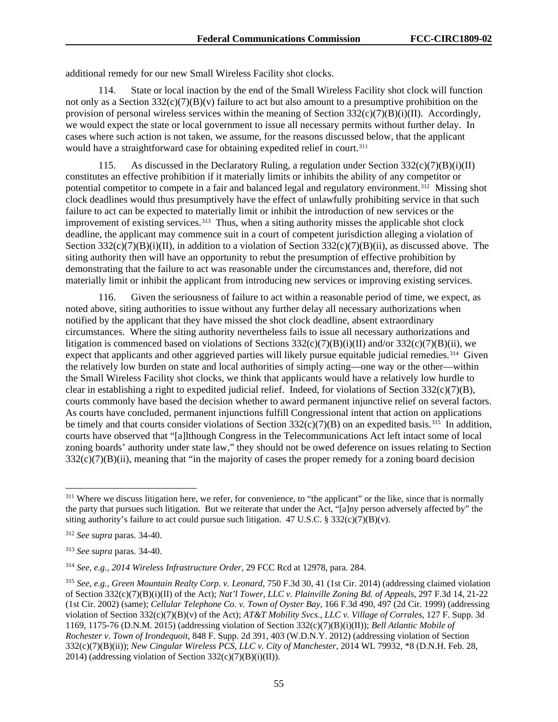additional remedy for our new Small Wireless Facility shot clocks.

114. State or local inaction by the end of the Small Wireless Facility shot clock will function not only as a Section  $332(c)(7)(B)(v)$  failure to act but also amount to a presumptive prohibition on the provision of personal wireless services within the meaning of Section  $332(c)(7)(B)(i)(II)$ . Accordingly, we would expect the state or local government to issue all necessary permits without further delay. In cases where such action is not taken, we assume, for the reasons discussed below, that the applicant would have a straightforward case for obtaining expedited relief in court.<sup>[311](#page-55-0)</sup>

115. As discussed in the Declaratory Ruling, a regulation under Section  $332(c)(7)(B)(i)(II)$ constitutes an effective prohibition if it materially limits or inhibits the ability of any competitor or potential competitor to compete in a fair and balanced legal and regulatory environment.<sup>312</sup> Missing shot clock deadlines would thus presumptively have the effect of unlawfully prohibiting service in that such failure to act can be expected to materially limit or inhibit the introduction of new services or the improvement of existing services.<sup>[313](#page-55-2)</sup> Thus, when a siting authority misses the applicable shot clock deadline, the applicant may commence suit in a court of competent jurisdiction alleging a violation of Section 332(c)(7)(B)(i)(II), in addition to a violation of Section 332(c)(7)(B)(ii), as discussed above. The siting authority then will have an opportunity to rebut the presumption of effective prohibition by demonstrating that the failure to act was reasonable under the circumstances and, therefore, did not materially limit or inhibit the applicant from introducing new services or improving existing services.

116. Given the seriousness of failure to act within a reasonable period of time, we expect, as noted above, siting authorities to issue without any further delay all necessary authorizations when notified by the applicant that they have missed the shot clock deadline, absent extraordinary circumstances. Where the siting authority nevertheless fails to issue all necessary authorizations and litigation is commenced based on violations of Sections  $332(c)(7)(B)(i)(II)$  and/or  $332(c)(7)(B)(ii)$ , we expect that applicants and other aggrieved parties will likely pursue equitable judicial remedies.<sup>[314](#page-55-3)</sup> Given the relatively low burden on state and local authorities of simply acting—one way or the other—within the Small Wireless Facility shot clocks, we think that applicants would have a relatively low hurdle to clear in establishing a right to expedited judicial relief. Indeed, for violations of Section  $332(c)(7)(B)$ , courts commonly have based the decision whether to award permanent injunctive relief on several factors. As courts have concluded, permanent injunctions fulfill Congressional intent that action on applications be timely and that courts consider violations of Section  $332(c)(7)(B)$  on an expedited basis.<sup>315</sup> In addition, courts have observed that "[a]lthough Congress in the Telecommunications Act left intact some of local zoning boards' authority under state law," they should not be owed deference on issues relating to Section  $332(c)(7)(B)(ii)$ , meaning that "in the majority of cases the proper remedy for a zoning board decision

<span id="page-55-0"></span><sup>&</sup>lt;sup>311</sup> Where we discuss litigation here, we refer, for convenience, to "the applicant" or the like, since that is normally the party that pursues such litigation. But we reiterate that under the Act, "[a]ny person adversely affected by" the siting authority's failure to act could pursue such litigation.  $47 \text{ U.S.C.} \$   $332(c)(7)(B)(v)$ .

<span id="page-55-1"></span><sup>312</sup> *See supra* paras. [34](#page-12-0)[-40.](#page-18-0)

<span id="page-55-2"></span><sup>313</sup> *See supra* paras. [34](#page-12-0)[-40.](#page-18-0)

<span id="page-55-3"></span><sup>314</sup> *See, e.g.*, *2014 Wireless Infrastructure Order*, 29 FCC Rcd at 12978, para. 284.

<span id="page-55-4"></span><sup>315</sup> *See, e.g.*, *Green Mountain Realty Corp. v. Leonard*, 750 F.3d 30, 41 (1st Cir. 2014) (addressing claimed violation of Section 332(c)(7)(B)(i)(II) of the Act); *Nat'l Tower, LLC v. Plainville Zoning Bd. of Appeals*, 297 F.3d 14, 21-22 (1st Cir. 2002) (same); *Cellular Telephone Co. v. Town of Oyster Bay*, 166 F.3d 490, 497 (2d Cir. 1999) (addressing violation of Section 332(c)(7)(B)(v) of the Act); *AT&T Mobility Svcs., LLC v. Village of Corrales*, 127 F. Supp. 3d 1169, 1175-76 (D.N.M. 2015) (addressing violation of Section 332(c)(7)(B)(i)(II)); *Bell Atlantic Mobile of Rochester v. Town of Irondequoit*, 848 F. Supp. 2d 391, 403 (W.D.N.Y. 2012) (addressing violation of Section 332(c)(7)(B)(ii)); *New Cingular Wireless PCS, LLC v. City of Manchester*, 2014 WL 79932, \*8 (D.N.H. Feb. 28, 2014) (addressing violation of Section  $332(c)(7)(B)(i)(II)$ ).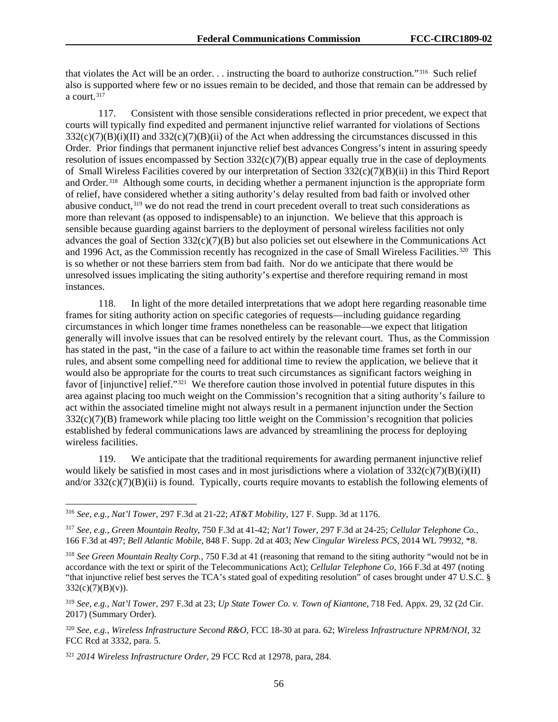that violates the Act will be an order. . . instructing the board to authorize construction."[316](#page-56-0) Such relief also is supported where few or no issues remain to be decided, and those that remain can be addressed by a court. $31\overline{7}$ 

117. Consistent with those sensible considerations reflected in prior precedent, we expect that courts will typically find expedited and permanent injunctive relief warranted for violations of Sections  $332(c)(7)(B)(i)(II)$  and  $332(c)(7)(B)(ii)$  of the Act when addressing the circumstances discussed in this Order. Prior findings that permanent injunctive relief best advances Congress's intent in assuring speedy resolution of issues encompassed by Section  $332(c)(7)(B)$  appear equally true in the case of deployments of Small Wireless Facilities covered by our interpretation of Section 332(c)(7)(B)(ii) in this Third Report and Order.<sup>[318](#page-56-2)</sup> Although some courts, in deciding whether a permanent injunction is the appropriate form of relief, have considered whether a siting authority's delay resulted from bad faith or involved other abusive conduct,<sup>[319](#page-56-3)</sup> we do not read the trend in court precedent overall to treat such considerations as more than relevant (as opposed to indispensable) to an injunction. We believe that this approach is sensible because guarding against barriers to the deployment of personal wireless facilities not only advances the goal of Section  $332(c)(7)(B)$  but also policies set out elsewhere in the Communications Act and 1996 Act, as the Commission recently has recognized in the case of Small Wireless Facilities. [320](#page-56-4) This is so whether or not these barriers stem from bad faith. Nor do we anticipate that there would be unresolved issues implicating the siting authority's expertise and therefore requiring remand in most instances.

118. In light of the more detailed interpretations that we adopt here regarding reasonable time frames for siting authority action on specific categories of requests—including guidance regarding circumstances in which longer time frames nonetheless can be reasonable—we expect that litigation generally will involve issues that can be resolved entirely by the relevant court. Thus, as the Commission has stated in the past, "in the case of a failure to act within the reasonable time frames set forth in our rules, and absent some compelling need for additional time to review the application, we believe that it would also be appropriate for the courts to treat such circumstances as significant factors weighing in favor of [injunctive] relief."<sup>321</sup> We therefore caution those involved in potential future disputes in this area against placing too much weight on the Commission's recognition that a siting authority's failure to act within the associated timeline might not always result in a permanent injunction under the Section 332(c)(7)(B) framework while placing too little weight on the Commission's recognition that policies established by federal communications laws are advanced by streamlining the process for deploying wireless facilities.

119. We anticipate that the traditional requirements for awarding permanent injunctive relief would likely be satisfied in most cases and in most jurisdictions where a violation of  $332(c)(7)(B)(i)(II)$ and/or 332(c)(7)(B)(ii) is found. Typically, courts require movants to establish the following elements of

<span id="page-56-0"></span> <sup>316</sup> *See, e.g.*, *Nat'l Tower*, 297 F.3d at 21-22; *AT&T Mobility*, 127 F. Supp. 3d at 1176.

<span id="page-56-1"></span><sup>317</sup> *See, e.g.*, *Green Mountain Realty*, 750 F.3d at 41-42; *Nat'l Tower*, 297 F.3d at 24-25; *Cellular Telephone Co.*, 166 F.3d at 497; *Bell Atlantic Mobile*, 848 F. Supp. 2d at 403; *New Cingular Wireless PCS*, 2014 WL 79932, \*8.

<span id="page-56-2"></span><sup>318</sup> *See Green Mountain Realty Corp.*, 750 F.3d at 41 (reasoning that remand to the siting authority "would not be in accordance with the text or spirit of the Telecommunications Act); *Cellular Telephone Co*, 166 F.3d at 497 (noting "that injunctive relief best serves the TCA's stated goal of expediting resolution" of cases brought under 47 U.S.C. §  $332(c)(7)(B)(v)$ .

<span id="page-56-3"></span><sup>319</sup> *See, e.g.*, *Nat'l Tower*, 297 F.3d at 23; *Up State Tower Co. v. Town of Kiantone*, 718 Fed. Appx. 29, 32 (2d Cir. 2017) (Summary Order).

<span id="page-56-4"></span><sup>320</sup> *See, e.g.*, *Wireless Infrastructure Second R&O*, FCC 18-30 at para. 62; *Wireless Infrastructure NPRM/NOI*, 32 FCC Rcd at 3332, para. 5.

<span id="page-56-5"></span><sup>321</sup> *2014 Wireless Infrastructure Order*, 29 FCC Rcd at 12978, para, 284.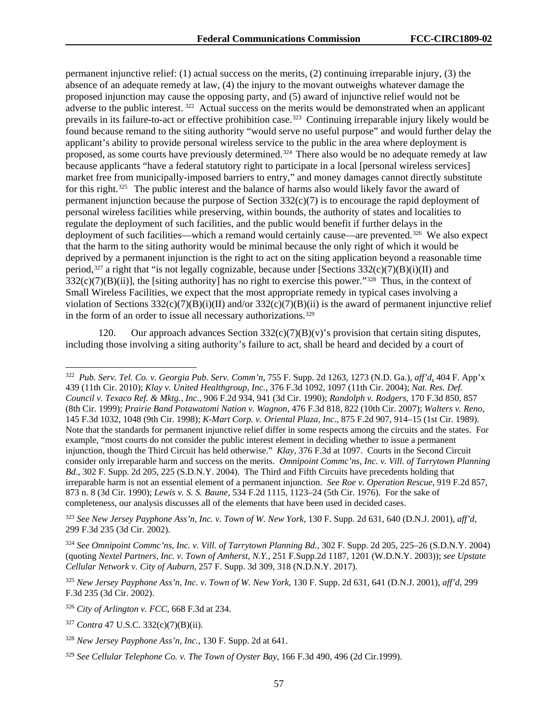permanent injunctive relief: (1) actual success on the merits, (2) continuing irreparable injury, (3) the absence of an adequate remedy at law, (4) the injury to the movant outweighs whatever damage the proposed injunction may cause the opposing party, and (5) award of injunctive relief would not be adverse to the public interest. [322](#page-57-0) Actual success on the merits would be demonstrated when an applicant prevails in its failure-to-act or effective prohibition case.<sup>323</sup> Continuing irreparable injury likely would be found because remand to the siting authority "would serve no useful purpose" and would further delay the applicant's ability to provide personal wireless service to the public in the area where deployment is proposed, as some courts have previously determined.<sup>[324](#page-57-2)</sup> There also would be no adequate remedy at law because applicants "have a federal statutory right to participate in a local [personal wireless services] market free from municipally-imposed barriers to entry," and money damages cannot directly substitute for this right.<sup>[325](#page-57-3)</sup> The public interest and the balance of harms also would likely favor the award of permanent injunction because the purpose of Section 332(c)(7) is to encourage the rapid deployment of personal wireless facilities while preserving, within bounds, the authority of states and localities to regulate the deployment of such facilities, and the public would benefit if further delays in the deployment of such facilities—which a remand would certainly cause—are prevented.<sup>326</sup> We also expect that the harm to the siting authority would be minimal because the only right of which it would be deprived by a permanent injunction is the right to act on the siting application beyond a reasonable time period,<sup>[327](#page-57-5)</sup> a right that "is not legally cognizable, because under [Sections  $332(c)(7)(B)(i)(II)$  and  $332(c)(7)(B)(ii)$ , the [siting authority] has no right to exercise this power."<sup>328</sup> Thus, in the context of Small Wireless Facilities, we expect that the most appropriate remedy in typical cases involving a violation of Sections  $332(c)(7)(B)(i)(II)$  and/or  $332(c)(7)(B)(ii)$  is the award of permanent injunctive relief in the form of an order to issue all necessary authorizations.<sup>[329](#page-57-7)</sup>

120. Our approach advances Section  $332(c)(7)(B)(v)$ 's provision that certain siting disputes, including those involving a siting authority's failure to act, shall be heard and decided by a court of

<span id="page-57-1"></span><sup>323</sup> *See New Jersey Payphone Ass'n, Inc. v. Town of W. New York*, 130 F. Supp. 2d 631, 640 (D.N.J. 2001), *aff'd*, 299 F.3d 235 (3d Cir. 2002).

<span id="page-57-0"></span> <sup>322</sup> *Pub. Serv. Tel. Co. v. Georgia Pub. Serv. Comm'n*, 755 F. Supp. 2d 1263, 1273 (N.D. Ga.), *aff'd*, 404 F. App'x 439 (11th Cir. 2010); *Klay v. United Healthgroup, Inc.*, 376 F.3d 1092, 1097 (11th Cir. 2004); *Nat. Res. Def. Council v. Texaco Ref. & Mktg., Inc.*, 906 F.2d 934, 941 (3d Cir. 1990); *Randolph v. Rodgers*, 170 F.3d 850, 857 (8th Cir. 1999); *Prairie Band Potawatomi Nation v. Wagnon*, 476 F.3d 818, 822 (10th Cir. 2007); *Walters v. Reno*, 145 F.3d 1032, 1048 (9th Cir. 1998); *K-Mart Corp. v. Oriental Plaza, Inc.*, 875 F.2d 907, 914–15 (1st Cir. 1989). Note that the standards for permanent injunctive relief differ in some respects among the circuits and the states. For example, "most courts do not consider the public interest element in deciding whether to issue a permanent injunction, though the Third Circuit has held otherwise." *Klay*, 376 F.3d at 1097. Courts in the Second Circuit consider only irreparable harm and success on the merits. *Omnipoint Commc'ns, Inc. v. Vill. of Tarrytown Planning Bd.*, 302 F. Supp. 2d 205, 225 (S.D.N.Y. 2004). The Third and Fifth Circuits have precedents holding that irreparable harm is not an essential element of a permanent injunction. *See Roe v. Operation Rescue*, 919 F.2d 857, 873 n. 8 (3d Cir. 1990); *Lewis v. S. S. Baune*, 534 F.2d 1115, 1123–24 (5th Cir. 1976). For the sake of completeness, our analysis discusses all of the elements that have been used in decided cases.

<span id="page-57-2"></span><sup>324</sup> *See Omnipoint Commc'ns, Inc. v. Vill. of Tarrytown Planning Bd.*, 302 F. Supp. 2d 205, 225–26 (S.D.N.Y. 2004) (quoting *Nextel Partners, Inc. v. Town of Amherst, N.Y.,* 251 F.Supp.2d 1187, 1201 (W.D.N.Y. 2003)); *see Upstate Cellular Network v. City of Auburn*, 257 F. Supp. 3d 309, 318 (N.D.N.Y. 2017).

<span id="page-57-3"></span><sup>325</sup> *New Jersey Payphone Ass'n, Inc. v. Town of W. New York*, 130 F. Supp. 2d 631, 641 (D.N.J. 2001), *aff'd*, 299 F.3d 235 (3d Cir. 2002).

<span id="page-57-4"></span><sup>326</sup> *City of Arlington v. FCC*, 668 F.3d at 234.

<span id="page-57-5"></span><sup>327</sup> *Contra* 47 U.S.C. 332(c)(7)(B)(ii).

<span id="page-57-6"></span><sup>328</sup> *New Jersey Payphone Ass'n, Inc.*, 130 F. Supp. 2d at 641.

<span id="page-57-7"></span><sup>329</sup> *See Cellular Telephone Co. v. The Town of Oyster Bay*, 166 F.3d 490, 496 (2d Cir.1999).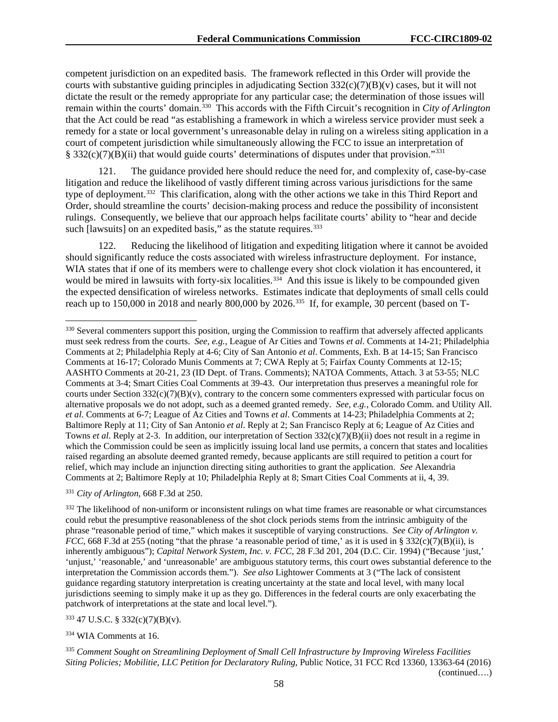competent jurisdiction on an expedited basis. The framework reflected in this Order will provide the courts with substantive guiding principles in adjudicating Section  $332(c)(7)(B)(v)$  cases, but it will not dictate the result or the remedy appropriate for any particular case; the determination of those issues will remain within the courts' domain.[330](#page-58-0) This accords with the Fifth Circuit's recognition in *City of Arlington* that the Act could be read "as establishing a framework in which a wireless service provider must seek a remedy for a state or local government's unreasonable delay in ruling on a wireless siting application in a court of competent jurisdiction while simultaneously allowing the FCC to issue an interpretation of § 332(c)(7)(B)(ii) that would guide courts' determinations of disputes under that provision."<sup>[331](#page-58-1)</sup>

121. The guidance provided here should reduce the need for, and complexity of, case-by-case litigation and reduce the likelihood of vastly different timing across various jurisdictions for the same type of deployment.[332](#page-58-2) This clarification, along with the other actions we take in this Third Report and Order, should streamline the courts' decision-making process and reduce the possibility of inconsistent rulings. Consequently, we believe that our approach helps facilitate courts' ability to "hear and decide such [lawsuits] on an expedited basis," as the statute requires.<sup>[333](#page-58-3)</sup>

Reducing the likelihood of litigation and expediting litigation where it cannot be avoided should significantly reduce the costs associated with wireless infrastructure deployment. For instance, WIA states that if one of its members were to challenge every shot clock violation it has encountered, it would be mired in lawsuits with forty-six localities.<sup>334</sup> And this issue is likely to be compounded given the expected densification of wireless networks. Estimates indicate that deployments of small cells could reach up to 150,000 in 2018 and nearly 800,000 by 2026.<sup>335</sup> If, for example, 30 percent (based on T-

<span id="page-58-1"></span><sup>331</sup> *City of Arlington*, 668 F.3d at 250.

<span id="page-58-3"></span><sup>333</sup> 47 U.S.C. § 332(c)(7)(B)(v).

<span id="page-58-4"></span><sup>334</sup> WIA Comments at 16.

<span id="page-58-0"></span><sup>&</sup>lt;sup>330</sup> Several commenters support this position, urging the Commission to reaffirm that adversely affected applicants must seek redress from the courts. *See, e.g.,* League of Ar Cities and Towns *et al*. Comments at 14-21; Philadelphia Comments at 2; Philadelphia Reply at 4-6; City of San Antonio *et al*. Comments, Exh. B at 14-15; San Francisco Comments at 16-17; Colorado Munis Comments at 7; CWA Reply at 5; Fairfax County Comments at 12-15; AASHTO Comments at 20-21, 23 (ID Dept. of Trans. Comments); NATOA Comments, Attach. 3 at 53-55; NLC Comments at 3-4; Smart Cities Coal Comments at 39-43. Our interpretation thus preserves a meaningful role for courts under Section  $332(c)(7)(B)(v)$ , contrary to the concern some commenters expressed with particular focus on alternative proposals we do not adopt, such as a deemed granted remedy. *See, e.g.*, Colorado Comm. and Utility All. *et al*. Comments at 6-7; League of Az Cities and Towns *et al*. Comments at 14-23; Philadelphia Comments at 2; Baltimore Reply at 11; City of San Antonio *et al*. Reply at 2; San Francisco Reply at 6; League of Az Cities and Towns *et al*. Reply at 2-3. In addition, our interpretation of Section 332(c)(7)(B)(ii) does not result in a regime in which the Commission could be seen as implicitly issuing local land use permits, a concern that states and localities raised regarding an absolute deemed granted remedy, because applicants are still required to petition a court for relief, which may include an injunction directing siting authorities to grant the application. *See* Alexandria Comments at 2; Baltimore Reply at 10; Philadelphia Reply at 8; Smart Cities Coal Comments at ii, 4, 39.

<span id="page-58-2"></span><sup>&</sup>lt;sup>332</sup> The likelihood of non-uniform or inconsistent rulings on what time frames are reasonable or what circumstances could rebut the presumptive reasonableness of the shot clock periods stems from the intrinsic ambiguity of the phrase "reasonable period of time," which makes it susceptible of varying constructions. *See City of Arlington v. FCC*, 668 F.3d at 255 (noting "that the phrase 'a reasonable period of time,' as it is used in § 332(c)(7)(B)(ii), is inherently ambiguous"); *Capital Network System, Inc. v. FCC*, 28 F.3d 201, 204 (D.C. Cir. 1994) ("Because 'just,' 'unjust,' 'reasonable,' and 'unreasonable' are ambiguous statutory terms, this court owes substantial deference to the interpretation the Commission accords them."). *See also* Lightower Comments at 3 ("The lack of consistent guidance regarding statutory interpretation is creating uncertainty at the state and local level, with many local jurisdictions seeming to simply make it up as they go. Differences in the federal courts are only exacerbating the patchwork of interpretations at the state and local level.").

<span id="page-58-5"></span><sup>335</sup> *Comment Sought on Streamlining Deployment of Small Cell Infrastructure by Improving Wireless Facilities Siting Policies; Mobilitie, LLC Petition for Declaratory Ruling*, Public Notice, 31 FCC Rcd 13360, 13363-64 (2016) (continued….)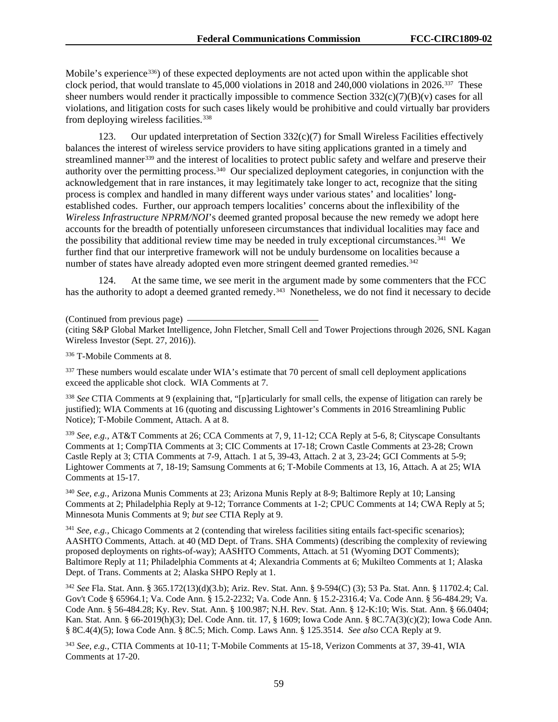Mobile's experience<sup>[336](#page-59-0)</sup>) of these expected deployments are not acted upon within the applicable shot clock period, that would translate to 45,000 violations in 2018 and 240,000 violations in 2026.[337](#page-59-1) These sheer numbers would render it practically impossible to commence Section 332(c)(7)(B)(v) cases for all violations, and litigation costs for such cases likely would be prohibitive and could virtually bar providers from deploying wireless facilities.<sup>[338](#page-59-2)</sup>

123. Our updated interpretation of Section  $332(c)(7)$  for Small Wireless Facilities effectively balances the interest of wireless service providers to have siting applications granted in a timely and streamlined manner<sup>[339](#page-59-3)</sup> and the interest of localities to protect public safety and welfare and preserve their authority over the permitting process.<sup>[340](#page-59-4)</sup> Our specialized deployment categories, in conjunction with the acknowledgement that in rare instances, it may legitimately take longer to act, recognize that the siting process is complex and handled in many different ways under various states' and localities' longestablished codes. Further, our approach tempers localities' concerns about the inflexibility of the *Wireless Infrastructure NPRM/NOI*'s deemed granted proposal because the new remedy we adopt here accounts for the breadth of potentially unforeseen circumstances that individual localities may face and the possibility that additional review time may be needed in truly exceptional circumstances.[341](#page-59-5) We further find that our interpretive framework will not be unduly burdensome on localities because a number of states have already adopted even more stringent deemed granted remedies.<sup>[342](#page-59-6)</sup>

124. At the same time, we see merit in the argument made by some commenters that the FCC has the authority to adopt a deemed granted remedy.<sup>343</sup> Nonetheless, we do not find it necessary to decide

(Continued from previous page)

(citing S&P Global Market Intelligence, John Fletcher, Small Cell and Tower Projections through 2026, SNL Kagan Wireless Investor (Sept. 27, 2016)).

<span id="page-59-0"></span><sup>336</sup> T-Mobile Comments at 8.

<span id="page-59-1"></span><sup>337</sup> These numbers would escalate under WIA's estimate that 70 percent of small cell deployment applications exceed the applicable shot clock. WIA Comments at 7.

<span id="page-59-2"></span><sup>338</sup> *See* CTIA Comments at 9 (explaining that, "[p]articularly for small cells, the expense of litigation can rarely be justified); WIA Comments at 16 (quoting and discussing Lightower's Comments in 2016 Streamlining Public Notice); T-Mobile Comment, Attach. A at 8.

<span id="page-59-3"></span><sup>339</sup> *See, e.g.,* AT&T Comments at 26; CCA Comments at 7, 9, 11-12; CCA Reply at 5-6, 8; Cityscape Consultants Comments at 1; CompTIA Comments at 3; CIC Comments at 17-18; Crown Castle Comments at 23-28; Crown Castle Reply at 3; CTIA Comments at 7-9, Attach. 1 at 5, 39-43, Attach. 2 at 3, 23-24; GCI Comments at 5-9; Lightower Comments at 7, 18-19; Samsung Comments at 6; T-Mobile Comments at 13, 16, Attach. A at 25; WIA Comments at 15-17.

<span id="page-59-4"></span><sup>340</sup> *See, e.g.,* Arizona Munis Comments at 23; Arizona Munis Reply at 8-9; Baltimore Reply at 10; Lansing Comments at 2; Philadelphia Reply at 9-12; Torrance Comments at 1-2; CPUC Comments at 14; CWA Reply at 5; Minnesota Munis Comments at 9; *but see* CTIA Reply at 9.

<span id="page-59-5"></span><sup>341</sup> *See, e.g.,* Chicago Comments at 2 (contending that wireless facilities siting entails fact-specific scenarios); AASHTO Comments, Attach. at 40 (MD Dept. of Trans. SHA Comments) (describing the complexity of reviewing proposed deployments on rights-of-way); AASHTO Comments, Attach. at 51 (Wyoming DOT Comments); Baltimore Reply at 11; Philadelphia Comments at 4; Alexandria Comments at 6; Mukilteo Comments at 1; Alaska Dept. of Trans. Comments at 2; Alaska SHPO Reply at 1.

<span id="page-59-6"></span><sup>342</sup> *See* Fla. Stat. Ann. § 365.172(13)(d)(3.b); Ariz. Rev. Stat. Ann. § 9-594(C) (3); 53 Pa. Stat. Ann. § 11702.4; Cal. Gov't Code § 65964.1; Va. Code Ann. § 15.2-2232; Va. Code Ann. § 15.2-2316.4; Va. Code Ann. § 56-484.29; Va. Code Ann. § 56-484.28; Ky. Rev. Stat. Ann. § 100.987; N.H. Rev. Stat. Ann. § 12-K:10; Wis. Stat. Ann. § 66.0404; Kan. Stat. Ann. § 66-2019(h)(3); Del. Code Ann. tit. 17, § 1609; Iowa Code Ann. § 8C.7A(3)(c)(2); Iowa Code Ann. § 8C.4(4)(5); Iowa Code Ann. § 8C.5; Mich. Comp. Laws Ann. § 125.3514. *See also* CCA Reply at 9.

<span id="page-59-7"></span><sup>343</sup> *See, e.g.*, CTIA Comments at 10-11; T-Mobile Comments at 15-18, Verizon Comments at 37, 39-41, WIA Comments at 17-20.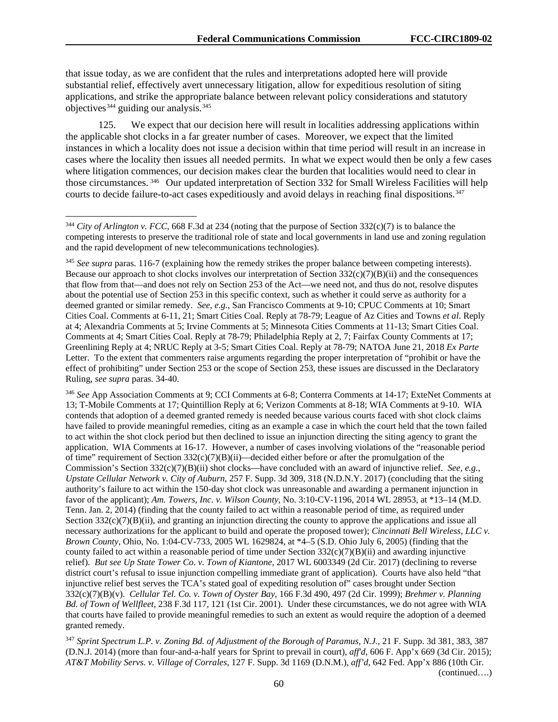that issue today, as we are confident that the rules and interpretations adopted here will provide substantial relief, effectively avert unnecessary litigation, allow for expeditious resolution of siting applications, and strike the appropriate balance between relevant policy considerations and statutory objectives<sup>[344](#page-60-0)</sup> guiding our analysis.<sup>345</sup>

125. We expect that our decision here will result in localities addressing applications within the applicable shot clocks in a far greater number of cases. Moreover, we expect that the limited instances in which a locality does not issue a decision within that time period will result in an increase in cases where the locality then issues all needed permits. In what we expect would then be only a few cases where litigation commences, our decision makes clear the burden that localities would need to clear in those circumstances. [346](#page-60-2) Our updated interpretation of Section 332 for Small Wireless Facilities will help courts to decide failure-to-act cases expeditiously and avoid delays in reaching final dispositions.<sup>347</sup>

<span id="page-60-2"></span><sup>346</sup> *See* App Association Comments at 9; CCI Comments at 6-8; Conterra Comments at 14-17; ExteNet Comments at 13; T-Mobile Comments at 17; Quintillion Reply at 6; Verizon Comments at 8-18; WIA Comments at 9-10. WIA contends that adoption of a deemed granted remedy is needed because various courts faced with shot clock claims have failed to provide meaningful remedies, citing as an example a case in which the court held that the town failed to act within the shot clock period but then declined to issue an injunction directing the siting agency to grant the application. WIA Comments at 16-17. However, a number of cases involving violations of the "reasonable period of time" requirement of Section  $332(c)(7)(B)(ii)$ —decided either before or after the promulgation of the Commission's Section 332(c)(7)(B)(ii) shot clocks—have concluded with an award of injunctive relief. *See, e.g.*, *Upstate Cellular Network v. City of Auburn*, 257 F. Supp. 3d 309, 318 (N.D.N.Y. 2017) (concluding that the siting authority's failure to act within the 150-day shot clock was unreasonable and awarding a permanent injunction in favor of the applicant); *Am. Towers, Inc. v. Wilson County*, No. 3:10-CV-1196, 2014 WL 28953, at \*13–14 (M.D. Tenn. Jan. 2, 2014) (finding that the county failed to act within a reasonable period of time, as required under Section  $332(c)(7)(B)(ii)$ , and granting an injunction directing the county to approve the applications and issue all necessary authorizations for the applicant to build and operate the proposed tower); *Cincinnati Bell Wireless, LLC v. Brown County*, Ohio, No. 1:04-CV-733, 2005 WL 1629824, at \*4–5 (S.D. Ohio July 6, 2005) (finding that the county failed to act within a reasonable period of time under Section 332(c)(7)(B)(ii) and awarding injunctive relief). *But see Up State Tower Co. v. Town of Kiantone*, 2017 WL 6003349 (2d Cir. 2017) (declining to reverse district court's refusal to issue injunction compelling immediate grant of application). Courts have also held "that injunctive relief best serves the TCA's stated goal of expediting resolution of" cases brought under Section 332(c)(7)(B)(v). *Cellular Tel. Co. v. Town of Oyster Bay*, 166 F.3d 490, 497 (2d Cir. 1999); *Brehmer v. Planning Bd. of Town of Wellfleet*, 238 F.3d 117, 121 (1st Cir. 2001). Under these circumstances, we do not agree with WIA that courts have failed to provide meaningful remedies to such an extent as would require the adoption of a deemed granted remedy.

<span id="page-60-3"></span><sup>347</sup> *Sprint Spectrum L.P. v. Zoning Bd. of Adjustment of the Borough of Paramus, N.J.*, 21 F. Supp. 3d 381, 383, 387 (D.N.J. 2014) (more than four-and-a-half years for Sprint to prevail in court), *aff'd*, 606 F. App'x 669 (3d Cir. 2015); *AT&T Mobility Servs. v. Village of Corrales*, 127 F. Supp. 3d 1169 (D.N.M.), *aff'd*, 642 Fed. App'x 886 (10th Cir.

<span id="page-60-0"></span> <sup>344</sup> *City of Arlington v. FCC*, 668 F.3d at 234 (noting that the purpose of Section 332(c)(7) is to balance the competing interests to preserve the traditional role of state and local governments in land use and zoning regulation and the rapid development of new telecommunications technologies).

<span id="page-60-1"></span><sup>345</sup> *See supra* paras. 116-7 (explaining how the remedy strikes the proper balance between competing interests). Because our approach to shot clocks involves our interpretation of Section  $332(c)(7)(B)(ii)$  and the consequences that flow from that—and does not rely on Section 253 of the Act—we need not, and thus do not, resolve disputes about the potential use of Section 253 in this specific context, such as whether it could serve as authority for a deemed granted or similar remedy. *See, e.g.*, San Francisco Comments at 9-10; CPUC Comments at 10; Smart Cities Coal. Comments at 6-11, 21; Smart Cities Coal. Reply at 78-79; League of Az Cities and Towns *et al*. Reply at 4; Alexandria Comments at 5; Irvine Comments at 5; Minnesota Cities Comments at 11-13; Smart Cities Coal. Comments at 4; Smart Cities Coal. Reply at 78-79; Philadelphia Reply at 2, 7; Fairfax County Comments at 17; Greenlining Reply at 4; NRUC Reply at 3-5; Smart Cities Coal. Reply at 78-79; NATOA June 21, 2018 *Ex Parte* Letter. To the extent that commenters raise arguments regarding the proper interpretation of "prohibit or have the effect of prohibiting" under Section 253 or the scope of Section 253, these issues are discussed in the Declaratory Ruling, *see supra* paras. [34](#page-12-0)[-40.](#page-18-0)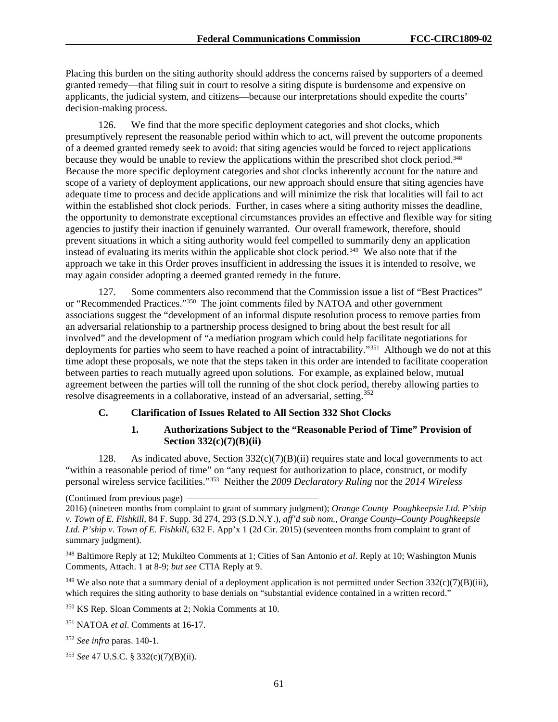Placing this burden on the siting authority should address the concerns raised by supporters of a deemed granted remedy—that filing suit in court to resolve a siting dispute is burdensome and expensive on applicants, the judicial system, and citizens—because our interpretations should expedite the courts' decision-making process.

126. We find that the more specific deployment categories and shot clocks, which presumptively represent the reasonable period within which to act, will prevent the outcome proponents of a deemed granted remedy seek to avoid: that siting agencies would be forced to reject applications because they would be unable to review the applications within the prescribed shot clock period.<sup>[348](#page-61-0)</sup> Because the more specific deployment categories and shot clocks inherently account for the nature and scope of a variety of deployment applications, our new approach should ensure that siting agencies have adequate time to process and decide applications and will minimize the risk that localities will fail to act within the established shot clock periods. Further, in cases where a siting authority misses the deadline, the opportunity to demonstrate exceptional circumstances provides an effective and flexible way for siting agencies to justify their inaction if genuinely warranted. Our overall framework, therefore, should prevent situations in which a siting authority would feel compelled to summarily deny an application instead of evaluating its merits within the applicable shot clock period.<sup>[349](#page-61-1)</sup> We also note that if the approach we take in this Order proves insufficient in addressing the issues it is intended to resolve, we may again consider adopting a deemed granted remedy in the future.

127. Some commenters also recommend that the Commission issue a list of "Best Practices" or "Recommended Practices."[350](#page-61-2) The joint comments filed by NATOA and other government associations suggest the "development of an informal dispute resolution process to remove parties from an adversarial relationship to a partnership process designed to bring about the best result for all involved" and the development of "a mediation program which could help facilitate negotiations for deployments for parties who seem to have reached a point of intractability."<sup>[351](#page-61-3)</sup> Although we do not at this time adopt these proposals, we note that the steps taken in this order are intended to facilitate cooperation between parties to reach mutually agreed upon solutions. For example, as explained below, mutual agreement between the parties will toll the running of the shot clock period, thereby allowing parties to resolve disagreements in a collaborative, instead of an adversarial, setting.<sup>[352](#page-61-4)</sup>

## **C. Clarification of Issues Related to All Section 332 Shot Clocks**

#### **1. Authorizations Subject to the "Reasonable Period of Time" Provision of Section 332(c)(7)(B)(ii)**

128. As indicated above, Section  $332(c)(7)(B)(ii)$  requires state and local governments to act "within a reasonable period of time" on "any request for authorization to place, construct, or modify personal wireless service facilities."[353](#page-61-5) Neither the *2009 Declaratory Ruling* nor the *2014 Wireless* 

<span id="page-61-1"></span> $349$  We also note that a summary denial of a deployment application is not permitted under Section 332(c)(7)(B)(iii), which requires the siting authority to base denials on "substantial evidence contained in a written record."

<span id="page-61-2"></span><sup>350</sup> KS Rep. Sloan Comments at 2; Nokia Comments at 10.

<sup>(</sup>Continued from previous page)

<sup>2016) (</sup>nineteen months from complaint to grant of summary judgment); *Orange County–Poughkeepsie Ltd. P'ship v. Town of E. Fishkill*, 84 F. Supp. 3d 274, 293 (S.D.N.Y.), *aff'd sub nom.*, *Orange County–County Poughkeepsie Ltd. P'ship v. Town of E. Fishkill*, 632 F. App'x 1 (2d Cir. 2015) (seventeen months from complaint to grant of summary judgment).

<span id="page-61-0"></span><sup>348</sup> Baltimore Reply at 12; Mukilteo Comments at 1; Cities of San Antonio *et al*. Reply at 10; Washington Munis Comments, Attach. 1 at 8-9; *but see* CTIA Reply at 9.

<span id="page-61-3"></span><sup>351</sup> NATOA *et al*. Comments at 16-17.

<span id="page-61-4"></span><sup>352</sup> *See infra* paras. 140-1.

<span id="page-61-5"></span><sup>353</sup> *See* 47 U.S.C. § 332(c)(7)(B)(ii).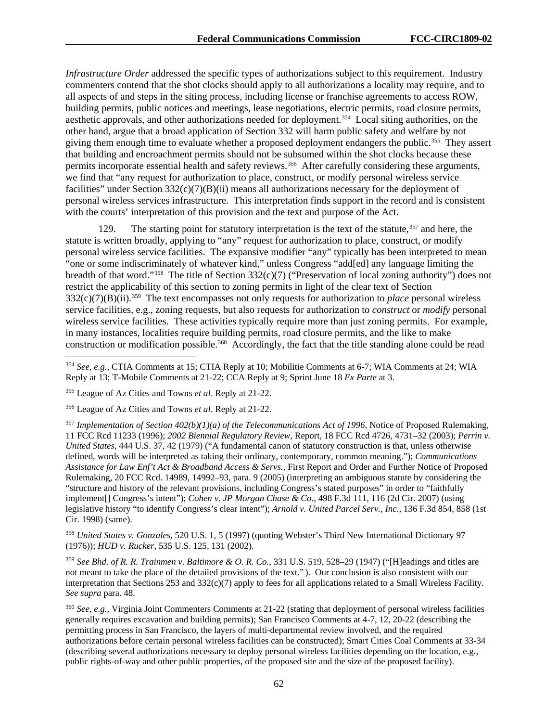*Infrastructure Order* addressed the specific types of authorizations subject to this requirement. Industry commenters contend that the shot clocks should apply to all authorizations a locality may require, and to all aspects of and steps in the siting process, including license or franchise agreements to access ROW, building permits, public notices and meetings, lease negotiations, electric permits, road closure permits, aesthetic approvals, and other authorizations needed for deployment.[354](#page-62-0) Local siting authorities, on the other hand, argue that a broad application of Section 332 will harm public safety and welfare by not giving them enough time to evaluate whether a proposed deployment endangers the public.[355](#page-62-1) They assert that building and encroachment permits should not be subsumed within the shot clocks because these permits incorporate essential health and safety reviews.<sup>356</sup> After carefully considering these arguments, we find that "any request for authorization to place, construct, or modify personal wireless service facilities" under Section 332(c)(7)(B)(ii) means all authorizations necessary for the deployment of personal wireless services infrastructure. This interpretation finds support in the record and is consistent with the courts' interpretation of this provision and the text and purpose of the Act.

129. The starting point for statutory interpretation is the text of the statute, <sup>[357](#page-62-3)</sup> and here, the statute is written broadly, applying to "any" request for authorization to place, construct, or modify personal wireless service facilities. The expansive modifier "any" typically has been interpreted to mean "one or some indiscriminately of whatever kind," unless Congress "add[ed] any language limiting the breadth of that word."[358](#page-62-4) The title of Section 332(c)(7) ("Preservation of local zoning authority") does not restrict the applicability of this section to zoning permits in light of the clear text of Section 332(c)(7)(B)(ii).[359](#page-62-5) The text encompasses not only requests for authorization to *place* personal wireless service facilities, e.g., zoning requests, but also requests for authorization to *construct* or *modify* personal wireless service facilities. These activities typically require more than just zoning permits. For example, in many instances, localities require building permits, road closure permits, and the like to make construction or modification possible.[360](#page-62-6) Accordingly, the fact that the title standing alone could be read

<span id="page-62-3"></span><sup>357</sup> *Implementation of Section 402(b)(1)(a) of the Telecommunications Act of 1996*, Notice of Proposed Rulemaking, 11 FCC Rcd 11233 (1996); *2002 Biennial Regulatory Review*, Report, 18 FCC Rcd 4726, 4731–32 (2003); *Perrin v. United States*, 444 U.S. 37, 42 (1979) ("A fundamental canon of statutory construction is that, unless otherwise defined, words will be interpreted as taking their ordinary, contemporary, common meaning."); *Communications Assistance for Law Enf't Act & Broadband Access & Servs.*, First Report and Order and Further Notice of Proposed Rulemaking, 20 FCC Rcd. 14989, 14992–93, para. 9 (2005) (interpreting an ambiguous statute by considering the "structure and history of the relevant provisions, including Congress's stated purposes" in order to "faithfully implement[] Congress's intent"); *Cohen v. JP Morgan Chase & Co.*, 498 F.3d 111, 116 (2d Cir. 2007) (using legislative history "to identify Congress's clear intent"); *Arnold v. United Parcel Serv., Inc.*, 136 F.3d 854, 858 (1st Cir. 1998) (same).

<span id="page-62-4"></span><sup>358</sup> *United States v. Gonzales*, 520 U.S. 1, 5 (1997) (quoting Webster's Third New International Dictionary 97 (1976)); *HUD v. Rucker*, 535 U.S. 125, 131 (2002).

<span id="page-62-5"></span><sup>359</sup> *See Bhd. of R. R. Trainmen v. Baltimore & O. R. Co.*, 331 U.S. 519, 528–29 (1947) ("[H]eadings and titles are not meant to take the place of the detailed provisions of the text." ). Our conclusion is also consistent with our interpretation that Sections 253 and  $332(c)(7)$  apply to fees for all applications related to a Small Wireless Facility. *See supra* para. 48.

<span id="page-62-6"></span><sup>360</sup> *See, e.g.,* Virginia Joint Commenters Comments at 21-22 (stating that deployment of personal wireless facilities generally requires excavation and building permits); San Francisco Comments at 4-7, 12, 20-22 (describing the permitting process in San Francisco, the layers of multi-departmental review involved, and the required authorizations before certain personal wireless facilities can be constructed); Smart Cities Coal Comments at 33-34 (describing several authorizations necessary to deploy personal wireless facilities depending on the location, e.g., public rights-of-way and other public properties, of the proposed site and the size of the proposed facility).

<span id="page-62-0"></span> <sup>354</sup> *See, e.g.,* CTIA Comments at 15; CTIA Reply at 10; Mobilitie Comments at 6-7; WIA Comments at 24; WIA Reply at 13; T-Mobile Comments at 21-22; CCA Reply at 9; Sprint June 18 *Ex Parte* at 3.

<span id="page-62-1"></span><sup>355</sup> League of Az Cities and Towns *et al*. Reply at 21-22.

<span id="page-62-2"></span><sup>356</sup> League of Az Cities and Towns *et al*. Reply at 21-22.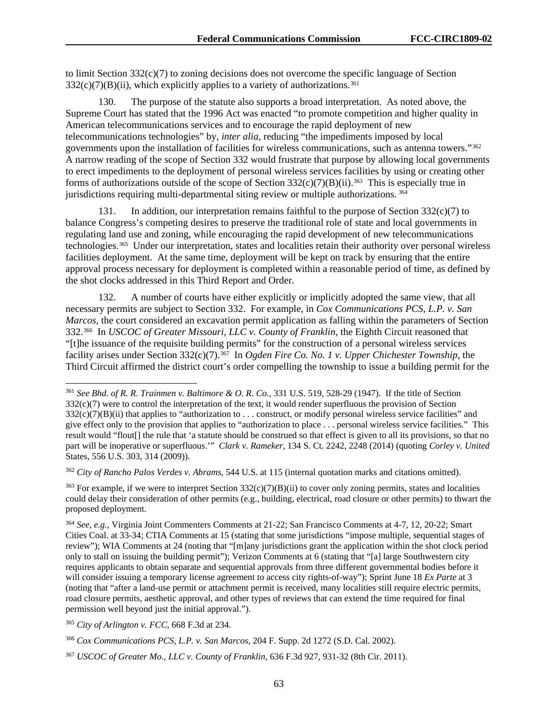to limit Section  $332(c)(7)$  to zoning decisions does not overcome the specific language of Section  $332(c)(7)(B)(ii)$ , which explicitly applies to a variety of authorizations.<sup>[361](#page-63-0)</sup>

130. The purpose of the statute also supports a broad interpretation. As noted above, the Supreme Court has stated that the 1996 Act was enacted "to promote competition and higher quality in American telecommunications services and to encourage the rapid deployment of new telecommunications technologies" by, *inter alia*, reducing "the impediments imposed by local governments upon the installation of facilities for wireless communications, such as antenna towers."[362](#page-63-1) A narrow reading of the scope of Section 332 would frustrate that purpose by allowing local governments to erect impediments to the deployment of personal wireless services facilities by using or creating other forms of authorizations outside of the scope of Section  $332(c)(7)(B)(ii)$ .<sup>[363](#page-63-2)</sup> This is especially true in jurisdictions requiring multi-departmental siting review or multiple authorizations. [364](#page-63-3)

131. In addition, our interpretation remains faithful to the purpose of Section 332(c)(7) to balance Congress's competing desires to preserve the traditional role of state and local governments in regulating land use and zoning, while encouraging the rapid development of new telecommunications technologies.[365](#page-63-4) Under our interpretation, states and localities retain their authority over personal wireless facilities deployment. At the same time, deployment will be kept on track by ensuring that the entire approval process necessary for deployment is completed within a reasonable period of time, as defined by the shot clocks addressed in this Third Report and Order.

132. A number of courts have either explicitly or implicitly adopted the same view, that all necessary permits are subject to Section 332. For example, in *Cox Communications PCS, L.P. v. San Marcos*, the court considered an excavation permit application as falling within the parameters of Section 332.[366](#page-63-5) In *USCOC of Greater Missouri, LLC v. County of Franklin*, the Eighth Circuit reasoned that "[t]he issuance of the requisite building permits" for the construction of a personal wireless services facility arises under Section 332(c)(7).[367](#page-63-6) In *Ogden Fire Co. No. 1 v. Upper Chichester Township*, the Third Circuit affirmed the district court's order compelling the township to issue a building permit for the

<span id="page-63-1"></span><sup>362</sup> *City of Rancho Palos Verdes v. Abrams*, 544 U.S. at 115 (internal quotation marks and citations omitted).

<span id="page-63-2"></span><sup>363</sup> For example, if we were to interpret Section  $332(c)(7)(B)(ii)$  to cover only zoning permits, states and localities could delay their consideration of other permits (e.g., building, electrical, road closure or other permits) to thwart the proposed deployment.

<span id="page-63-4"></span><sup>365</sup> *City of Arlington v. FCC*, 668 F.3d at 234.

<span id="page-63-0"></span> <sup>361</sup> *See Bhd. of R. R. Trainmen v. Baltimore & O. R. Co.*, 331 U.S. 519, 528-29 (1947). If the title of Section 332(c)(7) were to control the interpretation of the text, it would render superfluous the provision of Section  $332(c)(7)(B)(ii)$  that applies to "authorization to ... construct, or modify personal wireless service facilities" and give effect only to the provision that applies to "authorization to place . . . personal wireless service facilities." This result would "flout[] the rule that 'a statute should be construed so that effect is given to all its provisions, so that no part will be inoperative or superfluous.'" *Clark v. Rameker*, 134 S. Ct. 2242, 2248 (2014) (quoting *Corley v. United*  States, 556 U.S. 303, 314 (2009)).

<span id="page-63-3"></span><sup>364</sup> *See, e.g.*, Virginia Joint Commenters Comments at 21-22; San Francisco Comments at 4-7, 12, 20-22; Smart Cities Coal. at 33-34; CTIA Comments at 15 (stating that some jurisdictions "impose multiple, sequential stages of review"); WIA Comments at 24 (noting that "[m]any jurisdictions grant the application within the shot clock period only to stall on issuing the building permit"); Verizon Comments at 6 (stating that "[a] large Southwestern city requires applicants to obtain separate and sequential approvals from three different governmental bodies before it will consider issuing a temporary license agreement to access city rights-of-way"); Sprint June 18 *Ex Parte* at 3 (noting that "after a land-use permit or attachment permit is received, many localities still require electric permits, road closure permits, aesthetic approval, and other types of reviews that can extend the time required for final permission well beyond just the initial approval.").

<span id="page-63-5"></span><sup>366</sup> *Cox Communications PCS, L.P. v. San Marcos*, 204 F. Supp. 2d 1272 (S.D. Cal. 2002).

<span id="page-63-6"></span><sup>367</sup> *USCOC of Greater Mo., LLC v. County of Franklin*, 636 F.3d 927, 931-32 (8th Cir. 2011).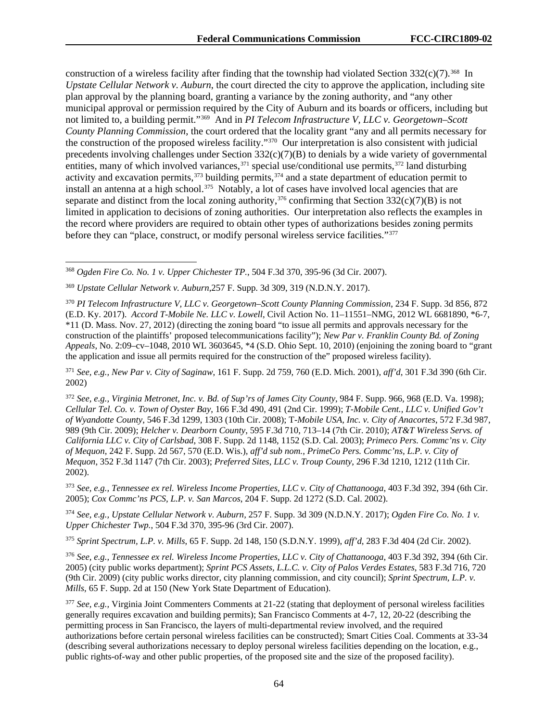construction of a wireless facility after finding that the township had violated Section  $332(c)(7)$ .<sup>[368](#page-64-0)</sup> In *Upstate Cellular Network v. Auburn*, the court directed the city to approve the application, including site plan approval by the planning board, granting a variance by the zoning authority, and "any other municipal approval or permission required by the City of Auburn and its boards or officers, including but not limited to, a building permit."[369](#page-64-1) And in *PI Telecom Infrastructure V, LLC v. Georgetown–Scott County Planning Commission*, the court ordered that the locality grant "any and all permits necessary for the construction of the proposed wireless facility."[370](#page-64-2) Our interpretation is also consistent with judicial precedents involving challenges under Section 332(c)(7)(B) to denials by a wide variety of governmental entities, many of which involved variances,  $371$  special use/conditional use permits,  $372$  land disturbing activity and excavation permits,<sup>[373](#page-64-5)</sup> building permits,<sup>[374](#page-64-6)</sup> and a state department of education permit to install an antenna at a high school.<sup>[375](#page-64-7)</sup> Notably, a lot of cases have involved local agencies that are separate and distinct from the local zoning authority,<sup>[376](#page-64-8)</sup> confirming that Section  $332(c)(7)(B)$  is not limited in application to decisions of zoning authorities. Our interpretation also reflects the examples in the record where providers are required to obtain other types of authorizations besides zoning permits before they can "place, construct, or modify personal wireless service facilities."[377](#page-64-9)

<span id="page-64-3"></span><sup>371</sup> *See, e.g., New Par v. City of Saginaw*, 161 F. Supp. 2d 759, 760 (E.D. Mich. 2001), *aff'd*, 301 F.3d 390 (6th Cir. 2002)

<span id="page-64-4"></span><sup>372</sup> *See, e.g., Virginia Metronet, Inc. v. Bd. of Sup'rs of James City County*, 984 F. Supp. 966, 968 (E.D. Va. 1998); *Cellular Tel. Co. v. Town of Oyster Bay*, 166 F.3d 490, 491 (2nd Cir. 1999); *T-Mobile Cent., LLC v. Unified Gov't of Wyandotte County*, 546 F.3d 1299, 1303 (10th Cir. 2008); T*-Mobile USA, Inc. v. City of Anacortes*, 572 F.3d 987, 989 (9th Cir. 2009); *Helcher v. Dearborn County*, 595 F.3d 710, 713–14 (7th Cir. 2010); *AT&T Wireless Servs. of California LLC v. City of Carlsbad*, 308 F. Supp. 2d 1148, 1152 (S.D. Cal. 2003); *Primeco Pers. Commc'ns v. City of Mequon*, 242 F. Supp. 2d 567, 570 (E.D. Wis.), *aff'd sub nom.*, *PrimeCo Pers. Commc'ns, L.P. v. City of Mequon*, 352 F.3d 1147 (7th Cir. 2003); *Preferred Sites, LLC v. Troup County*, 296 F.3d 1210, 1212 (11th Cir. 2002).

<span id="page-64-5"></span><sup>373</sup> *See, e.g., Tennessee ex rel. Wireless Income Properties, LLC v. City of Chattanooga*, 403 F.3d 392, 394 (6th Cir. 2005); *Cox Commc'ns PCS, L.P. v. San Marcos*, 204 F. Supp. 2d 1272 (S.D. Cal. 2002).

<span id="page-64-6"></span><sup>374</sup> *See, e.g., Upstate Cellular Network v. Auburn,* 257 F. Supp. 3d 309 (N.D.N.Y. 2017); *Ogden Fire Co. No. 1 v. Upper Chichester Twp.*, 504 F.3d 370, 395-96 (3rd Cir. 2007).

<span id="page-64-7"></span><sup>375</sup> *Sprint Spectrum, L.P. v. Mills*, 65 F. Supp. 2d 148, 150 (S.D.N.Y. 1999), *aff'd*, 283 F.3d 404 (2d Cir. 2002).

<span id="page-64-8"></span><sup>376</sup> *See, e.g., Tennessee ex rel. Wireless Income Properties, LLC v. City of Chattanooga*, 403 F.3d 392, 394 (6th Cir. 2005) (city public works department); *Sprint PCS Assets, L.L.C. v. City of Palos Verdes Estates*, 583 F.3d 716, 720 (9th Cir. 2009) (city public works director, city planning commission, and city council); *Sprint Spectrum, L.P. v. Mills*, 65 F. Supp. 2d at 150 (New York State Department of Education).

<span id="page-64-9"></span><sup>377</sup> *See, e.g.,* Virginia Joint Commenters Comments at 21-22 (stating that deployment of personal wireless facilities generally requires excavation and building permits); San Francisco Comments at 4-7, 12, 20-22 (describing the permitting process in San Francisco, the layers of multi-departmental review involved, and the required authorizations before certain personal wireless facilities can be constructed); Smart Cities Coal. Comments at 33-34 (describing several authorizations necessary to deploy personal wireless facilities depending on the location, e.g., public rights-of-way and other public properties, of the proposed site and the size of the proposed facility).

<span id="page-64-0"></span> <sup>368</sup> *Ogden Fire Co. No. 1 v. Upper Chichester TP.*, 504 F.3d 370, 395-96 (3d Cir. 2007).

<span id="page-64-1"></span><sup>369</sup> *Upstate Cellular Network v. Auburn*,257 F. Supp. 3d 309, 319 (N.D.N.Y. 2017).

<span id="page-64-2"></span><sup>370</sup> *PI Telecom Infrastructure V, LLC v. Georgetown–Scott County Planning Commission*, 234 F. Supp. 3d 856, 872 (E.D. Ky. 2017). *Accord T-Mobile Ne. LLC v. Lowell*, Civil Action No. 11–11551–NMG, 2012 WL 6681890, \*6-7, \*11 (D. Mass. Nov. 27, 2012) (directing the zoning board "to issue all permits and approvals necessary for the construction of the plaintiffs' proposed telecommunications facility"); *New Par v. Franklin County Bd. of Zoning Appeals*, No. 2:09–cv–1048, 2010 WL 3603645, \*4 (S.D. Ohio Sept. 10, 2010) (enjoining the zoning board to "grant the application and issue all permits required for the construction of the" proposed wireless facility).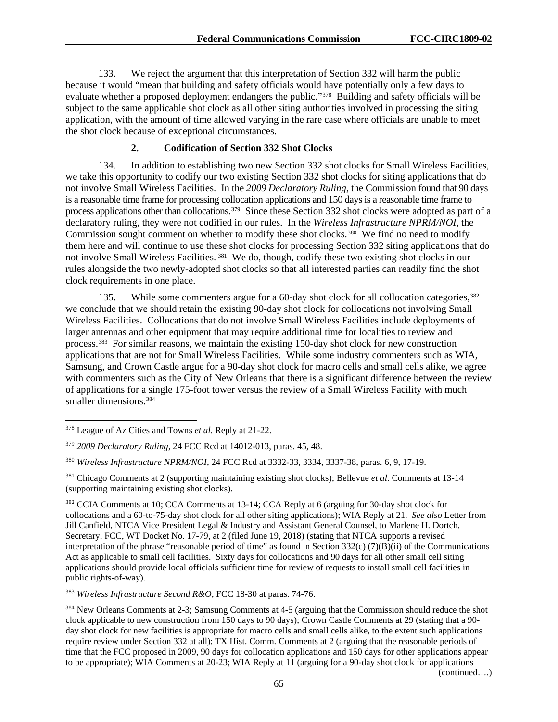133. We reject the argument that this interpretation of Section 332 will harm the public because it would "mean that building and safety officials would have potentially only a few days to evaluate whether a proposed deployment endangers the public."[378](#page-65-0) Building and safety officials will be subject to the same applicable shot clock as all other siting authorities involved in processing the siting application, with the amount of time allowed varying in the rare case where officials are unable to meet the shot clock because of exceptional circumstances.

#### **2. Codification of Section 332 Shot Clocks**

134. In addition to establishing two new Section 332 shot clocks for Small Wireless Facilities, we take this opportunity to codify our two existing Section 332 shot clocks for siting applications that do not involve Small Wireless Facilities. In the *2009 Declaratory Ruling*, the Commission found that 90 days is a reasonable time frame for processing collocation applications and 150 days is a reasonable time frame to process applications other than collocations. [379](#page-65-1) Since these Section 332 shot clocks were adopted as part of a declaratory ruling, they were not codified in our rules. In the *Wireless Infrastructure NPRM/NOI*, the Commission sought comment on whether to modify these shot clocks.<sup>[380](#page-65-2)</sup> We find no need to modify them here and will continue to use these shot clocks for processing Section 332 siting applications that do not involve Small Wireless Facilities. [381](#page-65-3) We do, though, codify these two existing shot clocks in our rules alongside the two newly-adopted shot clocks so that all interested parties can readily find the shot clock requirements in one place.

135. While some commenters argue for a 60-day shot clock for all collocation categories,<sup>[382](#page-65-4)</sup> we conclude that we should retain the existing 90-day shot clock for collocations not involving Small Wireless Facilities. Collocations that do not involve Small Wireless Facilities include deployments of larger antennas and other equipment that may require additional time for localities to review and process.[383](#page-65-5) For similar reasons, we maintain the existing 150-day shot clock for new construction applications that are not for Small Wireless Facilities. While some industry commenters such as WIA, Samsung, and Crown Castle argue for a 90-day shot clock for macro cells and small cells alike, we agree with commenters such as the City of New Orleans that there is a significant difference between the review of applications for a single 175-foot tower versus the review of a Small Wireless Facility with much smaller dimensions.<sup>384</sup>

<span id="page-65-5"></span><sup>383</sup> *Wireless Infrastructure Second R&O*, FCC 18-30 at paras. 74-76.

<span id="page-65-0"></span> <sup>378</sup> League of Az Cities and Towns *et al*. Reply at 21-22.

<span id="page-65-1"></span><sup>379</sup> *2009 Declaratory Ruling*, 24 FCC Rcd at 14012-013, paras. 45, 48.

<span id="page-65-2"></span><sup>380</sup> *Wireless Infrastructure NPRM/NOI*, 24 FCC Rcd at 3332-33, 3334, 3337-38, paras. 6, 9, 17-19.

<span id="page-65-3"></span><sup>381</sup> Chicago Comments at 2 (supporting maintaining existing shot clocks); Bellevue *et al*. Comments at 13-14 (supporting maintaining existing shot clocks).

<span id="page-65-4"></span><sup>382</sup> CCIA Comments at 10; CCA Comments at 13-14; CCA Reply at 6 (arguing for 30-day shot clock for collocations and a 60-to-75-day shot clock for all other siting applications); WIA Reply at 21. *See also* Letter from Jill Canfield, NTCA Vice President Legal & Industry and Assistant General Counsel, to Marlene H. Dortch, Secretary, FCC, WT Docket No. 17-79, at 2 (filed June 19, 2018) (stating that NTCA supports a revised interpretation of the phrase "reasonable period of time" as found in Section  $332(c)$  (7)(B)(ii) of the Communications Act as applicable to small cell facilities. Sixty days for collocations and 90 days for all other small cell siting applications should provide local officials sufficient time for review of requests to install small cell facilities in public rights-of-way).

<span id="page-65-6"></span><sup>384</sup> New Orleans Comments at 2-3; Samsung Comments at 4-5 (arguing that the Commission should reduce the shot clock applicable to new construction from 150 days to 90 days); Crown Castle Comments at 29 (stating that a 90 day shot clock for new facilities is appropriate for macro cells and small cells alike, to the extent such applications require review under Section 332 at all); TX Hist. Comm. Comments at 2 (arguing that the reasonable periods of time that the FCC proposed in 2009, 90 days for collocation applications and 150 days for other applications appear to be appropriate); WIA Comments at 20-23; WIA Reply at 11 (arguing for a 90-day shot clock for applications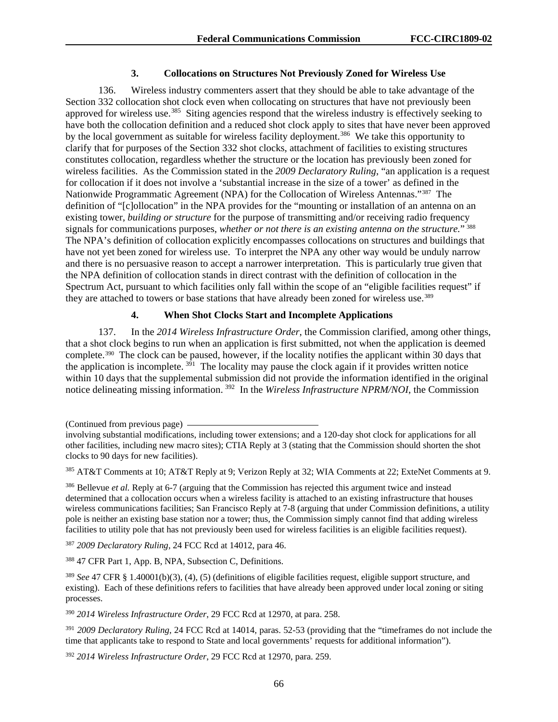#### **3. Collocations on Structures Not Previously Zoned for Wireless Use**

136. Wireless industry commenters assert that they should be able to take advantage of the Section 332 collocation shot clock even when collocating on structures that have not previously been approved for wireless use.<sup>385</sup> Siting agencies respond that the wireless industry is effectively seeking to have both the collocation definition and a reduced shot clock apply to sites that have never been approved by the local government as suitable for wireless facility deployment.<sup>[386](#page-66-1)</sup> We take this opportunity to clarify that for purposes of the Section 332 shot clocks, attachment of facilities to existing structures constitutes collocation, regardless whether the structure or the location has previously been zoned for wireless facilities. As the Commission stated in the *2009 Declaratory Ruling*, "an application is a request for collocation if it does not involve a 'substantial increase in the size of a tower' as defined in the Nationwide Programmatic Agreement (NPA) for the Collocation of Wireless Antennas."[387](#page-66-2) The definition of "[c]ollocation" in the NPA provides for the "mounting or installation of an antenna on an existing tower, *building or structure* for the purpose of transmitting and/or receiving radio frequency signals for communications purposes, *whether or not there is an existing antenna on the structure.*" [388](#page-66-3)  The NPA's definition of collocation explicitly encompasses collocations on structures and buildings that have not yet been zoned for wireless use. To interpret the NPA any other way would be unduly narrow and there is no persuasive reason to accept a narrower interpretation. This is particularly true given that the NPA definition of collocation stands in direct contrast with the definition of collocation in the Spectrum Act, pursuant to which facilities only fall within the scope of an "eligible facilities request" if they are attached to towers or base stations that have already been zoned for wireless use.<sup>[389](#page-66-4)</sup>

#### **4. When Shot Clocks Start and Incomplete Applications**

137. In the *2014 Wireless Infrastructure Order*, the Commission clarified, among other things, that a shot clock begins to run when an application is first submitted, not when the application is deemed complete.[390](#page-66-5) The clock can be paused, however, if the locality notifies the applicant within 30 days that the application is incomplete.  $3^{91}$  The locality may pause the clock again if it provides written notice within 10 days that the supplemental submission did not provide the information identified in the original notice delineating missing information. [392](#page-66-7) In the *Wireless Infrastructure NPRM/NOI*, the Commission

<span id="page-66-2"></span><sup>387</sup> *2009 Declaratory Ruling*, 24 FCC Rcd at 14012, para 46.

<span id="page-66-3"></span><sup>388</sup> 47 CFR Part 1, App. B, NPA, Subsection C, Definitions.

<span id="page-66-5"></span><sup>390</sup> *2014 Wireless Infrastructure Order*, 29 FCC Rcd at 12970, at para. 258.

<span id="page-66-6"></span><sup>391</sup> *2009 Declaratory Ruling*, 24 FCC Rcd at 14014, paras. 52-53 (providing that the "timeframes do not include the time that applicants take to respond to State and local governments' requests for additional information").

<span id="page-66-7"></span><sup>392</sup> *2014 Wireless Infrastructure Order*, 29 FCC Rcd at 12970, para. 259.

<sup>(</sup>Continued from previous page)

involving substantial modifications, including tower extensions; and a 120-day shot clock for applications for all other facilities, including new macro sites); CTIA Reply at 3 (stating that the Commission should shorten the shot clocks to 90 days for new facilities).

<span id="page-66-0"></span><sup>385</sup> AT&T Comments at 10; AT&T Reply at 9; Verizon Reply at 32; WIA Comments at 22; ExteNet Comments at 9.

<span id="page-66-1"></span><sup>386</sup> Bellevue *et al.* Reply at 6-7 (arguing that the Commission has rejected this argument twice and instead determined that a collocation occurs when a wireless facility is attached to an existing infrastructure that houses wireless communications facilities; San Francisco Reply at 7-8 (arguing that under Commission definitions, a utility pole is neither an existing base station nor a tower; thus, the Commission simply cannot find that adding wireless facilities to utility pole that has not previously been used for wireless facilities is an eligible facilities request).

<span id="page-66-4"></span><sup>389</sup> *See* 47 CFR § 1.40001(b)(3), (4), (5) (definitions of eligible facilities request, eligible support structure, and existing). Each of these definitions refers to facilities that have already been approved under local zoning or siting processes.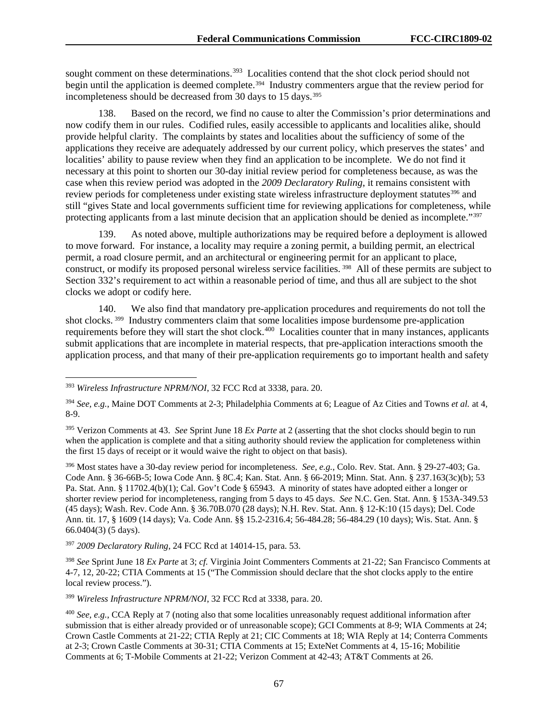sought comment on these determinations.<sup>[393](#page-67-0)</sup> Localities contend that the shot clock period should not begin until the application is deemed complete.<sup>[394](#page-67-1)</sup> Industry commenters argue that the review period for incompleteness should be decreased from 30 days to 15 days.<sup>[395](#page-67-2)</sup>

138. Based on the record, we find no cause to alter the Commission's prior determinations and now codify them in our rules. Codified rules, easily accessible to applicants and localities alike, should provide helpful clarity. The complaints by states and localities about the sufficiency of some of the applications they receive are adequately addressed by our current policy, which preserves the states' and localities' ability to pause review when they find an application to be incomplete. We do not find it necessary at this point to shorten our 30-day initial review period for completeness because, as was the case when this review period was adopted in the *2009 Declaratory Ruling*, it remains consistent with review periods for completeness under existing state wireless infrastructure deployment statutes<sup>[396](#page-67-3)</sup> and still "gives State and local governments sufficient time for reviewing applications for completeness, while protecting applicants from a last minute decision that an application should be denied as incomplete."<sup>[397](#page-67-4)</sup>

139. As noted above, multiple authorizations may be required before a deployment is allowed to move forward. For instance, a locality may require a zoning permit, a building permit, an electrical permit, a road closure permit, and an architectural or engineering permit for an applicant to place, construct, or modify its proposed personal wireless service facilities. [398](#page-67-5) All of these permits are subject to Section 332's requirement to act within a reasonable period of time, and thus all are subject to the shot clocks we adopt or codify here.

140. We also find that mandatory pre-application procedures and requirements do not toll the shot clocks. [399](#page-67-6) Industry commenters claim that some localities impose burdensome pre-application requirements before they will start the shot clock.<sup>[400](#page-67-7)</sup> Localities counter that in many instances, applicants submit applications that are incomplete in material respects, that pre-application interactions smooth the application process, and that many of their pre-application requirements go to important health and safety

<span id="page-67-3"></span><sup>396</sup> Most states have a 30-day review period for incompleteness. *See, e.g.*, Colo. Rev. Stat. Ann. § 29-27-403; Ga. Code Ann. § 36-66B-5; Iowa Code Ann. § 8C.4; Kan. Stat. Ann. § 66-2019; Minn. Stat. Ann. § 237.163(3c)(b); 53 Pa. Stat. Ann. § 11702.4(b)(1); Cal. Gov't Code § 65943. A minority of states have adopted either a longer or shorter review period for incompleteness, ranging from 5 days to 45 days. *See* N.C. Gen. Stat. Ann. § 153A-349.53 (45 days); Wash. Rev. Code Ann. § 36.70B.070 (28 days); N.H. Rev. Stat. Ann. § 12-K:10 (15 days); Del. Code Ann. tit. 17, § 1609 (14 days); Va. Code Ann. §§ 15.2-2316.4; 56-484.28; 56-484.29 (10 days); Wis. Stat. Ann. § 66.0404(3) (5 days).

<span id="page-67-4"></span><sup>397</sup> *2009 Declaratory Ruling*, 24 FCC Rcd at 14014-15, para. 53.

<span id="page-67-5"></span><sup>398</sup> *See* Sprint June 18 *Ex Parte* at 3; *cf.* Virginia Joint Commenters Comments at 21-22; San Francisco Comments at 4-7, 12, 20-22; CTIA Comments at 15 ("The Commission should declare that the shot clocks apply to the entire local review process.").

<span id="page-67-6"></span><sup>399</sup> *Wireless Infrastructure NPRM/NOI*, 32 FCC Rcd at 3338, para. 20.

<span id="page-67-0"></span> <sup>393</sup> *Wireless Infrastructure NPRM/NOI*, 32 FCC Rcd at 3338, para. 20.

<span id="page-67-1"></span><sup>394</sup> *See, e.g.*, Maine DOT Comments at 2-3; Philadelphia Comments at 6; League of Az Cities and Towns *et al.* at 4, 8-9.

<span id="page-67-2"></span><sup>395</sup> Verizon Comments at 43. *See* Sprint June 18 *Ex Parte* at 2 (asserting that the shot clocks should begin to run when the application is complete and that a siting authority should review the application for completeness within the first 15 days of receipt or it would waive the right to object on that basis).

<span id="page-67-7"></span><sup>400</sup> *See, e.g.*, CCA Reply at 7 (noting also that some localities unreasonably request additional information after submission that is either already provided or of unreasonable scope); GCI Comments at 8-9; WIA Comments at 24; Crown Castle Comments at 21-22; CTIA Reply at 21; CIC Comments at 18; WIA Reply at 14; Conterra Comments at 2-3; Crown Castle Comments at 30-31; CTIA Comments at 15; ExteNet Comments at 4, 15-16; Mobilitie Comments at 6; T-Mobile Comments at 21-22; Verizon Comment at 42-43; AT&T Comments at 26.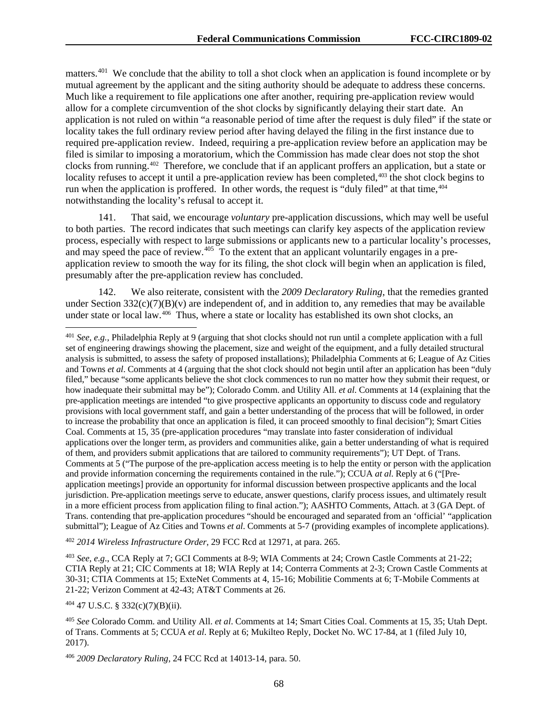matters.<sup>[401](#page-68-0)</sup> We conclude that the ability to toll a shot clock when an application is found incomplete or by mutual agreement by the applicant and the siting authority should be adequate to address these concerns. Much like a requirement to file applications one after another, requiring pre-application review would allow for a complete circumvention of the shot clocks by significantly delaying their start date. An application is not ruled on within "a reasonable period of time after the request is duly filed" if the state or locality takes the full ordinary review period after having delayed the filing in the first instance due to required pre-application review. Indeed, requiring a pre-application review before an application may be filed is similar to imposing a moratorium, which the Commission has made clear does not stop the shot clocks from running.[402](#page-68-1) Therefore, we conclude that if an applicant proffers an application, but a state or locality refuses to accept it until a pre-application review has been completed,<sup>[403](#page-68-2)</sup> the shot clock begins to run when the application is proffered. In other words, the request is "duly filed" at that time,<sup>[404](#page-68-3)</sup> notwithstanding the locality's refusal to accept it.

141. That said, we encourage *voluntary* pre-application discussions, which may well be useful to both parties. The record indicates that such meetings can clarify key aspects of the application review process, especially with respect to large submissions or applicants new to a particular locality's processes, and may speed the pace of review.<sup>405</sup> To the extent that an applicant voluntarily engages in a preapplication review to smooth the way for its filing, the shot clock will begin when an application is filed, presumably after the pre-application review has concluded.

142. We also reiterate, consistent with the *2009 Declaratory Ruling*, that the remedies granted under Section  $332(c)(7)(B)(v)$  are independent of, and in addition to, any remedies that may be available under state or local law.[406](#page-68-5) Thus, where a state or locality has established its own shot clocks, an

<span id="page-68-1"></span><sup>402</sup> *2014 Wireless Infrastructure Order*, 29 FCC Rcd at 12971, at para. 265.

<span id="page-68-2"></span><sup>403</sup> *See, e.g*., CCA Reply at 7; GCI Comments at 8-9; WIA Comments at 24; Crown Castle Comments at 21-22; CTIA Reply at 21; CIC Comments at 18; WIA Reply at 14; Conterra Comments at 2-3; Crown Castle Comments at 30-31; CTIA Comments at 15; ExteNet Comments at 4, 15-16; Mobilitie Comments at 6; T-Mobile Comments at 21-22; Verizon Comment at 42-43; AT&T Comments at 26.

<span id="page-68-3"></span><sup>404</sup> 47 U.S.C. § 332(c)(7)(B)(ii).

<span id="page-68-5"></span><sup>406</sup> *2009 Declaratory Ruling*, 24 FCC Rcd at 14013-14, para. 50.

<span id="page-68-0"></span> <sup>401</sup> *See, e.g.*, Philadelphia Reply at 9 (arguing that shot clocks should not run until a complete application with a full set of engineering drawings showing the placement, size and weight of the equipment, and a fully detailed structural analysis is submitted, to assess the safety of proposed installations); Philadelphia Comments at 6; League of Az Cities and Towns *et al*. Comments at 4 (arguing that the shot clock should not begin until after an application has been "duly filed," because "some applicants believe the shot clock commences to run no matter how they submit their request, or how inadequate their submittal may be"); Colorado Comm. and Utility All. *et al.* Comments at 14 (explaining that the pre-application meetings are intended "to give prospective applicants an opportunity to discuss code and regulatory provisions with local government staff, and gain a better understanding of the process that will be followed, in order to increase the probability that once an application is filed, it can proceed smoothly to final decision"); Smart Cities Coal. Comments at 15, 35 (pre-application procedures "may translate into faster consideration of individual applications over the longer term, as providers and communities alike, gain a better understanding of what is required of them, and providers submit applications that are tailored to community requirements"); UT Dept. of Trans. Comments at 5 ("The purpose of the pre-application access meeting is to help the entity or person with the application and provide information concerning the requirements contained in the rule."); CCUA *at al*. Reply at 6 ("[Preapplication meetings] provide an opportunity for informal discussion between prospective applicants and the local jurisdiction. Pre-application meetings serve to educate, answer questions, clarify process issues, and ultimately result in a more efficient process from application filing to final action."); AASHTO Comments, Attach. at 3 (GA Dept. of Trans. contending that pre-application procedures "should be encouraged and separated from an 'official' "application submittal"); League of Az Cities and Towns *et al*. Comments at 5-7 (providing examples of incomplete applications).

<span id="page-68-4"></span><sup>405</sup> *See* Colorado Comm. and Utility All. *et al*. Comments at 14; Smart Cities Coal. Comments at 15, 35; Utah Dept. of Trans. Comments at 5; CCUA *et al*. Reply at 6; Mukilteo Reply, Docket No. WC 17-84, at 1 (filed July 10, 2017).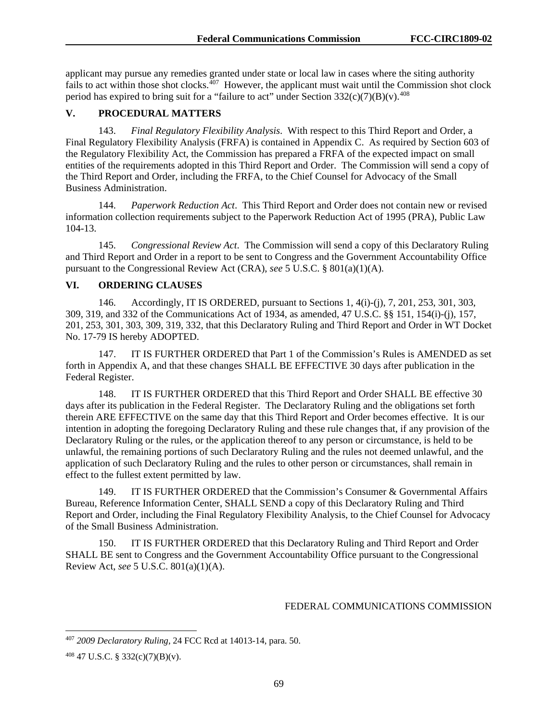applicant may pursue any remedies granted under state or local law in cases where the siting authority fails to act within those shot clocks.<sup>[407](#page-69-0)</sup> However, the applicant must wait until the Commission shot clock period has expired to bring suit for a "failure to act" under Section  $332(c)(7)(B)(v)$ .<sup>[408](#page-69-1)</sup>

#### **V. PROCEDURAL MATTERS**

143. *Final Regulatory Flexibility Analysis*. With respect to this Third Report and Order, a Final Regulatory Flexibility Analysis (FRFA) is contained in Appendix C. As required by Section 603 of the Regulatory Flexibility Act, the Commission has prepared a FRFA of the expected impact on small entities of the requirements adopted in this Third Report and Order. The Commission will send a copy of the Third Report and Order, including the FRFA, to the Chief Counsel for Advocacy of the Small Business Administration.

144. *Paperwork Reduction Act*. This Third Report and Order does not contain new or revised information collection requirements subject to the Paperwork Reduction Act of 1995 (PRA), Public Law 104-13.

145. *Congressional Review Act*. The Commission will send a copy of this Declaratory Ruling and Third Report and Order in a report to be sent to Congress and the Government Accountability Office pursuant to the Congressional Review Act (CRA), *see* 5 U.S.C. § 801(a)(1)(A).

#### **VI. ORDERING CLAUSES**

146. Accordingly, IT IS ORDERED, pursuant to Sections 1, 4(i)-(j), 7, 201, 253, 301, 303, 309, 319, and 332 of the Communications Act of 1934, as amended, 47 U.S.C. §§ 151, 154(i)-(j), 157, 201, 253, 301, 303, 309, 319, 332, that this Declaratory Ruling and Third Report and Order in WT Docket No. 17-79 IS hereby ADOPTED.

147. IT IS FURTHER ORDERED that Part 1 of the Commission's Rules is AMENDED as set forth in Appendix A, and that these changes SHALL BE EFFECTIVE 30 days after publication in the Federal Register.

148. IT IS FURTHER ORDERED that this Third Report and Order SHALL BE effective 30 days after its publication in the Federal Register. The Declaratory Ruling and the obligations set forth therein ARE EFFECTIVE on the same day that this Third Report and Order becomes effective. It is our intention in adopting the foregoing Declaratory Ruling and these rule changes that, if any provision of the Declaratory Ruling or the rules, or the application thereof to any person or circumstance, is held to be unlawful, the remaining portions of such Declaratory Ruling and the rules not deemed unlawful, and the application of such Declaratory Ruling and the rules to other person or circumstances, shall remain in effect to the fullest extent permitted by law.

149. IT IS FURTHER ORDERED that the Commission's Consumer & Governmental Affairs Bureau, Reference Information Center, SHALL SEND a copy of this Declaratory Ruling and Third Report and Order, including the Final Regulatory Flexibility Analysis, to the Chief Counsel for Advocacy of the Small Business Administration.

150. IT IS FURTHER ORDERED that this Declaratory Ruling and Third Report and Order SHALL BE sent to Congress and the Government Accountability Office pursuant to the Congressional Review Act, *see* 5 U.S.C. 801(a)(1)(A).

#### FEDERAL COMMUNICATIONS COMMISSION

<span id="page-69-0"></span> <sup>407</sup> *2009 Declaratory Ruling*, 24 FCC Rcd at 14013-14, para. 50.

<span id="page-69-1"></span><sup>408</sup> 47 U.S.C. § 332(c)(7)(B)(v).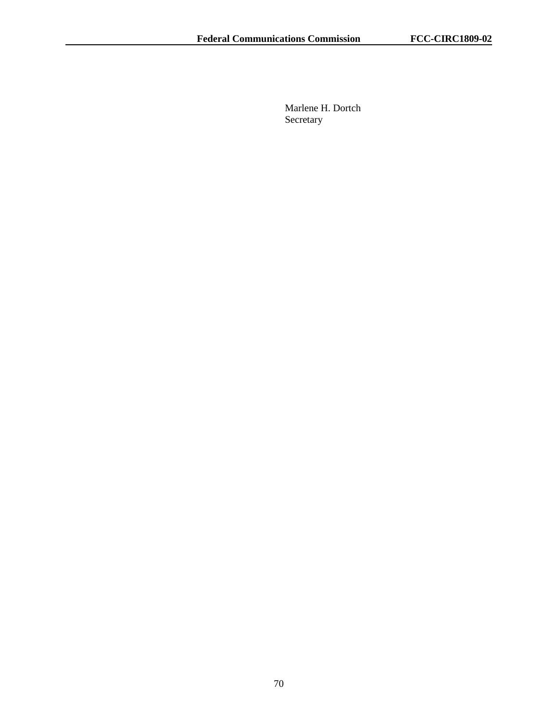Marlene H. Dortch Secretary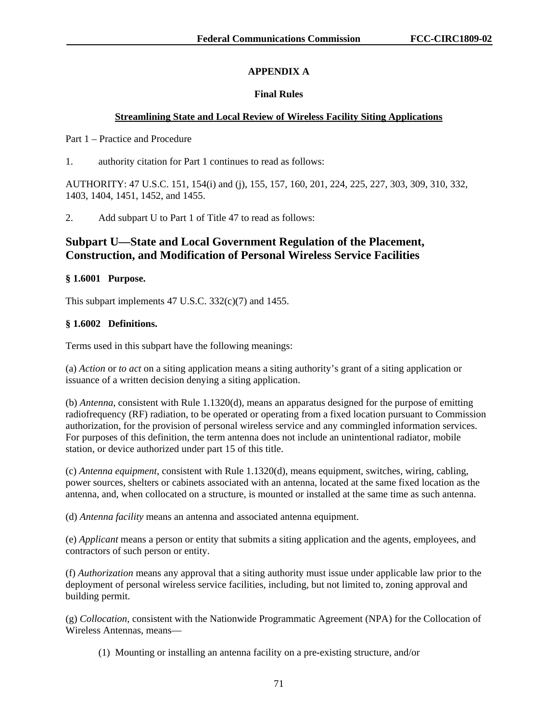## **APPENDIX A**

## **Final Rules**

## **Streamlining State and Local Review of Wireless Facility Siting Applications**

Part 1 – Practice and Procedure

1. authority citation for Part 1 continues to read as follows:

AUTHORITY: 47 U.S.C. 151, 154(i) and (j), 155, 157, 160, 201, 224, 225, 227, 303, 309, 310, 332, 1403, 1404, 1451, 1452, and 1455.

2. Add subpart U to Part 1 of Title 47 to read as follows:

# **Subpart U—State and Local Government Regulation of the Placement, Construction, and Modification of Personal Wireless Service Facilities**

## **§ 1.6001 Purpose.**

This subpart implements 47 U.S.C. 332(c)(7) and 1455.

## **§ 1.6002 Definitions.**

Terms used in this subpart have the following meanings:

(a) *Action* or *to act* on a siting application means a siting authority's grant of a siting application or issuance of a written decision denying a siting application.

(b) *Antenna*, consistent with Rule 1.1320(d), means an apparatus designed for the purpose of emitting radiofrequency (RF) radiation, to be operated or operating from a fixed location pursuant to Commission authorization, for the provision of personal wireless service and any commingled information services. For purposes of this definition, the term antenna does not include an unintentional radiator, mobile station, or device authorized under part 15 of this title.

(c) *Antenna equipment*, consistent with Rule 1.1320(d), means equipment, switches, wiring, cabling, power sources, shelters or cabinets associated with an antenna, located at the same fixed location as the antenna, and, when collocated on a structure, is mounted or installed at the same time as such antenna.

(d) *Antenna facility* means an antenna and associated antenna equipment.

(e) *Applicant* means a person or entity that submits a siting application and the agents, employees, and contractors of such person or entity.

(f) *Authorization* means any approval that a siting authority must issue under applicable law prior to the deployment of personal wireless service facilities, including, but not limited to, zoning approval and building permit.

(g) *Collocation*, consistent with the Nationwide Programmatic Agreement (NPA) for the Collocation of Wireless Antennas, means—

(1) Mounting or installing an antenna facility on a pre-existing structure, and/or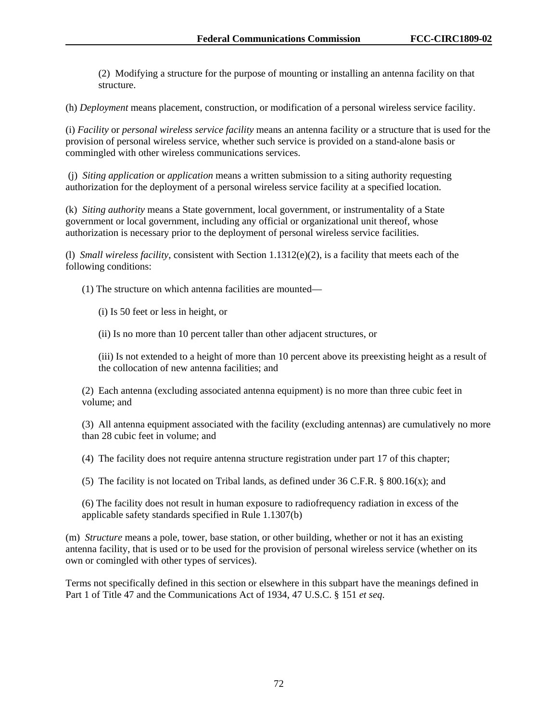(2) Modifying a structure for the purpose of mounting or installing an antenna facility on that structure.

(h) *Deployment* means placement, construction, or modification of a personal wireless service facility.

(i) *Facility* or *personal wireless service facility* means an antenna facility or a structure that is used for the provision of personal wireless service, whether such service is provided on a stand-alone basis or commingled with other wireless communications services.

(j) *Siting application* or *application* means a written submission to a siting authority requesting authorization for the deployment of a personal wireless service facility at a specified location.

(k) *Siting authority* means a State government, local government, or instrumentality of a State government or local government, including any official or organizational unit thereof, whose authorization is necessary prior to the deployment of personal wireless service facilities.

(l) *Small wireless facility*, consistent with Section 1.1312(e)(2), is a facility that meets each of the following conditions:

(1) The structure on which antenna facilities are mounted—

(i) Is 50 feet or less in height, or

(ii) Is no more than 10 percent taller than other adjacent structures, or

(iii) Is not extended to a height of more than 10 percent above its preexisting height as a result of the collocation of new antenna facilities; and

(2) Each antenna (excluding associated antenna equipment) is no more than three cubic feet in volume; and

(3) All antenna equipment associated with the facility (excluding antennas) are cumulatively no more than 28 cubic feet in volume; and

(4) The facility does not require antenna structure registration under part 17 of this chapter;

(5) The facility is not located on Tribal lands, as defined under 36 C.F.R. § 800.16(x); and

(6) The facility does not result in human exposure to radiofrequency radiation in excess of the applicable safety standards specified in Rule 1.1307(b)

(m) *Structure* means a pole, tower, base station, or other building, whether or not it has an existing antenna facility, that is used or to be used for the provision of personal wireless service (whether on its own or comingled with other types of services).

Terms not specifically defined in this section or elsewhere in this subpart have the meanings defined in Part 1 of Title 47 and the Communications Act of 1934, 47 U.S.C. § 151 *et seq*.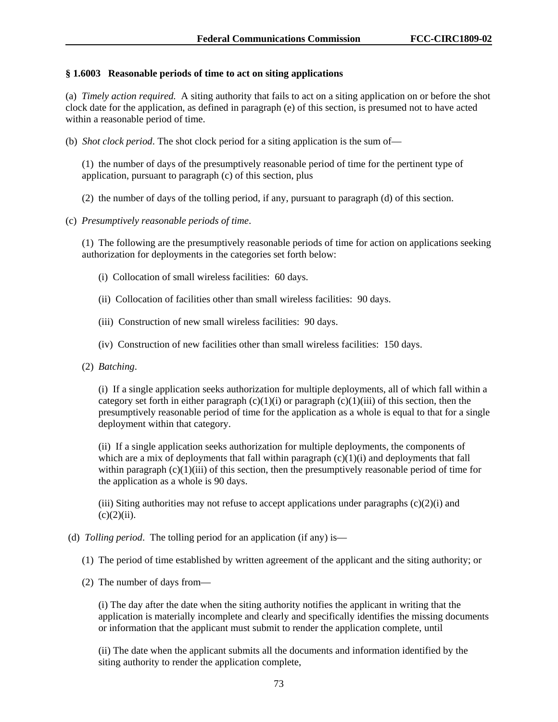## **§ 1.6003 Reasonable periods of time to act on siting applications**

(a) *Timely action required.* A siting authority that fails to act on a siting application on or before the shot clock date for the application, as defined in paragraph (e) of this section, is presumed not to have acted within a reasonable period of time.

(b) *Shot clock period*. The shot clock period for a siting application is the sum of—

(1) the number of days of the presumptively reasonable period of time for the pertinent type of application, pursuant to paragraph (c) of this section, plus

(2) the number of days of the tolling period, if any, pursuant to paragraph (d) of this section.

(c) *Presumptively reasonable periods of time*.

(1) The following are the presumptively reasonable periods of time for action on applications seeking authorization for deployments in the categories set forth below:

- (i) Collocation of small wireless facilities: 60 days.
- (ii) Collocation of facilities other than small wireless facilities: 90 days.
- (iii) Construction of new small wireless facilities: 90 days.
- (iv) Construction of new facilities other than small wireless facilities: 150 days.
- (2) *Batching*.

(i) If a single application seeks authorization for multiple deployments, all of which fall within a category set forth in either paragraph  $(c)(1)(i)$  or paragraph  $(c)(1)(iii)$  of this section, then the presumptively reasonable period of time for the application as a whole is equal to that for a single deployment within that category.

(ii) If a single application seeks authorization for multiple deployments, the components of which are a mix of deployments that fall within paragraph  $(c)(1)(i)$  and deployments that fall within paragraph  $(c)(1)(iii)$  of this section, then the presumptively reasonable period of time for the application as a whole is 90 days.

(iii) Siting authorities may not refuse to accept applications under paragraphs  $(c)(2)(i)$  and  $(c)(2)(ii)$ .

(d) *Tolling period*. The tolling period for an application (if any) is—

(1) The period of time established by written agreement of the applicant and the siting authority; or

(2) The number of days from—

(i) The day after the date when the siting authority notifies the applicant in writing that the application is materially incomplete and clearly and specifically identifies the missing documents or information that the applicant must submit to render the application complete, until

(ii) The date when the applicant submits all the documents and information identified by the siting authority to render the application complete,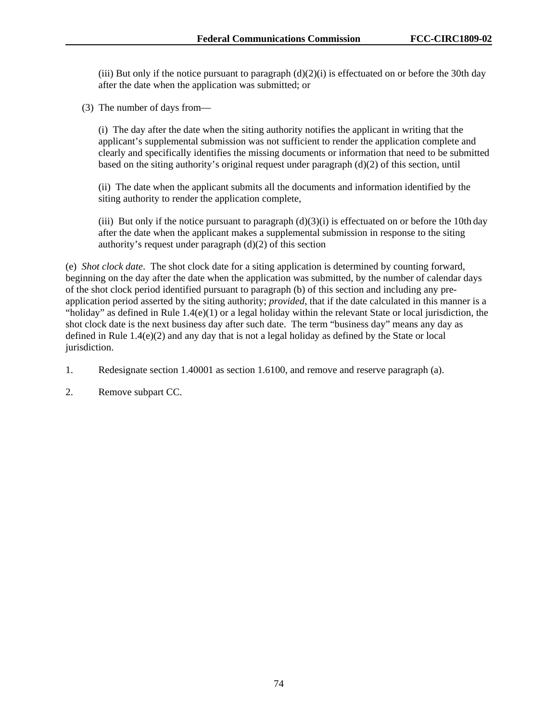(iii) But only if the notice pursuant to paragraph  $(d)(2)(i)$  is effectuated on or before the 30th day after the date when the application was submitted; or

(3) The number of days from—

(i) The day after the date when the siting authority notifies the applicant in writing that the applicant's supplemental submission was not sufficient to render the application complete and clearly and specifically identifies the missing documents or information that need to be submitted based on the siting authority's original request under paragraph  $(d)(2)$  of this section, until

(ii) The date when the applicant submits all the documents and information identified by the siting authority to render the application complete,

(iii) But only if the notice pursuant to paragraph  $(d)(3)(i)$  is effectuated on or before the 10th day after the date when the applicant makes a supplemental submission in response to the siting authority's request under paragraph (d)(2) of this section

(e) *Shot clock date*. The shot clock date for a siting application is determined by counting forward, beginning on the day after the date when the application was submitted, by the number of calendar days of the shot clock period identified pursuant to paragraph (b) of this section and including any preapplication period asserted by the siting authority; *provided*, that if the date calculated in this manner is a "holiday" as defined in Rule 1.4(e)(1) or a legal holiday within the relevant State or local jurisdiction, the shot clock date is the next business day after such date. The term "business day" means any day as defined in Rule 1.4(e)(2) and any day that is not a legal holiday as defined by the State or local jurisdiction.

1. Redesignate section 1.40001 as section 1.6100, and remove and reserve paragraph (a).

2. Remove subpart CC.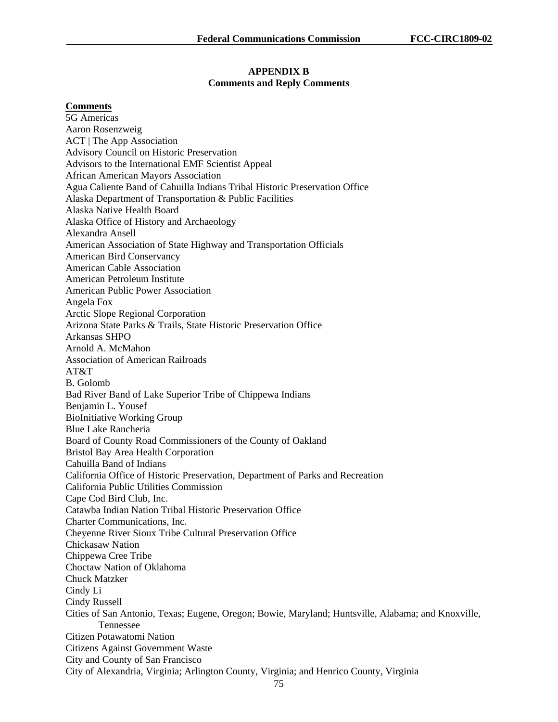#### **APPENDIX B Comments and Reply Comments**

#### **Comments**

5G Americas Aaron Rosenzweig ACT | The App Association Advisory Council on Historic Preservation Advisors to the International EMF Scientist Appeal African American Mayors Association Agua Caliente Band of Cahuilla Indians Tribal Historic Preservation Office Alaska Department of Transportation & Public Facilities Alaska Native Health Board Alaska Office of History and Archaeology Alexandra Ansell American Association of State Highway and Transportation Officials American Bird Conservancy American Cable Association American Petroleum Institute American Public Power Association Angela Fox Arctic Slope Regional Corporation Arizona State Parks & Trails, State Historic Preservation Office Arkansas SHPO Arnold A. McMahon Association of American Railroads AT&T B. Golomb Bad River Band of Lake Superior Tribe of Chippewa Indians Benjamin L. Yousef BioInitiative Working Group Blue Lake Rancheria Board of County Road Commissioners of the County of Oakland Bristol Bay Area Health Corporation Cahuilla Band of Indians California Office of Historic Preservation, Department of Parks and Recreation California Public Utilities Commission Cape Cod Bird Club, Inc. Catawba Indian Nation Tribal Historic Preservation Office Charter Communications, Inc. Cheyenne River Sioux Tribe Cultural Preservation Office Chickasaw Nation Chippewa Cree Tribe Choctaw Nation of Oklahoma Chuck Matzker Cindy Li Cindy Russell Cities of San Antonio, Texas; Eugene, Oregon; Bowie, Maryland; Huntsville, Alabama; and Knoxville, Tennessee Citizen Potawatomi Nation Citizens Against Government Waste City and County of San Francisco City of Alexandria, Virginia; Arlington County, Virginia; and Henrico County, Virginia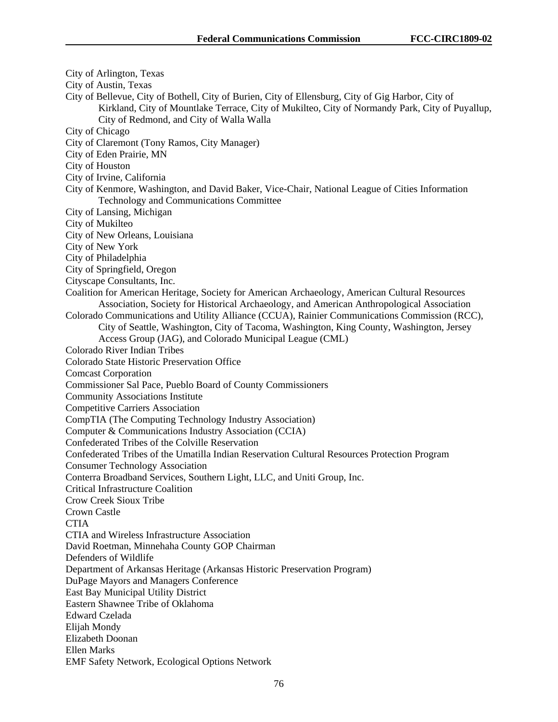City of Arlington, Texas City of Austin, Texas City of Bellevue, City of Bothell, City of Burien, City of Ellensburg, City of Gig Harbor, City of Kirkland, City of Mountlake Terrace, City of Mukilteo, City of Normandy Park, City of Puyallup, City of Redmond, and City of Walla Walla City of Chicago City of Claremont (Tony Ramos, City Manager) City of Eden Prairie, MN City of Houston City of Irvine, California City of Kenmore, Washington, and David Baker, Vice-Chair, National League of Cities Information Technology and Communications Committee City of Lansing, Michigan City of Mukilteo City of New Orleans, Louisiana City of New York City of Philadelphia City of Springfield, Oregon Cityscape Consultants, Inc. Coalition for American Heritage, Society for American Archaeology, American Cultural Resources Association, Society for Historical Archaeology, and American Anthropological Association Colorado Communications and Utility Alliance (CCUA), Rainier Communications Commission (RCC), City of Seattle, Washington, City of Tacoma, Washington, King County, Washington, Jersey Access Group (JAG), and Colorado Municipal League (CML) Colorado River Indian Tribes Colorado State Historic Preservation Office Comcast Corporation Commissioner Sal Pace, Pueblo Board of County Commissioners Community Associations Institute Competitive Carriers Association CompTIA (The Computing Technology Industry Association) Computer & Communications Industry Association (CCIA) Confederated Tribes of the Colville Reservation Confederated Tribes of the Umatilla Indian Reservation Cultural Resources Protection Program Consumer Technology Association Conterra Broadband Services, Southern Light, LLC, and Uniti Group, Inc. Critical Infrastructure Coalition Crow Creek Sioux Tribe Crown Castle **CTIA** CTIA and Wireless Infrastructure Association David Roetman, Minnehaha County GOP Chairman Defenders of Wildlife Department of Arkansas Heritage (Arkansas Historic Preservation Program) DuPage Mayors and Managers Conference East Bay Municipal Utility District Eastern Shawnee Tribe of Oklahoma Edward Czelada Elijah Mondy Elizabeth Doonan Ellen Marks EMF Safety Network, Ecological Options Network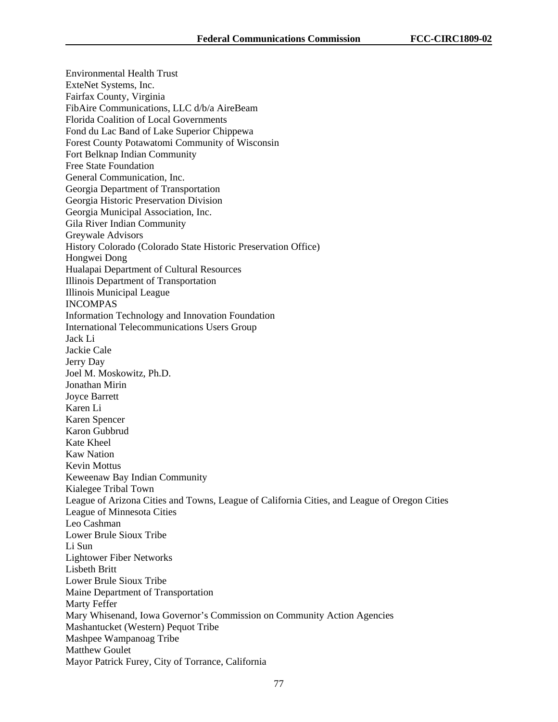Environmental Health Trust ExteNet Systems, Inc. Fairfax County, Virginia FibAire Communications, LLC d/b/a AireBeam Florida Coalition of Local Governments Fond du Lac Band of Lake Superior Chippewa Forest County Potawatomi Community of Wisconsin Fort Belknap Indian Community Free State Foundation General Communication, Inc. Georgia Department of Transportation Georgia Historic Preservation Division Georgia Municipal Association, Inc. Gila River Indian Community Greywale Advisors History Colorado (Colorado State Historic Preservation Office) Hongwei Dong Hualapai Department of Cultural Resources Illinois Department of Transportation Illinois Municipal League INCOMPAS Information Technology and Innovation Foundation International Telecommunications Users Group Jack Li Jackie Cale Jerry Day Joel M. Moskowitz, Ph.D. Jonathan Mirin Joyce Barrett Karen Li Karen Spencer Karon Gubbrud Kate Kheel Kaw Nation Kevin Mottus Keweenaw Bay Indian Community Kialegee Tribal Town League of Arizona Cities and Towns, League of California Cities, and League of Oregon Cities League of Minnesota Cities Leo Cashman Lower Brule Sioux Tribe Li Sun Lightower Fiber Networks Lisbeth Britt Lower Brule Sioux Tribe Maine Department of Transportation Marty Feffer Mary Whisenand, Iowa Governor's Commission on Community Action Agencies Mashantucket (Western) Pequot Tribe Mashpee Wampanoag Tribe Matthew Goulet Mayor Patrick Furey, City of Torrance, California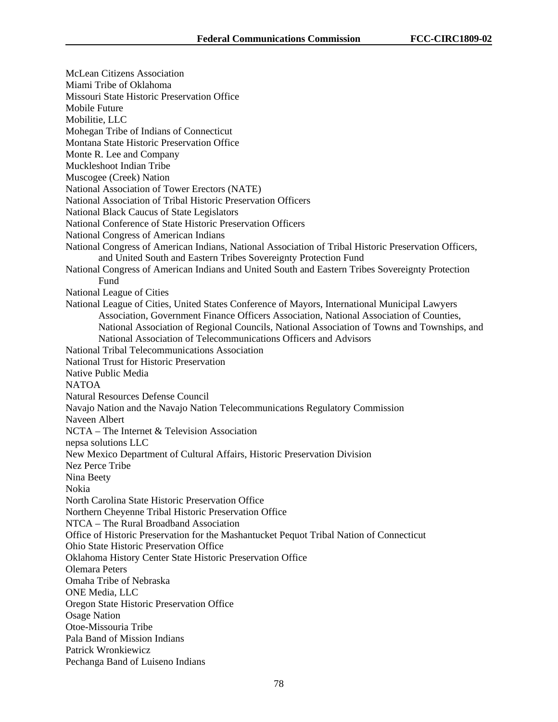McLean Citizens Association Miami Tribe of Oklahoma Missouri State Historic Preservation Office Mobile Future Mobilitie, LLC Mohegan Tribe of Indians of Connecticut Montana State Historic Preservation Office Monte R. Lee and Company Muckleshoot Indian Tribe Muscogee (Creek) Nation National Association of Tower Erectors (NATE) National Association of Tribal Historic Preservation Officers National Black Caucus of State Legislators National Conference of State Historic Preservation Officers National Congress of American Indians National Congress of American Indians, National Association of Tribal Historic Preservation Officers, and United South and Eastern Tribes Sovereignty Protection Fund National Congress of American Indians and United South and Eastern Tribes Sovereignty Protection Fund National League of Cities National League of Cities, United States Conference of Mayors, International Municipal Lawyers Association, Government Finance Officers Association, National Association of Counties, National Association of Regional Councils, National Association of Towns and Townships, and National Association of Telecommunications Officers and Advisors National Tribal Telecommunications Association National Trust for Historic Preservation Native Public Media NATOA Natural Resources Defense Council Navajo Nation and the Navajo Nation Telecommunications Regulatory Commission Naveen Albert NCTA – The Internet & Television Association nepsa solutions LLC New Mexico Department of Cultural Affairs, Historic Preservation Division Nez Perce Tribe Nina Beety Nokia North Carolina State Historic Preservation Office Northern Cheyenne Tribal Historic Preservation Office NTCA – The Rural Broadband Association Office of Historic Preservation for the Mashantucket Pequot Tribal Nation of Connecticut Ohio State Historic Preservation Office Oklahoma History Center State Historic Preservation Office Olemara Peters Omaha Tribe of Nebraska ONE Media, LLC Oregon State Historic Preservation Office Osage Nation Otoe-Missouria Tribe Pala Band of Mission Indians Patrick Wronkiewicz Pechanga Band of Luiseno Indians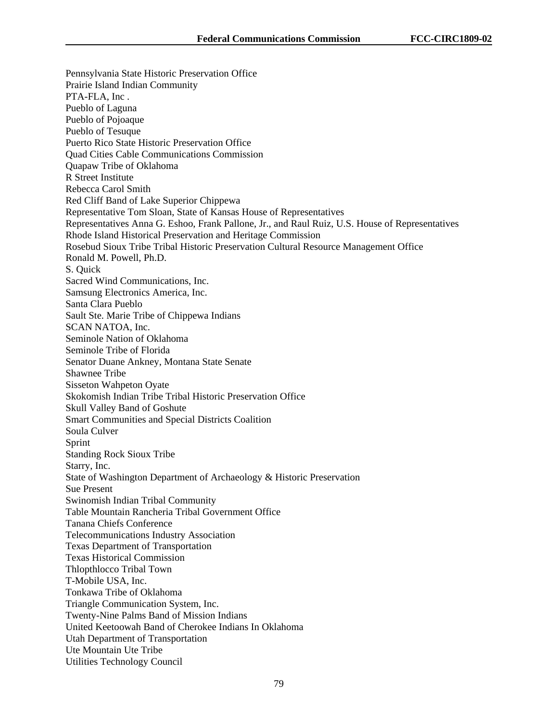Pennsylvania State Historic Preservation Office Prairie Island Indian Community PTA-FLA, Inc . Pueblo of Laguna Pueblo of Pojoaque Pueblo of Tesuque Puerto Rico State Historic Preservation Office Quad Cities Cable Communications Commission Quapaw Tribe of Oklahoma R Street Institute Rebecca Carol Smith Red Cliff Band of Lake Superior Chippewa Representative Tom Sloan, State of Kansas House of Representatives Representatives Anna G. Eshoo, Frank Pallone, Jr., and Raul Ruiz, U.S. House of Representatives Rhode Island Historical Preservation and Heritage Commission Rosebud Sioux Tribe Tribal Historic Preservation Cultural Resource Management Office Ronald M. Powell, Ph.D. S. Quick Sacred Wind Communications, Inc. Samsung Electronics America, Inc. Santa Clara Pueblo Sault Ste. Marie Tribe of Chippewa Indians SCAN NATOA, Inc. Seminole Nation of Oklahoma Seminole Tribe of Florida Senator Duane Ankney, Montana State Senate Shawnee Tribe Sisseton Wahpeton Oyate Skokomish Indian Tribe Tribal Historic Preservation Office Skull Valley Band of Goshute Smart Communities and Special Districts Coalition Soula Culver Sprint Standing Rock Sioux Tribe Starry, Inc. State of Washington Department of Archaeology & Historic Preservation Sue Present Swinomish Indian Tribal Community Table Mountain Rancheria Tribal Government Office Tanana Chiefs Conference Telecommunications Industry Association Texas Department of Transportation Texas Historical Commission Thlopthlocco Tribal Town T-Mobile USA, Inc. Tonkawa Tribe of Oklahoma Triangle Communication System, Inc. Twenty-Nine Palms Band of Mission Indians United Keetoowah Band of Cherokee Indians In Oklahoma Utah Department of Transportation Ute Mountain Ute Tribe Utilities Technology Council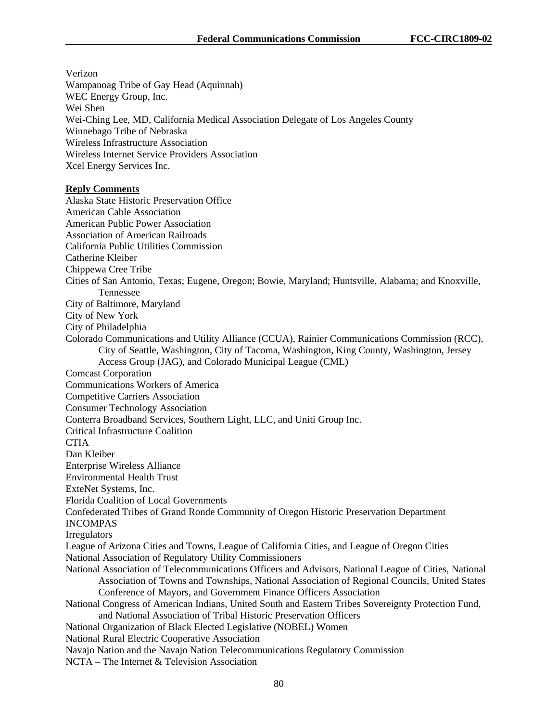Verizon Wampanoag Tribe of Gay Head (Aquinnah) WEC Energy Group, Inc. Wei Shen Wei-Ching Lee, MD, California Medical Association Delegate of Los Angeles County Winnebago Tribe of Nebraska Wireless Infrastructure Association Wireless Internet Service Providers Association Xcel Energy Services Inc. **Reply Comments** Alaska State Historic Preservation Office American Cable Association American Public Power Association Association of American Railroads California Public Utilities Commission Catherine Kleiber Chippewa Cree Tribe Cities of San Antonio, Texas; Eugene, Oregon; Bowie, Maryland; Huntsville, Alabama; and Knoxville, Tennessee City of Baltimore, Maryland City of New York City of Philadelphia Colorado Communications and Utility Alliance (CCUA), Rainier Communications Commission (RCC), City of Seattle, Washington, City of Tacoma, Washington, King County, Washington, Jersey Access Group (JAG), and Colorado Municipal League (CML) Comcast Corporation Communications Workers of America Competitive Carriers Association Consumer Technology Association Conterra Broadband Services, Southern Light, LLC, and Uniti Group Inc. Critical Infrastructure Coalition **CTIA** Dan Kleiber Enterprise Wireless Alliance Environmental Health Trust ExteNet Systems, Inc. Florida Coalition of Local Governments Confederated Tribes of Grand Ronde Community of Oregon Historic Preservation Department INCOMPAS Irregulators League of Arizona Cities and Towns, League of California Cities, and League of Oregon Cities National Association of Regulatory Utility Commissioners National Association of Telecommunications Officers and Advisors, National League of Cities, National Association of Towns and Townships, National Association of Regional Councils, United States Conference of Mayors, and Government Finance Officers Association National Congress of American Indians, United South and Eastern Tribes Sovereignty Protection Fund, and National Association of Tribal Historic Preservation Officers National Organization of Black Elected Legislative (NOBEL) Women National Rural Electric Cooperative Association Navajo Nation and the Navajo Nation Telecommunications Regulatory Commission NCTA – The Internet & Television Association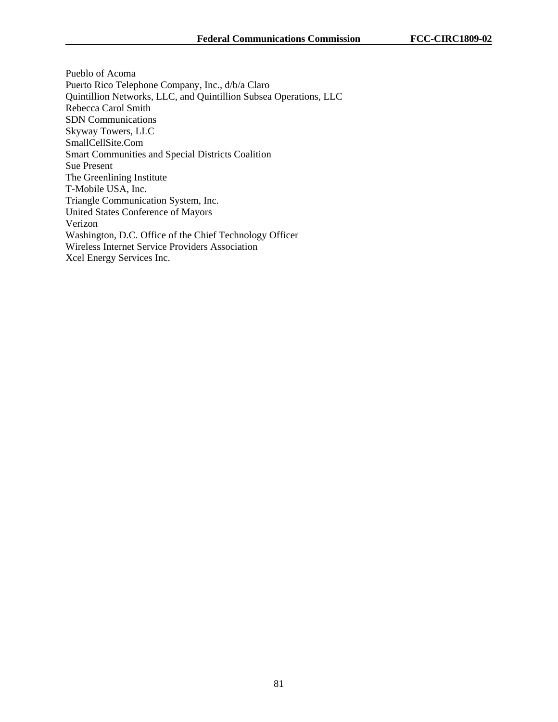Pueblo of Acoma Puerto Rico Telephone Company, Inc., d/b/a Claro Quintillion Networks, LLC, and Quintillion Subsea Operations, LLC Rebecca Carol Smith SDN Communications Skyway Towers, LLC SmallCellSite.Com Smart Communities and Special Districts Coalition Sue Present The Greenlining Institute T-Mobile USA, Inc. Triangle Communication System, Inc. United States Conference of Mayors Verizon Washington, D.C. Office of the Chief Technology Officer Wireless Internet Service Providers Association Xcel Energy Services Inc.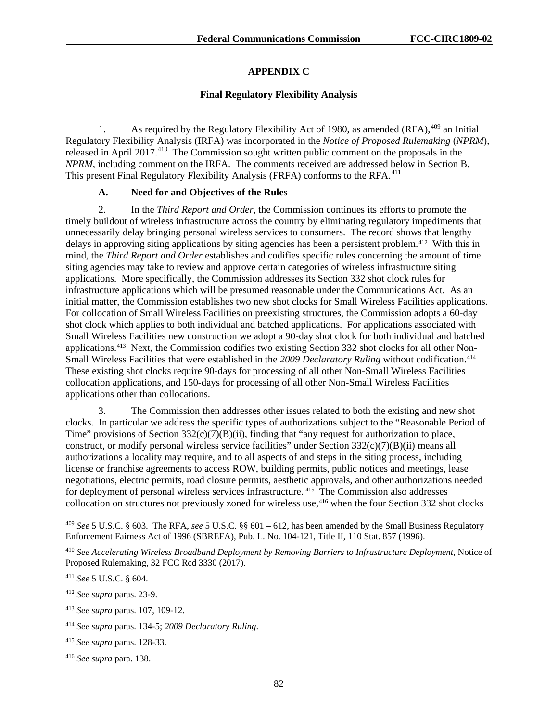# **APPENDIX C**

## **Final Regulatory Flexibility Analysis**

1. As required by the Regulatory Flexibility Act of 1980, as amended  $(RFA)$ ,  $409$  an Initial Regulatory Flexibility Analysis (IRFA) was incorporated in the *Notice of Proposed Rulemaking* (*NPRM*), released in April 2017.<sup>410</sup> The Commission sought written public comment on the proposals in the *NPRM*, including comment on the IRFA. The comments received are addressed below in Section B. This present Final Regulatory Flexibility Analysis (FRFA) conforms to the RFA.<sup>[411](#page-82-2)</sup>

## **A. Need for and Objectives of the Rules**

2. In the *Third Report and Order*, the Commission continues its efforts to promote the timely buildout of wireless infrastructure across the country by eliminating regulatory impediments that unnecessarily delay bringing personal wireless services to consumers. The record shows that lengthy delays in approving siting applications by siting agencies has been a persistent problem.<sup>[412](#page-82-3)</sup> With this in mind, the *Third Report and Order* establishes and codifies specific rules concerning the amount of time siting agencies may take to review and approve certain categories of wireless infrastructure siting applications. More specifically, the Commission addresses its Section 332 shot clock rules for infrastructure applications which will be presumed reasonable under the Communications Act. As an initial matter, the Commission establishes two new shot clocks for Small Wireless Facilities applications. For collocation of Small Wireless Facilities on preexisting structures, the Commission adopts a 60-day shot clock which applies to both individual and batched applications. For applications associated with Small Wireless Facilities new construction we adopt a 90-day shot clock for both individual and batched applications.[413](#page-82-4) Next, the Commission codifies two existing Section 332 shot clocks for all other Non-Small Wireless Facilities that were established in the 2009 Declaratory Ruling without codification.<sup>[414](#page-82-5)</sup> These existing shot clocks require 90-days for processing of all other Non-Small Wireless Facilities collocation applications, and 150-days for processing of all other Non-Small Wireless Facilities applications other than collocations.

3. The Commission then addresses other issues related to both the existing and new shot clocks. In particular we address the specific types of authorizations subject to the "Reasonable Period of Time" provisions of Section  $332(c)(7)(B)(ii)$ , finding that "any request for authorization to place, construct, or modify personal wireless service facilities" under Section  $332(c)(7)(B)(ii)$  means all authorizations a locality may require, and to all aspects of and steps in the siting process, including license or franchise agreements to access ROW, building permits, public notices and meetings, lease negotiations, electric permits, road closure permits, aesthetic approvals, and other authorizations needed for deployment of personal wireless services infrastructure. <sup>[415](#page-82-6)</sup> The Commission also addresses collocation on structures not previously zoned for wireless use,[416](#page-82-7) when the four Section 332 shot clocks

<span id="page-82-0"></span> <sup>409</sup> *See* 5 U.S.C. § 603. The RFA, *see* 5 U.S.C. §§ 601 – 612, has been amended by the Small Business Regulatory Enforcement Fairness Act of 1996 (SBREFA), Pub. L. No. 104-121, Title II, 110 Stat. 857 (1996).

<span id="page-82-1"></span><sup>410</sup> *See Accelerating Wireless Broadband Deployment by Removing Barriers to Infrastructure Deployment*, Notice of Proposed Rulemaking, 32 FCC Rcd 3330 (2017).

<span id="page-82-2"></span><sup>411</sup> *See* 5 U.S.C. § 604.

<span id="page-82-3"></span><sup>412</sup> *See supra* paras. 23-9.

<span id="page-82-4"></span><sup>413</sup> *See supra* paras. 107, 109-12.

<span id="page-82-5"></span><sup>414</sup> *See supra* paras. 134-5; *2009 Declaratory Ruling*.

<span id="page-82-6"></span><sup>415</sup> *See supra* paras. 128-33.

<span id="page-82-7"></span><sup>416</sup> *See supra* para. 138.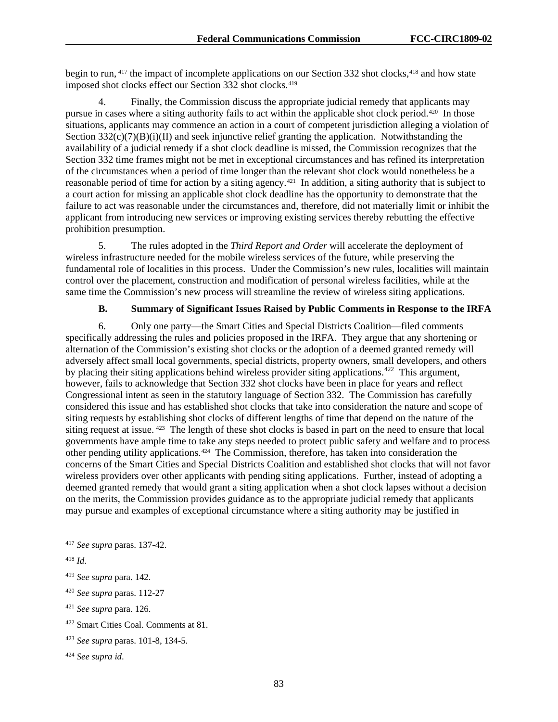begin to run, <sup>[417](#page-83-0)</sup> the impact of incomplete applications on our Section 332 shot clocks, <sup>[418](#page-83-1)</sup> and how state imposed shot clocks effect our Section 332 shot clocks.<sup>[419](#page-83-2)</sup>

4. Finally, the Commission discuss the appropriate judicial remedy that applicants may pursue in cases where a siting authority fails to act within the applicable shot clock period.[420](#page-83-3) In those situations, applicants may commence an action in a court of competent jurisdiction alleging a violation of Section  $332(c)(7)(B)(i)(II)$  and seek injunctive relief granting the application. Notwithstanding the availability of a judicial remedy if a shot clock deadline is missed, the Commission recognizes that the Section 332 time frames might not be met in exceptional circumstances and has refined its interpretation of the circumstances when a period of time longer than the relevant shot clock would nonetheless be a reasonable period of time for action by a siting agency.[421](#page-83-4) In addition, a siting authority that is subject to a court action for missing an applicable shot clock deadline has the opportunity to demonstrate that the failure to act was reasonable under the circumstances and, therefore, did not materially limit or inhibit the applicant from introducing new services or improving existing services thereby rebutting the effective prohibition presumption.

5. The rules adopted in the *Third Report and Order* will accelerate the deployment of wireless infrastructure needed for the mobile wireless services of the future, while preserving the fundamental role of localities in this process. Under the Commission's new rules, localities will maintain control over the placement, construction and modification of personal wireless facilities, while at the same time the Commission's new process will streamline the review of wireless siting applications.

## **B. Summary of Significant Issues Raised by Public Comments in Response to the IRFA**

6. Only one party—the Smart Cities and Special Districts Coalition—filed comments specifically addressing the rules and policies proposed in the IRFA. They argue that any shortening or alternation of the Commission's existing shot clocks or the adoption of a deemed granted remedy will adversely affect small local governments, special districts, property owners, small developers, and others by placing their siting applications behind wireless provider siting applications.<sup>[422](#page-83-5)</sup> This argument, however, fails to acknowledge that Section 332 shot clocks have been in place for years and reflect Congressional intent as seen in the statutory language of Section 332. The Commission has carefully considered this issue and has established shot clocks that take into consideration the nature and scope of siting requests by establishing shot clocks of different lengths of time that depend on the nature of the siting request at issue. <sup>[423](#page-83-6)</sup> The length of these shot clocks is based in part on the need to ensure that local governments have ample time to take any steps needed to protect public safety and welfare and to process other pending utility applications.[424](#page-83-7) The Commission, therefore, has taken into consideration the concerns of the Smart Cities and Special Districts Coalition and established shot clocks that will not favor wireless providers over other applicants with pending siting applications. Further, instead of adopting a deemed granted remedy that would grant a siting application when a shot clock lapses without a decision on the merits, the Commission provides guidance as to the appropriate judicial remedy that applicants may pursue and examples of exceptional circumstance where a siting authority may be justified in

<span id="page-83-0"></span> <sup>417</sup> *See supra* paras. 137-42.

<span id="page-83-1"></span><sup>418</sup> *Id*.

<span id="page-83-2"></span><sup>419</sup> *See supra* para. 142.

<span id="page-83-3"></span><sup>420</sup> *See supra* paras. 112-27

<span id="page-83-4"></span><sup>421</sup> *See supra* para. 126.

<span id="page-83-5"></span><sup>422</sup> Smart Cities Coal. Comments at 81.

<span id="page-83-6"></span><sup>423</sup> *See supra* paras. 101-8, 134-5.

<span id="page-83-7"></span><sup>424</sup> *See supra id*.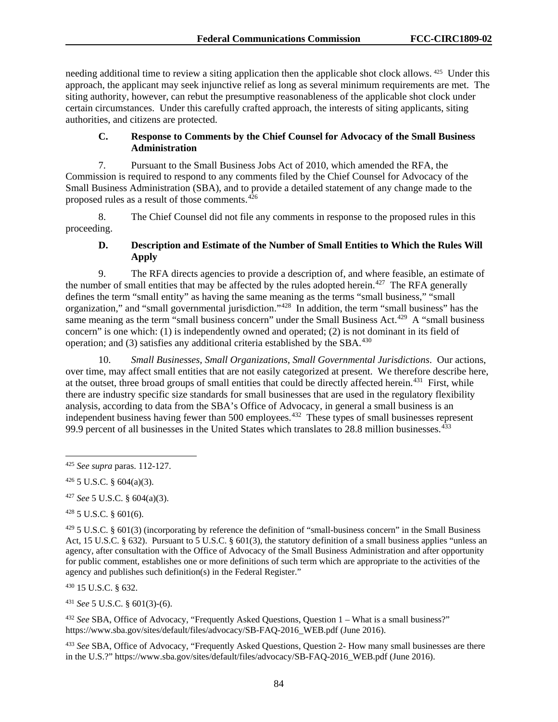needing additional time to review a siting application then the applicable shot clock allows. [425](#page-84-0) Under this approach, the applicant may seek injunctive relief as long as several minimum requirements are met. The siting authority, however, can rebut the presumptive reasonableness of the applicable shot clock under certain circumstances. Under this carefully crafted approach, the interests of siting applicants, siting authorities, and citizens are protected.

## **C. Response to Comments by the Chief Counsel for Advocacy of the Small Business Administration**

7. Pursuant to the Small Business Jobs Act of 2010, which amended the RFA, the Commission is required to respond to any comments filed by the Chief Counsel for Advocacy of the Small Business Administration (SBA), and to provide a detailed statement of any change made to the proposed rules as a result of those comments. $4\overline{26}$ 

8. The Chief Counsel did not file any comments in response to the proposed rules in this proceeding.

# **D. Description and Estimate of the Number of Small Entities to Which the Rules Will Apply**

9. The RFA directs agencies to provide a description of, and where feasible, an estimate of the number of small entities that may be affected by the rules adopted herein.<sup>427</sup> The RFA generally defines the term "small entity" as having the same meaning as the terms "small business," "small organization," and "small governmental jurisdiction."[428](#page-84-3) In addition, the term "small business" has the same meaning as the term "small business concern" under the Small Business Act.<sup>429</sup> A "small business" concern" is one which: (1) is independently owned and operated; (2) is not dominant in its field of operation; and  $(3)$  satisfies any additional criteria established by the SBA.<sup>[430](#page-84-5)</sup>

10. *Small Businesses, Small Organizations, Small Governmental Jurisdictions*. Our actions, over time, may affect small entities that are not easily categorized at present. We therefore describe here, at the outset, three broad groups of small entities that could be directly affected herein.<sup>[431](#page-84-6)</sup> First, while there are industry specific size standards for small businesses that are used in the regulatory flexibility analysis, according to data from the SBA's Office of Advocacy, in general a small business is an independent business having fewer than 500 employees.<sup>432</sup> These types of small businesses represent 99.9 percent of all businesses in the United States which translates to 28.8 million businesses.<sup>[433](#page-84-8)</sup>

<span id="page-84-2"></span><sup>427</sup> *See* 5 U.S.C. § 604(a)(3).

<span id="page-84-3"></span><sup>428</sup> 5 U.S.C. § 601(6).

<span id="page-84-4"></span> $429\,5$  U.S.C. § 601(3) (incorporating by reference the definition of "small-business concern" in the Small Business Act, 15 U.S.C. § 632). Pursuant to 5 U.S.C. § 601(3), the statutory definition of a small business applies "unless an agency, after consultation with the Office of Advocacy of the Small Business Administration and after opportunity for public comment, establishes one or more definitions of such term which are appropriate to the activities of the agency and publishes such definition(s) in the Federal Register."

<span id="page-84-5"></span><sup>430</sup> 15 U.S.C. § 632.

<span id="page-84-6"></span><sup>431</sup> *See* 5 U.S.C. § 601(3)-(6).

<span id="page-84-7"></span><sup>432</sup> *See* SBA, Office of Advocacy, "Frequently Asked Questions, Question 1 – What is a small business?" https://www.sba.gov/sites/default/files/advocacy/SB-FAQ-2016\_WEB.pdf (June 2016).

<span id="page-84-8"></span><sup>433</sup> *See* SBA, Office of Advocacy, "Frequently Asked Questions, Question 2- How many small businesses are there in the U.S.?" https://www.sba.gov/sites/default/files/advocacy/SB-FAQ-2016\_WEB.pdf (June 2016).

<span id="page-84-0"></span> <sup>425</sup> *See supra* paras. 112-127.

<span id="page-84-1"></span> $426$  5 U.S.C. § 604(a)(3).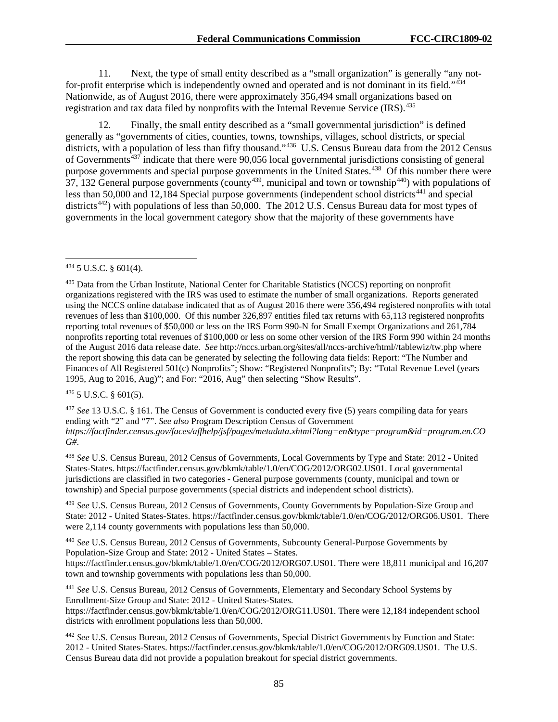11. Next, the type of small entity described as a "small organization" is generally "any not-for-profit enterprise which is independently owned and operated and is not dominant in its field."<sup>[434](#page-85-0)</sup> Nationwide, as of August 2016, there were approximately 356,494 small organizations based on registration and tax data filed by nonprofits with the Internal Revenue Service (IRS).<sup>[435](#page-85-1)</sup>

12. Finally, the small entity described as a "small governmental jurisdiction" is defined generally as "governments of cities, counties, towns, townships, villages, school districts, or special districts, with a population of less than fifty thousand."<sup>[436](#page-85-2)</sup> U.S. Census Bureau data from the 2012 Census of Governments<sup> $437$ </sup> indicate that there were 90,056 local governmental jurisdictions consisting of general purpose governments and special purpose governments in the United States.<sup>438</sup> Of this number there were 37, 132 General purpose governments (county<sup>[439](#page-85-5)</sup>, municipal and town or township<sup>[440](#page-85-6)</sup>) with populations of less than  $50,000$  and  $12,184$  Special purpose governments (independent school districts<sup> $441$ </sup> and special districts<sup>442</sup>) with populations of less than 50,000. The 2012 U.S. Census Bureau data for most types of governments in the local government category show that the majority of these governments have

<span id="page-85-2"></span><sup>436</sup> 5 U.S.C. § 601(5).

<span id="page-85-3"></span><sup>437</sup> *See* 13 U.S.C. § 161. The Census of Government is conducted every five (5) years compiling data for years ending with "2" and "7". *See also* Program Description Census of Government *https://factfinder.census.gov/faces/affhelp/jsf/pages/metadata.xhtml?lang=en&type=program&id=program.en.CO G#*.

<span id="page-85-4"></span><sup>438</sup> *See* U.S. Census Bureau, 2012 Census of Governments, Local Governments by Type and State: 2012 - United States-States. https://factfinder.census.gov/bkmk/table/1.0/en/COG/2012/ORG02.US01. Local governmental jurisdictions are classified in two categories - General purpose governments (county, municipal and town or township) and Special purpose governments (special districts and independent school districts).

<span id="page-85-5"></span><sup>439</sup> *See* U.S. Census Bureau, 2012 Census of Governments, County Governments by Population-Size Group and State: 2012 **-** United States-States. https://factfinder.census.gov/bkmk/table/1.0/en/COG/2012/ORG06.US01. There were 2,114 county governments with populations less than 50,000.

<span id="page-85-6"></span><sup>440</sup> *See* U.S. Census Bureau, 2012 Census of Governments, Subcounty General-Purpose Governments by Population-Size Group and State: 2012 - United States – States. https://factfinder.census.gov/bkmk/table/1.0/en/COG/2012/ORG07.US01. There were 18,811 municipal and 16,207 town and township governments with populations less than 50,000.

<span id="page-85-7"></span><sup>441</sup> *See* U.S. Census Bureau, 2012 Census of Governments, Elementary and Secondary School Systems by Enrollment-Size Group and State: 2012 - United States-States. https://factfinder.census.gov/bkmk/table/1.0/en/COG/2012/ORG11.US01. There were 12,184 independent school districts with enrollment populations less than 50,000.

<span id="page-85-8"></span><sup>442</sup> *See* U.S. Census Bureau, 2012 Census of Governments, Special District Governments by Function and State: 2012 - United States-States. https://factfinder.census.gov/bkmk/table/1.0/en/COG/2012/ORG09.US01. The U.S. Census Bureau data did not provide a population breakout for special district governments.

<span id="page-85-0"></span> <sup>434</sup> 5 U.S.C. § 601(4).

<span id="page-85-1"></span><sup>&</sup>lt;sup>435</sup> Data from the Urban Institute, National Center for Charitable Statistics (NCCS) reporting on nonprofit organizations registered with the IRS was used to estimate the number of small organizations. Reports generated using the NCCS online database indicated that as of August 2016 there were 356,494 registered nonprofits with total revenues of less than \$100,000. Of this number 326,897 entities filed tax returns with 65,113 registered nonprofits reporting total revenues of \$50,000 or less on the IRS Form 990-N for Small Exempt Organizations and 261,784 nonprofits reporting total revenues of \$100,000 or less on some other version of the IRS Form 990 within 24 months of the August 2016 data release date. *See* http://nccs.urban.org/sites/all/nccs-archive/html//tablewiz/tw.php where the report showing this data can be generated by selecting the following data fields: Report: "The Number and Finances of All Registered 501(c) Nonprofits"; Show: "Registered Nonprofits"; By: "Total Revenue Level (years 1995, Aug to 2016, Aug)"; and For: "2016, Aug" then selecting "Show Results".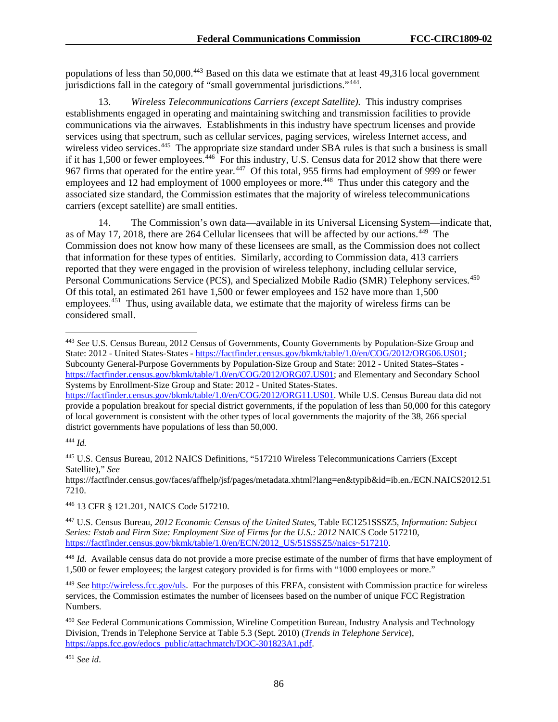populations of less than 50,000.[443](#page-86-0) Based on this data we estimate that at least 49,316 local government jurisdictions fall in the category of "small governmental jurisdictions."[444](#page-86-1).

13. *Wireless Telecommunications Carriers (except Satellite).* This industry comprises establishments engaged in operating and maintaining switching and transmission facilities to provide communications via the airwaves. Establishments in this industry have spectrum licenses and provide services using that spectrum, such as cellular services, paging services, wireless Internet access, and wireless video services.<sup>[445](#page-86-2)</sup> The appropriate size standard under SBA rules is that such a business is small if it has 1,500 or fewer employees.<sup>446</sup> For this industry, U.S. Census data for 2012 show that there were 967 firms that operated for the entire year.<sup>[447](#page-86-4)</sup> Of this total, 955 firms had employment of 999 or fewer employees and 12 had employment of 1000 employees or more.<sup>[448](#page-86-5)</sup> Thus under this category and the associated size standard, the Commission estimates that the majority of wireless telecommunications carriers (except satellite) are small entities.

14. The Commission's own data—available in its Universal Licensing System—indicate that, as of May 17, 2018, there are 264 Cellular licensees that will be affected by our actions.[449](#page-86-6) The Commission does not know how many of these licensees are small, as the Commission does not collect that information for these types of entities. Similarly, according to Commission data, 413 carriers reported that they were engaged in the provision of wireless telephony, including cellular service, Personal Communications Service (PCS), and Specialized Mobile Radio (SMR) Telephony services.<sup>450</sup> Of this total, an estimated 261 have 1,500 or fewer employees and 152 have more than 1,500 employees.<sup>451</sup> Thus, using available data, we estimate that the majority of wireless firms can be considered small.

<span id="page-86-3"></span><sup>446</sup> 13 CFR § 121.201, NAICS Code 517210.

<span id="page-86-0"></span> <sup>443</sup> *See* U.S. Census Bureau, 2012 Census of Governments, **C**ounty Governments by Population-Size Group and State: 2012 - United States-States **-** [https://factfinder.census.gov/bkmk/table/1.0/en/COG/2012/ORG06.US01;](https://factfinder.census.gov/bkmk/table/1.0/en/COG/2012/ORG06.US01) Subcounty General-Purpose Governments by Population-Size Group and State: 2012 - United States–States [https://factfinder.census.gov/bkmk/table/1.0/en/COG/2012/ORG07.US01;](https://factfinder.census.gov/bkmk/table/1.0/en/COG/2012/ORG07.US01) and Elementary and Secondary School Systems by Enrollment-Size Group and State: 2012 - United States-States.

[https://factfinder.census.gov/bkmk/table/1.0/en/COG/2012/ORG11.US01.](https://factfinder.census.gov/bkmk/table/1.0/en/COG/2012/ORG11.US01) While U.S. Census Bureau data did not provide a population breakout for special district governments, if the population of less than 50,000 for this category of local government is consistent with the other types of local governments the majority of the 38, 266 special district governments have populations of less than 50,000.

<span id="page-86-1"></span><sup>444</sup> *Id.*

<span id="page-86-2"></span><sup>445</sup> U.S. Census Bureau, 2012 NAICS Definitions, "517210 Wireless Telecommunications Carriers (Except Satellite)," *See*

https://factfinder.census.gov/faces/affhelp/jsf/pages/metadata.xhtml?lang=en&typib&id=ib.en./ECN.NAICS2012.51 7210.

<span id="page-86-4"></span><sup>447</sup> U.S. Census Bureau, *2012 Economic Census of the United States*, Table EC1251SSSZ5*, Information: Subject Series: Estab and Firm Size: Employment Size of Firms for the U.S.: 2012* NAICS Code 517210, [https://factfinder.census.gov/bkmk/table/1.0/en/ECN/2012\\_US/51SSSZ5//naics~517210.](https://factfinder.census.gov/bkmk/table/1.0/en/ECN/2012_US/51SSSZ5/naics%7E517210)

<span id="page-86-5"></span><sup>448</sup> *Id*. Available census data do not provide a more precise estimate of the number of firms that have employment of 1,500 or fewer employees; the largest category provided is for firms with "1000 employees or more."

<span id="page-86-6"></span><sup>449</sup> *See* [http://wireless.fcc.gov/uls.](http://wireless.fcc.gov/uls) For the purposes of this FRFA, consistent with Commission practice for wireless services, the Commission estimates the number of licensees based on the number of unique FCC Registration Numbers.

<span id="page-86-7"></span><sup>450</sup> *See* Federal Communications Commission, Wireline Competition Bureau, Industry Analysis and Technology Division, Trends in Telephone Service at Table 5.3 (Sept. 2010) (*Trends in Telephone Service*), [https://apps.fcc.gov/edocs\\_public/attachmatch/DOC-301823A1.pdf.](https://apps.fcc.gov/edocs_public/attachmatch/DOC-301823A1.pdf)

<span id="page-86-8"></span><sup>451</sup> *See id*.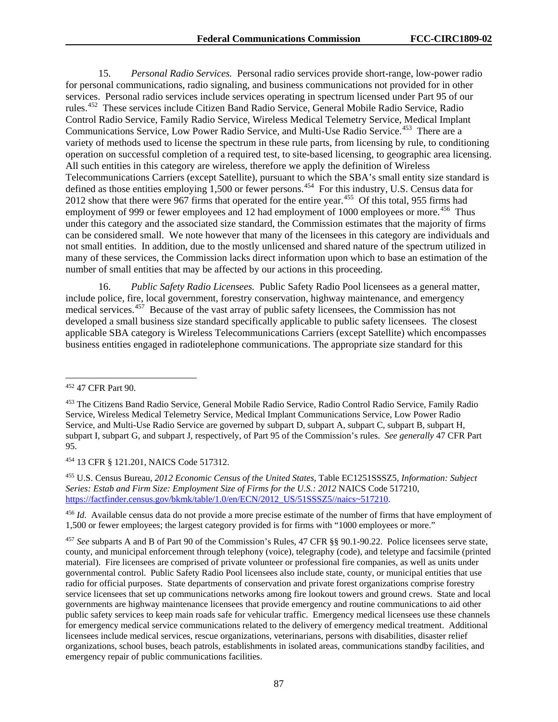15. *Personal Radio Services.* Personal radio services provide short-range, low-power radio for personal communications, radio signaling, and business communications not provided for in other services. Personal radio services include services operating in spectrum licensed under Part 95 of our rules.[452](#page-87-0) These services include Citizen Band Radio Service, General Mobile Radio Service, Radio Control Radio Service, Family Radio Service, Wireless Medical Telemetry Service, Medical Implant Communications Service, Low Power Radio Service, and Multi-Use Radio Service.<sup>[453](#page-87-1)</sup> There are a variety of methods used to license the spectrum in these rule parts, from licensing by rule, to conditioning operation on successful completion of a required test, to site-based licensing, to geographic area licensing. All such entities in this category are wireless, therefore we apply the definition of Wireless Telecommunications Carriers (except Satellite), pursuant to which the SBA's small entity size standard is defined as those entities employing 1,500 or fewer persons.[454](#page-87-2) For this industry, U.S. Census data for 2012 show that there were 967 firms that operated for the entire year.<sup>[455](#page-87-3)</sup> Of this total, 955 firms had employment of 999 or fewer employees and 12 had employment of 1000 employees or more.<sup>[456](#page-87-4)</sup> Thus under this category and the associated size standard, the Commission estimates that the majority of firms can be considered small. We note however that many of the licensees in this category are individuals and not small entities. In addition, due to the mostly unlicensed and shared nature of the spectrum utilized in many of these services, the Commission lacks direct information upon which to base an estimation of the number of small entities that may be affected by our actions in this proceeding.

16. *Public Safety Radio Licensees.* Public Safety Radio Pool licensees as a general matter, include police, fire, local government, forestry conservation, highway maintenance, and emergency medical services.[457](#page-87-5) Because of the vast array of public safety licensees, the Commission has not developed a small business size standard specifically applicable to public safety licensees. The closest applicable SBA category is Wireless Telecommunications Carriers (except Satellite) which encompasses business entities engaged in radiotelephone communications. The appropriate size standard for this

<span id="page-87-2"></span><sup>454</sup> 13 CFR § 121.201, NAICS Code 517312.

<span id="page-87-3"></span><sup>455</sup> U.S. Census Bureau, *2012 Economic Census of the United States*, Table EC1251SSSZ5*, Information: Subject Series: Estab and Firm Size: Employment Size of Firms for the U.S.: 2012* NAICS Code 517210, [https://factfinder.census.gov/bkmk/table/1.0/en/ECN/2012\\_US/51SSSZ5//naics~517210.](https://factfinder.census.gov/bkmk/table/1.0/en/ECN/2012_US/51SSSZ5/naics%7E517210)

<span id="page-87-4"></span><sup>456</sup> *Id*. Available census data do not provide a more precise estimate of the number of firms that have employment of 1,500 or fewer employees; the largest category provided is for firms with "1000 employees or more."

<span id="page-87-5"></span><sup>457</sup> *See* subparts A and B of Part 90 of the Commission's Rules, 47 CFR §§ 90.1-90.22. Police licensees serve state, county, and municipal enforcement through telephony (voice), telegraphy (code), and teletype and facsimile (printed material). Fire licensees are comprised of private volunteer or professional fire companies, as well as units under governmental control. Public Safety Radio Pool licensees also include state, county, or municipal entities that use radio for official purposes. State departments of conservation and private forest organizations comprise forestry service licensees that set up communications networks among fire lookout towers and ground crews. State and local governments are highway maintenance licensees that provide emergency and routine communications to aid other public safety services to keep main roads safe for vehicular traffic. Emergency medical licensees use these channels for emergency medical service communications related to the delivery of emergency medical treatment. Additional licensees include medical services, rescue organizations, veterinarians, persons with disabilities, disaster relief organizations, school buses, beach patrols, establishments in isolated areas, communications standby facilities, and emergency repair of public communications facilities.

<span id="page-87-0"></span> <sup>452</sup> 47 CFR Part 90.

<span id="page-87-1"></span><sup>453</sup> The Citizens Band Radio Service, General Mobile Radio Service, Radio Control Radio Service, Family Radio Service, Wireless Medical Telemetry Service, Medical Implant Communications Service, Low Power Radio Service, and Multi-Use Radio Service are governed by subpart D, subpart A, subpart C, subpart B, subpart H, subpart I, subpart G, and subpart J, respectively, of Part 95 of the Commission's rules. *See generally* 47 CFR Part 95.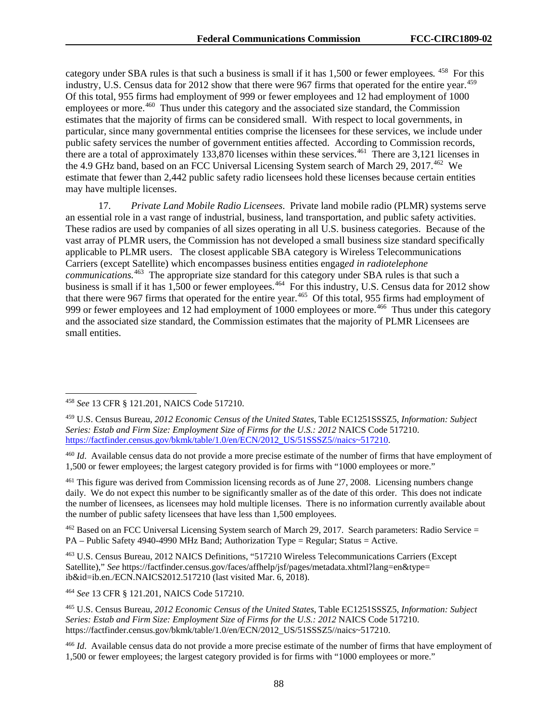category under SBA rules is that such a business is small if it has 1,500 or fewer employees*.* [458](#page-88-0) For this industry, U.S. Census data for 2012 show that there were 967 firms that operated for the entire year.<sup>[459](#page-88-1)</sup> Of this total, 955 firms had employment of 999 or fewer employees and 12 had employment of 1000 employees or more.<sup>[460](#page-88-2)</sup> Thus under this category and the associated size standard, the Commission estimates that the majority of firms can be considered small. With respect to local governments, in particular, since many governmental entities comprise the licensees for these services, we include under public safety services the number of government entities affected. According to Commission records, there are a total of approximately  $133,870$  licenses within these services.<sup>461</sup> There are 3,121 licenses in the 4.9 GHz band, based on an FCC Universal Licensing System search of March 29, 2017.<sup>462</sup> We estimate that fewer than 2,442 public safety radio licensees hold these licenses because certain entities may have multiple licenses.

17. *Private Land Mobile Radio Licensees*. Private land mobile radio (PLMR) systems serve an essential role in a vast range of industrial, business, land transportation, and public safety activities. These radios are used by companies of all sizes operating in all U.S. business categories. Because of the vast array of PLMR users, the Commission has not developed a small business size standard specifically applicable to PLMR users. The closest applicable SBA category is Wireless Telecommunications Carriers (except Satellite) which encompasses business entities engag*ed in radiotelephone communications.* [463](#page-88-5)The appropriate size standard for this category under SBA rules is that such a business is small if it has 1,500 or fewer employees.<sup>464</sup> For this industry, U.S. Census data for 2012 show that there were 967 firms that operated for the entire year.<sup>465</sup> Of this total, 955 firms had employment of 999 or fewer employees and 12 had employment of 1000 employees or more.<sup>[466](#page-88-8)</sup> Thus under this category and the associated size standard, the Commission estimates that the majority of PLMR Licensees are small entities.

<span id="page-88-3"></span><sup>461</sup> This figure was derived from Commission licensing records as of June 27, 2008. Licensing numbers change daily. We do not expect this number to be significantly smaller as of the date of this order. This does not indicate the number of licensees, as licensees may hold multiple licenses. There is no information currently available about the number of public safety licensees that have less than 1,500 employees.

<span id="page-88-4"></span><sup>462</sup> Based on an FCC Universal Licensing System search of March 29, 2017. Search parameters: Radio Service = PA – Public Safety 4940-4990 MHz Band; Authorization Type = Regular; Status = Active.

<span id="page-88-5"></span><sup>463</sup> U.S. Census Bureau, 2012 NAICS Definitions, "517210 Wireless Telecommunications Carriers (Except Satellite)," *See* https://factfinder.census.gov/faces/affhelp/jsf/pages/metadata.xhtml?lang=en&type= ib&id=ib.en./ECN.NAICS2012.517210 (last visited Mar. 6, 2018).

<span id="page-88-6"></span><sup>464</sup> *See* 13 CFR § 121.201, NAICS Code 517210.

<span id="page-88-0"></span> <sup>458</sup> *See* 13 CFR § 121.201, NAICS Code 517210.

<span id="page-88-1"></span><sup>459</sup> U.S. Census Bureau, *2012 Economic Census of the United States*, Table EC1251SSSZ5, *Information: Subject Series: Estab and Firm Size: Employment Size of Firms for the U.S.: 2012* NAICS Code 517210. [https://factfinder.census.gov/bkmk/table/1.0/en/ECN/2012\\_US/51SSSZ5//naics~517210.](https://factfinder.census.gov/bkmk/table/1.0/en/ECN/2012_US/51SSSZ5/naics%7E517210)

<span id="page-88-2"></span><sup>460</sup> *Id*. Available census data do not provide a more precise estimate of the number of firms that have employment of 1,500 or fewer employees; the largest category provided is for firms with "1000 employees or more."

<span id="page-88-7"></span><sup>465</sup> U.S. Census Bureau, *2012 Economic Census of the United States*, Table EC1251SSSZ5, *Information: Subject Series: Estab and Firm Size: Employment Size of Firms for the U.S.: 2012* NAICS Code 517210. https://factfinder.census.gov/bkmk/table/1.0/en/ECN/2012\_US/51SSSZ5//naics~517210.

<span id="page-88-8"></span><sup>466</sup> *Id*. Available census data do not provide a more precise estimate of the number of firms that have employment of 1,500 or fewer employees; the largest category provided is for firms with "1000 employees or more."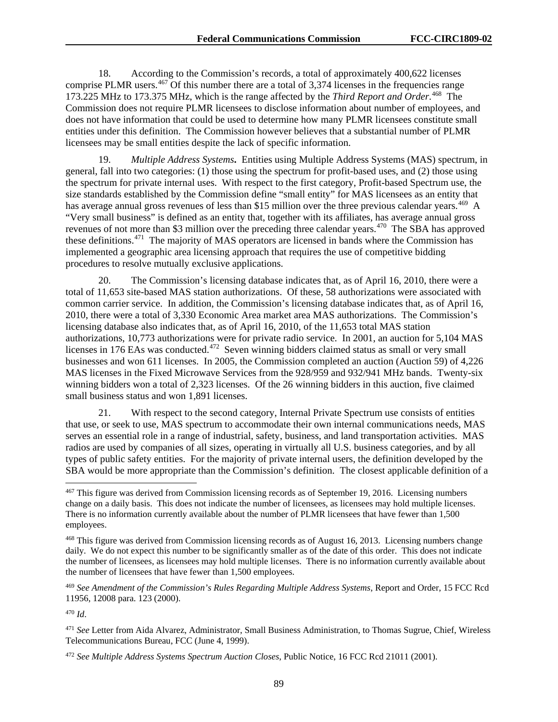18. According to the Commission's records, a total of approximately 400,622 licenses comprise PLMR users.  $467$  Of this number there are a total of 3,374 licenses in the frequencies range 173.225 MHz to 173.375 MHz, which is the range affected by the *Third Report and Order*. [468](#page-89-1) The Commission does not require PLMR licensees to disclose information about number of employees, and does not have information that could be used to determine how many PLMR licensees constitute small entities under this definition. The Commission however believes that a substantial number of PLMR licensees may be small entities despite the lack of specific information.

19. *Multiple Address Systems***.** Entities using Multiple Address Systems (MAS) spectrum, in general, fall into two categories: (1) those using the spectrum for profit-based uses, and (2) those using the spectrum for private internal uses. With respect to the first category, Profit-based Spectrum use, the size standards established by the Commission define "small entity" for MAS licensees as an entity that has average annual gross revenues of less than \$15 million over the three previous calendar years.<sup>469</sup> A "Very small business" is defined as an entity that, together with its affiliates, has average annual gross revenues of not more than \$3 million over the preceding three calendar years.<sup>[470](#page-89-3)</sup> The SBA has approved these definitions.[471](#page-89-4) The majority of MAS operators are licensed in bands where the Commission has implemented a geographic area licensing approach that requires the use of competitive bidding procedures to resolve mutually exclusive applications.

20. The Commission's licensing database indicates that, as of April 16, 2010, there were a total of 11,653 site-based MAS station authorizations. Of these, 58 authorizations were associated with common carrier service. In addition, the Commission's licensing database indicates that, as of April 16, 2010, there were a total of 3,330 Economic Area market area MAS authorizations. The Commission's licensing database also indicates that, as of April 16, 2010, of the 11,653 total MAS station authorizations, 10,773 authorizations were for private radio service. In 2001, an auction for 5,104 MAS licenses in 176 EAs was conducted.<sup>472</sup> Seven winning bidders claimed status as small or very small businesses and won 611 licenses. In 2005, the Commission completed an auction (Auction 59) of 4,226 MAS licenses in the Fixed Microwave Services from the 928/959 and 932/941 MHz bands. Twenty-six winning bidders won a total of 2,323 licenses. Of the 26 winning bidders in this auction, five claimed small business status and won 1,891 licenses.

21. With respect to the second category, Internal Private Spectrum use consists of entities that use, or seek to use, MAS spectrum to accommodate their own internal communications needs, MAS serves an essential role in a range of industrial, safety, business, and land transportation activities. MAS radios are used by companies of all sizes, operating in virtually all U.S. business categories, and by all types of public safety entities. For the majority of private internal users, the definition developed by the SBA would be more appropriate than the Commission's definition. The closest applicable definition of a

<span id="page-89-0"></span> <sup>467</sup> This figure was derived from Commission licensing records as of September 19, 2016. Licensing numbers change on a daily basis. This does not indicate the number of licensees, as licensees may hold multiple licenses. There is no information currently available about the number of PLMR licensees that have fewer than 1,500 employees.

<span id="page-89-1"></span><sup>468</sup> This figure was derived from Commission licensing records as of August 16, 2013. Licensing numbers change daily. We do not expect this number to be significantly smaller as of the date of this order. This does not indicate the number of licensees, as licensees may hold multiple licenses. There is no information currently available about the number of licensees that have fewer than 1,500 employees.

<span id="page-89-2"></span><sup>469</sup> *See Amendment of the Commission's Rules Regarding Multiple Address Systems*, Report and Order, 15 FCC Rcd 11956, 12008 para. 123 (2000).

<span id="page-89-3"></span><sup>470</sup> *Id*.

<span id="page-89-4"></span><sup>471</sup> *See* Letter from Aida Alvarez, Administrator, Small Business Administration, to Thomas Sugrue, Chief, Wireless Telecommunications Bureau, FCC (June 4, 1999).

<span id="page-89-5"></span><sup>472</sup> *See Multiple Address Systems Spectrum Auction Closes*, Public Notice, 16 FCC Rcd 21011 (2001).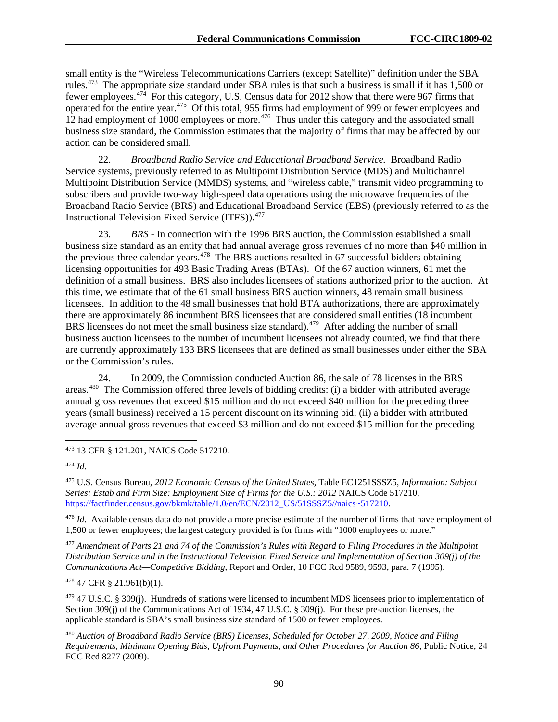small entity is the "Wireless Telecommunications Carriers (except Satellite)" definition under the SBA rules.[473](#page-90-0) The appropriate size standard under SBA rules is that such a business is small if it has 1,500 or fewer employees.[474](#page-90-1) For this category, U.S. Census data for 2012 show that there were 967 firms that operated for the entire year.[475](#page-90-2) Of this total, 955 firms had employment of 999 or fewer employees and 12 had employment of 1000 employees or more.<sup>[476](#page-90-3)</sup> Thus under this category and the associated small business size standard, the Commission estimates that the majority of firms that may be affected by our action can be considered small.

22. *Broadband Radio Service and Educational Broadband Service.* Broadband Radio Service systems, previously referred to as Multipoint Distribution Service (MDS) and Multichannel Multipoint Distribution Service (MMDS) systems, and "wireless cable," transmit video programming to subscribers and provide two-way high-speed data operations using the microwave frequencies of the Broadband Radio Service (BRS) and Educational Broadband Service (EBS) (previously referred to as the Instructional Television Fixed Service (ITFS)).<sup>[477](#page-90-4)</sup>

23. *BRS* - In connection with the 1996 BRS auction, the Commission established a small business size standard as an entity that had annual average gross revenues of no more than \$40 million in the previous three calendar years.<sup> $478$ </sup> The BRS auctions resulted in 67 successful bidders obtaining licensing opportunities for 493 Basic Trading Areas (BTAs). Of the 67 auction winners, 61 met the definition of a small business. BRS also includes licensees of stations authorized prior to the auction. At this time, we estimate that of the 61 small business BRS auction winners, 48 remain small business licensees. In addition to the 48 small businesses that hold BTA authorizations, there are approximately there are approximately 86 incumbent BRS licensees that are considered small entities (18 incumbent BRS licensees do not meet the small business size standard).<sup>[479](#page-90-6)</sup> After adding the number of small business auction licensees to the number of incumbent licensees not already counted, we find that there are currently approximately 133 BRS licensees that are defined as small businesses under either the SBA or the Commission's rules.

24. In 2009, the Commission conducted Auction 86, the sale of 78 licenses in the BRS areas.[480](#page-90-7) The Commission offered three levels of bidding credits: (i) a bidder with attributed average annual gross revenues that exceed \$15 million and do not exceed \$40 million for the preceding three years (small business) received a 15 percent discount on its winning bid; (ii) a bidder with attributed average annual gross revenues that exceed \$3 million and do not exceed \$15 million for the preceding

<span id="page-90-2"></span><sup>475</sup> U.S. Census Bureau, *2012 Economic Census of the United States*, Table EC1251SSSZ5, *Information: Subject Series: Estab and Firm Size: Employment Size of Firms for the U.S.: 2012* NAICS Code 517210, [https://factfinder.census.gov/bkmk/table/1.0/en/ECN/2012\\_US/51SSSZ5//naics~517210.](https://factfinder.census.gov/bkmk/table/1.0/en/ECN/2012_US/51SSSZ5/naics%7E517210)

<span id="page-90-3"></span><sup>476</sup> *Id*. Available census data do not provide a more precise estimate of the number of firms that have employment of 1,500 or fewer employees; the largest category provided is for firms with "1000 employees or more."

<span id="page-90-4"></span><sup>477</sup> *Amendment of Parts 21 and 74 of the Commission's Rules with Regard to Filing Procedures in the Multipoint Distribution Service and in the Instructional Television Fixed Service and Implementation of Section 309(j) of the Communications Act—Competitive Bidding*, Report and Order, 10 FCC Rcd 9589, 9593, para. 7 (1995).

<span id="page-90-5"></span><sup>478</sup> 47 CFR § 21.961(b)(1).

<span id="page-90-6"></span> $479$  47 U.S.C. § 309(j). Hundreds of stations were licensed to incumbent MDS licensees prior to implementation of Section 309(j) of the Communications Act of 1934, 47 U.S.C. § 309(j). For these pre-auction licenses, the applicable standard is SBA's small business size standard of 1500 or fewer employees.

<span id="page-90-7"></span><sup>480</sup> *Auction of Broadband Radio Service (BRS) Licenses, Scheduled for October 27, 2009, Notice and Filing Requirements, Minimum Opening Bids, Upfront Payments, and Other Procedures for Auction 86*, Public Notice, 24 FCC Rcd 8277 (2009).

<span id="page-90-0"></span> <sup>473</sup> 13 CFR § 121.201, NAICS Code 517210.

<span id="page-90-1"></span><sup>474</sup> *Id*.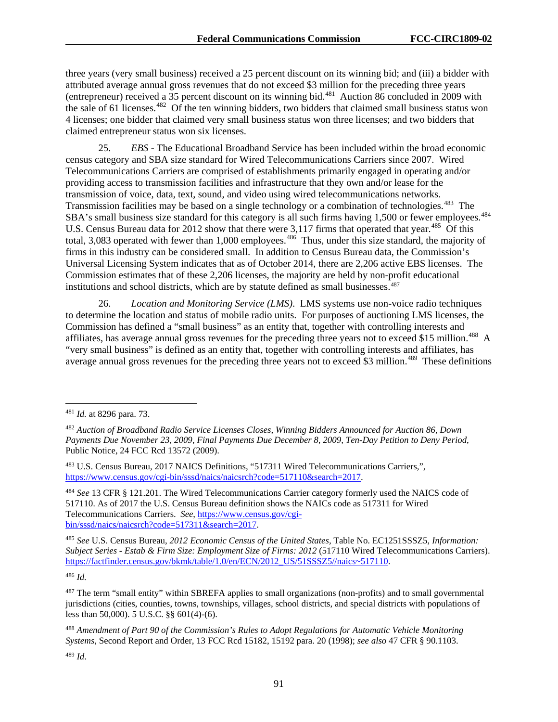three years (very small business) received a 25 percent discount on its winning bid; and (iii) a bidder with attributed average annual gross revenues that do not exceed \$3 million for the preceding three years (entrepreneur) received a  $35$  percent discount on its winning bid.<sup>481</sup> Auction 86 concluded in 2009 with the sale of 61 licenses.<sup>[482](#page-91-1)</sup> Of the ten winning bidders, two bidders that claimed small business status won 4 licenses; one bidder that claimed very small business status won three licenses; and two bidders that claimed entrepreneur status won six licenses.

25. *EBS* - The Educational Broadband Service has been included within the broad economic census category and SBA size standard for Wired Telecommunications Carriers since 2007. Wired Telecommunications Carriers are comprised of establishments primarily engaged in operating and/or providing access to transmission facilities and infrastructure that they own and/or lease for the transmission of voice, data, text, sound, and video using wired telecommunications networks. Transmission facilities may be based on a single technology or a combination of technologies.<sup>[483](#page-91-2)</sup> The SBA's small business size standard for this category is all such firms having 1,500 or fewer employees.<sup>484</sup> U.S. Census Bureau data for 2012 show that there were 3,117 firms that operated that year.<sup>[485](#page-91-4)</sup> Of this total, 3,083 operated with fewer than 1,000 employees.<sup>[486](#page-91-5)</sup> Thus, under this size standard, the majority of firms in this industry can be considered small. In addition to Census Bureau data, the Commission's Universal Licensing System indicates that as of October 2014, there are 2,206 active EBS licenses. The Commission estimates that of these 2,206 licenses, the majority are held by non-profit educational institutions and school districts, which are by statute defined as small businesses.<sup>[487](#page-91-6)</sup>

26. *Location and Monitoring Service (LMS)*. LMS systems use non-voice radio techniques to determine the location and status of mobile radio units. For purposes of auctioning LMS licenses, the Commission has defined a "small business" as an entity that, together with controlling interests and affiliates, has average annual gross revenues for the preceding three years not to exceed \$15 million.<sup>[488](#page-91-7)</sup> A "very small business" is defined as an entity that, together with controlling interests and affiliates, has average annual gross revenues for the preceding three years not to exceed \$3 million.<sup>[489](#page-91-8)</sup> These definitions

<span id="page-91-5"></span><sup>486</sup> *Id.*

<span id="page-91-0"></span> <sup>481</sup> *Id.* at 8296 para. 73.

<span id="page-91-1"></span><sup>482</sup> *Auction of Broadband Radio Service Licenses Closes, Winning Bidders Announced for Auction 86, Down Payments Due November 23, 2009, Final Payments Due December 8, 2009, Ten-Day Petition to Deny Period*, Public Notice, 24 FCC Rcd 13572 (2009).

<span id="page-91-2"></span><sup>483</sup> U.S. Census Bureau, 2017 NAICS Definitions, "517311 Wired Telecommunications Carriers,", [https://www.census.gov/cgi-bin/sssd/naics/naicsrch?code=517110&search=2017.](https://www.census.gov/cgi-bin/sssd/naics/naicsrch?code=517110&search=2017)

<span id="page-91-3"></span><sup>484</sup> *See* 13 CFR § 121.201. The Wired Telecommunications Carrier category formerly used the NAICS code of 517110. As of 2017 the U.S. Census Bureau definition shows the NAICs code as 517311 for Wired Telecommunications Carriers. *See*, [https://www.census.gov/cgi](https://www.census.gov/cgi-bin/sssd/naics/naicsrch?code=517311&search=2017)[bin/sssd/naics/naicsrch?code=517311&search=2017.](https://www.census.gov/cgi-bin/sssd/naics/naicsrch?code=517311&search=2017)

<span id="page-91-4"></span><sup>485</sup> *See* U.S. Census Bureau, *2012 Economic Census of the United States,* Table No. EC1251SSSZ5, *Information: Subject Series - Estab & Firm Size: Employment Size of Firms: 2012* (517110 Wired Telecommunications Carriers). [https://factfinder.census.gov/bkmk/table/1.0/en/ECN/2012\\_US/51SSSZ5//naics~517110.](https://factfinder.census.gov/bkmk/table/1.0/en/ECN/2012_US/51SSSZ5/naics%7E517110)

<span id="page-91-6"></span><sup>&</sup>lt;sup>487</sup> The term "small entity" within SBREFA applies to small organizations (non-profits) and to small governmental jurisdictions (cities, counties, towns, townships, villages, school districts, and special districts with populations of less than 50,000). 5 U.S.C. §§ 601(4)-(6).

<span id="page-91-7"></span><sup>488</sup> *Amendment of Part 90 of the Commission's Rules to Adopt Regulations for Automatic Vehicle Monitoring Systems*, Second Report and Order, 13 FCC Rcd 15182, 15192 para. 20 (1998); *see also* 47 CFR § 90.1103.

<span id="page-91-8"></span><sup>489</sup> *Id*.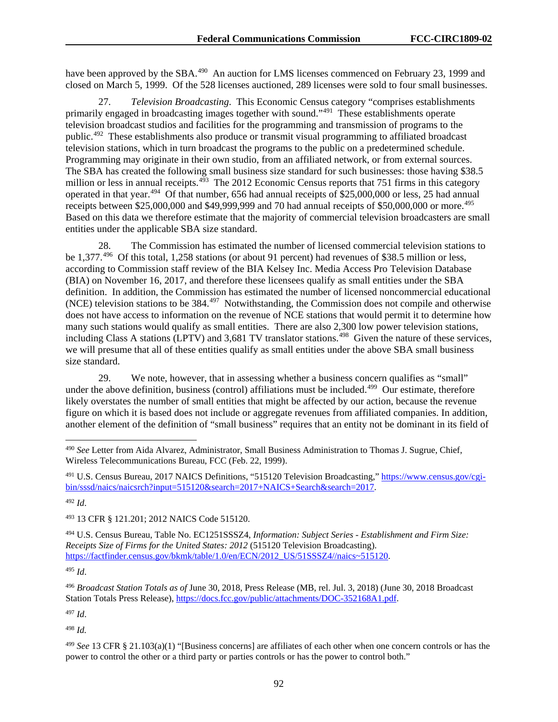have been approved by the SBA.<sup>490</sup> An auction for LMS licenses commenced on February 23, 1999 and closed on March 5, 1999. Of the 528 licenses auctioned, 289 licenses were sold to four small businesses.

27. *Television Broadcasting*. This Economic Census category "comprises establishments primarily engaged in broadcasting images together with sound."[491](#page-92-1) These establishments operate television broadcast studios and facilities for the programming and transmission of programs to the public.[492](#page-92-2) These establishments also produce or transmit visual programming to affiliated broadcast television stations, which in turn broadcast the programs to the public on a predetermined schedule. Programming may originate in their own studio, from an affiliated network, or from external sources. The SBA has created the following small business size standard for such businesses: those having \$38.5 million or less in annual receipts.<sup>[493](#page-92-3)</sup> The 2012 Economic Census reports that 751 firms in this category operated in that year.[494](#page-92-4) Of that number, 656 had annual receipts of \$25,000,000 or less, 25 had annual receipts between \$25,000,000 and \$49,999,999 and 70 had annual receipts of \$50,000,000 or more.<sup>[495](#page-92-5)</sup> Based on this data we therefore estimate that the majority of commercial television broadcasters are small entities under the applicable SBA size standard.

28. The Commission has estimated the number of licensed commercial television stations to be 1,377.[496](#page-92-6) Of this total, 1,258 stations (or about 91 percent) had revenues of \$38.5 million or less, according to Commission staff review of the BIA Kelsey Inc. Media Access Pro Television Database (BIA) on November 16, 2017, and therefore these licensees qualify as small entities under the SBA definition. In addition, the Commission has estimated the number of licensed noncommercial educational (NCE) television stations to be 384.[497](#page-92-7) Notwithstanding, the Commission does not compile and otherwise does not have access to information on the revenue of NCE stations that would permit it to determine how many such stations would qualify as small entities. There are also 2,300 low power television stations, including Class A stations (LPTV) and 3,681 TV translator stations.<sup>498</sup> Given the nature of these services, we will presume that all of these entities qualify as small entities under the above SBA small business size standard.

29. We note, however, that in assessing whether a business concern qualifies as "small" under the above definition, business (control) affiliations must be included.<sup>[499](#page-92-9)</sup> Our estimate, therefore likely overstates the number of small entities that might be affected by our action, because the revenue figure on which it is based does not include or aggregate revenues from affiliated companies. In addition, another element of the definition of "small business" requires that an entity not be dominant in its field of

<span id="page-92-1"></span><sup>491</sup> U.S. Census Bureau, 2017 NAICS Definitions, "515120 Television Broadcasting,[" https://www.census.gov/cgi](https://www.census.gov/cgi-bin/sssd/naics/naicsrch?input=515120&search=2017+NAICS+Search&search=2017)[bin/sssd/naics/naicsrch?input=515120&search=2017+NAICS+Search&search=2017.](https://www.census.gov/cgi-bin/sssd/naics/naicsrch?input=515120&search=2017+NAICS+Search&search=2017)

<span id="page-92-2"></span><sup>492</sup> *Id*.

<span id="page-92-3"></span><sup>493</sup> 13 CFR § 121.201; 2012 NAICS Code 515120.

<span id="page-92-4"></span><sup>494</sup> U.S. Census Bureau, Table No. EC1251SSSZ4, *Information: Subject Series - Establishment and Firm Size: Receipts Size of Firms for the United States: 2012* (515120 Television Broadcasting). [https://factfinder.census.gov/bkmk/table/1.0/en/ECN/2012\\_US/51SSSZ4//naics~515120.](https://factfinder.census.gov/bkmk/table/1.0/en/ECN/2012_US/51SSSZ4/naics%7E515120)

<span id="page-92-5"></span><sup>495</sup> *Id*.

<span id="page-92-6"></span><sup>496</sup> *Broadcast Station Totals as of* June 30, 2018, Press Release (MB, rel. Jul. 3, 2018) (June 30, 2018 Broadcast Station Totals Press Release), [https://docs.fcc.gov/public/attachments/DOC-352168A1.pdf.](https://docs.fcc.gov/public/attachments/DOC-352168A1.pdf) 

<span id="page-92-7"></span><sup>497</sup> *Id*.

<span id="page-92-8"></span><sup>498</sup> *Id.*

<span id="page-92-0"></span> <sup>490</sup> *See* Letter from Aida Alvarez, Administrator, Small Business Administration to Thomas J. Sugrue, Chief, Wireless Telecommunications Bureau, FCC (Feb. 22, 1999).

<span id="page-92-9"></span><sup>499</sup> *See* 13 CFR § 21.103(a)(1) "[Business concerns] are affiliates of each other when one concern controls or has the power to control the other or a third party or parties controls or has the power to control both."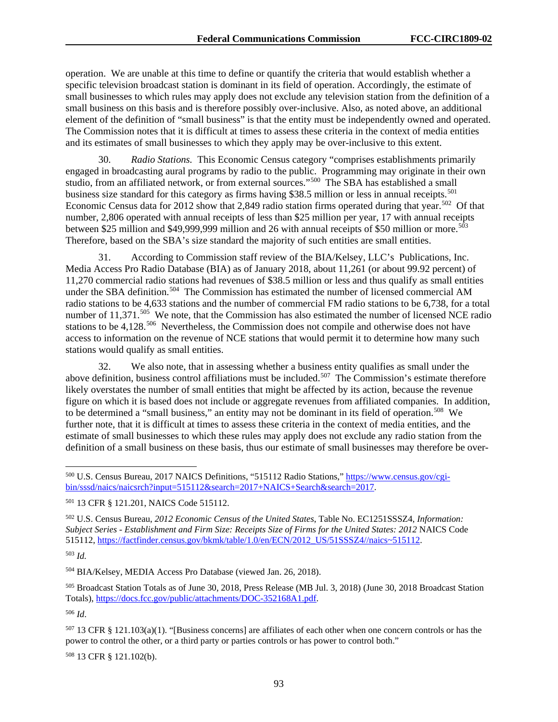operation. We are unable at this time to define or quantify the criteria that would establish whether a specific television broadcast station is dominant in its field of operation. Accordingly, the estimate of small businesses to which rules may apply does not exclude any television station from the definition of a small business on this basis and is therefore possibly over-inclusive. Also, as noted above, an additional element of the definition of "small business" is that the entity must be independently owned and operated. The Commission notes that it is difficult at times to assess these criteria in the context of media entities and its estimates of small businesses to which they apply may be over-inclusive to this extent.

30. *Radio Stations.* This Economic Census category "comprises establishments primarily engaged in broadcasting aural programs by radio to the public. Programming may originate in their own studio, from an affiliated network, or from external sources."[500](#page-93-0) The SBA has established a small business size standard for this category as firms having \$38.5 million or less in annual receipts.<sup>501</sup> Economic Census data for 2012 show that 2,849 radio station firms operated during that year.<sup>502</sup> Of that number, 2,806 operated with annual receipts of less than \$25 million per year, 17 with annual receipts between \$25 million and \$49,999,999 million and 26 with annual receipts of \$50 million or more.<sup>503</sup> Therefore, based on the SBA's size standard the majority of such entities are small entities.

31. According to Commission staff review of the BIA/Kelsey, LLC's Publications, Inc. Media Access Pro Radio Database (BIA) as of January 2018, about 11,261 (or about 99.92 percent) of 11,270 commercial radio stations had revenues of \$38.5 million or less and thus qualify as small entities under the SBA definition.<sup>504</sup> The Commission has estimated the number of licensed commercial AM radio stations to be 4,633 stations and the number of commercial FM radio stations to be 6,738, for a total number of 11,371.<sup>[505](#page-93-5)</sup> We note, that the Commission has also estimated the number of licensed NCE radio stations to be  $4,128^{506}$  $4,128^{506}$  $4,128^{506}$  Nevertheless, the Commission does not compile and otherwise does not have access to information on the revenue of NCE stations that would permit it to determine how many such stations would qualify as small entities.

32. We also note, that in assessing whether a business entity qualifies as small under the above definition, business control affiliations must be included.<sup>507</sup> The Commission's estimate therefore likely overstates the number of small entities that might be affected by its action, because the revenue figure on which it is based does not include or aggregate revenues from affiliated companies. In addition, to be determined a "small business," an entity may not be dominant in its field of operation.<sup>508</sup> We further note, that it is difficult at times to assess these criteria in the context of media entities, and the estimate of small businesses to which these rules may apply does not exclude any radio station from the definition of a small business on these basis, thus our estimate of small businesses may therefore be over-

<span id="page-93-2"></span><sup>502</sup> U.S. Census Bureau, *2012 Economic Census of the United States*, Table No. EC1251SSSZ4, *Information: Subject Series - Establishment and Firm Size: Receipts Size of Firms for the United States: 2012* NAICS Code 515112, [https://factfinder.census.gov/bkmk/table/1.0/en/ECN/2012\\_US/51SSSZ4//naics~515112.](https://factfinder.census.gov/bkmk/table/1.0/en/ECN/2012_US/51SSSZ4/naics%7E515112)

<span id="page-93-3"></span><sup>503</sup> *Id.*

<span id="page-93-4"></span><sup>504</sup> BIA/Kelsey, MEDIA Access Pro Database (viewed Jan. 26, 2018).

<span id="page-93-5"></span><sup>505</sup> Broadcast Station Totals as of June 30, 2018, Press Release (MB Jul. 3, 2018) (June 30, 2018 Broadcast Station Totals), [https://docs.fcc.gov/public/attachments/DOC-352168A1.pdf.](https://docs.fcc.gov/public/attachments/DOC-352168A1.pdf)

<span id="page-93-6"></span><sup>506</sup> *Id*.

<span id="page-93-7"></span> $507$  13 CFR § 121.103(a)(1). "[Business concerns] are affiliates of each other when one concern controls or has the power to control the other, or a third party or parties controls or has power to control both."

<span id="page-93-8"></span><sup>508</sup> 13 CFR § 121.102(b).

<span id="page-93-0"></span> <sup>500</sup> U.S. Census Bureau, 2017 NAICS Definitions, "515112 Radio Stations," [https://www.census.gov/cgi](https://www.census.gov/cgi-bin/sssd/naics/naicsrch?input=515112&search=2017+NAICS+Search&search=2017)[bin/sssd/naics/naicsrch?input=515112&search=2017+NAICS+Search&search=2017.](https://www.census.gov/cgi-bin/sssd/naics/naicsrch?input=515112&search=2017+NAICS+Search&search=2017)

<span id="page-93-1"></span><sup>501</sup> 13 CFR § 121.201, NAICS Code 515112.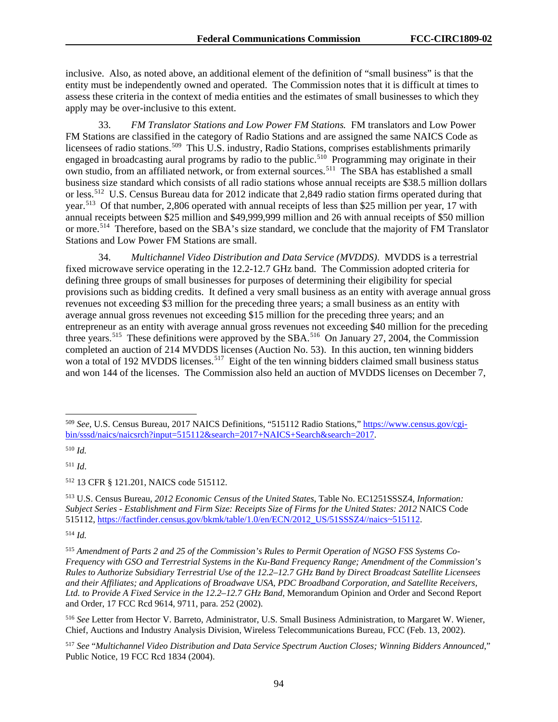inclusive. Also, as noted above, an additional element of the definition of "small business" is that the entity must be independently owned and operated. The Commission notes that it is difficult at times to assess these criteria in the context of media entities and the estimates of small businesses to which they apply may be over-inclusive to this extent.

33. *FM Translator Stations and Low Power FM Stations.* FM translators and Low Power FM Stations are classified in the category of Radio Stations and are assigned the same NAICS Code as licensees of radio stations.<sup>[509](#page-94-0)</sup> This U.S. industry, Radio Stations, comprises establishments primarily engaged in broadcasting aural programs by radio to the public.<sup>510</sup> Programming may originate in their own studio, from an affiliated network, or from external sources.[511](#page-94-2) The SBA has established a small business size standard which consists of all radio stations whose annual receipts are \$38.5 million dollars or less.<sup>[512](#page-94-3)</sup> U.S. Census Bureau data for 2012 indicate that 2,849 radio station firms operated during that year.<sup>513</sup> Of that number, 2,806 operated with annual receipts of less than \$25 million per year, 17 with annual receipts between \$25 million and \$49,999,999 million and 26 with annual receipts of \$50 million or more.[514](#page-94-5) Therefore, based on the SBA's size standard, we conclude that the majority of FM Translator Stations and Low Power FM Stations are small.

34. *Multichannel Video Distribution and Data Service (MVDDS)*. MVDDS is a terrestrial fixed microwave service operating in the 12.2-12.7 GHz band. The Commission adopted criteria for defining three groups of small businesses for purposes of determining their eligibility for special provisions such as bidding credits. It defined a very small business as an entity with average annual gross revenues not exceeding \$3 million for the preceding three years; a small business as an entity with average annual gross revenues not exceeding \$15 million for the preceding three years; and an entrepreneur as an entity with average annual gross revenues not exceeding \$40 million for the preceding three years.<sup>515</sup> These definitions were approved by the SBA.<sup>[516](#page-94-7)</sup> On January 27, 2004, the Commission completed an auction of 214 MVDDS licenses (Auction No. 53). In this auction, ten winning bidders won a total of 192 MVDDS licenses.<sup>517</sup> Eight of the ten winning bidders claimed small business status and won 144 of the licenses. The Commission also held an auction of MVDDS licenses on December 7,

<span id="page-94-3"></span><sup>512</sup> 13 CFR § 121.201, NAICS code 515112.

<span id="page-94-4"></span><sup>513</sup> U.S. Census Bureau, *2012 Economic Census of the United States*, Table No. EC1251SSSZ4, *Information: Subject Series - Establishment and Firm Size: Receipts Size of Firms for the United States: 2012* NAICS Code 515112, [https://factfinder.census.gov/bkmk/table/1.0/en/ECN/2012\\_US/51SSSZ4//naics~515112.](https://factfinder.census.gov/bkmk/table/1.0/en/ECN/2012_US/51SSSZ4/naics%7E515112)

<span id="page-94-5"></span><sup>514</sup> *Id.*

<span id="page-94-0"></span> <sup>509</sup> *See*, U.S. Census Bureau, 2017 NAICS Definitions, "515112 Radio Stations,[" https://www.census.gov/cgi](https://www.census.gov/cgi-bin/sssd/naics/naicsrch?input=515112&search=2017+NAICS+Search&search=2017)[bin/sssd/naics/naicsrch?input=515112&search=2017+NAICS+Search&search=2017.](https://www.census.gov/cgi-bin/sssd/naics/naicsrch?input=515112&search=2017+NAICS+Search&search=2017)

<span id="page-94-1"></span><sup>510</sup> *Id.*

<span id="page-94-2"></span><sup>511</sup> *Id*.

<span id="page-94-6"></span><sup>515</sup> *Amendment of Parts 2 and 25 of the Commission's Rules to Permit Operation of NGSO FSS Systems Co-Frequency with GSO and Terrestrial Systems in the Ku-Band Frequency Range; Amendment of the Commission's Rules to Authorize Subsidiary Terrestrial Use of the 12.2–12.7 GHz Band by Direct Broadcast Satellite Licensees and their Affiliates; and Applications of Broadwave USA, PDC Broadband Corporation, and Satellite Receivers, Ltd. to Provide A Fixed Service in the 12.2–12.7 GHz Band*, Memorandum Opinion and Order and Second Report and Order, 17 FCC Rcd 9614, 9711, para. 252 (2002).

<span id="page-94-7"></span><sup>516</sup> *See* Letter from Hector V. Barreto, Administrator, U.S. Small Business Administration, to Margaret W. Wiener, Chief, Auctions and Industry Analysis Division, Wireless Telecommunications Bureau, FCC (Feb. 13, 2002).

<span id="page-94-8"></span><sup>517</sup> *See* "*Multichannel Video Distribution and Data Service Spectrum Auction Closes; Winning Bidders Announced*," Public Notice, 19 FCC Rcd 1834 (2004).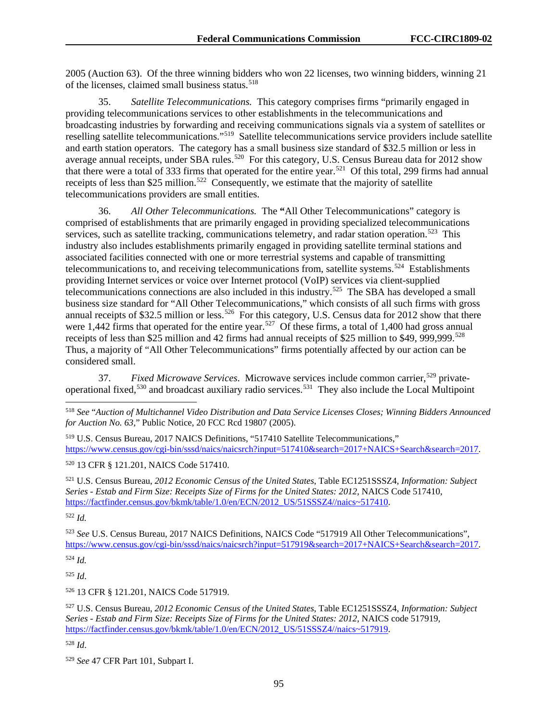2005 (Auction 63). Of the three winning bidders who won 22 licenses, two winning bidders, winning 21 of the licenses, claimed small business status.<sup>[518](#page-95-0)</sup>

35. *Satellite Telecommunications.* This category comprises firms "primarily engaged in providing telecommunications services to other establishments in the telecommunications and broadcasting industries by forwarding and receiving communications signals via a system of satellites or reselling satellite telecommunications."[519](#page-95-1) Satellite telecommunications service providers include satellite and earth station operators. The category has a small business size standard of \$32.5 million or less in average annual receipts, under SBA rules.<sup>520</sup> For this category, U.S. Census Bureau data for 2012 show that there were a total of 333 firms that operated for the entire year.[521](#page-95-3) Of this total, 299 firms had annual receipts of less than \$25 million.<sup>522</sup> Consequently, we estimate that the majority of satellite telecommunications providers are small entities.

36. *All Other Telecommunications.* The **"**All Other Telecommunications" category is comprised of establishments that are primarily engaged in providing specialized telecommunications services, such as satellite tracking, communications telemetry, and radar station operation.<sup>[523](#page-95-5)</sup> This industry also includes establishments primarily engaged in providing satellite terminal stations and associated facilities connected with one or more terrestrial systems and capable of transmitting telecommunications to, and receiving telecommunications from, satellite systems.<sup>524</sup> Establishments providing Internet services or voice over Internet protocol (VoIP) services via client-supplied telecommunications connections are also included in this industry.<sup>525</sup> The SBA has developed a small business size standard for "All Other Telecommunications," which consists of all such firms with gross annual receipts of \$32.5 million or less.<sup>[526](#page-95-8)</sup> For this category, U.S. Census data for 2012 show that there were 1,442 firms that operated for the entire year.<sup>527</sup> Of these firms, a total of 1,400 had gross annual receipts of less than  $$25$  million and 42 firms had annual receipts of \$25 million to \$49, 999,999.<sup>[528](#page-95-10)</sup> Thus, a majority of "All Other Telecommunications" firms potentially affected by our action can be considered small.

37. *Fixed Microwave Services*. Microwave services include common carrier,<sup>[529](#page-95-11)</sup> privateoperational fixed,[530](#page-95-12) and broadcast auxiliary radio services.[531](#page-95-13) They also include the Local Multipoint

<span id="page-95-2"></span><sup>520</sup> 13 CFR § 121.201, NAICS Code 517410.

<span id="page-95-3"></span><sup>521</sup> U.S. Census Bureau, *2012 Economic Census of the United States*, Table EC1251SSSZ4, *Information: Subject Series - Estab and Firm Size: Receipts Size of Firms for the United States: 2012*, NAICS Code 517410, [https://factfinder.census.gov/bkmk/table/1.0/en/ECN/2012\\_US/51SSSZ4//naics~517410.](https://factfinder.census.gov/bkmk/table/1.0/en/ECN/2012_US/51SSSZ4/naics%7E517410)

<span id="page-95-4"></span><sup>522</sup> *Id.*

<span id="page-95-5"></span><sup>523</sup> *See* U.S. Census Bureau, 2017 NAICS Definitions, NAICS Code "517919 All Other Telecommunications", [https://www.census.gov/cgi-bin/sssd/naics/naicsrch?input=517919&search=2017+NAICS+Search&search=2017.](https://www.census.gov/cgi-bin/sssd/naics/naicsrch?input=517919&search=2017+NAICS+Search&search=2017)

<span id="page-95-6"></span><sup>524</sup> *Id.*

<span id="page-95-7"></span><sup>525</sup> *Id*.

<span id="page-95-8"></span><sup>526</sup> 13 CFR § 121.201, NAICS Code 517919.

<span id="page-95-9"></span><sup>527</sup> U.S. Census Bureau, *2012 Economic Census of the United States*, Table EC1251SSSZ4, *Information: Subject Series - Estab and Firm Size: Receipts Size of Firms for the United States: 2012*, NAICS code 517919, [https://factfinder.census.gov/bkmk/table/1.0/en/ECN/2012\\_US/51SSSZ4//naics~517919.](https://factfinder.census.gov/bkmk/table/1.0/en/ECN/2012_US/51SSSZ4/naics%7E517919)

<span id="page-95-10"></span><sup>528</sup> *Id*.

<span id="page-95-12"></span><span id="page-95-0"></span> <sup>518</sup> *See* "*Auction of Multichannel Video Distribution and Data Service Licenses Closes; Winning Bidders Announced for Auction No. 63*," Public Notice, 20 FCC Rcd 19807 (2005).

<span id="page-95-13"></span><span id="page-95-1"></span><sup>519</sup> U.S. Census Bureau, 2017 NAICS Definitions, "517410 Satellite Telecommunications," [https://www.census.gov/cgi-bin/sssd/naics/naicsrch?input=517410&search=2017+NAICS+Search&search=2017.](https://www.census.gov/cgi-bin/sssd/naics/naicsrch?input=517410&search=2017+NAICS+Search&search=2017)

<span id="page-95-11"></span><sup>529</sup> *See* 47 CFR Part 101, Subpart I.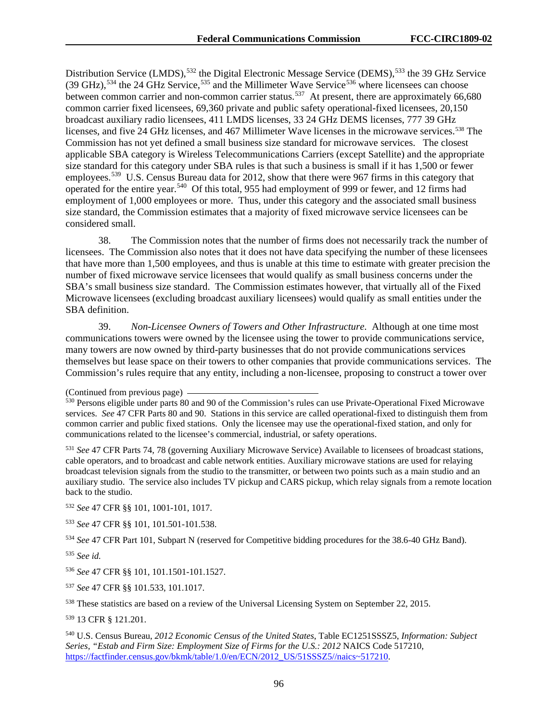Distribution Service (LMDS),<sup>[532](#page-96-0)</sup> the Digital Electronic Message Service (DEMS),<sup>[533](#page-96-1)</sup> the 39 GHz Service  $(39 \text{ GHz})$ ,  $^{534}$  $^{534}$  $^{534}$  the 24 GHz Service,  $^{535}$  $^{535}$  $^{535}$  and the Millimeter Wave Service<sup>[536](#page-96-4)</sup> where licensees can choose between common carrier and non-common carrier status.<sup>[537](#page-96-5)</sup> At present, there are approximately 66,680 common carrier fixed licensees, 69,360 private and public safety operational-fixed licensees, 20,150 broadcast auxiliary radio licensees, 411 LMDS licenses, 33 24 GHz DEMS licenses, 777 39 GHz licenses, and five 24 GHz licenses, and 467 Millimeter Wave licenses in the microwave services.<sup>[538](#page-96-6)</sup> The Commission has not yet defined a small business size standard for microwave services. The closest applicable SBA category is Wireless Telecommunications Carriers (except Satellite) and the appropriate size standard for this category under SBA rules is that such a business is small if it has 1,500 or fewer employees.<sup>539</sup> U.S. Census Bureau data for 2012, show that there were 967 firms in this category that operated for the entire year.[540](#page-96-8) Of this total, 955 had employment of 999 or fewer, and 12 firms had employment of 1,000 employees or more. Thus, under this category and the associated small business size standard, the Commission estimates that a majority of fixed microwave service licensees can be considered small.

38. The Commission notes that the number of firms does not necessarily track the number of licensees. The Commission also notes that it does not have data specifying the number of these licensees that have more than 1,500 employees, and thus is unable at this time to estimate with greater precision the number of fixed microwave service licensees that would qualify as small business concerns under the SBA's small business size standard. The Commission estimates however, that virtually all of the Fixed Microwave licensees (excluding broadcast auxiliary licensees) would qualify as small entities under the SBA definition.

39. *Non-Licensee Owners of Towers and Other Infrastructure*. Although at one time most communications towers were owned by the licensee using the tower to provide communications service, many towers are now owned by third-party businesses that do not provide communications services themselves but lease space on their towers to other companies that provide communications services. The Commission's rules require that any entity, including a non-licensee, proposing to construct a tower over

<sup>531</sup> *See* 47 CFR Parts 74, 78 (governing Auxiliary Microwave Service) Available to licensees of broadcast stations, cable operators, and to broadcast and cable network entities. Auxiliary microwave stations are used for relaying broadcast television signals from the studio to the transmitter, or between two points such as a main studio and an auxiliary studio. The service also includes TV pickup and CARS pickup, which relay signals from a remote location back to the studio.

<span id="page-96-0"></span><sup>532</sup> *See* 47 CFR §§ 101, 1001-101, 1017.

<span id="page-96-1"></span><sup>533</sup> *See* 47 CFR §§ 101, 101.501-101.538.

<span id="page-96-2"></span><sup>534</sup> *See* 47 CFR Part 101, Subpart N (reserved for Competitive bidding procedures for the 38.6-40 GHz Band).

<span id="page-96-3"></span><sup>535</sup> *See id.*

<span id="page-96-4"></span><sup>536</sup> *See* 47 CFR §§ 101, 101.1501-101.1527.

<span id="page-96-5"></span><sup>537</sup> *See* 47 CFR §§ 101.533, 101.1017.

<span id="page-96-6"></span><sup>538</sup> These statistics are based on a review of the Universal Licensing System on September 22, 2015.

<span id="page-96-7"></span><sup>539</sup> 13 CFR § 121.201.

<span id="page-96-8"></span><sup>540</sup> U.S. Census Bureau, *2012 Economic Census of the United States*, Table EC1251SSSZ5, *Information: Subject Series, "Estab and Firm Size: Employment Size of Firms for the U.S.: 2012* NAICS Code 517210, [https://factfinder.census.gov/bkmk/table/1.0/en/ECN/2012\\_US/51SSSZ5//naics~517210.](https://factfinder.census.gov/bkmk/table/1.0/en/ECN/2012_US/51SSSZ5/naics%7E517210)

<sup>(</sup>Continued from previous page) 530 Persons eligible under parts 80 and 90 of the Commission's rules can use Private-Operational Fixed Microwave services. *See* 47 CFR Parts 80 and 90. Stations in this service are called operational-fixed to distinguish them from common carrier and public fixed stations. Only the licensee may use the operational-fixed station, and only for communications related to the licensee's commercial, industrial, or safety operations.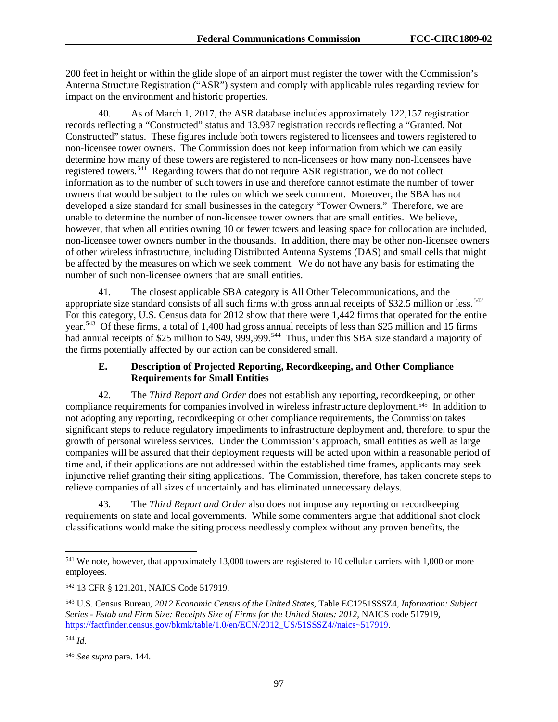200 feet in height or within the glide slope of an airport must register the tower with the Commission's Antenna Structure Registration ("ASR") system and comply with applicable rules regarding review for impact on the environment and historic properties.

40. As of March 1, 2017, the ASR database includes approximately 122,157 registration records reflecting a "Constructed" status and 13,987 registration records reflecting a "Granted, Not Constructed" status. These figures include both towers registered to licensees and towers registered to non-licensee tower owners. The Commission does not keep information from which we can easily determine how many of these towers are registered to non-licensees or how many non-licensees have registered towers.<sup>[541](#page-97-0)</sup> Regarding towers that do not require ASR registration, we do not collect information as to the number of such towers in use and therefore cannot estimate the number of tower owners that would be subject to the rules on which we seek comment. Moreover, the SBA has not developed a size standard for small businesses in the category "Tower Owners." Therefore, we are unable to determine the number of non-licensee tower owners that are small entities. We believe, however, that when all entities owning 10 or fewer towers and leasing space for collocation are included, non-licensee tower owners number in the thousands. In addition, there may be other non-licensee owners of other wireless infrastructure, including Distributed Antenna Systems (DAS) and small cells that might be affected by the measures on which we seek comment. We do not have any basis for estimating the number of such non-licensee owners that are small entities.

41. The closest applicable SBA category is All Other Telecommunications, and the appropriate size standard consists of all such firms with gross annual receipts of \$32.5 million or less.<sup>[542](#page-97-1)</sup> For this category, U.S. Census data for 2012 show that there were 1,442 firms that operated for the entire year.<sup>543</sup> Of these firms, a total of 1,400 had gross annual receipts of less than \$25 million and 15 firms had annual receipts of \$25 million to \$49, 999,999.<sup>[544](#page-97-3)</sup> Thus, under this SBA size standard a majority of the firms potentially affected by our action can be considered small.

# **E. Description of Projected Reporting, Recordkeeping, and Other Compliance Requirements for Small Entities**

42. The *Third Report and Order* does not establish any reporting, recordkeeping, or other compliance requirements for companies involved in wireless infrastructure deployment.<sup>[545](#page-97-4)</sup> In addition to not adopting any reporting, recordkeeping or other compliance requirements, the Commission takes significant steps to reduce regulatory impediments to infrastructure deployment and, therefore, to spur the growth of personal wireless services. Under the Commission's approach, small entities as well as large companies will be assured that their deployment requests will be acted upon within a reasonable period of time and, if their applications are not addressed within the established time frames, applicants may seek injunctive relief granting their siting applications. The Commission, therefore, has taken concrete steps to relieve companies of all sizes of uncertainly and has eliminated unnecessary delays.

43. The *Third Report and Order* also does not impose any reporting or recordkeeping requirements on state and local governments. While some commenters argue that additional shot clock classifications would make the siting process needlessly complex without any proven benefits, the

<span id="page-97-0"></span><sup>&</sup>lt;sup>541</sup> We note, however, that approximately 13,000 towers are registered to 10 cellular carriers with 1,000 or more employees.

<span id="page-97-1"></span><sup>542</sup> 13 CFR § 121.201, NAICS Code 517919.

<span id="page-97-2"></span><sup>543</sup> U.S. Census Bureau, *2012 Economic Census of the United States*, Table EC1251SSSZ4, *Information: Subject Series - Estab and Firm Size: Receipts Size of Firms for the United States: 2012,* NAICS code 517919, [https://factfinder.census.gov/bkmk/table/1.0/en/ECN/2012\\_US/51SSSZ4//naics~517919.](https://factfinder.census.gov/bkmk/table/1.0/en/ECN/2012_US/51SSSZ4/naics%7E517919)

<span id="page-97-3"></span><sup>544</sup> *Id*.

<span id="page-97-4"></span><sup>545</sup> *See supra* para. 144.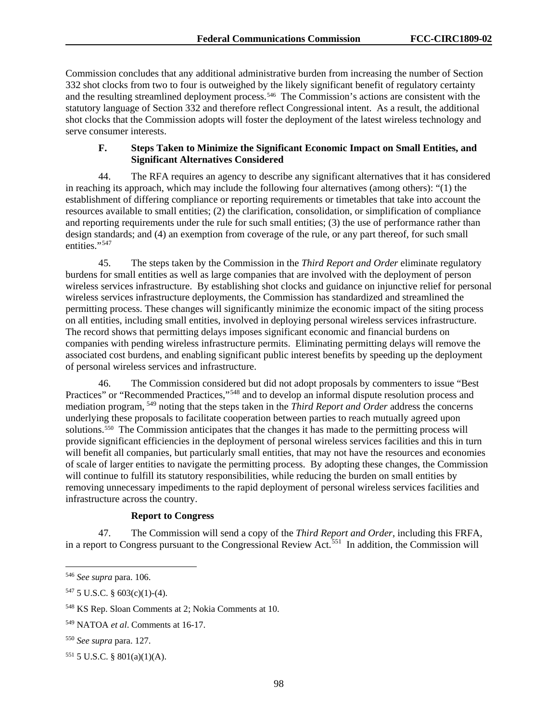Commission concludes that any additional administrative burden from increasing the number of Section 332 shot clocks from two to four is outweighed by the likely significant benefit of regulatory certainty and the resulting streamlined deployment process.<sup>546</sup> The Commission's actions are consistent with the statutory language of Section 332 and therefore reflect Congressional intent. As a result, the additional shot clocks that the Commission adopts will foster the deployment of the latest wireless technology and serve consumer interests.

### **F. Steps Taken to Minimize the Significant Economic Impact on Small Entities, and Significant Alternatives Considered**

44. The RFA requires an agency to describe any significant alternatives that it has considered in reaching its approach, which may include the following four alternatives (among others): "(1) the establishment of differing compliance or reporting requirements or timetables that take into account the resources available to small entities; (2) the clarification, consolidation, or simplification of compliance and reporting requirements under the rule for such small entities; (3) the use of performance rather than design standards; and (4) an exemption from coverage of the rule, or any part thereof, for such small entities."<sup>[547](#page-98-1)</sup>

45. The steps taken by the Commission in the *Third Report and Order* eliminate regulatory burdens for small entities as well as large companies that are involved with the deployment of person wireless services infrastructure. By establishing shot clocks and guidance on injunctive relief for personal wireless services infrastructure deployments, the Commission has standardized and streamlined the permitting process. These changes will significantly minimize the economic impact of the siting process on all entities, including small entities, involved in deploying personal wireless services infrastructure. The record shows that permitting delays imposes significant economic and financial burdens on companies with pending wireless infrastructure permits. Eliminating permitting delays will remove the associated cost burdens, and enabling significant public interest benefits by speeding up the deployment of personal wireless services and infrastructure.

46. The Commission considered but did not adopt proposals by commenters to issue "Best Practices" or "Recommended Practices,"<sup>[548](#page-98-2)</sup> and to develop an informal dispute resolution process and mediation program, [549](#page-98-3) noting that the steps taken in the *Third Report and Order* address the concerns underlying these proposals to facilitate cooperation between parties to reach mutually agreed upon solutions.[550](#page-98-4) The Commission anticipates that the changes it has made to the permitting process will provide significant efficiencies in the deployment of personal wireless services facilities and this in turn will benefit all companies, but particularly small entities, that may not have the resources and economies of scale of larger entities to navigate the permitting process. By adopting these changes, the Commission will continue to fulfill its statutory responsibilities, while reducing the burden on small entities by removing unnecessary impediments to the rapid deployment of personal wireless services facilities and infrastructure across the country.

# **Report to Congress**

47. The Commission will send a copy of the *Third Report and Order*, including this FRFA, in a report to Congress pursuant to the Congressional Review Act.<sup>551</sup> In addition, the Commission will

<span id="page-98-0"></span> <sup>546</sup> *See supra* para. 106.

<span id="page-98-1"></span><sup>547 5</sup> U.S.C. §  $603(c)(1)-(4)$ .

<span id="page-98-2"></span><sup>548</sup> KS Rep. Sloan Comments at 2; Nokia Comments at 10.

<span id="page-98-3"></span><sup>549</sup> NATOA *et al*. Comments at 16-17.

<span id="page-98-4"></span><sup>550</sup> *See supra* para. 127.

<span id="page-98-5"></span><sup>551</sup> 5 U.S.C. § 801(a)(1)(A).